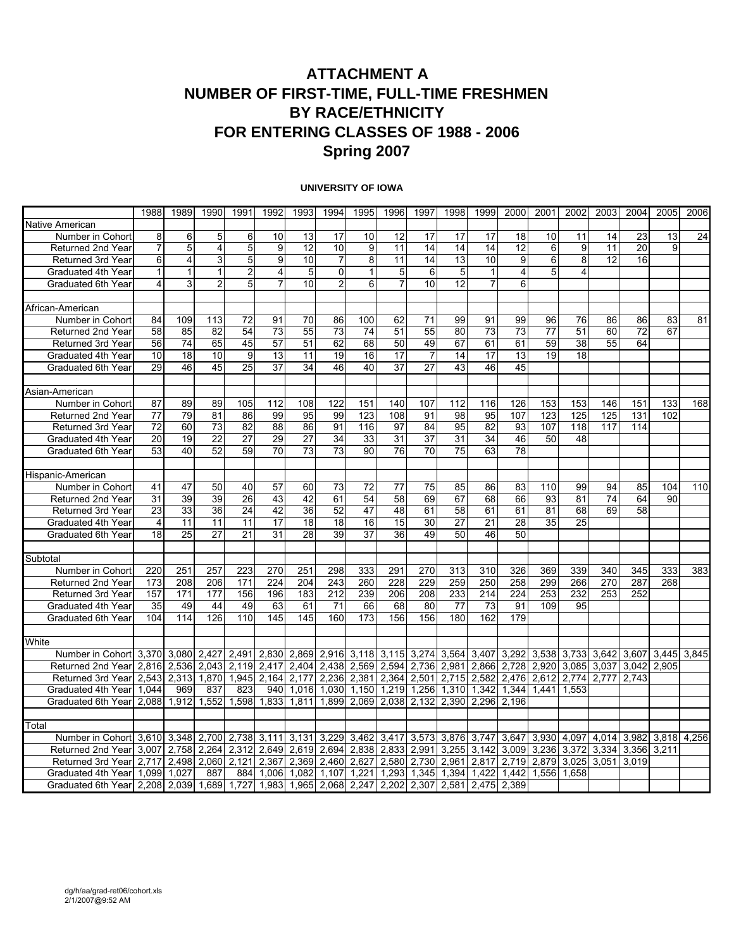### **ATTACHMENT A NUMBER OF FIRST-TIME, FULL-TIME FRESHMEN BY RACE/ETHNICITY FOR ENTERING CLASSES OF 1988 - 2006 Spring 2007**

#### **UNIVERSITY OF IOWA**

|                                                            | 1988            | 1989            | 1990            | 1991            | 1992            | 1993            | 1994              | 1995         | 1996              | 1997            | 1998        | 1999           | 2000            | 2001  | 2002        | 2003  | 2004  | 2005  | 2006  |
|------------------------------------------------------------|-----------------|-----------------|-----------------|-----------------|-----------------|-----------------|-------------------|--------------|-------------------|-----------------|-------------|----------------|-----------------|-------|-------------|-------|-------|-------|-------|
| Native American                                            |                 |                 |                 |                 |                 |                 |                   |              |                   |                 |             |                |                 |       |             |       |       |       |       |
| Number in Cohort                                           | 8               | $\overline{6}$  | 5               | 6               | 10              | 13              | 17                | 10           | 12                | 17              | 17          | 17             | 18              | 10    | 11          | 14    | 23    | 13    | 24    |
| Returned 2nd Year                                          | $\overline{7}$  | $\overline{5}$  | 4               | 5               | 9               | 12              | 10                | 9            | 11                | 14              | 14          | 14             | 12              | 6     | 9           | 11    | 20    | 9     |       |
| Returned 3rd Year                                          | 6               | 4               | 3               | 5               | 9               | 10              | $\overline{7}$    | 8            | 11                | 14              | 13          | 10             | 9               | 6     | 8           | 12    | 16    |       |       |
| Graduated 4th Year                                         | $\mathbf{1}$    | $\mathbf{1}$    | $\mathbf{1}$    | $\overline{2}$  | 4               | 5 <sup>1</sup>  | $\mathbf 0$       | $\mathbf{1}$ | 5                 | 6               | 5           | $\mathbf{1}$   | 4               | 5     | 4           |       |       |       |       |
| Graduated 6th Year                                         | $\overline{4}$  | 3               | $\overline{c}$  | 5               | 7               | 10 <sup>1</sup> | $\overline{2}$    | 6            | $\overline{7}$    | 10              | 12          | $\overline{7}$ | 6               |       |             |       |       |       |       |
|                                                            |                 |                 |                 |                 |                 |                 |                   |              |                   |                 |             |                |                 |       |             |       |       |       |       |
| African-American                                           |                 |                 |                 |                 |                 |                 |                   |              |                   |                 |             |                |                 |       |             |       |       |       |       |
| Number in Cohort                                           | 84              | 109             | 113             | 72              | 91              | 70              | 86                | 100          | 62                | 71              | 99          | 91             | 99              | 96    | 76          | 86    | 86    | 83    | 81    |
| Returned 2nd Year                                          | 58              | 85              | 82              | 54              | 73              | 55              | 73                | 74           | 51                | 55              | 80          | 73             | 73              | 77    | 51          | 60    | 72    | 67    |       |
| Returned 3rd Year                                          | 56              | $\overline{74}$ | 65              | 45              | 57              | 51              | 62                | 68           | 50                | 49              | 67          | 61             | 61              | 59    | 38          | 55    | 64    |       |       |
| Graduated 4th Year                                         | 10              | 18              | 10              | 9               | 13              | 11              | 19                | 16           | 17                | $\overline{7}$  | 14          | 17             | 13              | 19    | 18          |       |       |       |       |
| Graduated 6th Year                                         | 29              | 46              | 45              | 25              | 37              | 34              | 46                | 40           | 37                | 27              | 43          | 46             | 45              |       |             |       |       |       |       |
|                                                            |                 |                 |                 |                 |                 |                 |                   |              |                   |                 |             |                |                 |       |             |       |       |       |       |
| Asian-American                                             |                 |                 |                 |                 |                 |                 |                   |              |                   |                 |             |                |                 |       |             |       |       |       |       |
| Number in Cohort                                           | 87              | 89              | 89              | 105             | 112             | 108             | 122               | 151          | 140               | 107             | 112         | 116            | 126             | 153   | 153         | 146   | 151   | 133   | 168   |
| Returned 2nd Year                                          | $\overline{77}$ | 79              | 81              | 86              | 99              | 95              | 99                | 123          | 108               | 91              | 98          | 95             | 107             | 123   | 125         | 125   | 131   | 102   |       |
| Returned 3rd Year                                          | $\overline{72}$ | 60              | 73              | 82              | 88              | 86              | 91                | 116          | 97                | 84              | 95          | 82             | 93              | 107   | 118         | 117   | 114   |       |       |
| Graduated 4th Year                                         | $\overline{20}$ | 19              | $\overline{22}$ | $\overline{27}$ | 29              | $\overline{27}$ | 34                | 33           | 31                | $\overline{37}$ | 31          | 34             | 46              | 50    | 48          |       |       |       |       |
| Graduated 6th Year                                         | 53              | 40              | 52              | 59              | $\overline{70}$ | $\overline{73}$ | $\overline{73}$   | 90           | 76                | 70              | 75          | 63             | $\overline{78}$ |       |             |       |       |       |       |
|                                                            |                 |                 |                 |                 |                 |                 |                   |              |                   |                 |             |                |                 |       |             |       |       |       |       |
| Hispanic-American                                          |                 |                 |                 |                 |                 |                 |                   |              |                   |                 |             |                |                 |       |             |       |       |       |       |
| Number in Cohort                                           | 41              | 47              | 50              | 40              | 57              | 60              | 73                | 72           | 77                | 75              | 85          | 86             | 83              | 110   | 99          | 94    | 85    | 104   | 110   |
| Returned 2nd Year                                          | 31              | 39              | 39              | 26              | 43              | 42              | 61                | 54           | 58                | 69              | 67          | 68             | 66              | 93    | 81          | 74    | 64    | 90    |       |
| Returned 3rd Year                                          | 23              | 33              | 36              | 24              | 42              | 36              | 52                | 47           | 48                | 61              | 58          | 61             | 61              | 81    | 68          | 69    | 58    |       |       |
| Graduated 4th Year                                         | 4               | 11              | 11              | 11              | $\overline{17}$ | 18              | 18                | 16           | 15                | 30              | 27          | 21             | 28              | 35    | 25          |       |       |       |       |
| Graduated 6th Year                                         | 18              | $\overline{25}$ | 27              | 21              | 31              | 28              | 39                | 37           | 36                | 49              | 50          | 46             | 50              |       |             |       |       |       |       |
|                                                            |                 |                 |                 |                 |                 |                 |                   |              |                   |                 |             |                |                 |       |             |       |       |       |       |
| Subtotal                                                   |                 |                 |                 |                 |                 |                 |                   |              |                   |                 |             |                |                 |       |             |       |       |       |       |
| Number in Cohort                                           | 220             | 251             | 257             | 223             | 270             | 251             | 298               | 333          | 291               | 270             | 313         | 310            | 326             | 369   | 339         | 340   | 345   | 333   | 383   |
| Returned 2nd Year                                          | 173             | 208             | 206             | 171             | 224             | 204             | 243               | 260          | 228               | 229             | 259         | 250            | 258             | 299   | 266         | 270   | 287   | 268   |       |
| <b>Returned 3rd Year</b>                                   | 157             | 171             | 177             | 156             | 196             | 183             | 212               | 239          | 206               | 208             | 233         | 214            | 224             | 253   | 232         | 253   | 252   |       |       |
| Graduated 4th Year                                         | 35              | 49              | 44              | 49              | 63              | 61              | 71                | 66           | 68                | 80              | 77          | 73             | 91              | 109   | 95          |       |       |       |       |
| Graduated 6th Year                                         | 104             | 114             | 126             | 110             | 145             | 145             | 160               | 173          | 156               | 156             | 180         | 162            | 179             |       |             |       |       |       |       |
|                                                            |                 |                 |                 |                 |                 |                 |                   |              |                   |                 |             |                |                 |       |             |       |       |       |       |
| White                                                      |                 |                 |                 |                 |                 |                 |                   |              |                   |                 |             |                |                 |       |             |       |       |       |       |
| Number in Cohort 3,370 3,080 2,427 2,491 2,830 2,869 2,916 |                 |                 |                 |                 |                 |                 |                   |              | 3,118 3,115 3,274 |                 | 3,564 3,407 |                | 3,292           | 3,538 | 3,733       | 3,642 | 3,607 | 3.445 | 3,845 |
| Returned 2nd Year                                          | 2.816           | 2,536           | 2.043           | 2.119           | 2.417           | 2.404           | 2.438             | 2.569        | 2.594             | 2.736           | 2.981       | 2.866          | 2.728           | 2.920 | 3.085       | 3.037 | 3.042 | 2.905 |       |
| Returned 3rd Year                                          | 2,543           | 2,313           | 1,870           | 1,945           | 2,164           | 2,177           | 2,236             | 2,381        | 2,364             | 2,501           | 2,715       | 2,582          | 2,476           | 2,612 | 2,774       | 2,777 | 2,743 |       |       |
| Graduated 4th Year                                         | 1.044           | 969             | 837             | 823             | 940             |                 | 1.016 1.030       | 1.150        | 1,219             | 1,256           | 1.310       | 1.342          | 1.344           | 1.441 | 1.553       |       |       |       |       |
| Graduated 6th Year                                         | 2.088           | 1,912           | 1,552           | 1,598           | 1,833           | 1,811           | 1,899             | 2,069        | 2,038 2,132       |                 | 2,390       | 2,296          | 2.196           |       |             |       |       |       |       |
|                                                            |                 |                 |                 |                 |                 |                 |                   |              |                   |                 |             |                |                 |       |             |       |       |       |       |
| Total                                                      |                 |                 |                 |                 |                 |                 |                   |              |                   |                 |             |                |                 |       |             |       |       |       |       |
| Number in Cohort                                           | 3,610           | 3,348           | 2,700           | 2,738           | 3,111           | 3,131           | 3,229             | 3,462        | 3,417             | 3,573           | 3,876       | 3,747          | 3.647           |       | 3,930 4,097 | 4,014 | 3,982 | 3,818 | 4,256 |
| Returned 2nd Year                                          | 3,007           | 2,758           | 2,264           | 2,312           | 2,649           | 2,619           | 2,694             | 2,838        | 2,833             | 2,991           | 3,255       | 3,142          | 3,009           | 3,236 | 3,372       | 3,334 | 3,356 | 3,211 |       |
| Returned 3rd Year                                          | 2.717           | 2,498           | 2.060           | 2,121           | 2,367           | 2.369           | 2.460             | 2,627        | 2,580             | 2,730           | 2,961       | 2,817          | 2.719           | 2,879 | 3,025       | 3,051 | 3,019 |       |       |
| Graduated 4th Year                                         | 1.099           | 1.027           | 887             | 884             | 1.006           | 1.082           | 1.107             | 1.221        | 1,293             | 1.345           | 1,394       | 1.422          | 1,442           | 1.556 | 1.658       |       |       |       |       |
| Graduated 6th Year                                         |                 | 2,208 2,039     | 1,689           | 1,727           | 1,983           |                 | 1,965 2,068 2,247 |              | 2,202             | 2,307           | 2,581       | 2,475          | 2,389           |       |             |       |       |       |       |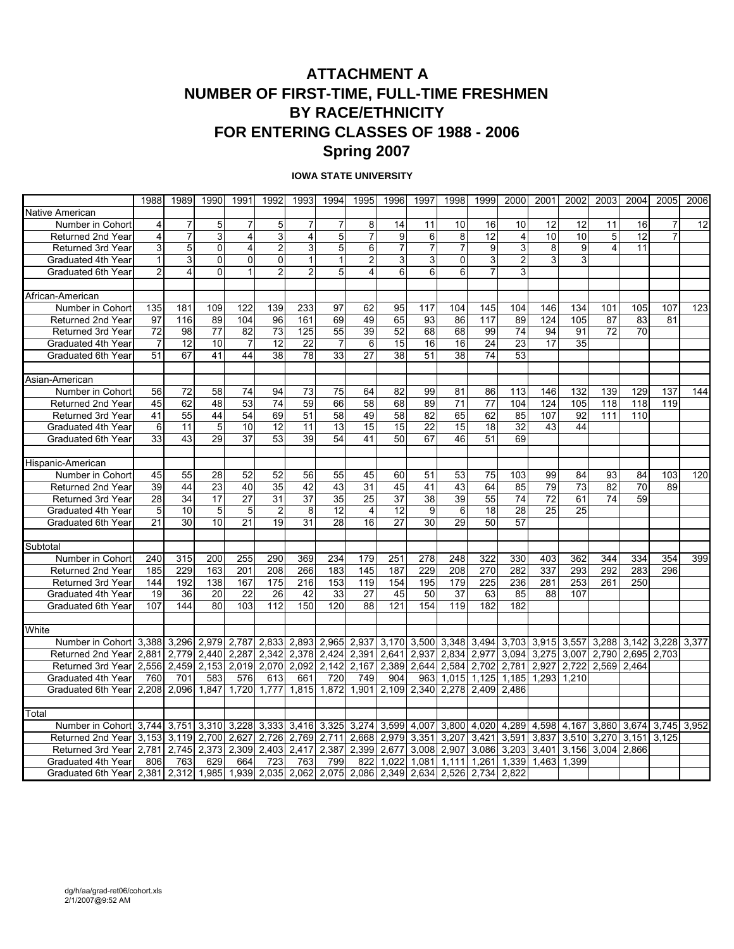### **ATTACHMENT A NUMBER OF FIRST-TIME, FULL-TIME FRESHMEN BY RACE/ETHNICITY FOR ENTERING CLASSES OF 1988 - 2006 Spring 2007**

#### **IOWA STATE UNIVERSITY**

|                                               | 1988           | 1989                    | 1990           | 1991            | 1992                          | 1993            | 1994                          | 1995           | 1996            | 1997            | 1998           | 1999            | 2000           | 2001        | 2002  | 2003                    | 2004              | 2005  | 2006  |
|-----------------------------------------------|----------------|-------------------------|----------------|-----------------|-------------------------------|-----------------|-------------------------------|----------------|-----------------|-----------------|----------------|-----------------|----------------|-------------|-------|-------------------------|-------------------|-------|-------|
| Native American                               |                |                         |                |                 |                               |                 |                               |                |                 |                 |                |                 |                |             |       |                         |                   |       |       |
| Number in Cohort                              | $\overline{4}$ | 7                       | 5              | 7               | 5                             | $\overline{7}$  | 7                             | 8              | 14              | 11              | 10             | 16              | 10             | 12          | 12    | 11                      | 16                |       | 12    |
| <b>Returned 2nd Year</b>                      | $\overline{4}$ | $\overline{7}$          | 3              | $\overline{4}$  | $\overline{3}$                | $\overline{4}$  | 5                             | $\overline{7}$ | 9               | 6               | 8              | 12              | 4              | 10          | 10    | 5                       | 12                | 7     |       |
| <b>Returned 3rd Year</b>                      | 3              | 5                       | 0              | $\overline{4}$  | $\overline{c}$                | 3 <sup>1</sup>  | 5                             | 6              | 7               | $\overline{7}$  | $\overline{7}$ | 9               | 3              | 8           | 9     | $\overline{\mathbf{A}}$ | 11                |       |       |
| Graduated 4th Year                            | $\mathbf{1}$   | $\overline{3}$          | 0              | $\Omega$        | 0                             | $\mathbf{1}$    | $\mathbf{1}$                  | $\overline{2}$ | 3               | 3               | $\overline{0}$ | 3               | $\overline{2}$ | 3           | 3     |                         |                   |       |       |
| Graduated 6th Year                            | $\overline{a}$ | $\overline{\mathbf{4}}$ | 0              | $\mathbf{1}$    | $\overline{c}$                | $\overline{2}$  | 5                             | 4              | 6               | 6               | $6 \mid$       | 7               | 3              |             |       |                         |                   |       |       |
|                                               |                |                         |                |                 |                               |                 |                               |                |                 |                 |                |                 |                |             |       |                         |                   |       |       |
| African-American                              |                |                         |                |                 |                               |                 |                               |                |                 |                 |                |                 |                |             |       |                         |                   |       |       |
| Number in Cohort                              | 135            | 181                     | 109            | 122             | 139                           | 233             | 97                            | 62             | 95              | 117             | 104            | 145             | 104            | 146         | 134   | 101                     | 105               | 107   | 123   |
| Returned 2nd Year                             | 97             | 116                     | 89             | 104             | 96                            | 161             | 69                            | 49             | 65              | 93              | 86             | 117             | 89             | 124         | 105   | 87                      | 83                | 81    |       |
| Returned 3rd Year                             | 72             | 98                      | 77             | 82              | 73                            | 125             | $\overline{55}$               | 39             | 52              | 68              | 68             | 99              | 74             | 94          | 91    | $\overline{72}$         | 70                |       |       |
| Graduated 4th Year                            | $\overline{7}$ | 12                      | 10             | $\overline{7}$  | 12                            | 22              | $\overline{7}$                | 6              | 15              | 16              | 16             | 24              | 23             | 17          | 35    |                         |                   |       |       |
| Graduated 6th Year                            | 51             | 67                      | 41             | 44              | 38                            | $\overline{78}$ | 33                            | 27             | 38              | 51              | 38             | $\overline{74}$ | 53             |             |       |                         |                   |       |       |
|                                               |                |                         |                |                 |                               |                 |                               |                |                 |                 |                |                 |                |             |       |                         |                   |       |       |
| Asian-American                                |                |                         |                |                 |                               |                 |                               |                |                 |                 |                |                 |                |             |       |                         |                   |       |       |
| Number in Cohort                              | 56             | 72                      | 58             | 74              | 94                            | 73              | 75                            | 64             | 82              | 99              | 81             | 86              | 113            | 146         | 132   | 139                     | 129               | 137   | 144   |
| Returned 2nd Year                             | 45             | 62                      | 48             | 53              | 74                            | 59              | 66                            | 58             | 68              | 89              | 71             | $\overline{77}$ | 104            | 124         | 105   | 118                     | 118               | 119   |       |
| Returned 3rd Year                             | 41             | 55                      | 44             | 54              | 69                            | 51              | 58                            | 49             | 58              | 82              | 65             | 62              | 85             | 107         | 92    | 111                     | 110               |       |       |
| Graduated 4th Year                            | 6              | $\overline{11}$         | $\overline{5}$ | 10              | $\overline{12}$               | 11              | 13                            | 15             | 15              | $\overline{22}$ | 15             | 18              | 32             | 43          | 44    |                         |                   |       |       |
| Graduated 6th Year                            | 33             | 43                      | 29             | 37              | $\overline{53}$               | 39              | 54                            | 41             | 50              | 67              | 46             | 51              | 69             |             |       |                         |                   |       |       |
|                                               |                |                         |                |                 |                               |                 |                               |                |                 |                 |                |                 |                |             |       |                         |                   |       |       |
| Hispanic-American                             | 45             | 55                      |                | 52              | 52                            | 56              | 55                            | 45             | 60              | 51              |                |                 |                |             | 84    | 93                      | 84                |       | 120   |
| Number in Cohort                              | 39             |                         | 28             |                 |                               |                 |                               |                |                 |                 | 53             | 75              | 103            | 99          | 73    |                         |                   | 103   |       |
| Returned 2nd Year<br><b>Returned 3rd Year</b> | 28             | 44<br>34                | 23<br>17       | 40<br>27        | 35<br>31                      | 42<br>37        | 43<br>35                      | 31<br>25       | 45<br>37        | 41<br>38        | 43<br>39       | 64<br>55        | 85<br>74       | 79<br>72    | 61    | 82<br>74                | 70<br>59          | 89    |       |
| Graduated 4th Year                            | 5              | 10                      | 5              | 5               |                               | 8 <sup>1</sup>  | 12                            | 4              | 12              | 9               | 6              | 18              | 28             | 25          | 25    |                         |                   |       |       |
| Graduated 6th Year                            | 21             | 30                      | 10             | $\overline{21}$ | $\overline{\mathbf{c}}$<br>19 | 31              | 28                            | 16             | $\overline{27}$ | 30              | 29             | $\overline{50}$ | 57             |             |       |                         |                   |       |       |
|                                               |                |                         |                |                 |                               |                 |                               |                |                 |                 |                |                 |                |             |       |                         |                   |       |       |
| Subtotal                                      |                |                         |                |                 |                               |                 |                               |                |                 |                 |                |                 |                |             |       |                         |                   |       |       |
| Number in Cohort                              | 240            | 315                     | 200            | 255             | 290                           | 369             | 234                           | 179            | 251             | 278             | 248            | 322             | 330            | 403         | 362   | 344                     | 334               | 354   | 399   |
| Returned 2nd Year                             | 185            | 229                     | 163            | 201             | 208                           | 266             | 183                           | 145            | 187             | 229             | 208            | 270             | 282            | 337         | 293   | 292                     | 283               | 296   |       |
| <b>Returned 3rd Year</b>                      | 144            | 192                     | 138            | 167             | 175                           | 216             | 153                           | 119            | 154             | 195             | 179            | 225             | 236            | 281         | 253   | 261                     | 250               |       |       |
| Graduated 4th Year                            | 19             | 36                      | 20             | 22              | 26                            | 42              | 33                            | 27             | 45              | 50              | 37             | 63              | 85             | 88          | 107   |                         |                   |       |       |
| Graduated 6th Year                            | 107            | 144                     | 80             | 103             | 112                           | 150             | 120                           | 88             | 121             | 154             | 119            | 182             | 182            |             |       |                         |                   |       |       |
|                                               |                |                         |                |                 |                               |                 |                               |                |                 |                 |                |                 |                |             |       |                         |                   |       |       |
| White                                         |                |                         |                |                 |                               |                 |                               |                |                 |                 |                |                 |                |             |       |                         |                   |       |       |
| Number in Cohort 3,388                        |                | 3,296                   | 2,979          | 2,787           |                               |                 | 2,833 2,893 2,965             | 2,937          | 3,170           | 3,500           |                | 3,348 3,494     | 3,703          | 3,915 3,557 |       | 3,288                   | 3,142             | 3,228 | 3,377 |
| Returned 2nd Year                             | 2.881          | 2.779                   | 2,440          | 2,287           | 2,342                         | 2,378 2,424     |                               | 2,391          | 2,641           | 2,937           | 2,834          | 2,977           | 3,094          | 3,275       | 3.007 | 2,790                   | 2,695             | 2.703 |       |
| Returned 3rd Year                             | 2,556          | $\overline{2,}459$      | 2,153          | 2,019           | 2,070                         | 2,092           | 2,142                         | 2,167          | 2,389           | 2,644           | 2,584          | 2,702           | 2,781          | 2,927       | 2,722 | 2,569                   | 2,464             |       |       |
| Graduated 4th Year                            | 760            | 701                     | 583            | 576             | 613                           | 661             | 720                           | 749            | 904             | 963             | 1,015          | 1,125           | 1,185          | 1,293       | 1.210 |                         |                   |       |       |
| Graduated 6th Year                            |                | 2,208 2,096             | 1,847          | 1,720           | 1,777                         |                 | 1,815 1,872                   | 1,901          |                 | 2,109 2,340     |                | 2,278 2,409     | 2,486          |             |       |                         |                   |       |       |
|                                               |                |                         |                |                 |                               |                 |                               |                |                 |                 |                |                 |                |             |       |                         |                   |       |       |
| Total                                         |                |                         |                |                 |                               |                 |                               |                |                 |                 |                |                 |                |             |       |                         |                   |       |       |
| Number in Cohort                              | 3,744          | 3,751                   | 3,310          | 3,228           | 3,333                         | 3,416 3,325     |                               | 3,274          | 3,599           | 4,007           |                | 3,800 4,020     | 4,289          | 4,598       | 4,167 | 3,860                   | 3,674 3,745 3,952 |       |       |
| Returned 2nd Year                             | 3,153          |                         | 3,119 2,700    | 2,627           | 2,726                         | 2,769           | 2,711                         | 2,668          | 2,979           | 3,351           | 3,207          | 3,421           | 3,591          | 3,837       |       | 3,510 3,270             | 3,151             | 3,125 |       |
| <b>Returned 3rd Year</b>                      | 2.781          | 2.745                   | 2.373          | 2.309           | 2.403                         | 2.417           | 2.387                         | 2.399          | 2.677           | 3.008           | 2.907          | 3.086           | 3.203          | 3.401       | 3.156 | 3.004                   | 2.866             |       |       |
| Graduated 4th Year                            | 806            | 763                     | 629            | 664             | 723                           | 763             | 799                           | 822            | 1,022           | 1,081           | 1,111          | 1,261           | 1,339          | 1,463       | 1,399 |                         |                   |       |       |
| Graduated 6th Yearl                           | 2.381          | 2,312                   | 1.985          |                 |                               |                 | 1,939 2,035 2,062 2,075 2,086 |                | 2.349           | 2,634           |                | 2,526 2,734     | 2.822          |             |       |                         |                   |       |       |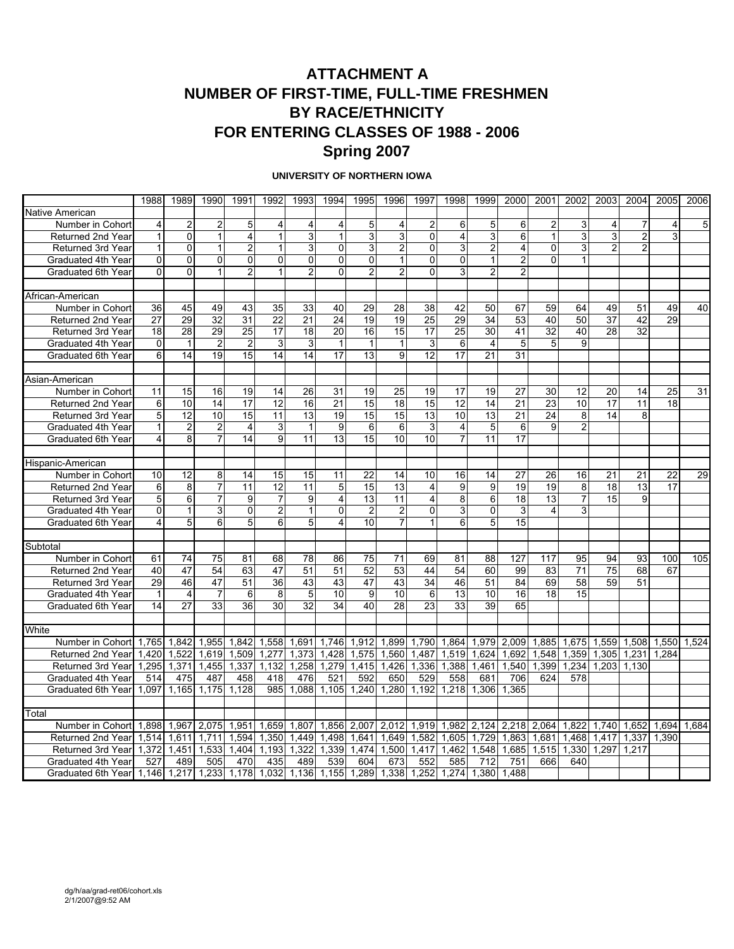### **ATTACHMENT A NUMBER OF FIRST-TIME, FULL-TIME FRESHMEN BY RACE/ETHNICITY FOR ENTERING CLASSES OF 1988 - 2006 Spring 2007**

#### **UNIVERSITY OF NORTHERN IOWA**

|                           | 1988                    | 1989            | 1990           | 1991                    | 1992           | 1993           | 1994            | 1995           | 1996                    | 1997                    | 1998                    | 1999           | 2000                    | 2001         | 2002           | 2003            | 2004           | 2005  | 2006  |
|---------------------------|-------------------------|-----------------|----------------|-------------------------|----------------|----------------|-----------------|----------------|-------------------------|-------------------------|-------------------------|----------------|-------------------------|--------------|----------------|-----------------|----------------|-------|-------|
| Native American           |                         |                 |                |                         |                |                |                 |                |                         |                         |                         |                |                         |              |                |                 |                |       |       |
| Number in Cohort          | 4                       | $\overline{a}$  | 2              | 5                       | 4              | 4              | 4               | 5              | 4                       | $\overline{\mathbf{c}}$ | 6                       | 5              | 6                       | 2            | 3              | 4               | 7              | 4     | 5     |
| Returned 2nd Year         | 1                       | $\overline{0}$  | $\mathbf{1}$   | $\overline{\mathbf{4}}$ | $\mathbf{1}$   | 3              | $\mathbf{1}$    | 3              | $\overline{3}$          | $\mathbf 0$             | $\overline{4}$          | 3              | 6                       | 1            | $\overline{3}$ | 3               | $\overline{c}$ | 3     |       |
| <b>Returned 3rd Year</b>  | 1                       | $\overline{0}$  | 1              | $\overline{2}$          | $\mathbf{1}$   | 3              | 0               | 3              | $\overline{c}$          | 0                       | 3                       | $\overline{2}$ | 4                       | 0            | 3              | $\overline{2}$  | 2              |       |       |
| Graduated 4th Year        | $\mathbf 0$             | 0               | 0              | $\mathbf 0$             | 0              | 0              | 0               | $\overline{0}$ | $\mathbf{1}$            | 0                       | 0                       | $\mathbf{1}$   | $\overline{\mathbf{c}}$ | $\Omega$     | $\mathbf{1}$   |                 |                |       |       |
| Graduated 6th Year        | $\overline{0}$          | $\overline{0}$  | 1              | $\overline{2}$          | $\mathbf{1}$   | $\overline{2}$ | 0               | $\overline{2}$ | $\overline{2}$          | $\overline{0}$          | 3                       | $\overline{2}$ | $\overline{c}$          |              |                |                 |                |       |       |
|                           |                         |                 |                |                         |                |                |                 |                |                         |                         |                         |                |                         |              |                |                 |                |       |       |
| African-American          |                         |                 |                |                         |                |                |                 |                |                         |                         |                         |                |                         |              |                |                 |                |       |       |
| Number in Cohort          | 36                      | 45              | 49             | 43                      | 35             | 33             | 40              | 29             | 28                      | 38                      | 42                      | 50             | 67                      | 59           | 64             | 49              | 51             | 49    | 40    |
| Returned 2nd Year         | 27                      | 29              | 32             | 31                      | 22             | 21             | $\overline{24}$ | 19             | 19                      | 25                      | 29                      | 34             | 53                      | 40           | 50             | $\overline{37}$ | 42             | 29    |       |
| Returned 3rd Year         | 18                      | 28              | 29             | $\overline{25}$         | 17             | 18             | 20              | 16             | 15                      | 17                      | 25                      | 30             | 41                      | 32           | 40             | 28              | 32             |       |       |
| Graduated 4th Year        | $\overline{0}$          | $\mathbf{1}$    | $\overline{2}$ | $\overline{2}$          | 3              | 3              | $\mathbf{1}$    |                | $\mathbf{1}$            | $\mathsf 3$             | 6                       | $\overline{4}$ | 5                       | 5            | 9              |                 |                |       |       |
| Graduated 6th Year        | 6                       | 14              | 19             | 15                      | 14             | 14             | 17              | 13             | 9                       | 12                      | 17                      | 21             | 31                      |              |                |                 |                |       |       |
|                           |                         |                 |                |                         |                |                |                 |                |                         |                         |                         |                |                         |              |                |                 |                |       |       |
| Asian-American            |                         |                 |                |                         |                |                |                 |                |                         |                         |                         |                |                         |              |                |                 |                |       |       |
| Number in Cohort          | 11                      | 15              | 16             | 19                      | 14             | 26             | 31              | 19             | 25                      | 19                      | 17                      | 19             | 27                      | 30           | 12             | 20              | 14             | 25    | 31    |
| Returned 2nd Year         | 6                       | 10              | 14             | 17                      | 12             | 16             | $\overline{21}$ | 15             | 18                      | 15                      | 12                      | 14             | 21                      | 23           | 10             | 17              | 11             | 18    |       |
| <b>Returned 3rd Year</b>  | 5                       | $\overline{12}$ | 10             | 15                      | 11             | 13             | 19              | 15             | $\overline{15}$         | 13                      | 10                      | 13             | $\overline{21}$         | 24           | 8              | 14              | 8              |       |       |
| Graduated 4th Year        | $\mathbf{1}$            | $\overline{2}$  | 2              | $\overline{4}$          | 3              | $\mathbf{1}$   | 9               | 6              | 6                       | 3                       | $\overline{\mathbf{4}}$ | 5              | 6                       | $\mathbf{Q}$ | $\overline{2}$ |                 |                |       |       |
| Graduated 6th Year        | $\overline{4}$          | 8               | 7              | 14                      | $\overline{9}$ | 11             | 13              | 15             | 10                      | 10                      | $\overline{7}$          | 11             | 17                      |              |                |                 |                |       |       |
|                           |                         |                 |                |                         |                |                |                 |                |                         |                         |                         |                |                         |              |                |                 |                |       |       |
| Hispanic-American         |                         |                 |                |                         |                |                |                 |                |                         |                         |                         |                |                         |              |                |                 |                |       |       |
| Number in Cohort          | 10                      | 12              | 8              | 14                      | 15             | 15             | 11              | 22             | 14                      | 10                      | 16                      | 14             | 27                      | 26           | 16             | 21              | 21             | 22    | 29    |
| Returned 2nd Year         | 6                       | 8               | 7              | 11                      | 12             | 11             | 5               | 15             | 13                      | 4                       | 9                       | 9              | 19                      | 19           | 8              | 18              | 13             | 17    |       |
| <b>Returned 3rd Year</b>  | 5 <sub>5</sub>          | $\overline{6}$  | 7              | 9                       | $\overline{7}$ | 9              | 4               | 13             | 11                      | $\overline{4}$          | 8                       | $\overline{6}$ | 18                      | 13           | $\overline{7}$ | $\overline{15}$ | 9              |       |       |
| Graduated 4th Year        | $\overline{0}$          | $\mathbf{1}$    | 3              | $\mathbf 0$             | $\overline{2}$ | $\mathbf{1}$   | 0               | $\overline{2}$ | $\overline{\mathbf{c}}$ | 0                       | 3                       | 0              | 3                       | 4            | 3              |                 |                |       |       |
| <b>Graduated 6th Year</b> | $\overline{\mathbf{r}}$ | 5               | 6              | 5                       | $\overline{6}$ | 5 <sup>1</sup> | $\overline{4}$  | 10             | $\overline{7}$          | $\mathbf{1}$            | 6                       | 5              | 15                      |              |                |                 |                |       |       |
|                           |                         |                 |                |                         |                |                |                 |                |                         |                         |                         |                |                         |              |                |                 |                |       |       |
| Subtotal                  |                         |                 |                |                         |                |                |                 |                |                         |                         |                         |                |                         |              |                |                 |                |       |       |
| Number in Cohort          | 61                      | 74              | 75             | 81                      | 68             | 78             | 86              | 75             | 71                      | 69                      | 81                      | 88             | 127                     | 117          | 95             | 94              | 93             | 100   | 105   |
| Returned 2nd Year         | 40                      | 47              | 54             | 63                      | 47             | 51             | 51              | 52             | 53                      | 44                      | 54                      | 60             | 99                      | 83           | 71             | 75              | 68             | 67    |       |
| Returned 3rd Year         | 29                      | 46              | 47             | 51                      | 36             | 43             | 43              | 47             | 43                      | 34                      | 46                      | 51             | 84                      | 69           | 58             | 59              | 51             |       |       |
| Graduated 4th Year        | $\mathbf{1}$            | $\overline{4}$  | $\overline{7}$ | 6                       | 8              | 5              | 10              | 9              | 10                      | 6                       | 13                      | 10             | 16                      | 18           | 15             |                 |                |       |       |
| Graduated 6th Year        | 14                      | 27              | 33             | 36                      | 30             | 32             | 34              | 40             | 28                      | 23                      | 33                      | 39             | 65                      |              |                |                 |                |       |       |
|                           |                         |                 |                |                         |                |                |                 |                |                         |                         |                         |                |                         |              |                |                 |                |       |       |
| White                     |                         |                 |                |                         |                |                |                 |                |                         |                         |                         |                |                         |              |                |                 |                |       |       |
| Number in Cohort          | 1,765                   | 1,842           | 1,955          | 1,842                   | 1,558          | 1,691          | 1,746           | 1,912          | 1,899                   | 1,790                   | 1,864                   | 1,979          | 2,009                   | 1,885        | 1,675          | 1,559           | 1,508          | 1,550 | 1,524 |
| Returned 2nd Year         | 1,420                   | 1,522           | 1,619          | 1,509                   | 1,277          | 1,373          | 1,428           | 1,575          | ,560<br>1               | 1,487                   | 1,519                   | 1,624          | 1,692                   | 1,548        | 1,359          | 1,305           | 1,231          | 1,284 |       |
| Returned 3rd Year         | 1,295                   | 1,371           | 1,455          | 1,337                   | 1,132          | 1,258          | 1,279           | 1,415          | 1,426                   | 1,336                   | 1,388                   | 1,461          | 1,540                   | 1,399        | 1,234          | 1,203           | 1,130          |       |       |
| Graduated 4th Year        | 514                     | 475             | 487            | 458                     | 418            | 476            | 521             | 592            | 650                     | 529                     | 558                     | 681            | 706                     | 624          | 578            |                 |                |       |       |
| Graduated 6th Year        | 1,097                   | 1,165           | 1,175          | 1.128                   | 985            | 1,088          | 1,105           | 1.240          | 1,280                   | 1.192                   | 1.218                   | 1,306          | 1.365                   |              |                |                 |                |       |       |
|                           |                         |                 |                |                         |                |                |                 |                |                         |                         |                         |                |                         |              |                |                 |                |       |       |
| Total                     |                         |                 |                |                         |                |                |                 |                |                         |                         |                         |                |                         |              |                |                 |                |       |       |
| Number in Cohort          | 1,898                   | 1,967           | 2,075          | 1,951                   | 1,659          | 1,807          | 1,856           | 2,007          | 2,012                   | 1,919                   | 1,982                   | 2,124          | 2,218 2,064             |              | 1.822          | 1.740           | 1.652          | 1,694 | 1,684 |
| Returned 2nd Year         | 1,514                   | 1,611           | 1,711          | 1,594                   | 1,350          | 1,449          | 1,498           | 1,641          | 1,649                   | 1,582                   | 1,605                   | 1,729          | 1,863                   | 1,681        | 1,468          | 1,417           | 1,337          | 1.390 |       |
| Returned 3rd Year         | 1,372                   | 1,451           | 1,533          | 1,404                   | 1,193          | 1,322          | 1,339           | 1,474          | 1,500                   | 1,417                   | 1,462                   | 1,548          | 1,685                   | 1,515        | 1,330          | 1.297           | 1,217          |       |       |
| Graduated 4th Year        | 527                     | 489             | 505            | 470                     | 435            | 489            | 539             | 604            | 673                     | 552                     | 585                     | 712            | 751                     | 666          | 640            |                 |                |       |       |
| Graduated 6th Year        | 1.146                   | 1,217           | 1,233          | 1,178                   | 1,032          | 1.136          | 1,155           | 1.289          | 1,338                   | 1.252                   | 1.274                   | 1.380          | 1.488                   |              |                |                 |                |       |       |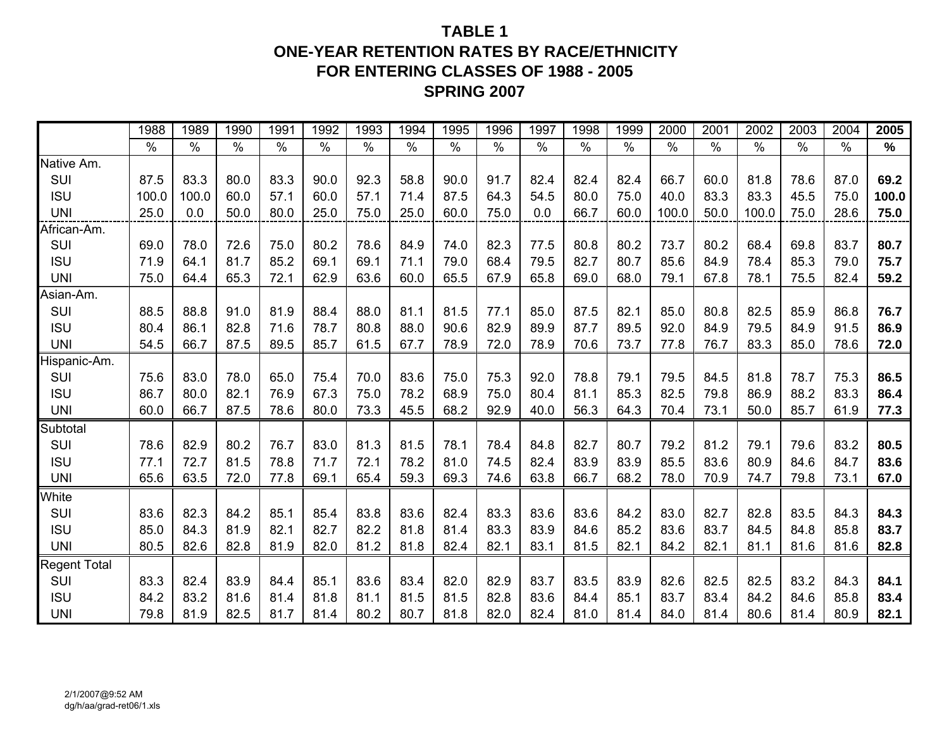### **TABLE 1ONE-YEAR RETENTION RATES BY RACE/ETHNICITY FOR ENTERING CLASSES OF 1988 - 2005 SPRING 2007**

|                     | 1988          | 1989          | 1990          | 1991 | 1992 | 1993          | 1994 | 1995 | 1996 | 1997 | 1998 | 1999          | 2000  | 2001 | 2002  | 2003          | 2004          | 2005  |
|---------------------|---------------|---------------|---------------|------|------|---------------|------|------|------|------|------|---------------|-------|------|-------|---------------|---------------|-------|
|                     | $\frac{0}{0}$ | $\frac{0}{0}$ | $\frac{0}{0}$ | $\%$ | $\%$ | $\frac{0}{0}$ | $\%$ | $\%$ | $\%$ | %    | $\%$ | $\frac{0}{0}$ | $\%$  | $\%$ | $\%$  | $\frac{0}{0}$ | $\frac{0}{0}$ | $\%$  |
| Native Am.          |               |               |               |      |      |               |      |      |      |      |      |               |       |      |       |               |               |       |
| SUI                 | 87.5          | 83.3          | 80.0          | 83.3 | 90.0 | 92.3          | 58.8 | 90.0 | 91.7 | 82.4 | 82.4 | 82.4          | 66.7  | 60.0 | 81.8  | 78.6          | 87.0          | 69.2  |
| <b>ISU</b>          | 100.0         | 100.0         | 60.0          | 57.1 | 60.0 | 57.1          | 71.4 | 87.5 | 64.3 | 54.5 | 80.0 | 75.0          | 40.0  | 83.3 | 83.3  | 45.5          | 75.0          | 100.0 |
| <b>UNI</b>          | 25.0          | 0.0           | 50.0          | 80.0 | 25.0 | 75.0          | 25.0 | 60.0 | 75.0 | 0.0  | 66.7 | 60.0          | 100.0 | 50.0 | 100.0 | 75.0          | 28.6          | 75.0  |
| African-Am.         |               |               |               |      |      |               |      |      |      |      |      |               |       |      |       |               |               |       |
| SUI                 | 69.0          | 78.0          | 72.6          | 75.0 | 80.2 | 78.6          | 84.9 | 74.0 | 82.3 | 77.5 | 80.8 | 80.2          | 73.7  | 80.2 | 68.4  | 69.8          | 83.7          | 80.7  |
| <b>ISU</b>          | 71.9          | 64.1          | 81.7          | 85.2 | 69.1 | 69.1          | 71.1 | 79.0 | 68.4 | 79.5 | 82.7 | 80.7          | 85.6  | 84.9 | 78.4  | 85.3          | 79.0          | 75.7  |
| <b>UNI</b>          | 75.0          | 64.4          | 65.3          | 72.1 | 62.9 | 63.6          | 60.0 | 65.5 | 67.9 | 65.8 | 69.0 | 68.0          | 79.1  | 67.8 | 78.1  | 75.5          | 82.4          | 59.2  |
| Asian-Am.           |               |               |               |      |      |               |      |      |      |      |      |               |       |      |       |               |               |       |
| SUI                 | 88.5          | 88.8          | 91.0          | 81.9 | 88.4 | 88.0          | 81.1 | 81.5 | 77.1 | 85.0 | 87.5 | 82.1          | 85.0  | 80.8 | 82.5  | 85.9          | 86.8          | 76.7  |
| <b>ISU</b>          | 80.4          | 86.1          | 82.8          | 71.6 | 78.7 | 80.8          | 88.0 | 90.6 | 82.9 | 89.9 | 87.7 | 89.5          | 92.0  | 84.9 | 79.5  | 84.9          | 91.5          | 86.9  |
| <b>UNI</b>          | 54.5          | 66.7          | 87.5          | 89.5 | 85.7 | 61.5          | 67.7 | 78.9 | 72.0 | 78.9 | 70.6 | 73.7          | 77.8  | 76.7 | 83.3  | 85.0          | 78.6          | 72.0  |
| Hispanic-Am.        |               |               |               |      |      |               |      |      |      |      |      |               |       |      |       |               |               |       |
| SUI                 | 75.6          | 83.0          | 78.0          | 65.0 | 75.4 | 70.0          | 83.6 | 75.0 | 75.3 | 92.0 | 78.8 | 79.1          | 79.5  | 84.5 | 81.8  | 78.7          | 75.3          | 86.5  |
| <b>ISU</b>          | 86.7          | 80.0          | 82.1          | 76.9 | 67.3 | 75.0          | 78.2 | 68.9 | 75.0 | 80.4 | 81.1 | 85.3          | 82.5  | 79.8 | 86.9  | 88.2          | 83.3          | 86.4  |
| <b>UNI</b>          | 60.0          | 66.7          | 87.5          | 78.6 | 80.0 | 73.3          | 45.5 | 68.2 | 92.9 | 40.0 | 56.3 | 64.3          | 70.4  | 73.1 | 50.0  | 85.7          | 61.9          | 77.3  |
| Subtotal            |               |               |               |      |      |               |      |      |      |      |      |               |       |      |       |               |               |       |
| SUI                 | 78.6          | 82.9          | 80.2          | 76.7 | 83.0 | 81.3          | 81.5 | 78.1 | 78.4 | 84.8 | 82.7 | 80.7          | 79.2  | 81.2 | 79.1  | 79.6          | 83.2          | 80.5  |
| <b>ISU</b>          | 77.1          | 72.7          | 81.5          | 78.8 | 71.7 | 72.1          | 78.2 | 81.0 | 74.5 | 82.4 | 83.9 | 83.9          | 85.5  | 83.6 | 80.9  | 84.6          | 84.7          | 83.6  |
| <b>UNI</b>          | 65.6          | 63.5          | 72.0          | 77.8 | 69.1 | 65.4          | 59.3 | 69.3 | 74.6 | 63.8 | 66.7 | 68.2          | 78.0  | 70.9 | 74.7  | 79.8          | 73.1          | 67.0  |
| White               |               |               |               |      |      |               |      |      |      |      |      |               |       |      |       |               |               |       |
| SUI                 | 83.6          | 82.3          | 84.2          | 85.1 | 85.4 | 83.8          | 83.6 | 82.4 | 83.3 | 83.6 | 83.6 | 84.2          | 83.0  | 82.7 | 82.8  | 83.5          | 84.3          | 84.3  |
| <b>ISU</b>          | 85.0          | 84.3          | 81.9          | 82.1 | 82.7 | 82.2          | 81.8 | 81.4 | 83.3 | 83.9 | 84.6 | 85.2          | 83.6  | 83.7 | 84.5  | 84.8          | 85.8          | 83.7  |
| <b>UNI</b>          | 80.5          | 82.6          | 82.8          | 81.9 | 82.0 | 81.2          | 81.8 | 82.4 | 82.1 | 83.1 | 81.5 | 82.1          | 84.2  | 82.1 | 81.1  | 81.6          | 81.6          | 82.8  |
| <b>Regent Total</b> |               |               |               |      |      |               |      |      |      |      |      |               |       |      |       |               |               |       |
| SUI                 | 83.3          | 82.4          | 83.9          | 84.4 | 85.1 | 83.6          | 83.4 | 82.0 | 82.9 | 83.7 | 83.5 | 83.9          | 82.6  | 82.5 | 82.5  | 83.2          | 84.3          | 84.1  |
| <b>ISU</b>          | 84.2          | 83.2          | 81.6          | 81.4 | 81.8 | 81.1          | 81.5 | 81.5 | 82.8 | 83.6 | 84.4 | 85.1          | 83.7  | 83.4 | 84.2  | 84.6          | 85.8          | 83.4  |
| <b>UNI</b>          | 79.8          | 81.9          | 82.5          | 81.7 | 81.4 | 80.2          | 80.7 | 81.8 | 82.0 | 82.4 | 81.0 | 81.4          | 84.0  | 81.4 | 80.6  | 81.4          | 80.9          | 82.1  |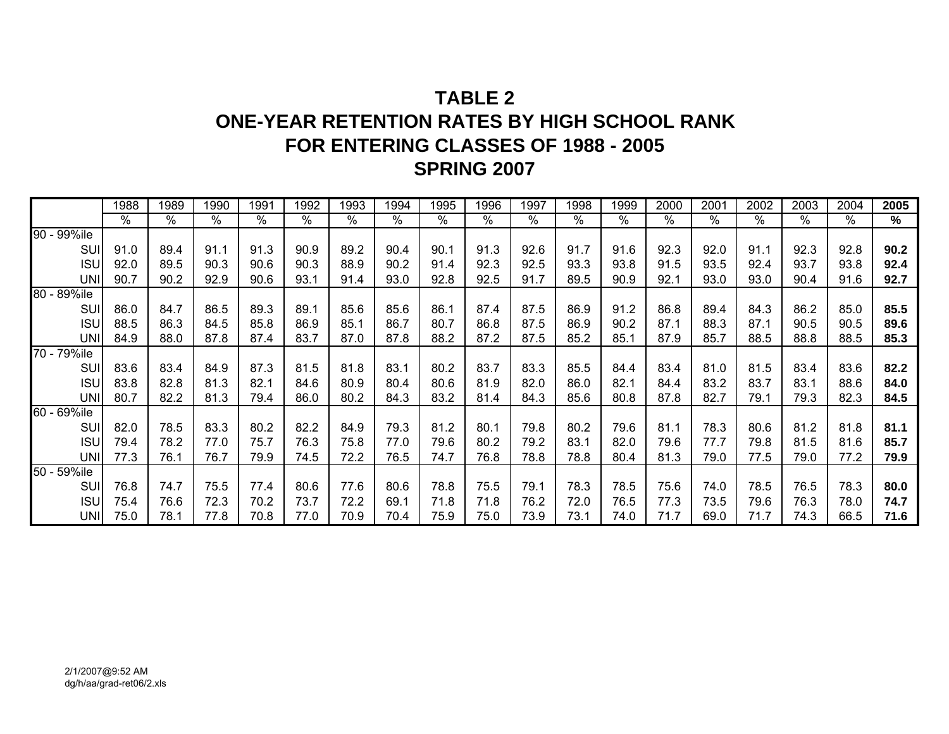# **TABLE 2ONE-YEAR RETENTION RATES BY HIGH SCHOOL RANK FOR ENTERING CLASSES OF 1988 - 2005 SPRING 2007**

|             | 1988 | 1989 | 1990 | 1991 | 1992 | 1993 | 1994 | 1995 | 1996 | 1997 | 1998 | 1999 | 2000 | 2001            | 2002 | 2003 | 2004 | 2005 |
|-------------|------|------|------|------|------|------|------|------|------|------|------|------|------|-----------------|------|------|------|------|
|             | %    | %    | $\%$ | %    | $\%$ | $\%$ | $\%$ | %    | %    | $\%$ | %    | %    | $\%$ | $\overline{\%}$ | %    | %    | %    | %    |
| 90 - 99%ile |      |      |      |      |      |      |      |      |      |      |      |      |      |                 |      |      |      |      |
| SUI         | 91.0 | 89.4 | 91.1 | 91.3 | 90.9 | 89.2 | 90.4 | 90.1 | 91.3 | 92.6 | 91.7 | 91.6 | 92.3 | 92.0            | 91.1 | 92.3 | 92.8 | 90.2 |
| <b>ISU</b>  | 92.0 | 89.5 | 90.3 | 90.6 | 90.3 | 88.9 | 90.2 | 91.4 | 92.3 | 92.5 | 93.3 | 93.8 | 91.5 | 93.5            | 92.4 | 93.7 | 93.8 | 92.4 |
| <b>UNI</b>  | 90.7 | 90.2 | 92.9 | 90.6 | 93.1 | 91.4 | 93.0 | 92.8 | 92.5 | 91.7 | 89.5 | 90.9 | 92.1 | 93.0            | 93.0 | 90.4 | 91.6 | 92.7 |
| 80 - 89%ile |      |      |      |      |      |      |      |      |      |      |      |      |      |                 |      |      |      |      |
| SUI         | 86.0 | 84.7 | 86.5 | 89.3 | 89.1 | 85.6 | 85.6 | 86.1 | 87.4 | 87.5 | 86.9 | 91.2 | 86.8 | 89.4            | 84.3 | 86.2 | 85.0 | 85.5 |
| <b>ISU</b>  | 88.5 | 86.3 | 84.5 | 85.8 | 86.9 | 85.1 | 86.7 | 80.7 | 86.8 | 87.5 | 86.9 | 90.2 | 87.1 | 88.3            | 87.1 | 90.5 | 90.5 | 89.6 |
| <b>UNI</b>  | 84.9 | 88.0 | 87.8 | 87.4 | 83.7 | 87.0 | 87.8 | 88.2 | 87.2 | 87.5 | 85.2 | 85.1 | 87.9 | 85.7            | 88.5 | 88.8 | 88.5 | 85.3 |
| 70 - 79%ile |      |      |      |      |      |      |      |      |      |      |      |      |      |                 |      |      |      |      |
| SUI         | 83.6 | 83.4 | 84.9 | 87.3 | 81.5 | 81.8 | 83.1 | 80.2 | 83.7 | 83.3 | 85.5 | 84.4 | 83.4 | 81.0            | 81.5 | 83.4 | 83.6 | 82.2 |
| <b>ISU</b>  | 83.8 | 82.8 | 81.3 | 82.1 | 84.6 | 80.9 | 80.4 | 80.6 | 81.9 | 82.0 | 86.0 | 82.1 | 84.4 | 83.2            | 83.7 | 83.1 | 88.6 | 84.0 |
| <b>UNI</b>  | 80.7 | 82.2 | 81.3 | 79.4 | 86.0 | 80.2 | 84.3 | 83.2 | 81.4 | 84.3 | 85.6 | 80.8 | 87.8 | 82.7            | 79.1 | 79.3 | 82.3 | 84.5 |
| 60 - 69%ile |      |      |      |      |      |      |      |      |      |      |      |      |      |                 |      |      |      |      |
| SUI         | 82.0 | 78.5 | 83.3 | 80.2 | 82.2 | 84.9 | 79.3 | 81.2 | 80.1 | 79.8 | 80.2 | 79.6 | 81.1 | 78.3            | 80.6 | 81.2 | 81.8 | 81.1 |
| <b>ISU</b>  | 79.4 | 78.2 | 77.0 | 75.7 | 76.3 | 75.8 | 77.0 | 79.6 | 80.2 | 79.2 | 83.1 | 82.0 | 79.6 | 77.7            | 79.8 | 81.5 | 81.6 | 85.7 |
| <b>UNI</b>  | 77.3 | 76.1 | 76.7 | 79.9 | 74.5 | 72.2 | 76.5 | 74.7 | 76.8 | 78.8 | 78.8 | 80.4 | 81.3 | 79.0            | 77.5 | 79.0 | 77.2 | 79.9 |
| 50 - 59%ile |      |      |      |      |      |      |      |      |      |      |      |      |      |                 |      |      |      |      |
| <b>SUI</b>  | 76.8 | 74.7 | 75.5 | 77.4 | 80.6 | 77.6 | 80.6 | 78.8 | 75.5 | 79.1 | 78.3 | 78.5 | 75.6 | 74.0            | 78.5 | 76.5 | 78.3 | 80.0 |
| <b>ISU</b>  | 75.4 | 76.6 | 72.3 | 70.2 | 73.7 | 72.2 | 69.1 | 71.8 | 71.8 | 76.2 | 72.0 | 76.5 | 77.3 | 73.5            | 79.6 | 76.3 | 78.0 | 74.7 |
| <b>UNI</b>  | 75.0 | 78.1 | 77.8 | 70.8 | 77.0 | 70.9 | 70.4 | 75.9 | 75.0 | 73.9 | 73.1 | 74.0 | 71.7 | 69.0            | 71.7 | 74.3 | 66.5 | 71.6 |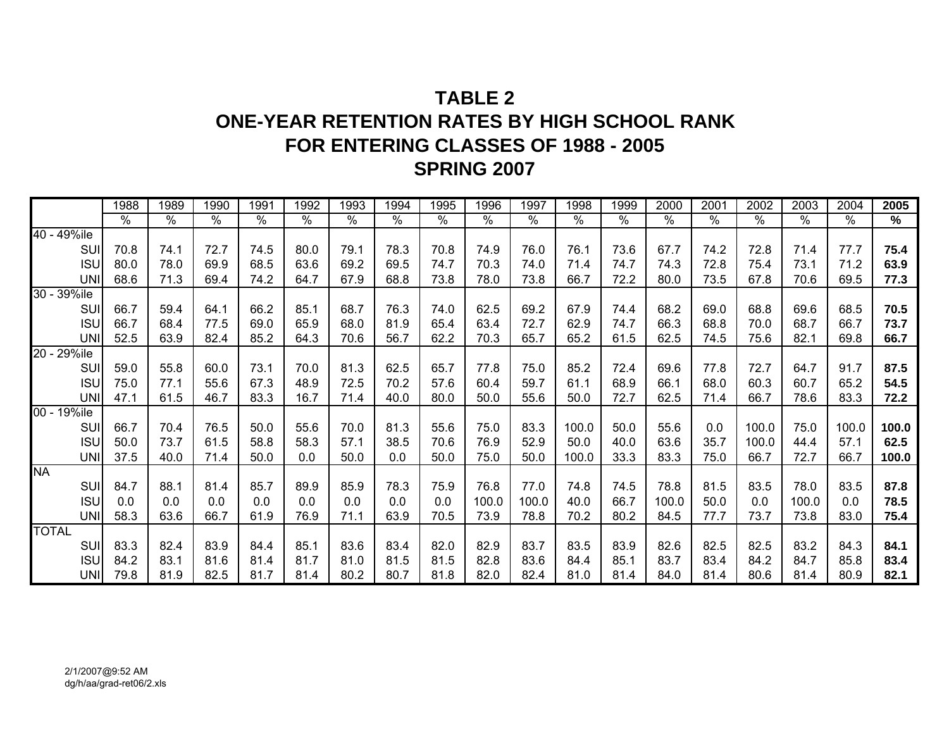# **TABLE 2ONE-YEAR RETENTION RATES BY HIGH SCHOOL RANK FOR ENTERING CLASSES OF 1988 - 2005 SPRING 2007**

|              |            | 1988          | 1989                    | 1990 | 1991                 | 1992          | 1993 | 1994                 | 1995 | 1996  | 1997          | 1998          | 1999 | 2000  | 2001          | 2002  | 2003  | 2004          | 2005  |
|--------------|------------|---------------|-------------------------|------|----------------------|---------------|------|----------------------|------|-------|---------------|---------------|------|-------|---------------|-------|-------|---------------|-------|
|              |            | $\frac{0}{0}$ | $\sqrt[6]{\phantom{.}}$ | $\%$ | $\frac{1}{\sqrt{2}}$ | $\frac{1}{2}$ | $\%$ | $\sqrt{\frac{9}{6}}$ | %    | $\%$  | $\frac{0}{0}$ | $\frac{0}{0}$ | $\%$ | $\%$  | $\frac{1}{2}$ | $\%$  | %     | $\frac{1}{2}$ | %     |
| 40 - 49%ile  |            |               |                         |      |                      |               |      |                      |      |       |               |               |      |       |               |       |       |               |       |
|              | SUI        | 70.8          | 74.1                    | 72.7 | 74.5                 | 80.0          | 79.1 | 78.3                 | 70.8 | 74.9  | 76.0          | 76.1          | 73.6 | 67.7  | 74.2          | 72.8  | 71.4  | 77.7          | 75.4  |
|              | <b>ISU</b> | 80.0          | 78.0                    | 69.9 | 68.5                 | 63.6          | 69.2 | 69.5                 | 74.7 | 70.3  | 74.0          | 71.4          | 74.7 | 74.3  | 72.8          | 75.4  | 73.1  | 71.2          | 63.9  |
|              | <b>UNI</b> | 68.6          | 71.3                    | 69.4 | 74.2                 | 64.7          | 67.9 | 68.8                 | 73.8 | 78.0  | 73.8          | 66.7          | 72.2 | 80.0  | 73.5          | 67.8  | 70.6  | 69.5          | 77.3  |
| 30 - 39%ile  |            |               |                         |      |                      |               |      |                      |      |       |               |               |      |       |               |       |       |               |       |
|              | SUI        | 66.7          | 59.4                    | 64.1 | 66.2                 | 85.1          | 68.7 | 76.3                 | 74.0 | 62.5  | 69.2          | 67.9          | 74.4 | 68.2  | 69.0          | 68.8  | 69.6  | 68.5          | 70.5  |
|              | <b>ISU</b> | 66.7          | 68.4                    | 77.5 | 69.0                 | 65.9          | 68.0 | 81.9                 | 65.4 | 63.4  | 72.7          | 62.9          | 74.7 | 66.3  | 68.8          | 70.0  | 68.7  | 66.7          | 73.7  |
|              | <b>UNI</b> | 52.5          | 63.9                    | 82.4 | 85.2                 | 64.3          | 70.6 | 56.7                 | 62.2 | 70.3  | 65.7          | 65.2          | 61.5 | 62.5  | 74.5          | 75.6  | 82.1  | 69.8          | 66.7  |
| 20 - 29%ile  |            |               |                         |      |                      |               |      |                      |      |       |               |               |      |       |               |       |       |               |       |
|              | SUI        | 59.0          | 55.8                    | 60.0 | 73.1                 | 70.0          | 81.3 | 62.5                 | 65.7 | 77.8  | 75.0          | 85.2          | 72.4 | 69.6  | 77.8          | 72.7  | 64.7  | 91.7          | 87.5  |
|              | <b>ISU</b> | 75.0          | 77.1                    | 55.6 | 67.3                 | 48.9          | 72.5 | 70.2                 | 57.6 | 60.4  | 59.7          | 61.1          | 68.9 | 66.1  | 68.0          | 60.3  | 60.7  | 65.2          | 54.5  |
|              | <b>UNI</b> | 47.1          | 61.5                    | 46.7 | 83.3                 | 16.7          | 71.4 | 40.0                 | 80.0 | 50.0  | 55.6          | 50.0          | 72.7 | 62.5  | 71.4          | 66.7  | 78.6  | 83.3          | 72.2  |
| 00 - 19%ile  |            |               |                         |      |                      |               |      |                      |      |       |               |               |      |       |               |       |       |               |       |
|              | SUI        | 66.7          | 70.4                    | 76.5 | 50.0                 | 55.6          | 70.0 | 81.3                 | 55.6 | 75.0  | 83.3          | 100.0         | 50.0 | 55.6  | 0.0           | 100.0 | 75.0  | 100.0         | 100.0 |
|              | <b>ISU</b> | 50.0          | 73.7                    | 61.5 | 58.8                 | 58.3          | 57.1 | 38.5                 | 70.6 | 76.9  | 52.9          | 50.0          | 40.0 | 63.6  | 35.7          | 100.0 | 44.4  | 57.1          | 62.5  |
|              | <b>UNI</b> | 37.5          | 40.0                    | 71.4 | 50.0                 | 0.0           | 50.0 | 0.0                  | 50.0 | 75.0  | 50.0          | 100.0         | 33.3 | 83.3  | 75.0          | 66.7  | 72.7  | 66.7          | 100.0 |
| <b>NA</b>    |            |               |                         |      |                      |               |      |                      |      |       |               |               |      |       |               |       |       |               |       |
|              | <b>SUI</b> | 84.7          | 88.1                    | 81.4 | 85.7                 | 89.9          | 85.9 | 78.3                 | 75.9 | 76.8  | 77.0          | 74.8          | 74.5 | 78.8  | 81.5          | 83.5  | 78.0  | 83.5          | 87.8  |
|              | <b>ISU</b> | 0.0           | 0.0                     | 0.0  | 0.0                  | 0.0           | 0.0  | 0.0                  | 0.0  | 100.0 | 100.0         | 40.0          | 66.7 | 100.0 | 50.0          | 0.0   | 100.0 | 0.0           | 78.5  |
|              | <b>UNI</b> | 58.3          | 63.6                    | 66.7 | 61.9                 | 76.9          | 71.1 | 63.9                 | 70.5 | 73.9  | 78.8          | 70.2          | 80.2 | 84.5  | 77.7          | 73.7  | 73.8  | 83.0          | 75.4  |
| <b>TOTAL</b> |            |               |                         |      |                      |               |      |                      |      |       |               |               |      |       |               |       |       |               |       |
|              | SUI        | 83.3          | 82.4                    | 83.9 | 84.4                 | 85.1          | 83.6 | 83.4                 | 82.0 | 82.9  | 83.7          | 83.5          | 83.9 | 82.6  | 82.5          | 82.5  | 83.2  | 84.3          | 84.1  |
|              | <b>ISU</b> | 84.2          | 83.1                    | 81.6 | 81.4                 | 81.7          | 81.0 | 81.5                 | 81.5 | 82.8  | 83.6          | 84.4          | 85.1 | 83.7  | 83.4          | 84.2  | 84.7  | 85.8          | 83.4  |
|              | <b>UNI</b> | 79.8          | 81.9                    | 82.5 | 81.7                 | 81.4          | 80.2 | 80.7                 | 81.8 | 82.0  | 82.4          | 81.0          | 81.4 | 84.0  | 81.4          | 80.6  | 81.4  | 80.9          | 82.1  |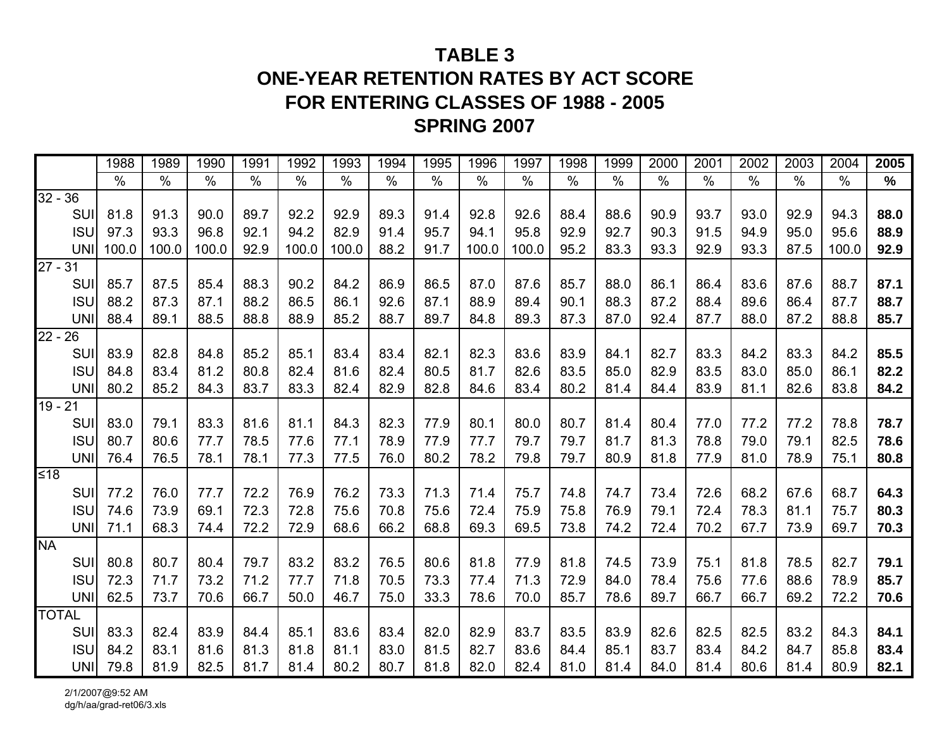# **TABLE 3ONE-YEAR RETENTION RATES BY ACT SCORE FOR ENTERING CLASSES OF 1988 - 2005 SPRING 2007**

|                      | 1988          | 1989          | 1990  | 1991          | 1992  | 1993  | 1994 | 1995 | 1996          | 1997          | 1998          | 1999          | 2000       | 2001          | 2002 | 2003          | 2004          | 2005 |
|----------------------|---------------|---------------|-------|---------------|-------|-------|------|------|---------------|---------------|---------------|---------------|------------|---------------|------|---------------|---------------|------|
|                      | $\frac{0}{0}$ | $\frac{0}{0}$ | $\%$  | $\frac{0}{0}$ | $\%$  | $\%$  | $\%$ | $\%$ | $\frac{0}{0}$ | $\frac{0}{0}$ | $\frac{1}{2}$ | $\frac{9}{6}$ | $\sqrt{2}$ | $\frac{0}{0}$ | $\%$ | $\frac{0}{0}$ | $\frac{0}{0}$ | %    |
| $32 - 36$            |               |               |       |               |       |       |      |      |               |               |               |               |            |               |      |               |               |      |
| SUI                  | 81.8          | 91.3          | 90.0  | 89.7          | 92.2  | 92.9  | 89.3 | 91.4 | 92.8          | 92.6          | 88.4          | 88.6          | 90.9       | 93.7          | 93.0 | 92.9          | 94.3          | 88.0 |
| <b>ISU</b>           | 97.3          | 93.3          | 96.8  | 92.1          | 94.2  | 82.9  | 91.4 | 95.7 | 94.1          | 95.8          | 92.9          | 92.7          | 90.3       | 91.5          | 94.9 | 95.0          | 95.6          | 88.9 |
| UNI                  | 100.0         | 100.0         | 100.0 | 92.9          | 100.0 | 100.0 | 88.2 | 91.7 | 100.0         | 100.0         | 95.2          | 83.3          | 93.3       | 92.9          | 93.3 | 87.5          | 100.0         | 92.9 |
| $27 - 31$            |               |               |       |               |       |       |      |      |               |               |               |               |            |               |      |               |               |      |
| SUI                  | 85.7          | 87.5          | 85.4  | 88.3          | 90.2  | 84.2  | 86.9 | 86.5 | 87.0          | 87.6          | 85.7          | 88.0          | 86.1       | 86.4          | 83.6 | 87.6          | 88.7          | 87.1 |
| <b>ISU</b>           | 88.2          | 87.3          | 87.1  | 88.2          | 86.5  | 86.1  | 92.6 | 87.1 | 88.9          | 89.4          | 90.1          | 88.3          | 87.2       | 88.4          | 89.6 | 86.4          | 87.7          | 88.7 |
| UNI                  | 88.4          | 89.1          | 88.5  | 88.8          | 88.9  | 85.2  | 88.7 | 89.7 | 84.8          | 89.3          | 87.3          | 87.0          | 92.4       | 87.7          | 88.0 | 87.2          | 88.8          | 85.7 |
| $22 - 26$            |               |               |       |               |       |       |      |      |               |               |               |               |            |               |      |               |               |      |
| SUI                  | 83.9          | 82.8          | 84.8  | 85.2          | 85.1  | 83.4  | 83.4 | 82.1 | 82.3          | 83.6          | 83.9          | 84.1          | 82.7       | 83.3          | 84.2 | 83.3          | 84.2          | 85.5 |
| <b>ISU</b>           | 84.8          | 83.4          | 81.2  | 80.8          | 82.4  | 81.6  | 82.4 | 80.5 | 81.7          | 82.6          | 83.5          | 85.0          | 82.9       | 83.5          | 83.0 | 85.0          | 86.1          | 82.2 |
| <b>UNI</b>           | 80.2          | 85.2          | 84.3  | 83.7          | 83.3  | 82.4  | 82.9 | 82.8 | 84.6          | 83.4          | 80.2          | 81.4          | 84.4       | 83.9          | 81.1 | 82.6          | 83.8          | 84.2 |
| $\overline{19} - 21$ |               |               |       |               |       |       |      |      |               |               |               |               |            |               |      |               |               |      |
| SUI                  | 83.0          | 79.1          | 83.3  | 81.6          | 81.1  | 84.3  | 82.3 | 77.9 | 80.1          | 80.0          | 80.7          | 81.4          | 80.4       | 77.0          | 77.2 | 77.2          | 78.8          | 78.7 |
| <b>ISU</b>           | 80.7          | 80.6          | 77.7  | 78.5          | 77.6  | 77.1  | 78.9 | 77.9 | 77.7          | 79.7          | 79.7          | 81.7          | 81.3       | 78.8          | 79.0 | 79.1          | 82.5          | 78.6 |
| <b>UNI</b>           | 76.4          | 76.5          | 78.1  | 78.1          | 77.3  | 77.5  | 76.0 | 80.2 | 78.2          | 79.8          | 79.7          | 80.9          | 81.8       | 77.9          | 81.0 | 78.9          | 75.1          | 80.8 |
| ≰18                  |               |               |       |               |       |       |      |      |               |               |               |               |            |               |      |               |               |      |
| SUI                  | 77.2          | 76.0          | 77.7  | 72.2          | 76.9  | 76.2  | 73.3 | 71.3 | 71.4          | 75.7          | 74.8          | 74.7          | 73.4       | 72.6          | 68.2 | 67.6          | 68.7          | 64.3 |
| <b>ISU</b>           | 74.6          | 73.9          | 69.1  | 72.3          | 72.8  | 75.6  | 70.8 | 75.6 | 72.4          | 75.9          | 75.8          | 76.9          | 79.1       | 72.4          | 78.3 | 81.1          | 75.7          | 80.3 |
| UNI                  | 71.1          | 68.3          | 74.4  | 72.2          | 72.9  | 68.6  | 66.2 | 68.8 | 69.3          | 69.5          | 73.8          | 74.2          | 72.4       | 70.2          | 67.7 | 73.9          | 69.7          | 70.3 |
| <b>NA</b>            |               |               |       |               |       |       |      |      |               |               |               |               |            |               |      |               |               |      |
| SUI                  | 80.8          | 80.7          | 80.4  | 79.7          | 83.2  | 83.2  | 76.5 | 80.6 | 81.8          | 77.9          | 81.8          | 74.5          | 73.9       | 75.1          | 81.8 | 78.5          | 82.7          | 79.1 |
| <b>ISU</b>           | 72.3          | 71.7          | 73.2  | 71.2          | 77.7  | 71.8  | 70.5 | 73.3 | 77.4          | 71.3          | 72.9          | 84.0          | 78.4       | 75.6          | 77.6 | 88.6          | 78.9          | 85.7 |
| UNI                  | 62.5          | 73.7          | 70.6  | 66.7          | 50.0  | 46.7  | 75.0 | 33.3 | 78.6          | 70.0          | 85.7          | 78.6          | 89.7       | 66.7          | 66.7 | 69.2          | 72.2          | 70.6 |
| <b>TOTAL</b>         |               |               |       |               |       |       |      |      |               |               |               |               |            |               |      |               |               |      |
| SUI                  | 83.3          | 82.4          | 83.9  | 84.4          | 85.1  | 83.6  | 83.4 | 82.0 | 82.9          | 83.7          | 83.5          | 83.9          | 82.6       | 82.5          | 82.5 | 83.2          | 84.3          | 84.1 |
| <b>ISU</b>           | 84.2          | 83.1          | 81.6  | 81.3          | 81.8  | 81.1  | 83.0 | 81.5 | 82.7          | 83.6          | 84.4          | 85.1          | 83.7       | 83.4          | 84.2 | 84.7          | 85.8          | 83.4 |
| <b>UNI</b>           | 79.8          | 81.9          | 82.5  | 81.7          | 81.4  | 80.2  | 80.7 | 81.8 | 82.0          | 82.4          | 81.0          | 81.4          | 84.0       | 81.4          | 80.6 | 81.4          | 80.9          | 82.1 |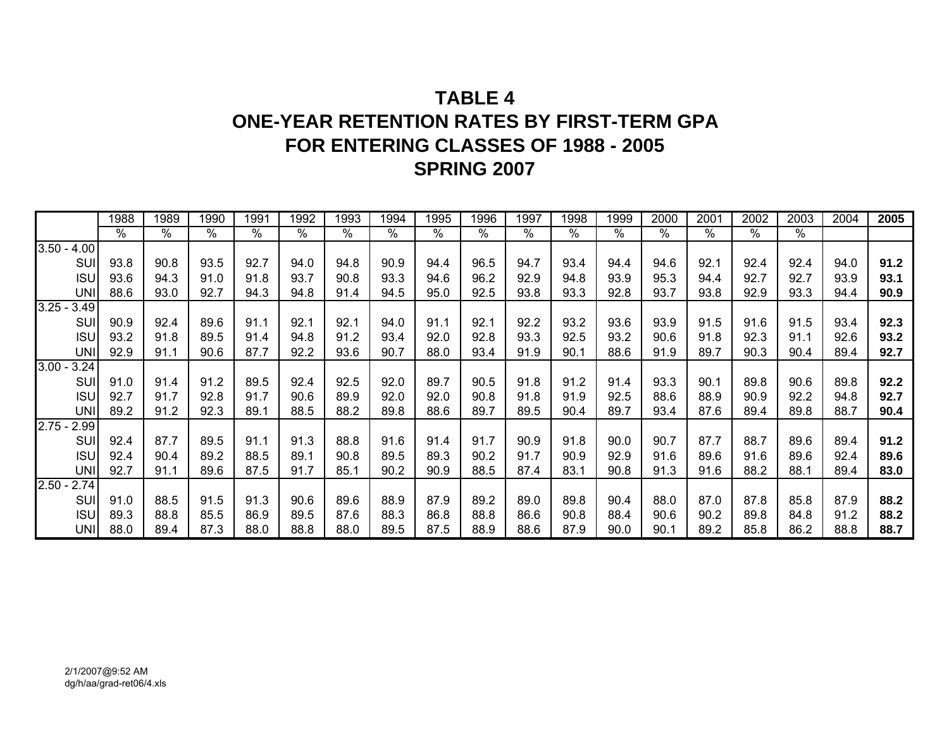# **TABLE 4ONE-YEAR RETENTION RATES BY FIRST-TERM GPAFOR ENTERING CLASSES OF 1988 - 2005 SPRING 2007**

|               |            | 1988 | 1989 | 1990 | 1991 | 1992 | 1993 | 1994 | 1995          | 1996            | 1997 | 1998 | 1999 | 2000 | 2001 | 2002 | 2003          | 2004 | 2005 |
|---------------|------------|------|------|------|------|------|------|------|---------------|-----------------|------|------|------|------|------|------|---------------|------|------|
|               |            | $\%$ | $\%$ | $\%$ | $\%$ | %    | $\%$ | $\%$ | $\frac{9}{6}$ | $\overline{\%}$ | $\%$ | %    | $\%$ | $\%$ | $\%$ | %    | $\frac{9}{6}$ |      |      |
| $3.50 -$      | 4.00       |      |      |      |      |      |      |      |               |                 |      |      |      |      |      |      |               |      |      |
|               | SUI        | 93.8 | 90.8 | 93.5 | 92.7 | 94.0 | 94.8 | 90.9 | 94.4          | 96.5            | 94.7 | 93.4 | 94.4 | 94.6 | 92.1 | 92.4 | 92.4          | 94.0 | 91.2 |
|               | <b>ISU</b> | 93.6 | 94.3 | 91.0 | 91.8 | 93.7 | 90.8 | 93.3 | 94.6          | 96.2            | 92.9 | 94.8 | 93.9 | 95.3 | 94.4 | 92.7 | 92.7          | 93.9 | 93.1 |
|               | <b>UNI</b> | 88.6 | 93.0 | 92.7 | 94.3 | 94.8 | 91.4 | 94.5 | 95.0          | 92.5            | 93.8 | 93.3 | 92.8 | 93.7 | 93.8 | 92.9 | 93.3          | 94.4 | 90.9 |
| $3.25 -$      | 3.49       |      |      |      |      |      |      |      |               |                 |      |      |      |      |      |      |               |      |      |
|               | SUI        | 90.9 | 92.4 | 89.6 | 91.1 | 92.1 | 92.1 | 94.0 | 91.1          | 92.1            | 92.2 | 93.2 | 93.6 | 93.9 | 91.5 | 91.6 | 91.5          | 93.4 | 92.3 |
|               | <b>ISU</b> | 93.2 | 91.8 | 89.5 | 91.4 | 94.8 | 91.2 | 93.4 | 92.0          | 92.8            | 93.3 | 92.5 | 93.2 | 90.6 | 91.8 | 92.3 | 91.1          | 92.6 | 93.2 |
|               | <b>UNI</b> | 92.9 | 91.1 | 90.6 | 87.7 | 92.2 | 93.6 | 90.7 | 88.0          | 93.4            | 91.9 | 90.1 | 88.6 | 91.9 | 89.7 | 90.3 | 90.4          | 89.4 | 92.7 |
| $3.00 -$      | 3.24       |      |      |      |      |      |      |      |               |                 |      |      |      |      |      |      |               |      |      |
|               | SUI        | 91.0 | 91.4 | 91.2 | 89.5 | 92.4 | 92.5 | 92.0 | 89.7          | 90.5            | 91.8 | 91.2 | 91.4 | 93.3 | 90.1 | 89.8 | 90.6          | 89.8 | 92.2 |
|               | <b>ISU</b> | 92.7 | 91.7 | 92.8 | 91.7 | 90.6 | 89.9 | 92.0 | 92.0          | 90.8            | 91.8 | 91.9 | 92.5 | 88.6 | 88.9 | 90.9 | 92.2          | 94.8 | 92.7 |
|               | <b>UNI</b> | 89.2 | 91.2 | 92.3 | 89.1 | 88.5 | 88.2 | 89.8 | 88.6          | 89.7            | 89.5 | 90.4 | 89.7 | 93.4 | 87.6 | 89.4 | 89.8          | 88.7 | 90.4 |
| $2.75 - 2.99$ |            |      |      |      |      |      |      |      |               |                 |      |      |      |      |      |      |               |      |      |
|               | SUI        | 92.4 | 87.7 | 89.5 | 91.1 | 91.3 | 88.8 | 91.6 | 91.4          | 91.7            | 90.9 | 91.8 | 90.0 | 90.7 | 87.7 | 88.7 | 89.6          | 89.4 | 91.2 |
|               | <b>ISU</b> | 92.4 | 90.4 | 89.2 | 88.5 | 89.1 | 90.8 | 89.5 | 89.3          | 90.2            | 91.7 | 90.9 | 92.9 | 91.6 | 89.6 | 91.6 | 89.6          | 92.4 | 89.6 |
|               | <b>UNI</b> | 92.7 | 91.1 | 89.6 | 87.5 | 91.7 | 85.1 | 90.2 | 90.9          | 88.5            | 87.4 | 83.1 | 90.8 | 91.3 | 91.6 | 88.2 | 88.1          | 89.4 | 83.0 |
| $2.50 -$      | 2.74       |      |      |      |      |      |      |      |               |                 |      |      |      |      |      |      |               |      |      |
|               | SUI        | 91.0 | 88.5 | 91.5 | 91.3 | 90.6 | 89.6 | 88.9 | 87.9          | 89.2            | 89.0 | 89.8 | 90.4 | 88.0 | 87.0 | 87.8 | 85.8          | 87.9 | 88.2 |
|               | <b>ISU</b> | 89.3 | 88.8 | 85.5 | 86.9 | 89.5 | 87.6 | 88.3 | 86.8          | 88.8            | 86.6 | 90.8 | 88.4 | 90.6 | 90.2 | 89.8 | 84.8          | 91.2 | 88.2 |
|               | <b>UNI</b> | 88.0 | 89.4 | 87.3 | 88.0 | 88.8 | 88.0 | 89.5 | 87.5          | 88.9            | 88.6 | 87.9 | 90.0 | 90.1 | 89.2 | 85.8 | 86.2          | 88.8 | 88.7 |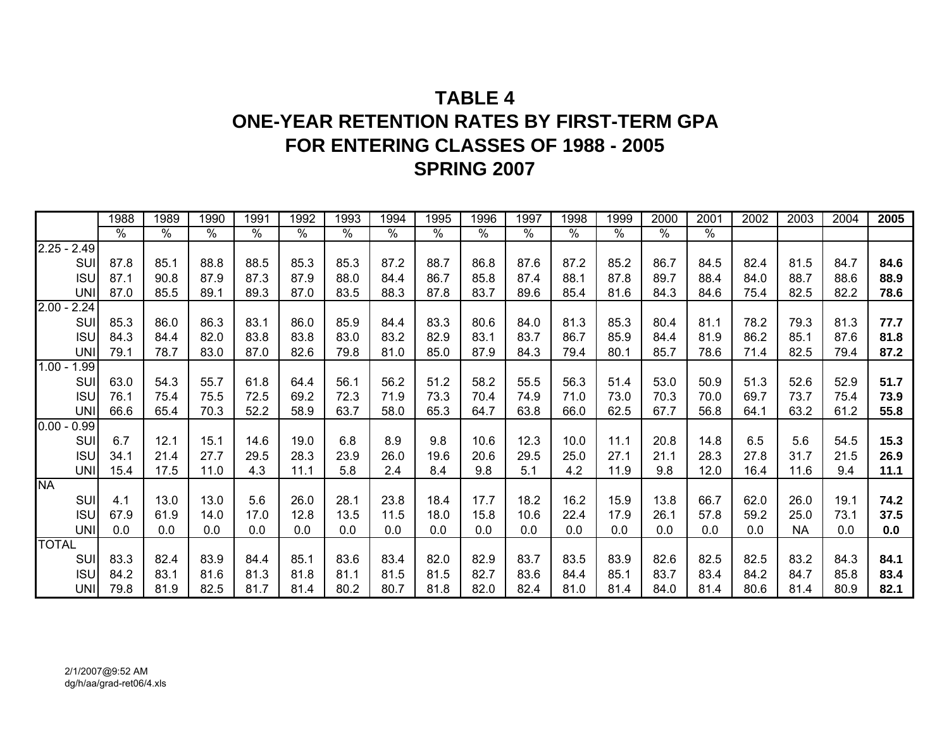# **TABLE 4ONE-YEAR RETENTION RATES BY FIRST-TERM GPAFOR ENTERING CLASSES OF 1988 - 2005 SPRING 2007**

|               |            | 1988          | 1989          | 1990 | 1991          | 1992          | 1993 | 1994          | 1995          | 1996 | 1997          | 1998          | 1999          | 2000          | 2001          | 2002 | 2003      | 2004 | 2005 |
|---------------|------------|---------------|---------------|------|---------------|---------------|------|---------------|---------------|------|---------------|---------------|---------------|---------------|---------------|------|-----------|------|------|
|               |            | $\frac{9}{6}$ | $\frac{9}{6}$ | $\%$ | $\frac{1}{2}$ | $\frac{9}{6}$ | $\%$ | $\frac{8}{6}$ | $\frac{1}{2}$ | %    | $\frac{1}{2}$ | $\frac{9}{6}$ | $\frac{9}{6}$ | $\frac{9}{6}$ | $\frac{1}{2}$ |      |           |      |      |
| $2.25 - 2.49$ |            |               |               |      |               |               |      |               |               |      |               |               |               |               |               |      |           |      |      |
|               | SU         | 87.8          | 85.1          | 88.8 | 88.5          | 85.3          | 85.3 | 87.2          | 88.7          | 86.8 | 87.6          | 87.2          | 85.2          | 86.7          | 84.5          | 82.4 | 81.5      | 84.7 | 84.6 |
|               | <b>ISU</b> | 87.1          | 90.8          | 87.9 | 87.3          | 87.9          | 88.0 | 84.4          | 86.7          | 85.8 | 87.4          | 88.1          | 87.8          | 89.7          | 88.4          | 84.0 | 88.7      | 88.6 | 88.9 |
|               | <b>UNI</b> | 87.0          | 85.5          | 89.1 | 89.3          | 87.0          | 83.5 | 88.3          | 87.8          | 83.7 | 89.6          | 85.4          | 81.6          | 84.3          | 84.6          | 75.4 | 82.5      | 82.2 | 78.6 |
| $2.00 - 2.24$ |            |               |               |      |               |               |      |               |               |      |               |               |               |               |               |      |           |      |      |
|               | SUI        | 85.3          | 86.0          | 86.3 | 83.1          | 86.0          | 85.9 | 84.4          | 83.3          | 80.6 | 84.0          | 81.3          | 85.3          | 80.4          | 81.1          | 78.2 | 79.3      | 81.3 | 77.7 |
|               | <b>ISU</b> | 84.3          | 84.4          | 82.0 | 83.8          | 83.8          | 83.0 | 83.2          | 82.9          | 83.1 | 83.7          | 86.7          | 85.9          | 84.4          | 81.9          | 86.2 | 85.1      | 87.6 | 81.8 |
|               | <b>UNI</b> | 79.1          | 78.7          | 83.0 | 87.0          | 82.6          | 79.8 | 81.0          | 85.0          | 87.9 | 84.3          | 79.4          | 80.1          | 85.7          | 78.6          | 71.4 | 82.5      | 79.4 | 87.2 |
| $1.00 -$      | 1.99       |               |               |      |               |               |      |               |               |      |               |               |               |               |               |      |           |      |      |
|               | SUI        | 63.0          | 54.3          | 55.7 | 61.8          | 64.4          | 56.1 | 56.2          | 51.2          | 58.2 | 55.5          | 56.3          | 51.4          | 53.0          | 50.9          | 51.3 | 52.6      | 52.9 | 51.7 |
|               | <b>ISU</b> | 76.1          | 75.4          | 75.5 | 72.5          | 69.2          | 72.3 | 71.9          | 73.3          | 70.4 | 74.9          | 71.0          | 73.0          | 70.3          | 70.0          | 69.7 | 73.7      | 75.4 | 73.9 |
|               | <b>UNI</b> | 66.6          | 65.4          | 70.3 | 52.2          | 58.9          | 63.7 | 58.0          | 65.3          | 64.7 | 63.8          | 66.0          | 62.5          | 67.7          | 56.8          | 64.1 | 63.2      | 61.2 | 55.8 |
| $0.00 -$      | 0.99       |               |               |      |               |               |      |               |               |      |               |               |               |               |               |      |           |      |      |
|               | SUI        | 6.7           | 12.1          | 15.1 | 14.6          | 19.0          | 6.8  | 8.9           | 9.8           | 10.6 | 12.3          | 10.0          | 11.1          | 20.8          | 14.8          | 6.5  | 5.6       | 54.5 | 15.3 |
|               | <b>ISU</b> | 34.1          | 21.4          | 27.7 | 29.5          | 28.3          | 23.9 | 26.0          | 19.6          | 20.6 | 29.5          | 25.0          | 27.1          | 21.1          | 28.3          | 27.8 | 31.7      | 21.5 | 26.9 |
|               | <b>UNI</b> | 15.4          | 17.5          | 11.0 | 4.3           | 11.1          | 5.8  | 2.4           | 8.4           | 9.8  | 5.1           | 4.2           | 11.9          | 9.8           | 12.0          | 16.4 | 11.6      | 9.4  | 11.1 |
| <b>NA</b>     |            |               |               |      |               |               |      |               |               |      |               |               |               |               |               |      |           |      |      |
|               | SUI        | 4.1           | 13.0          | 13.0 | 5.6           | 26.0          | 28.1 | 23.8          | 18.4          | 17.7 | 18.2          | 16.2          | 15.9          | 13.8          | 66.7          | 62.0 | 26.0      | 19.1 | 74.2 |
|               | <b>ISU</b> | 67.9          | 61.9          | 14.0 | 17.0          | 12.8          | 13.5 | 11.5          | 18.0          | 15.8 | 10.6          | 22.4          | 17.9          | 26.1          | 57.8          | 59.2 | 25.0      | 73.1 | 37.5 |
|               | <b>UNI</b> | 0.0           | 0.0           | 0.0  | 0.0           | 0.0           | 0.0  | 0.0           | 0.0           | 0.0  | 0.0           | 0.0           | 0.0           | 0.0           | 0.0           | 0.0  | <b>NA</b> | 0.0  | 0.0  |
| <b>TOTAL</b>  |            |               |               |      |               |               |      |               |               |      |               |               |               |               |               |      |           |      |      |
|               | <b>SUI</b> | 83.3          | 82.4          | 83.9 | 84.4          | 85.1          | 83.6 | 83.4          | 82.0          | 82.9 | 83.7          | 83.5          | 83.9          | 82.6          | 82.5          | 82.5 | 83.2      | 84.3 | 84.1 |
|               | <b>ISU</b> | 84.2          | 83.1          | 81.6 | 81.3          | 81.8          | 81.1 | 81.5          | 81.5          | 82.7 | 83.6          | 84.4          | 85.1          | 83.7          | 83.4          | 84.2 | 84.7      | 85.8 | 83.4 |
|               | <b>UNI</b> | 79.8          | 81.9          | 82.5 | 81.7          | 81.4          | 80.2 | 80.7          | 81.8          | 82.0 | 82.4          | 81.0          | 81.4          | 84.0          | 81.4          | 80.6 | 81.4      | 80.9 | 82.1 |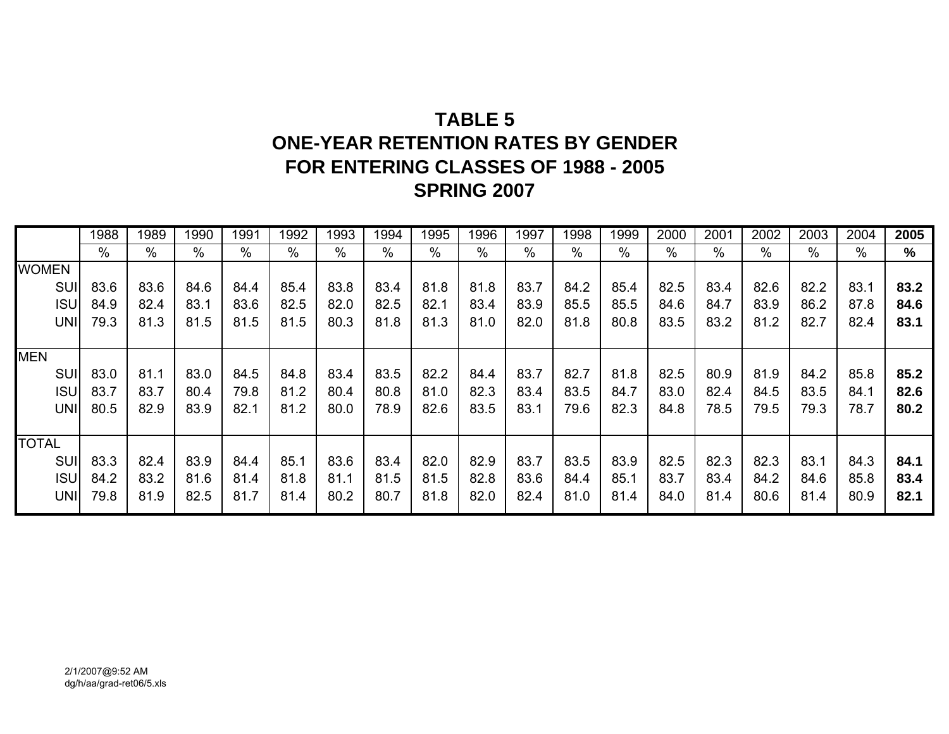# **TABLE 5ONE-YEAR RETENTION RATES BY GENDER FOR ENTERING CLASSES OF 1988 - 2005 SPRING 2007**

|              | 1988 | 1989 | 1990 | 1991 | 1992 | 1993 | 1994 | 1995 | 1996 | 1997 | 1998 | 1999          | 2000 | 2001 | 2002 | 2003 | 2004 | 2005 |
|--------------|------|------|------|------|------|------|------|------|------|------|------|---------------|------|------|------|------|------|------|
|              | $\%$ | $\%$ | %    | $\%$ | $\%$ | %    | $\%$ | %    | $\%$ | %    | $\%$ | $\frac{0}{0}$ | $\%$ | $\%$ | $\%$ | %    | $\%$ | %    |
| <b>WOMEN</b> |      |      |      |      |      |      |      |      |      |      |      |               |      |      |      |      |      |      |
| <b>SUI</b>   | 83.6 | 83.6 | 84.6 | 84.4 | 85.4 | 83.8 | 83.4 | 81.8 | 81.8 | 83.7 | 84.2 | 85.4          | 82.5 | 83.4 | 82.6 | 82.2 | 83.1 | 83.2 |
| <b>ISUI</b>  | 84.9 | 82.4 | 83.1 | 83.6 | 82.5 | 82.0 | 82.5 | 82.1 | 83.4 | 83.9 | 85.5 | 85.5          | 84.6 | 84.7 | 83.9 | 86.2 | 87.8 | 84.6 |
| UNI          | 79.3 | 81.3 | 81.5 | 81.5 | 81.5 | 80.3 | 81.8 | 81.3 | 81.0 | 82.0 | 81.8 | 80.8          | 83.5 | 83.2 | 81.2 | 82.7 | 82.4 | 83.1 |
|              |      |      |      |      |      |      |      |      |      |      |      |               |      |      |      |      |      |      |
| <b>MEN</b>   |      |      |      |      |      |      |      |      |      |      |      |               |      |      |      |      |      |      |
| SUI          | 83.0 | 81.1 | 83.0 | 84.5 | 84.8 | 83.4 | 83.5 | 82.2 | 84.4 | 83.7 | 82.7 | 81.8          | 82.5 | 80.9 | 81.9 | 84.2 | 85.8 | 85.2 |
| <b>ISUI</b>  | 83.7 | 83.7 | 80.4 | 79.8 | 81.2 | 80.4 | 80.8 | 81.0 | 82.3 | 83.4 | 83.5 | 84.7          | 83.0 | 82.4 | 84.5 | 83.5 | 84.1 | 82.6 |
| UNI          | 80.5 | 82.9 | 83.9 | 82.1 | 81.2 | 80.0 | 78.9 | 82.6 | 83.5 | 83.1 | 79.6 | 82.3          | 84.8 | 78.5 | 79.5 | 79.3 | 78.7 | 80.2 |
|              |      |      |      |      |      |      |      |      |      |      |      |               |      |      |      |      |      |      |
| <b>TOTAL</b> |      |      |      |      |      |      |      |      |      |      |      |               |      |      |      |      |      |      |
| <b>SUI</b>   | 83.3 | 82.4 | 83.9 | 84.4 | 85.1 | 83.6 | 83.4 | 82.0 | 82.9 | 83.7 | 83.5 | 83.9          | 82.5 | 82.3 | 82.3 | 83.1 | 84.3 | 84.1 |
| <b>ISUI</b>  | 84.2 | 83.2 | 81.6 | 81.4 | 81.8 | 81.1 | 81.5 | 81.5 | 82.8 | 83.6 | 84.4 | 85.1          | 83.7 | 83.4 | 84.2 | 84.6 | 85.8 | 83.4 |
| UNI          | 79.8 | 81.9 | 82.5 | 81.7 | 81.4 | 80.2 | 80.7 | 81.8 | 82.0 | 82.4 | 81.0 | 81.4          | 84.0 | 81.4 | 80.6 | 81.4 | 80.9 | 82.1 |
|              |      |      |      |      |      |      |      |      |      |      |      |               |      |      |      |      |      |      |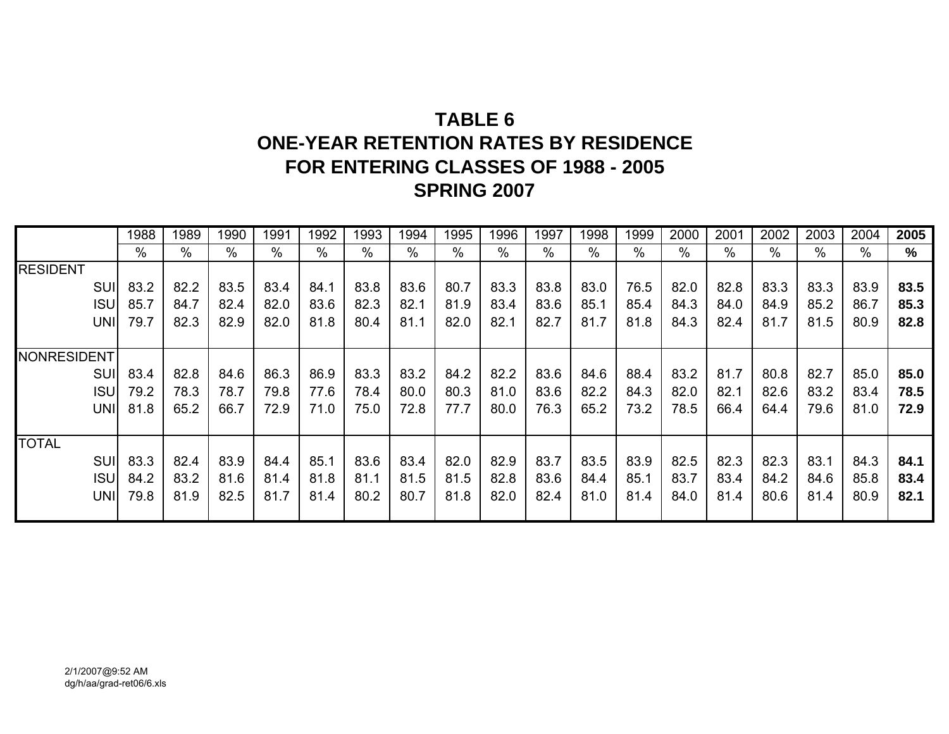# **TABLE 6ONE-YEAR RETENTION RATES BY RESIDENCE FOR ENTERING CLASSES OF 1988 - 2005 SPRING 2007**

|                    | 1988 | 1989 | 1990 | 1991 | 1992 | 1993 | 1994 | 1995 | 1996 | 1997 | 1998 | 1999 | 2000 | 2001 | 2002 | 2003 | 2004 | 2005 |
|--------------------|------|------|------|------|------|------|------|------|------|------|------|------|------|------|------|------|------|------|
|                    | $\%$ | %    | %    | $\%$ | $\%$ | %    | %    | $\%$ | %    | %    | %    | $\%$ | %    | $\%$ | %    | $\%$ | %    | %    |
| <b>RESIDENT</b>    |      |      |      |      |      |      |      |      |      |      |      |      |      |      |      |      |      |      |
| <b>SUI</b>         | 83.2 | 82.2 | 83.5 | 83.4 | 84.1 | 83.8 | 83.6 | 80.7 | 83.3 | 83.8 | 83.0 | 76.5 | 82.0 | 82.8 | 83.3 | 83.3 | 83.9 | 83.5 |
| <b>ISU</b>         | 85.7 | 84.7 | 82.4 | 82.0 | 83.6 | 82.3 | 82.1 | 81.9 | 83.4 | 83.6 | 85.1 | 85.4 | 84.3 | 84.0 | 84.9 | 85.2 | 86.7 | 85.3 |
| <b>UNI</b>         | 79.7 | 82.3 | 82.9 | 82.0 | 81.8 | 80.4 | 81.1 | 82.0 | 82.1 | 82.7 | 81.7 | 81.8 | 84.3 | 82.4 | 81.7 | 81.5 | 80.9 | 82.8 |
|                    |      |      |      |      |      |      |      |      |      |      |      |      |      |      |      |      |      |      |
| <b>NONRESIDENT</b> |      |      |      |      |      |      |      |      |      |      |      |      |      |      |      |      |      |      |
| <b>SUI</b>         | 83.4 | 82.8 | 84.6 | 86.3 | 86.9 | 83.3 | 83.2 | 84.2 | 82.2 | 83.6 | 84.6 | 88.4 | 83.2 | 81.7 | 80.8 | 82.7 | 85.0 | 85.0 |
| <b>ISU</b>         | 79.2 | 78.3 | 78.7 | 79.8 | 77.6 | 78.4 | 80.0 | 80.3 | 81.0 | 83.6 | 82.2 | 84.3 | 82.0 | 82.1 | 82.6 | 83.2 | 83.4 | 78.5 |
| <b>UNI</b>         | 81.8 | 65.2 | 66.7 | 72.9 | 71.0 | 75.0 | 72.8 | 77.7 | 80.0 | 76.3 | 65.2 | 73.2 | 78.5 | 66.4 | 64.4 | 79.6 | 81.0 | 72.9 |
|                    |      |      |      |      |      |      |      |      |      |      |      |      |      |      |      |      |      |      |
| <b>TOTAL</b>       |      |      |      |      |      |      |      |      |      |      |      |      |      |      |      |      |      |      |
| <b>SUI</b>         | 83.3 | 82.4 | 83.9 | 84.4 | 85.1 | 83.6 | 83.4 | 82.0 | 82.9 | 83.7 | 83.5 | 83.9 | 82.5 | 82.3 | 82.3 | 83.1 | 84.3 | 84.1 |
| <b>ISU</b>         | 84.2 | 83.2 | 81.6 | 81.4 | 81.8 | 81.1 | 81.5 | 81.5 | 82.8 | 83.6 | 84.4 | 85.1 | 83.7 | 83.4 | 84.2 | 84.6 | 85.8 | 83.4 |
| <b>UNI</b>         | 79.8 | 81.9 | 82.5 | 81.7 | 81.4 | 80.2 | 80.7 | 81.8 | 82.0 | 82.4 | 81.0 | 81.4 | 84.0 | 81.4 | 80.6 | 81.4 | 80.9 | 82.1 |
|                    |      |      |      |      |      |      |      |      |      |      |      |      |      |      |      |      |      |      |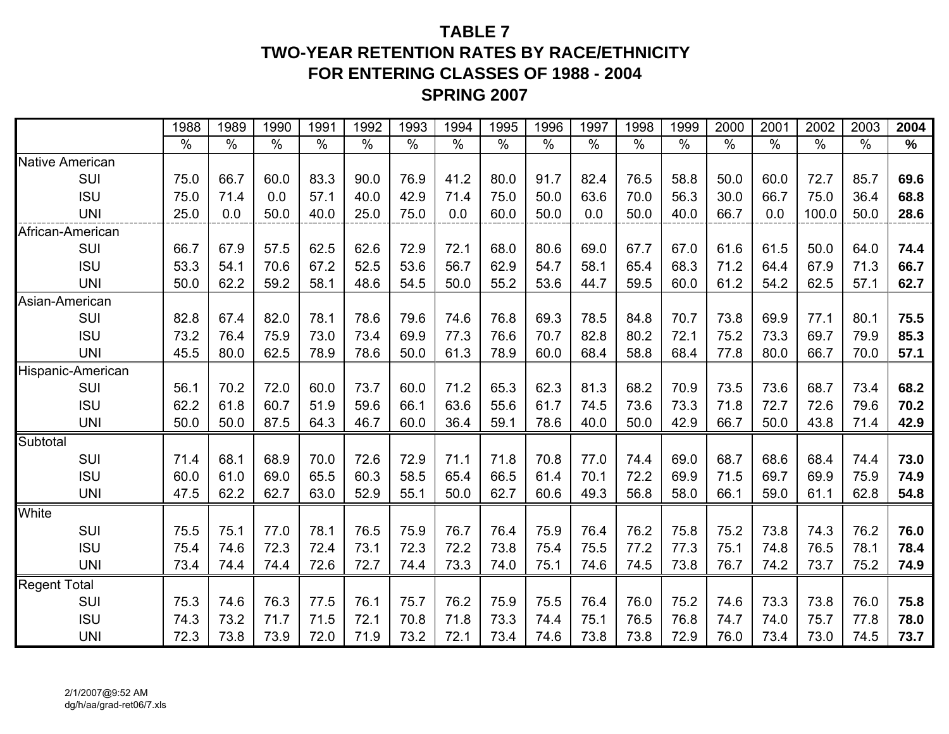## **TABLE 7TWO-YEAR RETENTION RATES BY RACE/ETHNICITYFOR ENTERING CLASSES OF 1988 - 2004 SPRING 2007**

|                        | 1988 | 1989          | 1990          | 1991 | 1992 | 1993 | 1994 | 1995 | 1996 | 1997 | 1998          | 1999          | 2000 | 2001 | 2002          | 2003 | 2004 |
|------------------------|------|---------------|---------------|------|------|------|------|------|------|------|---------------|---------------|------|------|---------------|------|------|
|                        | $\%$ | $\frac{0}{0}$ | $\frac{0}{0}$ | $\%$ | $\%$ | $\%$ | $\%$ | $\%$ | $\%$ | $\%$ | $\frac{0}{0}$ | $\frac{0}{0}$ | $\%$ | $\%$ | $\frac{0}{0}$ | $\%$ | $\%$ |
| <b>Native American</b> |      |               |               |      |      |      |      |      |      |      |               |               |      |      |               |      |      |
| SUI                    | 75.0 | 66.7          | 60.0          | 83.3 | 90.0 | 76.9 | 41.2 | 80.0 | 91.7 | 82.4 | 76.5          | 58.8          | 50.0 | 60.0 | 72.7          | 85.7 | 69.6 |
| <b>ISU</b>             | 75.0 | 71.4          | 0.0           | 57.1 | 40.0 | 42.9 | 71.4 | 75.0 | 50.0 | 63.6 | 70.0          | 56.3          | 30.0 | 66.7 | 75.0          | 36.4 | 68.8 |
| <b>UNI</b>             | 25.0 | 0.0           | 50.0          | 40.0 | 25.0 | 75.0 | 0.0  | 60.0 | 50.0 | 0.0  | 50.0          | 40.0          | 66.7 | 0.0  | 100.0         | 50.0 | 28.6 |
| African-American       |      |               |               |      |      |      |      |      |      |      |               |               |      |      |               |      |      |
| SUI                    | 66.7 | 67.9          | 57.5          | 62.5 | 62.6 | 72.9 | 72.1 | 68.0 | 80.6 | 69.0 | 67.7          | 67.0          | 61.6 | 61.5 | 50.0          | 64.0 | 74.4 |
| <b>ISU</b>             | 53.3 | 54.1          | 70.6          | 67.2 | 52.5 | 53.6 | 56.7 | 62.9 | 54.7 | 58.1 | 65.4          | 68.3          | 71.2 | 64.4 | 67.9          | 71.3 | 66.7 |
| <b>UNI</b>             | 50.0 | 62.2          | 59.2          | 58.1 | 48.6 | 54.5 | 50.0 | 55.2 | 53.6 | 44.7 | 59.5          | 60.0          | 61.2 | 54.2 | 62.5          | 57.1 | 62.7 |
| Asian-American         |      |               |               |      |      |      |      |      |      |      |               |               |      |      |               |      |      |
| <b>SUI</b>             | 82.8 | 67.4          | 82.0          | 78.1 | 78.6 | 79.6 | 74.6 | 76.8 | 69.3 | 78.5 | 84.8          | 70.7          | 73.8 | 69.9 | 77.1          | 80.1 | 75.5 |
| <b>ISU</b>             | 73.2 | 76.4          | 75.9          | 73.0 | 73.4 | 69.9 | 77.3 | 76.6 | 70.7 | 82.8 | 80.2          | 72.1          | 75.2 | 73.3 | 69.7          | 79.9 | 85.3 |
| <b>UNI</b>             | 45.5 | 80.0          | 62.5          | 78.9 | 78.6 | 50.0 | 61.3 | 78.9 | 60.0 | 68.4 | 58.8          | 68.4          | 77.8 | 80.0 | 66.7          | 70.0 | 57.1 |
| Hispanic-American      |      |               |               |      |      |      |      |      |      |      |               |               |      |      |               |      |      |
| SUI                    | 56.1 | 70.2          | 72.0          | 60.0 | 73.7 | 60.0 | 71.2 | 65.3 | 62.3 | 81.3 | 68.2          | 70.9          | 73.5 | 73.6 | 68.7          | 73.4 | 68.2 |
| <b>ISU</b>             | 62.2 | 61.8          | 60.7          | 51.9 | 59.6 | 66.1 | 63.6 | 55.6 | 61.7 | 74.5 | 73.6          | 73.3          | 71.8 | 72.7 | 72.6          | 79.6 | 70.2 |
| <b>UNI</b>             | 50.0 | 50.0          | 87.5          | 64.3 | 46.7 | 60.0 | 36.4 | 59.1 | 78.6 | 40.0 | 50.0          | 42.9          | 66.7 | 50.0 | 43.8          | 71.4 | 42.9 |
| Subtotal               |      |               |               |      |      |      |      |      |      |      |               |               |      |      |               |      |      |
| SUI                    | 71.4 | 68.1          | 68.9          | 70.0 | 72.6 | 72.9 | 71.1 | 71.8 | 70.8 | 77.0 | 74.4          | 69.0          | 68.7 | 68.6 | 68.4          | 74.4 | 73.0 |
| <b>ISU</b>             | 60.0 | 61.0          | 69.0          | 65.5 | 60.3 | 58.5 | 65.4 | 66.5 | 61.4 | 70.1 | 72.2          | 69.9          | 71.5 | 69.7 | 69.9          | 75.9 | 74.9 |
| <b>UNI</b>             | 47.5 | 62.2          | 62.7          | 63.0 | 52.9 | 55.1 | 50.0 | 62.7 | 60.6 | 49.3 | 56.8          | 58.0          | 66.1 | 59.0 | 61.1          | 62.8 | 54.8 |
| White                  |      |               |               |      |      |      |      |      |      |      |               |               |      |      |               |      |      |
| SUI                    | 75.5 | 75.1          | 77.0          | 78.1 | 76.5 | 75.9 | 76.7 | 76.4 | 75.9 | 76.4 | 76.2          | 75.8          | 75.2 | 73.8 | 74.3          | 76.2 | 76.0 |
| <b>ISU</b>             | 75.4 | 74.6          | 72.3          | 72.4 | 73.1 | 72.3 | 72.2 | 73.8 | 75.4 | 75.5 | 77.2          | 77.3          | 75.1 | 74.8 | 76.5          | 78.1 | 78.4 |
| <b>UNI</b>             | 73.4 | 74.4          | 74.4          | 72.6 | 72.7 | 74.4 | 73.3 | 74.0 | 75.1 | 74.6 | 74.5          | 73.8          | 76.7 | 74.2 | 73.7          | 75.2 | 74.9 |
| <b>Regent Total</b>    |      |               |               |      |      |      |      |      |      |      |               |               |      |      |               |      |      |
| SUI                    | 75.3 | 74.6          | 76.3          | 77.5 | 76.1 | 75.7 | 76.2 | 75.9 | 75.5 | 76.4 | 76.0          | 75.2          | 74.6 | 73.3 | 73.8          | 76.0 | 75.8 |
| <b>ISU</b>             | 74.3 | 73.2          | 71.7          | 71.5 | 72.1 | 70.8 | 71.8 | 73.3 | 74.4 | 75.1 | 76.5          | 76.8          | 74.7 | 74.0 | 75.7          | 77.8 | 78.0 |
| <b>UNI</b>             | 72.3 | 73.8          | 73.9          | 72.0 | 71.9 | 73.2 | 72.1 | 73.4 | 74.6 | 73.8 | 73.8          | 72.9          | 76.0 | 73.4 | 73.0          | 74.5 | 73.7 |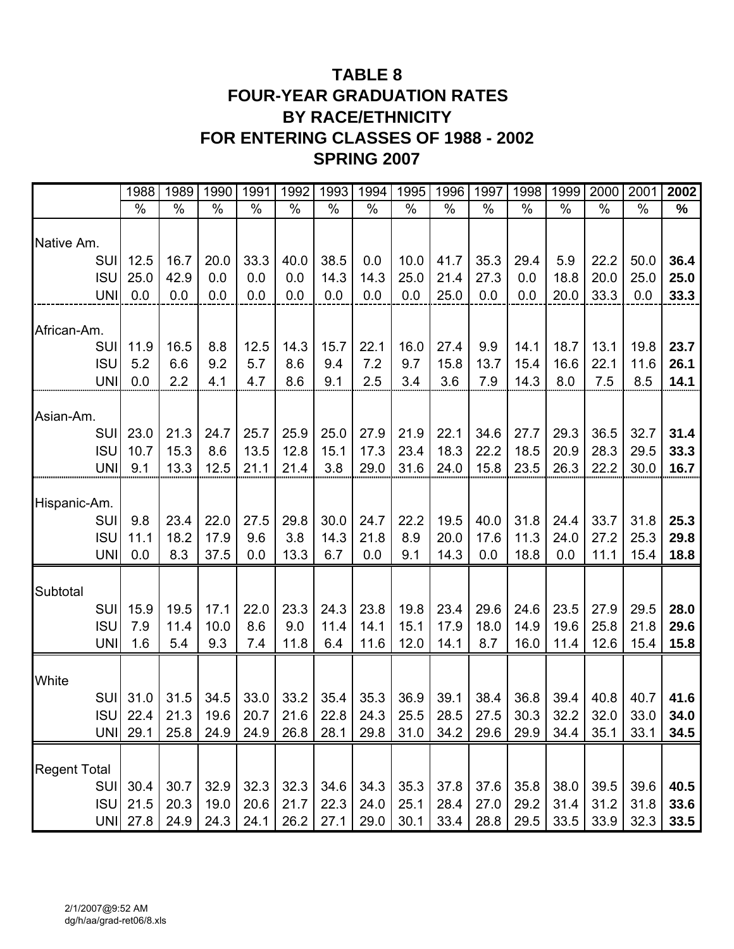## **TABLE 8 FOUR-YEAR GRADUATION RATES BY RACE/ETHNICITY FOR ENTERING CLASSES OF 1988 - 2002 SPRING 2007**

|                          | 1988                                                                                   | 1989        | 1990          | 1991          | 1992          | 1993          | 1994        | 1995       | 1996         | 1997          | 1998          | 1999          | 2000          | 2001          | 2002         |
|--------------------------|----------------------------------------------------------------------------------------|-------------|---------------|---------------|---------------|---------------|-------------|------------|--------------|---------------|---------------|---------------|---------------|---------------|--------------|
|                          | $\%$                                                                                   | $\%$        | $\frac{0}{0}$ | $\frac{0}{0}$ | $\frac{0}{0}$ | $\frac{0}{0}$ | $\%$        | $\%$       | $\%$         | $\frac{0}{0}$ | $\frac{0}{0}$ | $\frac{0}{0}$ | $\frac{0}{0}$ | $\frac{0}{0}$ | %            |
| Native Am.               |                                                                                        |             |               |               |               |               |             |            |              |               |               |               |               |               |              |
| <b>SUI</b>               | 12.5                                                                                   | 16.7        | 20.0          | 33.3          | 40.0          | 38.5          | 0.0         | 10.0       | 41.7         | 35.3          | 29.4          | 5.9           | 22.2          | 50.0          | 36.4         |
| <b>ISU</b>               | 25.0                                                                                   | 42.9        | 0.0           | 0.0           | 0.0           | 14.3          | 14.3        | 25.0       | 21.4         | 27.3          | 0.0           | 18.8          | 20.0          | 25.0          | 25.0         |
| <b>UNI</b>               | 0.0                                                                                    | 0.0         | 0.0           | 0.0           | 0.0           | 0.0           | 0.0         | 0.0        | 25.0         | 0.0           | 0.0           | 20.0          | 33.3          | 0.0           | 33.3         |
| African-Am.              |                                                                                        |             |               |               |               |               |             |            |              |               |               |               |               |               |              |
| SUI                      | 11.9                                                                                   | 16.5        | 8.8           | 12.5          | 14.3          | 15.7          | 22.1        | 16.0       | 27.4         | 9.9           | 14.1          | 18.7          | 13.1          | 19.8          | 23.7         |
| <b>ISU</b>               | 5.2                                                                                    | 6.6         | 9.2           | 5.7           | 8.6           | 9.4           | 7.2         | 9.7        | 15.8         | 13.7          | 15.4          | 16.6          | 22.1          | 11.6          | 26.1         |
| <b>UNI</b>               | 0.0                                                                                    | 2.2         | 4.1           | 4.7           | 8.6           | 9.1           | 2.5         | 3.4        | 3.6          | 7.9           | 14.3          | 8.0           | 7.5           | 8.5           | 14.1         |
| Asian-Am.                |                                                                                        |             |               |               |               |               |             |            |              |               |               |               |               |               |              |
| <b>SUI</b>               | 23.0                                                                                   | 21.3        | 24.7          | 25.7          | 25.9          | 25.0          | 27.9        | 21.9       | 22.1         | 34.6          | 27.7          | 29.3          | 36.5          | 32.7          | 31.4         |
| <b>ISU</b>               | 10.7                                                                                   | 15.3        | 8.6           | 13.5          | 12.8          | 15.1          | 17.3        | 23.4       | 18.3         | 22.2          | 18.5          | 20.9          | 28.3          | 29.5          | 33.3         |
| <b>UNI</b>               | 9.1                                                                                    | 13.3        | 12.5          | 21.1          | 21.4          | 3.8           | 29.0        | 31.6       | 24.0         | 15.8          | 23.5          | 26.3          | 22.2          | 30.0          | 16.7         |
|                          |                                                                                        |             |               |               |               |               |             |            |              |               |               |               |               |               |              |
| Hispanic-Am.             |                                                                                        |             |               |               |               |               |             |            |              |               |               |               |               |               |              |
| <b>SUI</b>               | 9.8                                                                                    | 23.4        | 22.0          | 27.5          | 29.8          | 30.0          | 24.7        | 22.2       | 19.5         | 40.0          | 31.8          | 24.4          | 33.7          | 31.8          | 25.3         |
| <b>ISU</b><br><b>UNI</b> | 11.1<br>0.0                                                                            | 18.2<br>8.3 | 17.9<br>37.5  | 9.6<br>0.0    | 3.8<br>13.3   | 14.3<br>6.7   | 21.8<br>0.0 | 8.9<br>9.1 | 20.0<br>14.3 | 17.6<br>0.0   | 11.3<br>18.8  | 24.0<br>0.0   | 27.2<br>11.1  | 25.3<br>15.4  | 29.8<br>18.8 |
|                          |                                                                                        |             |               |               |               |               |             |            |              |               |               |               |               |               |              |
| Subtotal                 |                                                                                        |             |               |               |               |               |             |            |              |               |               |               |               |               |              |
| <b>SUI</b>               | 15.9                                                                                   | 19.5        | 17.1          | 22.0          | 23.3          | 24.3          | 23.8        | 19.8       | 23.4         | 29.6          | 24.6          | 23.5          | 27.9          | 29.5          | 28.0         |
| <b>ISU</b>               | 7.9                                                                                    | 11.4        | 10.0          | 8.6           | 9.0           | 11.4          | 14.1        | 15.1       | 17.9         | 18.0          | 14.9          | 19.6          | 25.8          | 21.8          | 29.6         |
| <b>UNI</b>               | 1.6                                                                                    | 5.4         | 9.3           | 7.4           | 11.8          | 6.4           | 11.6        | 12.0       | 14.1         | 8.7           | 16.0          | 11.4          | 12.6          | 15.4          | 15.8         |
| White                    |                                                                                        |             |               |               |               |               |             |            |              |               |               |               |               |               |              |
|                          | SUI 31.0                                                                               | 31.5        | 34.5          | 33.0          | 33.2          | 35.4          | 35.3        | 36.9       | 39.1         | 38.4          | 36.8          | 39.4          | 40.8          | 40.7          | 41.6         |
|                          | ISU  22.4   21.3   19.6   20.7   21.6   22.8   24.3   25.5   28.5   27.5   30.3   32.2 |             |               |               |               |               |             |            |              |               |               |               | 32.0          | 33.0          | 34.0         |
| <b>UNI</b>               | 29.1                                                                                   | 25.8        | 24.9          | 24.9          | 26.8          | 28.1          | 29.8        | 31.0       | 34.2         | 29.6          | 29.9          | 34.4          | 35.1          | 33.1          | 34.5         |
|                          |                                                                                        |             |               |               |               |               |             |            |              |               |               |               |               |               |              |
| <b>Regent Total</b>      |                                                                                        |             |               |               |               |               |             |            |              |               |               |               |               |               |              |
| <b>SUI</b>               | 30.4                                                                                   | 30.7        | 32.9          | 32.3          | 32.3          | 34.6          | 34.3        | 35.3       | 37.8         | 37.6          | 35.8          | 38.0          | 39.5          | 39.6          | 40.5         |
| <b>ISU</b>               | 21.5                                                                                   | 20.3        | 19.0          | 20.6          | 21.7          | 22.3          | 24.0        | 25.1       | 28.4         | 27.0          | 29.2          | 31.4          | 31.2          | 31.8          | 33.6         |
| <b>UNI</b>               | 27.8                                                                                   | 24.9        | 24.3          | 24.1          | 26.2          | 27.1          | 29.0        | 30.1       | 33.4         | 28.8          | 29.5          | 33.5          | 33.9          | 32.3          | 33.5         |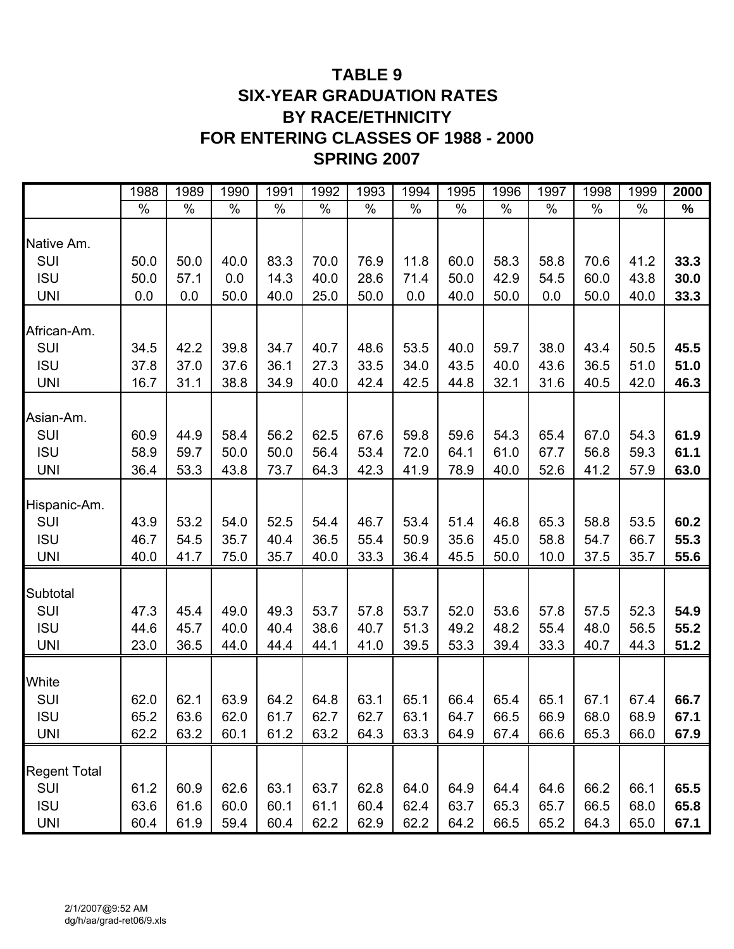## **TABLE 9 SIX-YEAR GRADUATION RATES BY RACE/ETHNICITY FOR ENTERING CLASSES OF 1988 - 2000 SPRING 2007**

|                                                        | 1988                 | 1989                 | 1990                 | 1991                 | 1992                 | 1993                 | 1994                 | 1995                 | 1996                 | 1997                 | 1998                 | 1999                 | 2000                 |
|--------------------------------------------------------|----------------------|----------------------|----------------------|----------------------|----------------------|----------------------|----------------------|----------------------|----------------------|----------------------|----------------------|----------------------|----------------------|
|                                                        | $\frac{0}{0}$        | $\%$                 | $\%$                 | $\%$                 | $\frac{0}{0}$        | $\%$                 | $\frac{0}{0}$        | $\frac{0}{0}$        | $\%$                 | $\frac{0}{0}$        | $\frac{0}{0}$        | $\%$                 | $\%$                 |
| Native Am.                                             |                      |                      |                      |                      |                      |                      |                      |                      |                      |                      |                      |                      |                      |
| SUI                                                    | 50.0                 | 50.0                 | 40.0                 | 83.3                 | 70.0                 | 76.9                 | 11.8                 | 60.0                 | 58.3                 | 58.8                 | 70.6                 | 41.2                 | 33.3                 |
| <b>ISU</b>                                             | 50.0                 | 57.1                 | 0.0                  | 14.3                 | 40.0                 | 28.6                 | 71.4                 | 50.0                 | 42.9                 | 54.5                 | 60.0                 | 43.8                 | 30.0                 |
| <b>UNI</b>                                             | 0.0                  | 0.0                  | 50.0                 | 40.0                 | 25.0                 | 50.0                 | 0.0                  | 40.0                 | 50.0                 | 0.0                  | 50.0                 | 40.0                 | 33.3                 |
| African-Am.<br><b>SUI</b>                              | 34.5                 | 42.2                 | 39.8                 | 34.7                 | 40.7                 | 48.6                 | 53.5                 | 40.0                 | 59.7                 | 38.0                 | 43.4                 | 50.5                 | 45.5                 |
| <b>ISU</b>                                             | 37.8                 | 37.0                 | 37.6                 | 36.1                 | 27.3                 | 33.5                 | 34.0                 | 43.5                 | 40.0                 | 43.6                 | 36.5                 | 51.0                 | 51.0                 |
| <b>UNI</b>                                             | 16.7                 | 31.1                 | 38.8                 | 34.9                 | 40.0                 | 42.4                 | 42.5                 | 44.8                 | 32.1                 | 31.6                 | 40.5                 | 42.0                 | 46.3                 |
| Asian-Am.<br><b>SUI</b><br><b>ISU</b><br><b>UNI</b>    | 60.9<br>58.9<br>36.4 | 44.9<br>59.7<br>53.3 | 58.4<br>50.0<br>43.8 | 56.2<br>50.0<br>73.7 | 62.5<br>56.4<br>64.3 | 67.6<br>53.4<br>42.3 | 59.8<br>72.0<br>41.9 | 59.6<br>64.1<br>78.9 | 54.3<br>61.0<br>40.0 | 65.4<br>67.7<br>52.6 | 67.0<br>56.8<br>41.2 | 54.3<br>59.3<br>57.9 | 61.9<br>61.1<br>63.0 |
| Hispanic-Am.<br>SUI<br><b>ISU</b><br><b>UNI</b>        | 43.9<br>46.7<br>40.0 | 53.2<br>54.5<br>41.7 | 54.0<br>35.7<br>75.0 | 52.5<br>40.4<br>35.7 | 54.4<br>36.5<br>40.0 | 46.7<br>55.4<br>33.3 | 53.4<br>50.9<br>36.4 | 51.4<br>35.6<br>45.5 | 46.8<br>45.0<br>50.0 | 65.3<br>58.8<br>10.0 | 58.8<br>54.7<br>37.5 | 53.5<br>66.7<br>35.7 | 60.2<br>55.3<br>55.6 |
| Subtotal<br>SUI<br><b>ISU</b><br><b>UNI</b>            | 47.3<br>44.6<br>23.0 | 45.4<br>45.7<br>36.5 | 49.0<br>40.0<br>44.0 | 49.3<br>40.4<br>44.4 | 53.7<br>38.6<br>44.1 | 57.8<br>40.7<br>41.0 | 53.7<br>51.3<br>39.5 | 52.0<br>49.2<br>53.3 | 53.6<br>48.2<br>39.4 | 57.8<br>55.4<br>33.3 | 57.5<br>48.0<br>40.7 | 52.3<br>56.5<br>44.3 | 54.9<br>55.2<br>51.2 |
| White<br>SUI<br><b>ISU</b><br><b>UNI</b>               | 62.0<br>65.2<br>62.2 | 62.1<br>63.6<br>63.2 | 63.9<br>62.0<br>60.1 | 64.2<br>61.7<br>61.2 | 64.8<br>62.7<br>63.2 | 63.1<br>62.7<br>64.3 | 65.1<br>63.1<br>63.3 | 66.4<br>64.7<br>64.9 | 65.4<br>66.5<br>67.4 | 65.1<br>66.9<br>66.6 | 67.1<br>68.0<br>65.3 | 67.4<br>68.9<br>66.0 | 66.7<br>67.1<br>67.9 |
| <b>Regent Total</b><br>SUI<br><b>ISU</b><br><b>UNI</b> | 61.2<br>63.6<br>60.4 | 60.9<br>61.6<br>61.9 | 62.6<br>60.0<br>59.4 | 63.1<br>60.1<br>60.4 | 63.7<br>61.1<br>62.2 | 62.8<br>60.4<br>62.9 | 64.0<br>62.4<br>62.2 | 64.9<br>63.7<br>64.2 | 64.4<br>65.3<br>66.5 | 64.6<br>65.7<br>65.2 | 66.2<br>66.5<br>64.3 | 66.1<br>68.0<br>65.0 | 65.5<br>65.8<br>67.1 |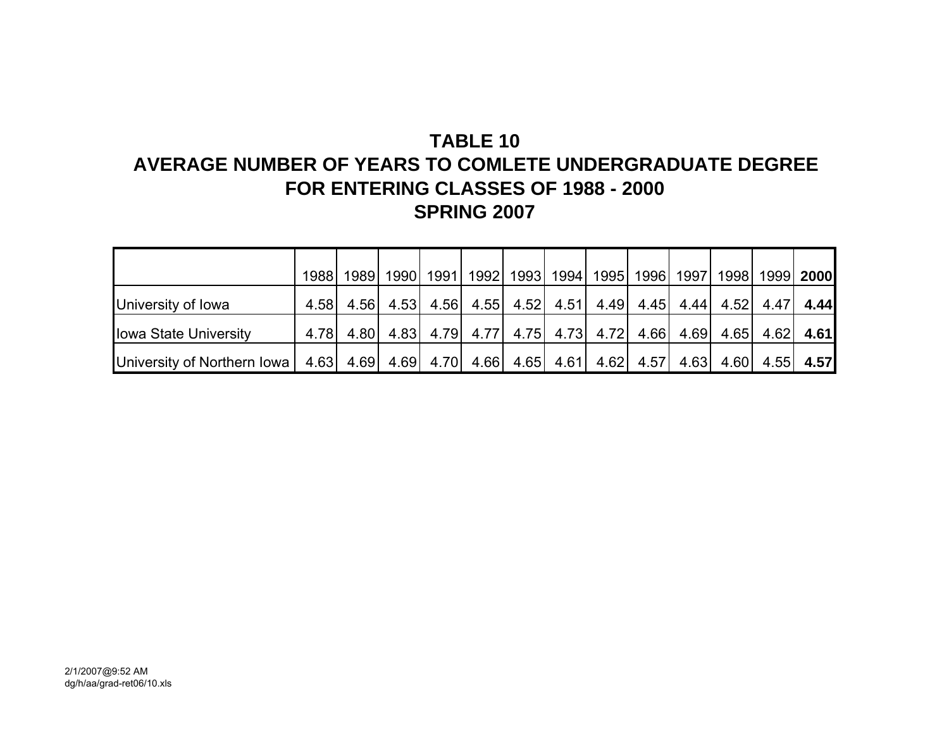## **TABLE 10**

## **AVERAGE NUMBER OF YEARS TO COMLETE UNDERGRADUATE DEGREEFOR ENTERING CLASSES OF 1988 - 2000 SPRING 2007**

|                                                        | 1988 l | 1989   1990    | 1991 <sup> </sup> |  | 1992   1993   1994   1995   1996   1997 |      |      | 1998   1999   2000 |             |
|--------------------------------------------------------|--------|----------------|-------------------|--|-----------------------------------------|------|------|--------------------|-------------|
| University of Iowa                                     |        | 4.58 4.56 4.53 |                   |  | 4.56 4.55 4.52 4.51 4.49 4.45 4.44 4.52 |      |      | 4.47               | 4.44        |
| <b>Iowa State University</b>                           |        | 4.78 4.80 4.83 |                   |  | 4.79 4.77 4.75 4.73 4.72 4.66 4.69      |      | 4.65 |                    | $4.62$ 4.61 |
| University of Northern Iowa   $4.63$   $4.69$   $4.69$ |        |                |                   |  | 4.70 4.66 4.65 4.61 4.62 4.57           | 4.63 | 4.60 |                    | $4.55$ 4.57 |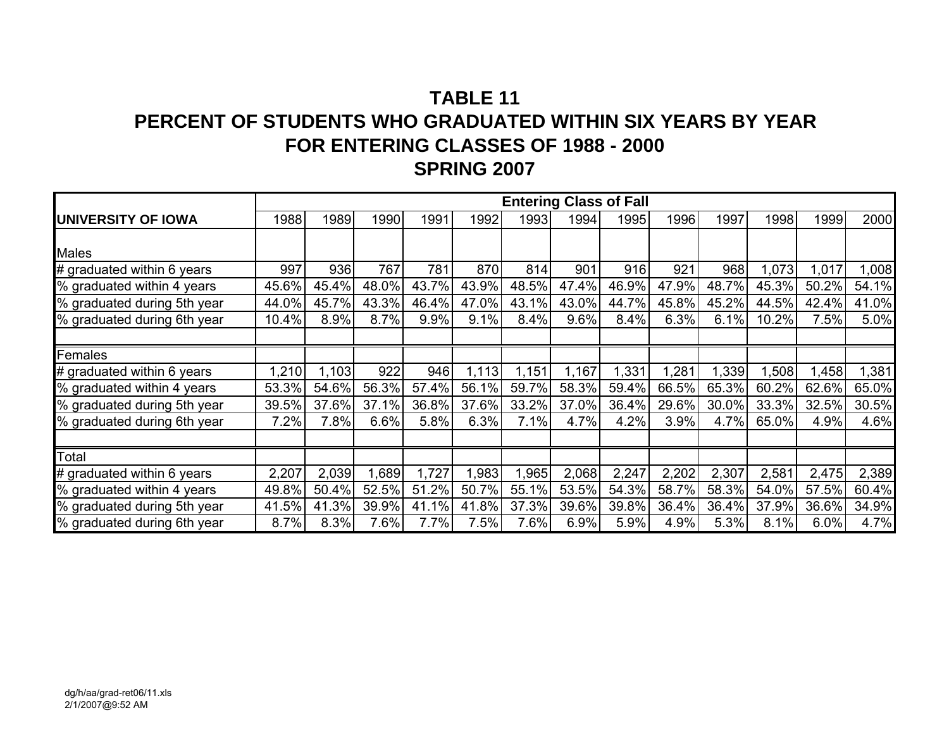# **TABLE 11PERCENT OF STUDENTS WHO GRADUATED WITHIN SIX YEARS BY YEARFOR ENTERING CLASSES OF 1988 - 2000 SPRING 2007**

|                             |       |       |       |       |       |       | <b>Entering Class of Fall</b> |       |       |       |       |       |       |
|-----------------------------|-------|-------|-------|-------|-------|-------|-------------------------------|-------|-------|-------|-------|-------|-------|
| <b>UNIVERSITY OF IOWA</b>   | 1988  | 1989  | 1990  | 1991  | 1992  | 1993  | 1994                          | 1995  | 1996  | 1997  | 1998  | 1999  | 2000  |
|                             |       |       |       |       |       |       |                               |       |       |       |       |       |       |
| <b>Males</b>                |       |       |       |       |       |       |                               |       |       |       |       |       |       |
| # graduated within 6 years  | 997   | 936   | 767   | 781   | 870   | 814   | 901                           | 916   | 921   | 968   | 1,073 | 1,017 | 1,008 |
| % graduated within 4 years  | 45.6% | 45.4% | 48.0% | 43.7% | 43.9% | 48.5% | 47.4%                         | 46.9% | 47.9% | 48.7% | 45.3% | 50.2% | 54.1% |
| % graduated during 5th year | 44.0% | 45.7% | 43.3% | 46.4% | 47.0% | 43.1% | 43.0%                         | 44.7% | 45.8% | 45.2% | 44.5% | 42.4% | 41.0% |
| % graduated during 6th year | 10.4% | 8.9%  | 8.7%  | 9.9%  | 9.1%  | 8.4%  | 9.6%                          | 8.4%  | 6.3%  | 6.1%  | 10.2% | 7.5%  | 5.0%  |
|                             |       |       |       |       |       |       |                               |       |       |       |       |       |       |
| Females                     |       |       |       |       |       |       |                               |       |       |       |       |       |       |
| # graduated within 6 years  | 1,210 | 1,103 | 922   | 946   | 1,113 | 1,151 | 1,167                         | 1,331 | ,281  | 1,339 | ,508  | .458  | 1,381 |
| % graduated within 4 years  | 53.3% | 54.6% | 56.3% | 57.4% | 56.1% | 59.7% | 58.3%                         | 59.4% | 66.5% | 65.3% | 60.2% | 62.6% | 65.0% |
| % graduated during 5th year | 39.5% | 37.6% | 37.1% | 36.8% | 37.6% | 33.2% | 37.0%                         | 36.4% | 29.6% | 30.0% | 33.3% | 32.5% | 30.5% |
| % graduated during 6th year | 7.2%  | 7.8%  | 6.6%  | 5.8%  | 6.3%  | 7.1%  | 4.7%                          | 4.2%  | 3.9%  | 4.7%  | 65.0% | 4.9%  | 4.6%  |
|                             |       |       |       |       |       |       |                               |       |       |       |       |       |       |
| Total                       |       |       |       |       |       |       |                               |       |       |       |       |       |       |
| # graduated within 6 years  | 2,207 | 2,039 | ,689  | 1,727 | 1,983 | 1,965 | 2,068                         | 2,247 | 2,202 | 2,307 | 2,581 | 2,475 | 2,389 |
| % graduated within 4 years  | 49.8% | 50.4% | 52.5% | 51.2% | 50.7% | 55.1% | 53.5%                         | 54.3% | 58.7% | 58.3% | 54.0% | 57.5% | 60.4% |
| % graduated during 5th year | 41.5% | 41.3% | 39.9% | 41.1% | 41.8% | 37.3% | 39.6%                         | 39.8% | 36.4% | 36.4% | 37.9% | 36.6% | 34.9% |
| % graduated during 6th year | 8.7%  | 8.3%  | 7.6%  | 7.7%  | 7.5%  | 7.6%  | 6.9%                          | 5.9%  | 4.9%  | 5.3%  | 8.1%  | 6.0%  | 4.7%  |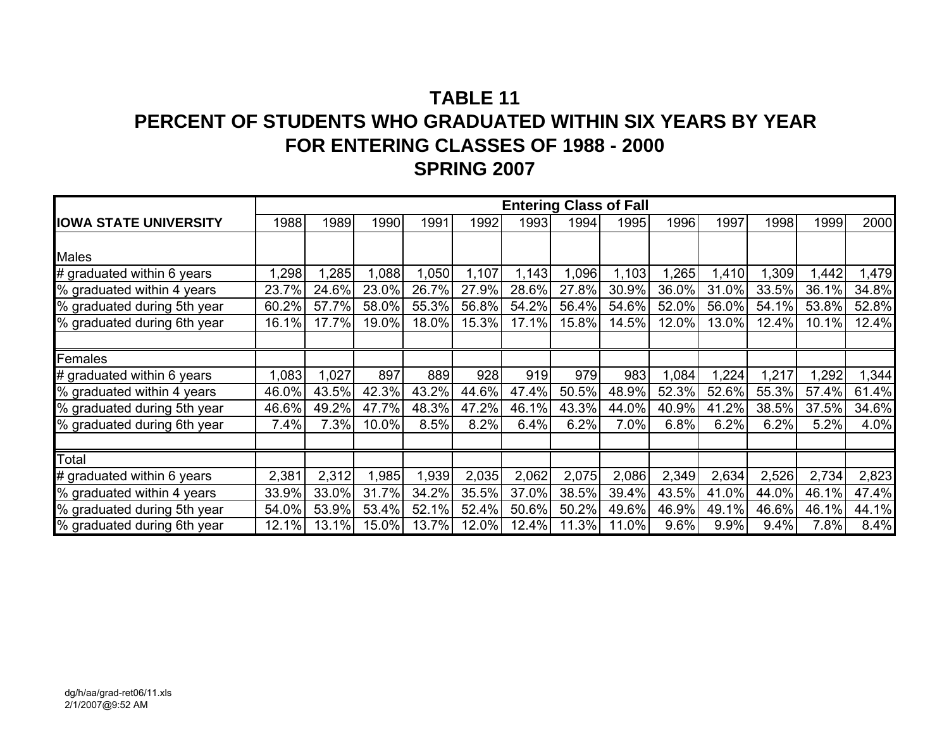# **TABLE 11PERCENT OF STUDENTS WHO GRADUATED WITHIN SIX YEARS BY YEARFOR ENTERING CLASSES OF 1988 - 2000 SPRING 2007**

|                              |       |       |       |       |       |       |       | <b>Entering Class of Fall</b> |       |       |       |       |       |
|------------------------------|-------|-------|-------|-------|-------|-------|-------|-------------------------------|-------|-------|-------|-------|-------|
| <b>IOWA STATE UNIVERSITY</b> | 1988  | 1989  | 1990  | 1991  | 1992  | 1993  | 1994  | 1995                          | 1996  | 1997  | 1998  | 1999  | 2000  |
|                              |       |       |       |       |       |       |       |                               |       |       |       |       |       |
| <b>Males</b>                 |       |       |       |       |       |       |       |                               |       |       |       |       |       |
| # graduated within 6 years   | 1,298 | 1,285 | .088  | 1,050 | 1,107 | 1,143 | 1,096 | 1,103                         | 1,265 | 1,410 | 1,309 | 1,442 | 1,479 |
| % graduated within 4 years   | 23.7% | 24.6% | 23.0% | 26.7% | 27.9% | 28.6% | 27.8% | 30.9%                         | 36.0% | 31.0% | 33.5% | 36.1% | 34.8% |
| % graduated during 5th year  | 60.2% | 57.7% | 58.0% | 55.3% | 56.8% | 54.2% | 56.4% | 54.6%                         | 52.0% | 56.0% | 54.1% | 53.8% | 52.8% |
| % graduated during 6th year  | 16.1% | 17.7% | 19.0% | 18.0% | 15.3% | 17.1% | 15.8% | 14.5%                         | 12.0% | 13.0% | 12.4% | 10.1% | 12.4% |
|                              |       |       |       |       |       |       |       |                               |       |       |       |       |       |
| Females                      |       |       |       |       |       |       |       |                               |       |       |       |       |       |
| # graduated within 6 years   | 1,083 | 1,027 | 897   | 889   | 928   | 919   | 979   | 983                           | 1,084 | 1,224 | 1,217 | ,292  | , 344 |
| % graduated within 4 years   | 46.0% | 43.5% | 42.3% | 43.2% | 44.6% | 47.4% | 50.5% | 48.9%                         | 52.3% | 52.6% | 55.3% | 57.4% | 61.4% |
| % graduated during 5th year  | 46.6% | 49.2% | 47.7% | 48.3% | 47.2% | 46.1% | 43.3% | 44.0%                         | 40.9% | 41.2% | 38.5% | 37.5% | 34.6% |
| % graduated during 6th year  | 7.4%  | 7.3%  | 10.0% | 8.5%  | 8.2%  | 6.4%  | 6.2%  | 7.0%                          | 6.8%  | 6.2%  | 6.2%  | 5.2%  | 4.0%  |
|                              |       |       |       |       |       |       |       |                               |       |       |       |       |       |
| Total                        |       |       |       |       |       |       |       |                               |       |       |       |       |       |
| # graduated within 6 years   | 2,381 | 2,312 | ,985  | 1,939 | 2,035 | 2,062 | 2,075 | 2,086                         | 2,349 | 2,634 | 2,526 | 2,734 | 2,823 |
| % graduated within 4 years   | 33.9% | 33.0% | 31.7% | 34.2% | 35.5% | 37.0% | 38.5% | 39.4%                         | 43.5% | 41.0% | 44.0% | 46.1% | 47.4% |
| % graduated during 5th year  | 54.0% | 53.9% | 53.4% | 52.1% | 52.4% | 50.6% | 50.2% | 49.6%                         | 46.9% | 49.1% | 46.6% | 46.1% | 44.1% |
| % graduated during 6th year  | 12.1% | 13.1% | 15.0% | 13.7% | 12.0% | 12.4% | 11.3% | 11.0%                         | 9.6%  | 9.9%  | 9.4%  | 7.8%  | 8.4%  |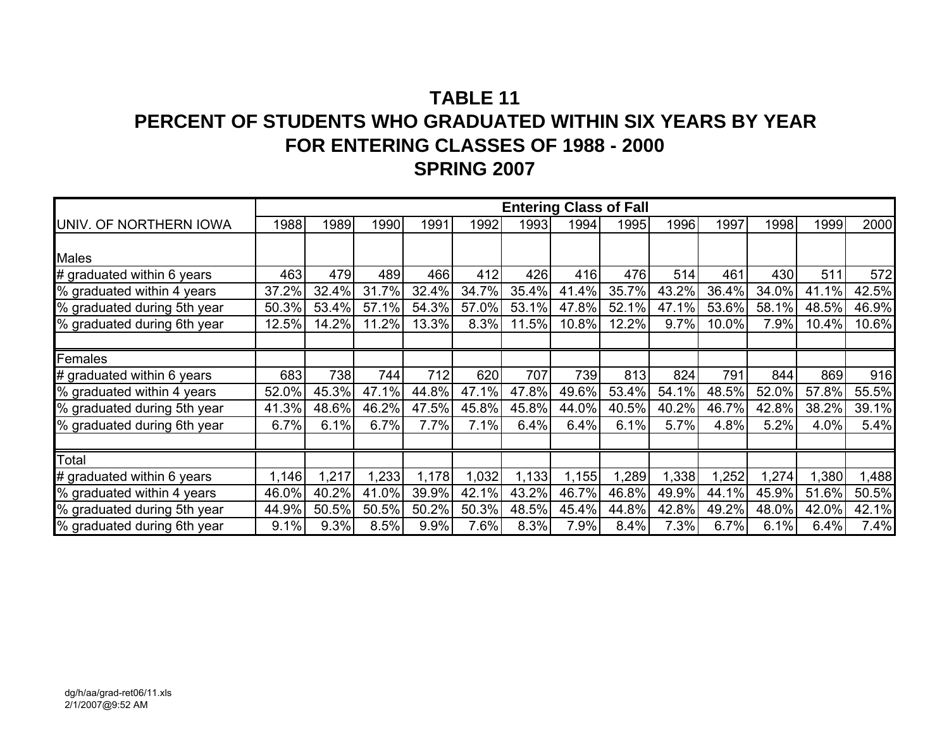# **TABLE 11PERCENT OF STUDENTS WHO GRADUATED WITHIN SIX YEARS BY YEARFOR ENTERING CLASSES OF 1988 - 2000 SPRING 2007**

|                             |       |       |       |       |       | <b>Entering Class of Fall</b> |       |       |       |       |       |       |       |
|-----------------------------|-------|-------|-------|-------|-------|-------------------------------|-------|-------|-------|-------|-------|-------|-------|
| UNIV. OF NORTHERN IOWA      | 1988  | 1989  | 1990  | 1991  | 1992  | 1993                          | 1994  | 1995  | 1996  | 1997  | 1998  | 1999  | 2000  |
|                             |       |       |       |       |       |                               |       |       |       |       |       |       |       |
| <b>Males</b>                |       |       |       |       |       |                               |       |       |       |       |       |       |       |
| # graduated within 6 years  | 463   | 479   | 489   | 466   | 412   | 426                           | 416   | 476   | 514   | 461   | 430   | 511   | 572   |
| % graduated within 4 years  | 37.2% | 32.4% | 31.7% | 32.4% | 34.7% | 35.4%                         | 41.4% | 35.7% | 43.2% | 36.4% | 34.0% | 41.1% | 42.5% |
| % graduated during 5th year | 50.3% | 53.4% | 57.1% | 54.3% | 57.0% | 53.1%                         | 47.8% | 52.1% | 47.1% | 53.6% | 58.1% | 48.5% | 46.9% |
| % graduated during 6th year | 12.5% | 14.2% | 11.2% | 13.3% | 8.3%  | 11.5%                         | 10.8% | 12.2% | 9.7%  | 10.0% | 7.9%  | 10.4% | 10.6% |
|                             |       |       |       |       |       |                               |       |       |       |       |       |       |       |
| Females                     |       |       |       |       |       |                               |       |       |       |       |       |       |       |
| # graduated within 6 years  | 683   | 738   | 744   | 712   | 620   | 707                           | 739   | 813   | 824   | 791   | 844   | 869   | 916   |
| % graduated within 4 years  | 52.0% | 45.3% | 47.1% | 44.8% | 47.1% | 47.8%                         | 49.6% | 53.4% | 54.1% | 48.5% | 52.0% | 57.8% | 55.5% |
| % graduated during 5th year | 41.3% | 48.6% | 46.2% | 47.5% | 45.8% | 45.8%                         | 44.0% | 40.5% | 40.2% | 46.7% | 42.8% | 38.2% | 39.1% |
| % graduated during 6th year | 6.7%  | 6.1%  | 6.7%  | 7.7%  | 7.1%  | 6.4%                          | 6.4%  | 6.1%  | 5.7%  | 4.8%  | 5.2%  | 4.0%  | 5.4%  |
|                             |       |       |       |       |       |                               |       |       |       |       |       |       |       |
| Total                       |       |       |       |       |       |                               |       |       |       |       |       |       |       |
| # graduated within 6 years  | 1,146 | 1,217 | .233  | 1,178 | 1,032 | 1,133                         | 1,155 | 1,289 | 338   | ,252  | ,274  | ,380  | 1,488 |
| % graduated within 4 years  | 46.0% | 40.2% | 41.0% | 39.9% | 42.1% | 43.2%                         | 46.7% | 46.8% | 49.9% | 44.1% | 45.9% | 51.6% | 50.5% |
| % graduated during 5th year | 44.9% | 50.5% | 50.5% | 50.2% | 50.3% | 48.5%                         | 45.4% | 44.8% | 42.8% | 49.2% | 48.0% | 42.0% | 42.1% |
| % graduated during 6th year | 9.1%  | 9.3%  | 8.5%  | 9.9%  | 7.6%  | 8.3%                          | 7.9%  | 8.4%  | 7.3%  | 6.7%  | 6.1%  | 6.4%  | 7.4%  |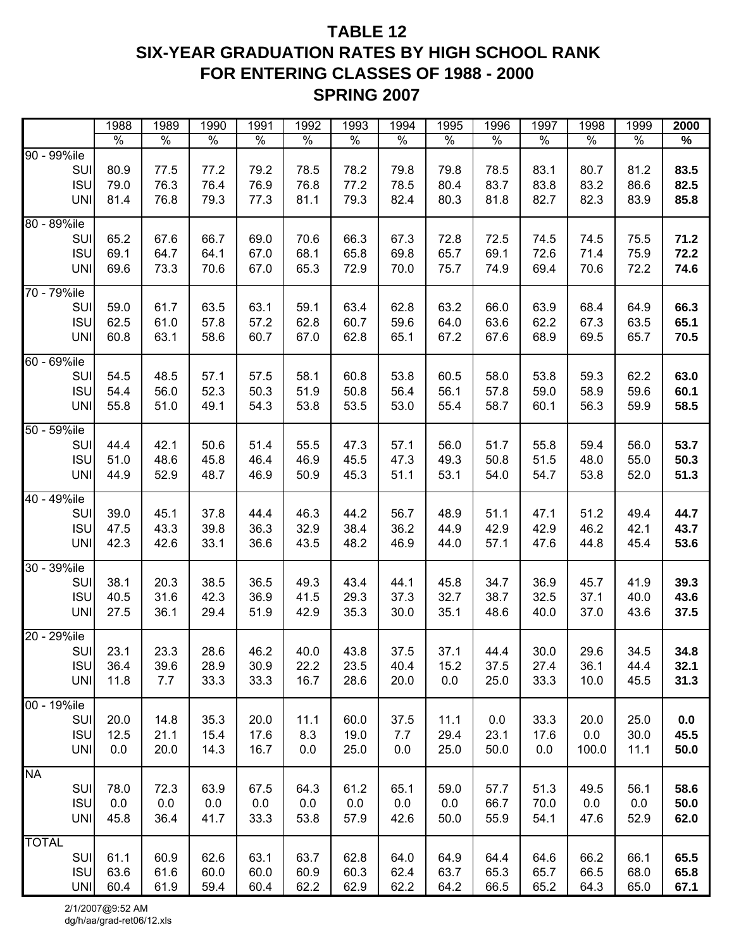## **TABLE 12 SIX-YEAR GRADUATION RATES BY HIGH SCHOOL RANK FOR ENTERING CLASSES OF 1988 - 2000 SPRING 2007**

| $\%$<br>$\%$<br>$\%$<br>$\%$<br>$\%$<br>$\%$<br>$\%$<br>$\%$<br>%<br>$\%$<br>$\%$<br>%<br>SUI<br>80.9<br>83.5<br>77.5<br>77.2<br>79.2<br>78.5<br>78.2<br>79.8<br>79.8<br>78.5<br>83.1<br>80.7<br>81.2<br><b>ISU</b><br>78.5<br>83.7<br>82.5<br>79.0<br>76.3<br>76.4<br>76.9<br>76.8<br>77.2<br>80.4<br>83.8<br>83.2<br>86.6<br>85.8<br><b>UNI</b><br>81.4<br>76.8<br>77.3<br>81.1<br>79.3<br>82.4<br>80.3<br>81.8<br>82.7<br>82.3<br>83.9<br>79.3<br>80 - 89%ile<br>71.2<br>SUI<br>65.2<br>67.6<br>66.7<br>69.0<br>70.6<br>66.3<br>67.3<br>72.8<br>72.5<br>74.5<br>74.5<br>75.5<br><b>ISU</b><br>69.1<br>67.0<br>68.1<br>65.8<br>72.6<br>72.2<br>64.7<br>64.1<br>69.8<br>65.7<br>69.1<br>71.4<br>75.9<br>73.3<br>65.3<br>70.0<br>74.9<br><b>UNI</b><br>69.6<br>70.6<br>67.0<br>72.9<br>75.7<br>69.4<br>70.6<br>72.2<br>74.6<br>70 - 79%ile<br>SUI<br>66.3<br>59.0<br>63.5<br>62.8<br>63.2<br>63.9<br>61.7<br>63.1<br>59.1<br>63.4<br>66.0<br>68.4<br>64.9<br><b>ISU</b><br>62.5<br>65.1<br>61.0<br>57.8<br>57.2<br>62.8<br>60.7<br>59.6<br>64.0<br>63.6<br>62.2<br>67.3<br>63.5<br>60.8<br>63.1<br>58.6<br>60.7<br>67.0<br>62.8<br>65.1<br>67.2<br>67.6<br>68.9<br>69.5<br>70.5<br><b>UNI</b><br>65.7<br>60 - 69%ile<br>SUI<br>54.5<br>48.5<br>57.5<br>53.8<br>60.5<br>58.0<br>53.8<br>59.3<br>62.2<br>63.0<br>57.1<br>58.1<br>60.8<br><b>ISU</b><br>56.0<br>52.3<br>50.3<br>51.9<br>50.8<br>56.4<br>57.8<br>59.0<br>58.9<br>59.6<br>60.1<br>54.4<br>56.1<br><b>UNI</b><br>55.8<br>51.0<br>49.1<br>54.3<br>53.8<br>53.5<br>53.0<br>55.4<br>58.7<br>60.1<br>56.3<br>59.9<br>58.5<br>50 - 59%ile<br>53.7<br>SUI<br>44.4<br>42.1<br>50.6<br>55.5<br>57.1<br>51.7<br>55.8<br>59.4<br>51.4<br>47.3<br>56.0<br>56.0<br><b>ISU</b><br>50.3<br>51.0<br>48.6<br>45.8<br>46.4<br>46.9<br>45.5<br>47.3<br>49.3<br>50.8<br>51.5<br>55.0<br>48.0<br>52.9<br>54.0<br>51.3<br><b>UNI</b><br>44.9<br>48.7<br>46.9<br>50.9<br>45.3<br>51.1<br>53.1<br>54.7<br>53.8<br>52.0<br>40 - 49%ile<br>44.7<br>SUI<br>39.0<br>45.1<br>37.8<br>46.3<br>44.2<br>56.7<br>48.9<br>51.1<br>47.1<br>51.2<br>49.4<br>44.4<br><b>ISU</b><br>36.2<br>43.7<br>47.5<br>43.3<br>36.3<br>32.9<br>38.4<br>44.9<br>42.9<br>42.9<br>46.2<br>42.1<br>39.8<br><b>UNI</b><br>36.6<br>43.5<br>48.2<br>46.9<br>57.1<br>45.4<br>53.6<br>42.3<br>42.6<br>33.1<br>44.0<br>47.6<br>44.8<br>30 - 39%ile<br>SUI<br>38.1<br>20.3<br>38.5<br>36.5<br>45.8<br>34.7<br>36.9<br>41.9<br>39.3<br>49.3<br>43.4<br>44.1<br>45.7<br><b>ISU</b><br>31.6<br>37.3<br>32.7<br>38.7<br>32.5<br>37.1<br>43.6<br>40.5<br>42.3<br>36.9<br>41.5<br>29.3<br>40.0<br>30.0<br>27.5<br>36.1<br>29.4<br>51.9<br>42.9<br>35.3<br>35.1<br>48.6<br>40.0<br>37.0<br>43.6<br>37.5<br><b>UNI</b><br>46.2<br>29.6<br>34.8<br>SUI<br>23.1<br>23.3<br>28.6<br>40.0<br>43.8<br>37.5<br>37.1<br>44.4<br>30.0<br>34.5<br><b>ISU</b><br>36.4<br>28.9<br>22.2<br>32.1<br>39.6<br>30.9<br>23.5<br>40.4<br>15.2<br>37.5<br>27.4<br>36.1<br>44.4<br><b>UNI</b><br>7.7<br>16.7<br>28.6<br>25.0<br>33.3<br>31.3<br>11.8<br>33.3<br>33.3<br>20.0<br>0.0<br>10.0<br>45.5<br>00 - 19%ile<br><b>SUI</b><br>20.0<br>35.3<br>11.1<br>37.5<br>11.1<br>33.3<br>25.0<br>0.0<br>14.8<br>20.0<br>60.0<br>0.0<br>20.0<br><b>ISU</b><br>12.5<br>21.1<br>15.4<br>17.6<br>8.3<br>19.0<br>7.7<br>29.4<br>23.1<br>17.6<br>0.0<br>30.0<br>45.5<br><b>UNI</b><br>0.0<br>20.0<br>14.3<br>16.7<br>0.0<br>25.0<br>0.0<br>25.0<br>50.0<br>100.0<br>11.1<br>50.0<br>0.0<br><b>NA</b><br>SUI<br>58.6<br>78.0<br>72.3<br>63.9<br>67.5<br>64.3<br>61.2<br>65.1<br>59.0<br>57.7<br>51.3<br>49.5<br>56.1<br><b>ISU</b><br>0.0<br>0.0<br>0.0<br>0.0<br>0.0<br>50.0<br>0.0<br>0.0<br>0.0<br>66.7<br>70.0<br>0.0<br>0.0<br><b>UNI</b><br>45.8<br>62.0<br>36.4<br>41.7<br>33.3<br>53.8<br>57.9<br>42.6<br>50.0<br>55.9<br>54.1<br>47.6<br>52.9<br><b>TOTAL</b><br>SUI<br>65.5<br>61.1<br>60.9<br>62.6<br>63.1<br>63.7<br>62.8<br>64.0<br>64.9<br>64.4<br>64.6<br>66.2<br>66.1<br><b>ISU</b><br>63.6<br>61.6<br>60.0<br>60.9<br>60.3<br>62.4<br>65.3<br>65.8<br>60.0<br>63.7<br>65.7<br>66.5<br>68.0<br><b>UNI</b> |             | 1988 | 1989          | 1990 | 1991 | 1992 | 1993 | 1994 | 1995 | 1996 | 1997 | 1998 | 1999 | 2000 |
|----------------------------------------------------------------------------------------------------------------------------------------------------------------------------------------------------------------------------------------------------------------------------------------------------------------------------------------------------------------------------------------------------------------------------------------------------------------------------------------------------------------------------------------------------------------------------------------------------------------------------------------------------------------------------------------------------------------------------------------------------------------------------------------------------------------------------------------------------------------------------------------------------------------------------------------------------------------------------------------------------------------------------------------------------------------------------------------------------------------------------------------------------------------------------------------------------------------------------------------------------------------------------------------------------------------------------------------------------------------------------------------------------------------------------------------------------------------------------------------------------------------------------------------------------------------------------------------------------------------------------------------------------------------------------------------------------------------------------------------------------------------------------------------------------------------------------------------------------------------------------------------------------------------------------------------------------------------------------------------------------------------------------------------------------------------------------------------------------------------------------------------------------------------------------------------------------------------------------------------------------------------------------------------------------------------------------------------------------------------------------------------------------------------------------------------------------------------------------------------------------------------------------------------------------------------------------------------------------------------------------------------------------------------------------------------------------------------------------------------------------------------------------------------------------------------------------------------------------------------------------------------------------------------------------------------------------------------------------------------------------------------------------------------------------------------------------------------------------------------------------------------------------------------------------------------------------------------------------------------------------------------------------------------------------------------------------------------------------------------------------------------------------------------------------------------------------------------------------------------------------------------------------------------------------------------------------------------------------------------------------------------------------------------------------------------------------------------------------------------------------------------------------------------------------------------------------------------------------------------------------------------------------------------------------------------------------------------------------------------------------------------------------------------------------------------------------------|-------------|------|---------------|------|------|------|------|------|------|------|------|------|------|------|
|                                                                                                                                                                                                                                                                                                                                                                                                                                                                                                                                                                                                                                                                                                                                                                                                                                                                                                                                                                                                                                                                                                                                                                                                                                                                                                                                                                                                                                                                                                                                                                                                                                                                                                                                                                                                                                                                                                                                                                                                                                                                                                                                                                                                                                                                                                                                                                                                                                                                                                                                                                                                                                                                                                                                                                                                                                                                                                                                                                                                                                                                                                                                                                                                                                                                                                                                                                                                                                                                                                                                                                                                                                                                                                                                                                                                                                                                                                                                                                                                                                                                                  |             |      | $\frac{8}{6}$ |      |      |      |      |      |      |      |      |      |      |      |
|                                                                                                                                                                                                                                                                                                                                                                                                                                                                                                                                                                                                                                                                                                                                                                                                                                                                                                                                                                                                                                                                                                                                                                                                                                                                                                                                                                                                                                                                                                                                                                                                                                                                                                                                                                                                                                                                                                                                                                                                                                                                                                                                                                                                                                                                                                                                                                                                                                                                                                                                                                                                                                                                                                                                                                                                                                                                                                                                                                                                                                                                                                                                                                                                                                                                                                                                                                                                                                                                                                                                                                                                                                                                                                                                                                                                                                                                                                                                                                                                                                                                                  | 90 - 99%ile |      |               |      |      |      |      |      |      |      |      |      |      |      |
|                                                                                                                                                                                                                                                                                                                                                                                                                                                                                                                                                                                                                                                                                                                                                                                                                                                                                                                                                                                                                                                                                                                                                                                                                                                                                                                                                                                                                                                                                                                                                                                                                                                                                                                                                                                                                                                                                                                                                                                                                                                                                                                                                                                                                                                                                                                                                                                                                                                                                                                                                                                                                                                                                                                                                                                                                                                                                                                                                                                                                                                                                                                                                                                                                                                                                                                                                                                                                                                                                                                                                                                                                                                                                                                                                                                                                                                                                                                                                                                                                                                                                  |             |      |               |      |      |      |      |      |      |      |      |      |      |      |
|                                                                                                                                                                                                                                                                                                                                                                                                                                                                                                                                                                                                                                                                                                                                                                                                                                                                                                                                                                                                                                                                                                                                                                                                                                                                                                                                                                                                                                                                                                                                                                                                                                                                                                                                                                                                                                                                                                                                                                                                                                                                                                                                                                                                                                                                                                                                                                                                                                                                                                                                                                                                                                                                                                                                                                                                                                                                                                                                                                                                                                                                                                                                                                                                                                                                                                                                                                                                                                                                                                                                                                                                                                                                                                                                                                                                                                                                                                                                                                                                                                                                                  |             |      |               |      |      |      |      |      |      |      |      |      |      |      |
|                                                                                                                                                                                                                                                                                                                                                                                                                                                                                                                                                                                                                                                                                                                                                                                                                                                                                                                                                                                                                                                                                                                                                                                                                                                                                                                                                                                                                                                                                                                                                                                                                                                                                                                                                                                                                                                                                                                                                                                                                                                                                                                                                                                                                                                                                                                                                                                                                                                                                                                                                                                                                                                                                                                                                                                                                                                                                                                                                                                                                                                                                                                                                                                                                                                                                                                                                                                                                                                                                                                                                                                                                                                                                                                                                                                                                                                                                                                                                                                                                                                                                  |             |      |               |      |      |      |      |      |      |      |      |      |      |      |
|                                                                                                                                                                                                                                                                                                                                                                                                                                                                                                                                                                                                                                                                                                                                                                                                                                                                                                                                                                                                                                                                                                                                                                                                                                                                                                                                                                                                                                                                                                                                                                                                                                                                                                                                                                                                                                                                                                                                                                                                                                                                                                                                                                                                                                                                                                                                                                                                                                                                                                                                                                                                                                                                                                                                                                                                                                                                                                                                                                                                                                                                                                                                                                                                                                                                                                                                                                                                                                                                                                                                                                                                                                                                                                                                                                                                                                                                                                                                                                                                                                                                                  |             |      |               |      |      |      |      |      |      |      |      |      |      |      |
|                                                                                                                                                                                                                                                                                                                                                                                                                                                                                                                                                                                                                                                                                                                                                                                                                                                                                                                                                                                                                                                                                                                                                                                                                                                                                                                                                                                                                                                                                                                                                                                                                                                                                                                                                                                                                                                                                                                                                                                                                                                                                                                                                                                                                                                                                                                                                                                                                                                                                                                                                                                                                                                                                                                                                                                                                                                                                                                                                                                                                                                                                                                                                                                                                                                                                                                                                                                                                                                                                                                                                                                                                                                                                                                                                                                                                                                                                                                                                                                                                                                                                  |             |      |               |      |      |      |      |      |      |      |      |      |      |      |
|                                                                                                                                                                                                                                                                                                                                                                                                                                                                                                                                                                                                                                                                                                                                                                                                                                                                                                                                                                                                                                                                                                                                                                                                                                                                                                                                                                                                                                                                                                                                                                                                                                                                                                                                                                                                                                                                                                                                                                                                                                                                                                                                                                                                                                                                                                                                                                                                                                                                                                                                                                                                                                                                                                                                                                                                                                                                                                                                                                                                                                                                                                                                                                                                                                                                                                                                                                                                                                                                                                                                                                                                                                                                                                                                                                                                                                                                                                                                                                                                                                                                                  |             |      |               |      |      |      |      |      |      |      |      |      |      |      |
|                                                                                                                                                                                                                                                                                                                                                                                                                                                                                                                                                                                                                                                                                                                                                                                                                                                                                                                                                                                                                                                                                                                                                                                                                                                                                                                                                                                                                                                                                                                                                                                                                                                                                                                                                                                                                                                                                                                                                                                                                                                                                                                                                                                                                                                                                                                                                                                                                                                                                                                                                                                                                                                                                                                                                                                                                                                                                                                                                                                                                                                                                                                                                                                                                                                                                                                                                                                                                                                                                                                                                                                                                                                                                                                                                                                                                                                                                                                                                                                                                                                                                  |             |      |               |      |      |      |      |      |      |      |      |      |      |      |
|                                                                                                                                                                                                                                                                                                                                                                                                                                                                                                                                                                                                                                                                                                                                                                                                                                                                                                                                                                                                                                                                                                                                                                                                                                                                                                                                                                                                                                                                                                                                                                                                                                                                                                                                                                                                                                                                                                                                                                                                                                                                                                                                                                                                                                                                                                                                                                                                                                                                                                                                                                                                                                                                                                                                                                                                                                                                                                                                                                                                                                                                                                                                                                                                                                                                                                                                                                                                                                                                                                                                                                                                                                                                                                                                                                                                                                                                                                                                                                                                                                                                                  |             |      |               |      |      |      |      |      |      |      |      |      |      |      |
|                                                                                                                                                                                                                                                                                                                                                                                                                                                                                                                                                                                                                                                                                                                                                                                                                                                                                                                                                                                                                                                                                                                                                                                                                                                                                                                                                                                                                                                                                                                                                                                                                                                                                                                                                                                                                                                                                                                                                                                                                                                                                                                                                                                                                                                                                                                                                                                                                                                                                                                                                                                                                                                                                                                                                                                                                                                                                                                                                                                                                                                                                                                                                                                                                                                                                                                                                                                                                                                                                                                                                                                                                                                                                                                                                                                                                                                                                                                                                                                                                                                                                  |             |      |               |      |      |      |      |      |      |      |      |      |      |      |
|                                                                                                                                                                                                                                                                                                                                                                                                                                                                                                                                                                                                                                                                                                                                                                                                                                                                                                                                                                                                                                                                                                                                                                                                                                                                                                                                                                                                                                                                                                                                                                                                                                                                                                                                                                                                                                                                                                                                                                                                                                                                                                                                                                                                                                                                                                                                                                                                                                                                                                                                                                                                                                                                                                                                                                                                                                                                                                                                                                                                                                                                                                                                                                                                                                                                                                                                                                                                                                                                                                                                                                                                                                                                                                                                                                                                                                                                                                                                                                                                                                                                                  |             |      |               |      |      |      |      |      |      |      |      |      |      |      |
|                                                                                                                                                                                                                                                                                                                                                                                                                                                                                                                                                                                                                                                                                                                                                                                                                                                                                                                                                                                                                                                                                                                                                                                                                                                                                                                                                                                                                                                                                                                                                                                                                                                                                                                                                                                                                                                                                                                                                                                                                                                                                                                                                                                                                                                                                                                                                                                                                                                                                                                                                                                                                                                                                                                                                                                                                                                                                                                                                                                                                                                                                                                                                                                                                                                                                                                                                                                                                                                                                                                                                                                                                                                                                                                                                                                                                                                                                                                                                                                                                                                                                  |             |      |               |      |      |      |      |      |      |      |      |      |      |      |
|                                                                                                                                                                                                                                                                                                                                                                                                                                                                                                                                                                                                                                                                                                                                                                                                                                                                                                                                                                                                                                                                                                                                                                                                                                                                                                                                                                                                                                                                                                                                                                                                                                                                                                                                                                                                                                                                                                                                                                                                                                                                                                                                                                                                                                                                                                                                                                                                                                                                                                                                                                                                                                                                                                                                                                                                                                                                                                                                                                                                                                                                                                                                                                                                                                                                                                                                                                                                                                                                                                                                                                                                                                                                                                                                                                                                                                                                                                                                                                                                                                                                                  |             |      |               |      |      |      |      |      |      |      |      |      |      |      |
|                                                                                                                                                                                                                                                                                                                                                                                                                                                                                                                                                                                                                                                                                                                                                                                                                                                                                                                                                                                                                                                                                                                                                                                                                                                                                                                                                                                                                                                                                                                                                                                                                                                                                                                                                                                                                                                                                                                                                                                                                                                                                                                                                                                                                                                                                                                                                                                                                                                                                                                                                                                                                                                                                                                                                                                                                                                                                                                                                                                                                                                                                                                                                                                                                                                                                                                                                                                                                                                                                                                                                                                                                                                                                                                                                                                                                                                                                                                                                                                                                                                                                  |             |      |               |      |      |      |      |      |      |      |      |      |      |      |
|                                                                                                                                                                                                                                                                                                                                                                                                                                                                                                                                                                                                                                                                                                                                                                                                                                                                                                                                                                                                                                                                                                                                                                                                                                                                                                                                                                                                                                                                                                                                                                                                                                                                                                                                                                                                                                                                                                                                                                                                                                                                                                                                                                                                                                                                                                                                                                                                                                                                                                                                                                                                                                                                                                                                                                                                                                                                                                                                                                                                                                                                                                                                                                                                                                                                                                                                                                                                                                                                                                                                                                                                                                                                                                                                                                                                                                                                                                                                                                                                                                                                                  |             |      |               |      |      |      |      |      |      |      |      |      |      |      |
|                                                                                                                                                                                                                                                                                                                                                                                                                                                                                                                                                                                                                                                                                                                                                                                                                                                                                                                                                                                                                                                                                                                                                                                                                                                                                                                                                                                                                                                                                                                                                                                                                                                                                                                                                                                                                                                                                                                                                                                                                                                                                                                                                                                                                                                                                                                                                                                                                                                                                                                                                                                                                                                                                                                                                                                                                                                                                                                                                                                                                                                                                                                                                                                                                                                                                                                                                                                                                                                                                                                                                                                                                                                                                                                                                                                                                                                                                                                                                                                                                                                                                  |             |      |               |      |      |      |      |      |      |      |      |      |      |      |
|                                                                                                                                                                                                                                                                                                                                                                                                                                                                                                                                                                                                                                                                                                                                                                                                                                                                                                                                                                                                                                                                                                                                                                                                                                                                                                                                                                                                                                                                                                                                                                                                                                                                                                                                                                                                                                                                                                                                                                                                                                                                                                                                                                                                                                                                                                                                                                                                                                                                                                                                                                                                                                                                                                                                                                                                                                                                                                                                                                                                                                                                                                                                                                                                                                                                                                                                                                                                                                                                                                                                                                                                                                                                                                                                                                                                                                                                                                                                                                                                                                                                                  |             |      |               |      |      |      |      |      |      |      |      |      |      |      |
|                                                                                                                                                                                                                                                                                                                                                                                                                                                                                                                                                                                                                                                                                                                                                                                                                                                                                                                                                                                                                                                                                                                                                                                                                                                                                                                                                                                                                                                                                                                                                                                                                                                                                                                                                                                                                                                                                                                                                                                                                                                                                                                                                                                                                                                                                                                                                                                                                                                                                                                                                                                                                                                                                                                                                                                                                                                                                                                                                                                                                                                                                                                                                                                                                                                                                                                                                                                                                                                                                                                                                                                                                                                                                                                                                                                                                                                                                                                                                                                                                                                                                  |             |      |               |      |      |      |      |      |      |      |      |      |      |      |
|                                                                                                                                                                                                                                                                                                                                                                                                                                                                                                                                                                                                                                                                                                                                                                                                                                                                                                                                                                                                                                                                                                                                                                                                                                                                                                                                                                                                                                                                                                                                                                                                                                                                                                                                                                                                                                                                                                                                                                                                                                                                                                                                                                                                                                                                                                                                                                                                                                                                                                                                                                                                                                                                                                                                                                                                                                                                                                                                                                                                                                                                                                                                                                                                                                                                                                                                                                                                                                                                                                                                                                                                                                                                                                                                                                                                                                                                                                                                                                                                                                                                                  |             |      |               |      |      |      |      |      |      |      |      |      |      |      |
|                                                                                                                                                                                                                                                                                                                                                                                                                                                                                                                                                                                                                                                                                                                                                                                                                                                                                                                                                                                                                                                                                                                                                                                                                                                                                                                                                                                                                                                                                                                                                                                                                                                                                                                                                                                                                                                                                                                                                                                                                                                                                                                                                                                                                                                                                                                                                                                                                                                                                                                                                                                                                                                                                                                                                                                                                                                                                                                                                                                                                                                                                                                                                                                                                                                                                                                                                                                                                                                                                                                                                                                                                                                                                                                                                                                                                                                                                                                                                                                                                                                                                  |             |      |               |      |      |      |      |      |      |      |      |      |      |      |
|                                                                                                                                                                                                                                                                                                                                                                                                                                                                                                                                                                                                                                                                                                                                                                                                                                                                                                                                                                                                                                                                                                                                                                                                                                                                                                                                                                                                                                                                                                                                                                                                                                                                                                                                                                                                                                                                                                                                                                                                                                                                                                                                                                                                                                                                                                                                                                                                                                                                                                                                                                                                                                                                                                                                                                                                                                                                                                                                                                                                                                                                                                                                                                                                                                                                                                                                                                                                                                                                                                                                                                                                                                                                                                                                                                                                                                                                                                                                                                                                                                                                                  |             |      |               |      |      |      |      |      |      |      |      |      |      |      |
|                                                                                                                                                                                                                                                                                                                                                                                                                                                                                                                                                                                                                                                                                                                                                                                                                                                                                                                                                                                                                                                                                                                                                                                                                                                                                                                                                                                                                                                                                                                                                                                                                                                                                                                                                                                                                                                                                                                                                                                                                                                                                                                                                                                                                                                                                                                                                                                                                                                                                                                                                                                                                                                                                                                                                                                                                                                                                                                                                                                                                                                                                                                                                                                                                                                                                                                                                                                                                                                                                                                                                                                                                                                                                                                                                                                                                                                                                                                                                                                                                                                                                  |             |      |               |      |      |      |      |      |      |      |      |      |      |      |
|                                                                                                                                                                                                                                                                                                                                                                                                                                                                                                                                                                                                                                                                                                                                                                                                                                                                                                                                                                                                                                                                                                                                                                                                                                                                                                                                                                                                                                                                                                                                                                                                                                                                                                                                                                                                                                                                                                                                                                                                                                                                                                                                                                                                                                                                                                                                                                                                                                                                                                                                                                                                                                                                                                                                                                                                                                                                                                                                                                                                                                                                                                                                                                                                                                                                                                                                                                                                                                                                                                                                                                                                                                                                                                                                                                                                                                                                                                                                                                                                                                                                                  |             |      |               |      |      |      |      |      |      |      |      |      |      |      |
|                                                                                                                                                                                                                                                                                                                                                                                                                                                                                                                                                                                                                                                                                                                                                                                                                                                                                                                                                                                                                                                                                                                                                                                                                                                                                                                                                                                                                                                                                                                                                                                                                                                                                                                                                                                                                                                                                                                                                                                                                                                                                                                                                                                                                                                                                                                                                                                                                                                                                                                                                                                                                                                                                                                                                                                                                                                                                                                                                                                                                                                                                                                                                                                                                                                                                                                                                                                                                                                                                                                                                                                                                                                                                                                                                                                                                                                                                                                                                                                                                                                                                  |             |      |               |      |      |      |      |      |      |      |      |      |      |      |
|                                                                                                                                                                                                                                                                                                                                                                                                                                                                                                                                                                                                                                                                                                                                                                                                                                                                                                                                                                                                                                                                                                                                                                                                                                                                                                                                                                                                                                                                                                                                                                                                                                                                                                                                                                                                                                                                                                                                                                                                                                                                                                                                                                                                                                                                                                                                                                                                                                                                                                                                                                                                                                                                                                                                                                                                                                                                                                                                                                                                                                                                                                                                                                                                                                                                                                                                                                                                                                                                                                                                                                                                                                                                                                                                                                                                                                                                                                                                                                                                                                                                                  |             |      |               |      |      |      |      |      |      |      |      |      |      |      |
|                                                                                                                                                                                                                                                                                                                                                                                                                                                                                                                                                                                                                                                                                                                                                                                                                                                                                                                                                                                                                                                                                                                                                                                                                                                                                                                                                                                                                                                                                                                                                                                                                                                                                                                                                                                                                                                                                                                                                                                                                                                                                                                                                                                                                                                                                                                                                                                                                                                                                                                                                                                                                                                                                                                                                                                                                                                                                                                                                                                                                                                                                                                                                                                                                                                                                                                                                                                                                                                                                                                                                                                                                                                                                                                                                                                                                                                                                                                                                                                                                                                                                  |             |      |               |      |      |      |      |      |      |      |      |      |      |      |
|                                                                                                                                                                                                                                                                                                                                                                                                                                                                                                                                                                                                                                                                                                                                                                                                                                                                                                                                                                                                                                                                                                                                                                                                                                                                                                                                                                                                                                                                                                                                                                                                                                                                                                                                                                                                                                                                                                                                                                                                                                                                                                                                                                                                                                                                                                                                                                                                                                                                                                                                                                                                                                                                                                                                                                                                                                                                                                                                                                                                                                                                                                                                                                                                                                                                                                                                                                                                                                                                                                                                                                                                                                                                                                                                                                                                                                                                                                                                                                                                                                                                                  |             |      |               |      |      |      |      |      |      |      |      |      |      |      |
|                                                                                                                                                                                                                                                                                                                                                                                                                                                                                                                                                                                                                                                                                                                                                                                                                                                                                                                                                                                                                                                                                                                                                                                                                                                                                                                                                                                                                                                                                                                                                                                                                                                                                                                                                                                                                                                                                                                                                                                                                                                                                                                                                                                                                                                                                                                                                                                                                                                                                                                                                                                                                                                                                                                                                                                                                                                                                                                                                                                                                                                                                                                                                                                                                                                                                                                                                                                                                                                                                                                                                                                                                                                                                                                                                                                                                                                                                                                                                                                                                                                                                  |             |      |               |      |      |      |      |      |      |      |      |      |      |      |
|                                                                                                                                                                                                                                                                                                                                                                                                                                                                                                                                                                                                                                                                                                                                                                                                                                                                                                                                                                                                                                                                                                                                                                                                                                                                                                                                                                                                                                                                                                                                                                                                                                                                                                                                                                                                                                                                                                                                                                                                                                                                                                                                                                                                                                                                                                                                                                                                                                                                                                                                                                                                                                                                                                                                                                                                                                                                                                                                                                                                                                                                                                                                                                                                                                                                                                                                                                                                                                                                                                                                                                                                                                                                                                                                                                                                                                                                                                                                                                                                                                                                                  |             |      |               |      |      |      |      |      |      |      |      |      |      |      |
|                                                                                                                                                                                                                                                                                                                                                                                                                                                                                                                                                                                                                                                                                                                                                                                                                                                                                                                                                                                                                                                                                                                                                                                                                                                                                                                                                                                                                                                                                                                                                                                                                                                                                                                                                                                                                                                                                                                                                                                                                                                                                                                                                                                                                                                                                                                                                                                                                                                                                                                                                                                                                                                                                                                                                                                                                                                                                                                                                                                                                                                                                                                                                                                                                                                                                                                                                                                                                                                                                                                                                                                                                                                                                                                                                                                                                                                                                                                                                                                                                                                                                  |             |      |               |      |      |      |      |      |      |      |      |      |      |      |
|                                                                                                                                                                                                                                                                                                                                                                                                                                                                                                                                                                                                                                                                                                                                                                                                                                                                                                                                                                                                                                                                                                                                                                                                                                                                                                                                                                                                                                                                                                                                                                                                                                                                                                                                                                                                                                                                                                                                                                                                                                                                                                                                                                                                                                                                                                                                                                                                                                                                                                                                                                                                                                                                                                                                                                                                                                                                                                                                                                                                                                                                                                                                                                                                                                                                                                                                                                                                                                                                                                                                                                                                                                                                                                                                                                                                                                                                                                                                                                                                                                                                                  |             |      |               |      |      |      |      |      |      |      |      |      |      |      |
|                                                                                                                                                                                                                                                                                                                                                                                                                                                                                                                                                                                                                                                                                                                                                                                                                                                                                                                                                                                                                                                                                                                                                                                                                                                                                                                                                                                                                                                                                                                                                                                                                                                                                                                                                                                                                                                                                                                                                                                                                                                                                                                                                                                                                                                                                                                                                                                                                                                                                                                                                                                                                                                                                                                                                                                                                                                                                                                                                                                                                                                                                                                                                                                                                                                                                                                                                                                                                                                                                                                                                                                                                                                                                                                                                                                                                                                                                                                                                                                                                                                                                  | 20 - 29%ile |      |               |      |      |      |      |      |      |      |      |      |      |      |
|                                                                                                                                                                                                                                                                                                                                                                                                                                                                                                                                                                                                                                                                                                                                                                                                                                                                                                                                                                                                                                                                                                                                                                                                                                                                                                                                                                                                                                                                                                                                                                                                                                                                                                                                                                                                                                                                                                                                                                                                                                                                                                                                                                                                                                                                                                                                                                                                                                                                                                                                                                                                                                                                                                                                                                                                                                                                                                                                                                                                                                                                                                                                                                                                                                                                                                                                                                                                                                                                                                                                                                                                                                                                                                                                                                                                                                                                                                                                                                                                                                                                                  |             |      |               |      |      |      |      |      |      |      |      |      |      |      |
|                                                                                                                                                                                                                                                                                                                                                                                                                                                                                                                                                                                                                                                                                                                                                                                                                                                                                                                                                                                                                                                                                                                                                                                                                                                                                                                                                                                                                                                                                                                                                                                                                                                                                                                                                                                                                                                                                                                                                                                                                                                                                                                                                                                                                                                                                                                                                                                                                                                                                                                                                                                                                                                                                                                                                                                                                                                                                                                                                                                                                                                                                                                                                                                                                                                                                                                                                                                                                                                                                                                                                                                                                                                                                                                                                                                                                                                                                                                                                                                                                                                                                  |             |      |               |      |      |      |      |      |      |      |      |      |      |      |
|                                                                                                                                                                                                                                                                                                                                                                                                                                                                                                                                                                                                                                                                                                                                                                                                                                                                                                                                                                                                                                                                                                                                                                                                                                                                                                                                                                                                                                                                                                                                                                                                                                                                                                                                                                                                                                                                                                                                                                                                                                                                                                                                                                                                                                                                                                                                                                                                                                                                                                                                                                                                                                                                                                                                                                                                                                                                                                                                                                                                                                                                                                                                                                                                                                                                                                                                                                                                                                                                                                                                                                                                                                                                                                                                                                                                                                                                                                                                                                                                                                                                                  |             |      |               |      |      |      |      |      |      |      |      |      |      |      |
|                                                                                                                                                                                                                                                                                                                                                                                                                                                                                                                                                                                                                                                                                                                                                                                                                                                                                                                                                                                                                                                                                                                                                                                                                                                                                                                                                                                                                                                                                                                                                                                                                                                                                                                                                                                                                                                                                                                                                                                                                                                                                                                                                                                                                                                                                                                                                                                                                                                                                                                                                                                                                                                                                                                                                                                                                                                                                                                                                                                                                                                                                                                                                                                                                                                                                                                                                                                                                                                                                                                                                                                                                                                                                                                                                                                                                                                                                                                                                                                                                                                                                  |             |      |               |      |      |      |      |      |      |      |      |      |      |      |
|                                                                                                                                                                                                                                                                                                                                                                                                                                                                                                                                                                                                                                                                                                                                                                                                                                                                                                                                                                                                                                                                                                                                                                                                                                                                                                                                                                                                                                                                                                                                                                                                                                                                                                                                                                                                                                                                                                                                                                                                                                                                                                                                                                                                                                                                                                                                                                                                                                                                                                                                                                                                                                                                                                                                                                                                                                                                                                                                                                                                                                                                                                                                                                                                                                                                                                                                                                                                                                                                                                                                                                                                                                                                                                                                                                                                                                                                                                                                                                                                                                                                                  |             |      |               |      |      |      |      |      |      |      |      |      |      |      |
|                                                                                                                                                                                                                                                                                                                                                                                                                                                                                                                                                                                                                                                                                                                                                                                                                                                                                                                                                                                                                                                                                                                                                                                                                                                                                                                                                                                                                                                                                                                                                                                                                                                                                                                                                                                                                                                                                                                                                                                                                                                                                                                                                                                                                                                                                                                                                                                                                                                                                                                                                                                                                                                                                                                                                                                                                                                                                                                                                                                                                                                                                                                                                                                                                                                                                                                                                                                                                                                                                                                                                                                                                                                                                                                                                                                                                                                                                                                                                                                                                                                                                  |             |      |               |      |      |      |      |      |      |      |      |      |      |      |
|                                                                                                                                                                                                                                                                                                                                                                                                                                                                                                                                                                                                                                                                                                                                                                                                                                                                                                                                                                                                                                                                                                                                                                                                                                                                                                                                                                                                                                                                                                                                                                                                                                                                                                                                                                                                                                                                                                                                                                                                                                                                                                                                                                                                                                                                                                                                                                                                                                                                                                                                                                                                                                                                                                                                                                                                                                                                                                                                                                                                                                                                                                                                                                                                                                                                                                                                                                                                                                                                                                                                                                                                                                                                                                                                                                                                                                                                                                                                                                                                                                                                                  |             |      |               |      |      |      |      |      |      |      |      |      |      |      |
|                                                                                                                                                                                                                                                                                                                                                                                                                                                                                                                                                                                                                                                                                                                                                                                                                                                                                                                                                                                                                                                                                                                                                                                                                                                                                                                                                                                                                                                                                                                                                                                                                                                                                                                                                                                                                                                                                                                                                                                                                                                                                                                                                                                                                                                                                                                                                                                                                                                                                                                                                                                                                                                                                                                                                                                                                                                                                                                                                                                                                                                                                                                                                                                                                                                                                                                                                                                                                                                                                                                                                                                                                                                                                                                                                                                                                                                                                                                                                                                                                                                                                  |             |      |               |      |      |      |      |      |      |      |      |      |      |      |
|                                                                                                                                                                                                                                                                                                                                                                                                                                                                                                                                                                                                                                                                                                                                                                                                                                                                                                                                                                                                                                                                                                                                                                                                                                                                                                                                                                                                                                                                                                                                                                                                                                                                                                                                                                                                                                                                                                                                                                                                                                                                                                                                                                                                                                                                                                                                                                                                                                                                                                                                                                                                                                                                                                                                                                                                                                                                                                                                                                                                                                                                                                                                                                                                                                                                                                                                                                                                                                                                                                                                                                                                                                                                                                                                                                                                                                                                                                                                                                                                                                                                                  |             |      |               |      |      |      |      |      |      |      |      |      |      |      |
|                                                                                                                                                                                                                                                                                                                                                                                                                                                                                                                                                                                                                                                                                                                                                                                                                                                                                                                                                                                                                                                                                                                                                                                                                                                                                                                                                                                                                                                                                                                                                                                                                                                                                                                                                                                                                                                                                                                                                                                                                                                                                                                                                                                                                                                                                                                                                                                                                                                                                                                                                                                                                                                                                                                                                                                                                                                                                                                                                                                                                                                                                                                                                                                                                                                                                                                                                                                                                                                                                                                                                                                                                                                                                                                                                                                                                                                                                                                                                                                                                                                                                  |             |      |               |      |      |      |      |      |      |      |      |      |      |      |
|                                                                                                                                                                                                                                                                                                                                                                                                                                                                                                                                                                                                                                                                                                                                                                                                                                                                                                                                                                                                                                                                                                                                                                                                                                                                                                                                                                                                                                                                                                                                                                                                                                                                                                                                                                                                                                                                                                                                                                                                                                                                                                                                                                                                                                                                                                                                                                                                                                                                                                                                                                                                                                                                                                                                                                                                                                                                                                                                                                                                                                                                                                                                                                                                                                                                                                                                                                                                                                                                                                                                                                                                                                                                                                                                                                                                                                                                                                                                                                                                                                                                                  |             |      |               |      |      |      |      |      |      |      |      |      |      |      |
|                                                                                                                                                                                                                                                                                                                                                                                                                                                                                                                                                                                                                                                                                                                                                                                                                                                                                                                                                                                                                                                                                                                                                                                                                                                                                                                                                                                                                                                                                                                                                                                                                                                                                                                                                                                                                                                                                                                                                                                                                                                                                                                                                                                                                                                                                                                                                                                                                                                                                                                                                                                                                                                                                                                                                                                                                                                                                                                                                                                                                                                                                                                                                                                                                                                                                                                                                                                                                                                                                                                                                                                                                                                                                                                                                                                                                                                                                                                                                                                                                                                                                  |             |      |               |      |      |      |      |      |      |      |      |      |      |      |
|                                                                                                                                                                                                                                                                                                                                                                                                                                                                                                                                                                                                                                                                                                                                                                                                                                                                                                                                                                                                                                                                                                                                                                                                                                                                                                                                                                                                                                                                                                                                                                                                                                                                                                                                                                                                                                                                                                                                                                                                                                                                                                                                                                                                                                                                                                                                                                                                                                                                                                                                                                                                                                                                                                                                                                                                                                                                                                                                                                                                                                                                                                                                                                                                                                                                                                                                                                                                                                                                                                                                                                                                                                                                                                                                                                                                                                                                                                                                                                                                                                                                                  |             |      |               |      |      |      |      |      |      |      |      |      |      |      |
|                                                                                                                                                                                                                                                                                                                                                                                                                                                                                                                                                                                                                                                                                                                                                                                                                                                                                                                                                                                                                                                                                                                                                                                                                                                                                                                                                                                                                                                                                                                                                                                                                                                                                                                                                                                                                                                                                                                                                                                                                                                                                                                                                                                                                                                                                                                                                                                                                                                                                                                                                                                                                                                                                                                                                                                                                                                                                                                                                                                                                                                                                                                                                                                                                                                                                                                                                                                                                                                                                                                                                                                                                                                                                                                                                                                                                                                                                                                                                                                                                                                                                  |             |      |               |      |      |      |      |      |      |      |      |      |      |      |
|                                                                                                                                                                                                                                                                                                                                                                                                                                                                                                                                                                                                                                                                                                                                                                                                                                                                                                                                                                                                                                                                                                                                                                                                                                                                                                                                                                                                                                                                                                                                                                                                                                                                                                                                                                                                                                                                                                                                                                                                                                                                                                                                                                                                                                                                                                                                                                                                                                                                                                                                                                                                                                                                                                                                                                                                                                                                                                                                                                                                                                                                                                                                                                                                                                                                                                                                                                                                                                                                                                                                                                                                                                                                                                                                                                                                                                                                                                                                                                                                                                                                                  |             |      |               |      |      |      |      |      |      |      |      |      |      |      |
|                                                                                                                                                                                                                                                                                                                                                                                                                                                                                                                                                                                                                                                                                                                                                                                                                                                                                                                                                                                                                                                                                                                                                                                                                                                                                                                                                                                                                                                                                                                                                                                                                                                                                                                                                                                                                                                                                                                                                                                                                                                                                                                                                                                                                                                                                                                                                                                                                                                                                                                                                                                                                                                                                                                                                                                                                                                                                                                                                                                                                                                                                                                                                                                                                                                                                                                                                                                                                                                                                                                                                                                                                                                                                                                                                                                                                                                                                                                                                                                                                                                                                  |             | 60.4 | 61.9          | 59.4 | 60.4 | 62.2 | 62.9 | 62.2 | 64.2 | 66.5 | 65.2 | 64.3 | 65.0 | 67.1 |

2/1/2007@9:52 AM dg/h/aa/grad-ret06/12.xls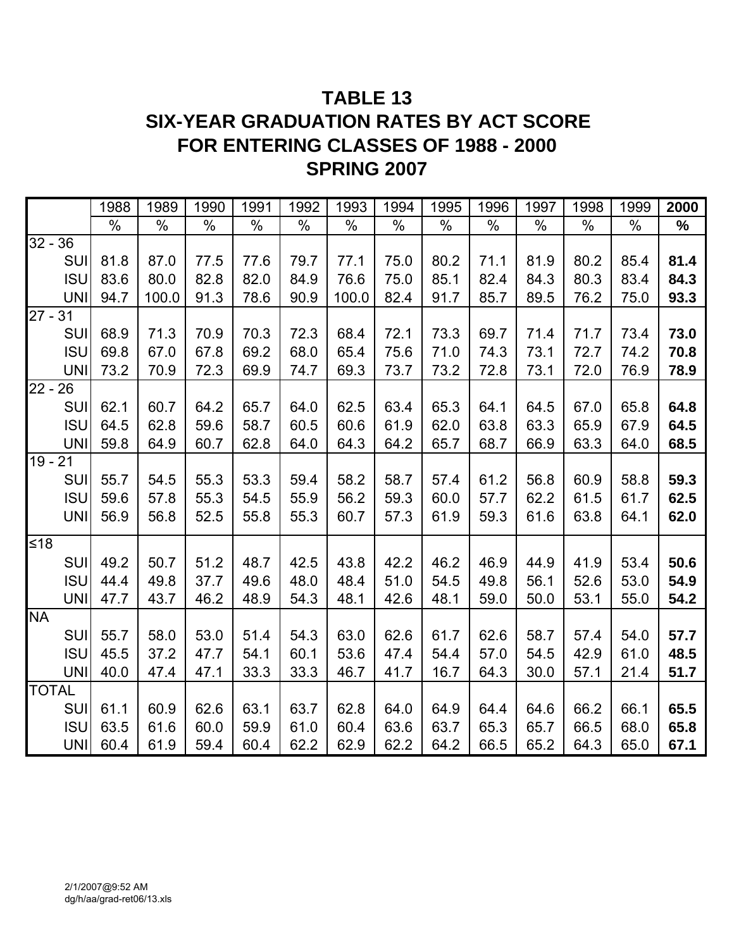# **TABLE 13 SIX-YEAR GRADUATION RATES BY ACT SCORE FOR ENTERING CLASSES OF 1988 - 2000 SPRING 2007**

|              |            | 1988 | 1989  | 1990 | 1991 | 1992 | 1993  | 1994 | 1995 | 1996 | 1997 | 1998 | 1999 | 2000 |
|--------------|------------|------|-------|------|------|------|-------|------|------|------|------|------|------|------|
|              |            | %    | $\%$  | %    | $\%$ | $\%$ | $\%$  | $\%$ | %    | $\%$ | $\%$ | $\%$ | $\%$ | $\%$ |
| $32 - 36$    |            |      |       |      |      |      |       |      |      |      |      |      |      |      |
|              | <b>SUI</b> | 81.8 | 87.0  | 77.5 | 77.6 | 79.7 | 77.1  | 75.0 | 80.2 | 71.1 | 81.9 | 80.2 | 85.4 | 81.4 |
|              | <b>ISU</b> | 83.6 | 80.0  | 82.8 | 82.0 | 84.9 | 76.6  | 75.0 | 85.1 | 82.4 | 84.3 | 80.3 | 83.4 | 84.3 |
|              | <b>UNI</b> | 94.7 | 100.0 | 91.3 | 78.6 | 90.9 | 100.0 | 82.4 | 91.7 | 85.7 | 89.5 | 76.2 | 75.0 | 93.3 |
| $27 -$       | 31         |      |       |      |      |      |       |      |      |      |      |      |      |      |
|              | SUI        | 68.9 | 71.3  | 70.9 | 70.3 | 72.3 | 68.4  | 72.1 | 73.3 | 69.7 | 71.4 | 71.7 | 73.4 | 73.0 |
|              | <b>ISU</b> | 69.8 | 67.0  | 67.8 | 69.2 | 68.0 | 65.4  | 75.6 | 71.0 | 74.3 | 73.1 | 72.7 | 74.2 | 70.8 |
|              | <b>UNI</b> | 73.2 | 70.9  | 72.3 | 69.9 | 74.7 | 69.3  | 73.7 | 73.2 | 72.8 | 73.1 | 72.0 | 76.9 | 78.9 |
| $22 - 26$    |            |      |       |      |      |      |       |      |      |      |      |      |      |      |
|              | SUI        | 62.1 | 60.7  | 64.2 | 65.7 | 64.0 | 62.5  | 63.4 | 65.3 | 64.1 | 64.5 | 67.0 | 65.8 | 64.8 |
|              | <b>ISU</b> | 64.5 | 62.8  | 59.6 | 58.7 | 60.5 | 60.6  | 61.9 | 62.0 | 63.8 | 63.3 | 65.9 | 67.9 | 64.5 |
|              | <b>UNI</b> | 59.8 | 64.9  | 60.7 | 62.8 | 64.0 | 64.3  | 64.2 | 65.7 | 68.7 | 66.9 | 63.3 | 64.0 | 68.5 |
| $19 -$       | 21         |      |       |      |      |      |       |      |      |      |      |      |      |      |
|              | <b>SUI</b> | 55.7 | 54.5  | 55.3 | 53.3 | 59.4 | 58.2  | 58.7 | 57.4 | 61.2 | 56.8 | 60.9 | 58.8 | 59.3 |
|              | <b>ISU</b> | 59.6 | 57.8  | 55.3 | 54.5 | 55.9 | 56.2  | 59.3 | 60.0 | 57.7 | 62.2 | 61.5 | 61.7 | 62.5 |
|              | <b>UNI</b> | 56.9 | 56.8  | 52.5 | 55.8 | 55.3 | 60.7  | 57.3 | 61.9 | 59.3 | 61.6 | 63.8 | 64.1 | 62.0 |
| $≤18$        |            |      |       |      |      |      |       |      |      |      |      |      |      |      |
|              | SUI        | 49.2 | 50.7  | 51.2 | 48.7 | 42.5 | 43.8  | 42.2 | 46.2 | 46.9 | 44.9 | 41.9 | 53.4 | 50.6 |
|              | <b>ISU</b> | 44.4 | 49.8  | 37.7 | 49.6 | 48.0 | 48.4  | 51.0 | 54.5 | 49.8 | 56.1 | 52.6 | 53.0 | 54.9 |
|              | <b>UNI</b> | 47.7 | 43.7  | 46.2 | 48.9 | 54.3 | 48.1  | 42.6 | 48.1 | 59.0 | 50.0 | 53.1 | 55.0 | 54.2 |
| <b>NA</b>    |            |      |       |      |      |      |       |      |      |      |      |      |      |      |
|              | SUI        | 55.7 | 58.0  | 53.0 | 51.4 | 54.3 | 63.0  | 62.6 | 61.7 | 62.6 | 58.7 | 57.4 | 54.0 | 57.7 |
|              | <b>ISU</b> | 45.5 | 37.2  | 47.7 | 54.1 | 60.1 | 53.6  | 47.4 | 54.4 | 57.0 | 54.5 | 42.9 | 61.0 | 48.5 |
|              | <b>UNI</b> | 40.0 | 47.4  | 47.1 | 33.3 | 33.3 | 46.7  | 41.7 | 16.7 | 64.3 | 30.0 | 57.1 | 21.4 | 51.7 |
| <b>TOTAL</b> |            |      |       |      |      |      |       |      |      |      |      |      |      |      |
|              | SUI        | 61.1 | 60.9  | 62.6 | 63.1 | 63.7 | 62.8  | 64.0 | 64.9 | 64.4 | 64.6 | 66.2 | 66.1 | 65.5 |
|              | <b>ISU</b> | 63.5 | 61.6  | 60.0 | 59.9 | 61.0 | 60.4  | 63.6 | 63.7 | 65.3 | 65.7 | 66.5 | 68.0 | 65.8 |
|              | <b>UNI</b> | 60.4 | 61.9  | 59.4 | 60.4 | 62.2 | 62.9  | 62.2 | 64.2 | 66.5 | 65.2 | 64.3 | 65.0 | 67.1 |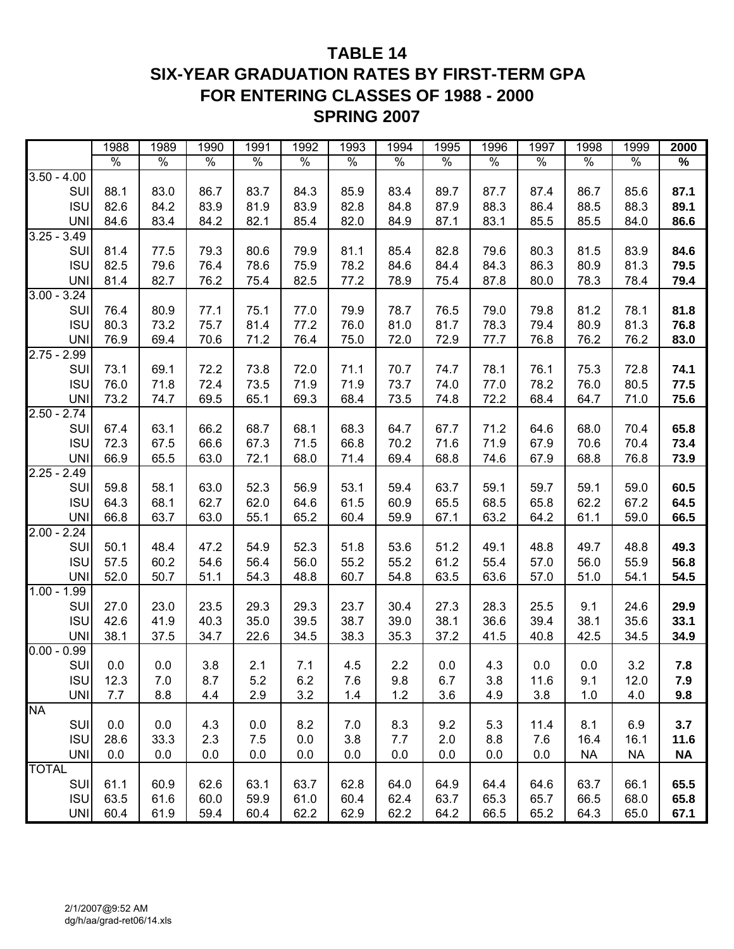## **TABLE 14 SIX-YEAR GRADUATION RATES BY FIRST-TERM GPA FOR ENTERING CLASSES OF 1988 - 2000 SPRING 2007**

|               | 1988 | 1989          | 1990 | 1991 | 1992 | 1993 | 1994 | 1995 | 1996 | 1997 | 1998      | 1999      | 2000      |
|---------------|------|---------------|------|------|------|------|------|------|------|------|-----------|-----------|-----------|
|               | $\%$ | $\frac{1}{2}$ | $\%$ | $\%$ | $\%$ | $\%$ | $\%$ | $\%$ | $\%$ | $\%$ | $\%$      | $\%$      | $\%$      |
| $3.50 - 4.00$ |      |               |      |      |      |      |      |      |      |      |           |           |           |
| SU            | 88.1 | 83.0          | 86.7 | 83.7 | 84.3 | 85.9 | 83.4 | 89.7 | 87.7 | 87.4 | 86.7      | 85.6      | 87.1      |
| <b>ISU</b>    | 82.6 | 84.2          | 83.9 | 81.9 | 83.9 | 82.8 | 84.8 | 87.9 | 88.3 | 86.4 | 88.5      | 88.3      | 89.1      |
| <b>UNI</b>    | 84.6 | 83.4          | 84.2 | 82.1 | 85.4 | 82.0 | 84.9 | 87.1 | 83.1 | 85.5 | 85.5      | 84.0      | 86.6      |
| $3.25 - 3.49$ |      |               |      |      |      |      |      |      |      |      |           |           |           |
| SUI           | 81.4 | 77.5          | 79.3 | 80.6 | 79.9 | 81.1 | 85.4 | 82.8 | 79.6 | 80.3 | 81.5      | 83.9      | 84.6      |
| <b>ISU</b>    | 82.5 | 79.6          | 76.4 | 78.6 | 75.9 | 78.2 | 84.6 | 84.4 | 84.3 | 86.3 | 80.9      | 81.3      | 79.5      |
| <b>UNI</b>    | 81.4 | 82.7          | 76.2 | 75.4 | 82.5 | 77.2 | 78.9 | 75.4 | 87.8 | 80.0 | 78.3      | 78.4      | 79.4      |
| $3.00 - 3.24$ |      |               |      |      |      |      |      |      |      |      |           |           |           |
| SUI           | 76.4 | 80.9          | 77.1 | 75.1 | 77.0 | 79.9 | 78.7 | 76.5 | 79.0 | 79.8 | 81.2      | 78.1      | 81.8      |
| <b>ISU</b>    | 80.3 | 73.2          | 75.7 | 81.4 | 77.2 | 76.0 | 81.0 | 81.7 | 78.3 | 79.4 | 80.9      | 81.3      | 76.8      |
| <b>UNI</b>    | 76.9 | 69.4          | 70.6 | 71.2 | 76.4 | 75.0 | 72.0 | 72.9 | 77.7 | 76.8 | 76.2      | 76.2      | 83.0      |
| $2.75 - 2.99$ |      |               |      |      |      |      |      |      |      |      |           |           |           |
| SUI           | 73.1 | 69.1          | 72.2 | 73.8 | 72.0 | 71.1 | 70.7 | 74.7 | 78.1 | 76.1 | 75.3      | 72.8      | 74.1      |
| <b>ISU</b>    | 76.0 | 71.8          | 72.4 | 73.5 | 71.9 | 71.9 | 73.7 | 74.0 | 77.0 | 78.2 | 76.0      | 80.5      | 77.5      |
| <b>UNI</b>    | 73.2 | 74.7          | 69.5 | 65.1 | 69.3 | 68.4 | 73.5 | 74.8 | 72.2 | 68.4 | 64.7      | 71.0      | 75.6      |
| $2.50 - 2.74$ |      |               |      |      |      |      |      |      |      |      |           |           |           |
| SU            | 67.4 | 63.1          | 66.2 | 68.7 | 68.1 | 68.3 | 64.7 | 67.7 | 71.2 | 64.6 | 68.0      | 70.4      | 65.8      |
| <b>ISU</b>    | 72.3 | 67.5          | 66.6 | 67.3 | 71.5 | 66.8 | 70.2 | 71.6 | 71.9 | 67.9 | 70.6      | 70.4      | 73.4      |
| <b>UNI</b>    | 66.9 | 65.5          | 63.0 | 72.1 | 68.0 | 71.4 | 69.4 | 68.8 | 74.6 | 67.9 | 68.8      | 76.8      | 73.9      |
| $2.25 - 2.49$ |      |               |      |      |      |      |      |      |      |      |           |           |           |
| SUI           | 59.8 | 58.1          | 63.0 | 52.3 | 56.9 | 53.1 | 59.4 | 63.7 | 59.1 | 59.7 | 59.1      | 59.0      | 60.5      |
| <b>ISU</b>    | 64.3 | 68.1          | 62.7 | 62.0 | 64.6 | 61.5 | 60.9 | 65.5 | 68.5 | 65.8 | 62.2      | 67.2      | 64.5      |
| <b>UNI</b>    | 66.8 | 63.7          | 63.0 | 55.1 | 65.2 | 60.4 | 59.9 | 67.1 | 63.2 | 64.2 | 61.1      | 59.0      | 66.5      |
| $2.00 - 2.24$ |      |               |      |      |      |      |      |      |      |      |           |           |           |
| SUI           | 50.1 | 48.4          | 47.2 | 54.9 | 52.3 | 51.8 | 53.6 | 51.2 | 49.1 | 48.8 | 49.7      | 48.8      | 49.3      |
| <b>ISU</b>    | 57.5 | 60.2          | 54.6 | 56.4 | 56.0 | 55.2 | 55.2 | 61.2 | 55.4 | 57.0 | 56.0      | 55.9      | 56.8      |
| <b>UNI</b>    | 52.0 | 50.7          | 51.1 | 54.3 | 48.8 | 60.7 | 54.8 | 63.5 | 63.6 | 57.0 | 51.0      | 54.1      | 54.5      |
| $1.00 - 1.99$ |      |               |      |      |      |      |      |      |      |      |           |           |           |
| SUI           | 27.0 | 23.0          | 23.5 | 29.3 | 29.3 | 23.7 | 30.4 | 27.3 | 28.3 | 25.5 | 9.1       | 24.6      | 29.9      |
| <b>ISU</b>    | 42.6 | 41.9          | 40.3 | 35.0 | 39.5 | 38.7 | 39.0 | 38.1 | 36.6 | 39.4 | 38.1      | 35.6      | 33.1      |
| <b>UNI</b>    |      |               |      |      |      |      |      |      |      |      | 42.5      |           |           |
| $0.00 - 0.99$ | 38.1 | 37.5          | 34.7 | 22.6 | 34.5 | 38.3 | 35.3 | 37.2 | 41.5 | 40.8 |           | 34.5      | 34.9      |
|               | 0.0  | 0.0           | 3.8  |      | 7.1  | 4.5  | 2.2  | 0.0  | 4.3  | 0.0  | 0.0       | 3.2       | 7.8       |
| SUI           |      |               |      | 2.1  |      |      |      |      |      |      |           |           |           |
| <b>ISU</b>    | 12.3 | 7.0           | 8.7  | 5.2  | 6.2  | 7.6  | 9.8  | 6.7  | 3.8  | 11.6 | 9.1       | 12.0      | 7.9       |
| <b>UNI</b>    | 7.7  | 8.8           | 4.4  | 2.9  | 3.2  | 1.4  | 1.2  | 3.6  | 4.9  | 3.8  | 1.0       | 4.0       | 9.8       |
| <b>NA</b>     |      |               |      |      |      |      |      |      |      |      |           |           |           |
| SUI           | 0.0  | 0.0           | 4.3  | 0.0  | 8.2  | 7.0  | 8.3  | 9.2  | 5.3  | 11.4 | 8.1       | 6.9       | 3.7       |
| <b>ISU</b>    | 28.6 | 33.3          | 2.3  | 7.5  | 0.0  | 3.8  | 7.7  | 2.0  | 8.8  | 7.6  | 16.4      | 16.1      | 11.6      |
| <b>UNI</b>    | 0.0  | 0.0           | 0.0  | 0.0  | 0.0  | 0.0  | 0.0  | 0.0  | 0.0  | 0.0  | <b>NA</b> | <b>NA</b> | <b>NA</b> |
| <b>TOTAL</b>  |      |               |      |      |      |      |      |      |      |      |           |           |           |
| SUI           | 61.1 | 60.9          | 62.6 | 63.1 | 63.7 | 62.8 | 64.0 | 64.9 | 64.4 | 64.6 | 63.7      | 66.1      | 65.5      |
| <b>ISU</b>    | 63.5 | 61.6          | 60.0 | 59.9 | 61.0 | 60.4 | 62.4 | 63.7 | 65.3 | 65.7 | 66.5      | 68.0      | 65.8      |
| UNI           | 60.4 | 61.9          | 59.4 | 60.4 | 62.2 | 62.9 | 62.2 | 64.2 | 66.5 | 65.2 | 64.3      | 65.0      | 67.1      |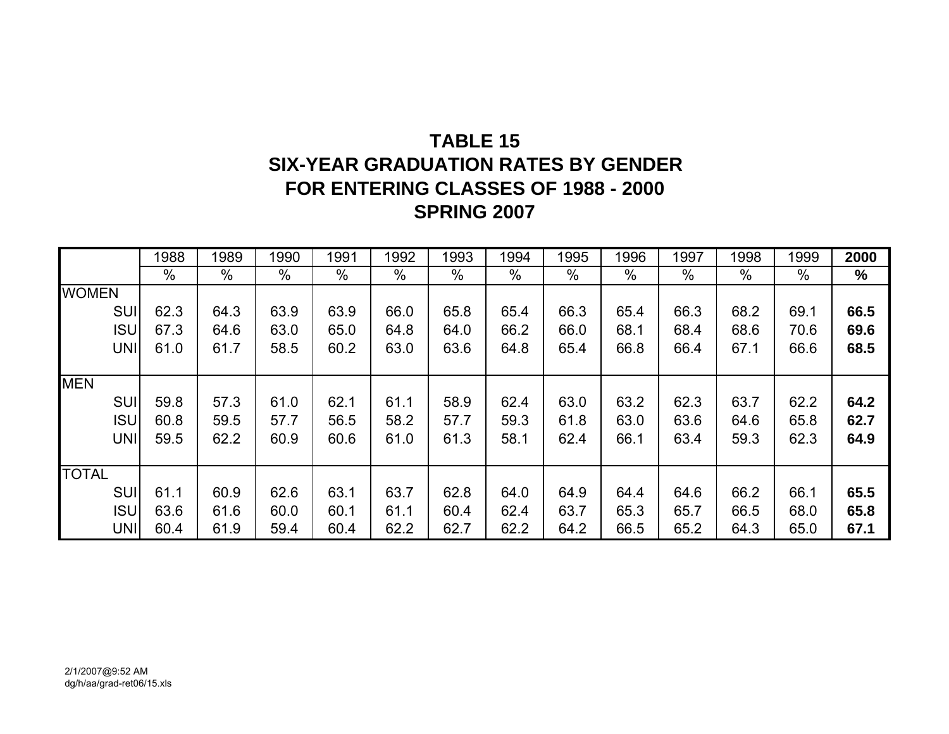# **TABLE 15SIX-YEAR GRADUATION RATES BY GENDER FOR ENTERING CLASSES OF 1988 - 2000 SPRING 2007**

|              | 1988 | 1989 | 1990 | 1991 | 1992 | 1993 | 1994 | 1995 | 1996 | 1997 | 1998 | 1999 | 2000 |
|--------------|------|------|------|------|------|------|------|------|------|------|------|------|------|
|              | %    | %    | $\%$ | %    | $\%$ | $\%$ | %    | %    | $\%$ | %    | $\%$ | %    | %    |
| <b>WOMEN</b> |      |      |      |      |      |      |      |      |      |      |      |      |      |
| <b>SUI</b>   | 62.3 | 64.3 | 63.9 | 63.9 | 66.0 | 65.8 | 65.4 | 66.3 | 65.4 | 66.3 | 68.2 | 69.1 | 66.5 |
| <b>ISU</b>   | 67.3 | 64.6 | 63.0 | 65.0 | 64.8 | 64.0 | 66.2 | 66.0 | 68.1 | 68.4 | 68.6 | 70.6 | 69.6 |
| <b>UNI</b>   | 61.0 | 61.7 | 58.5 | 60.2 | 63.0 | 63.6 | 64.8 | 65.4 | 66.8 | 66.4 | 67.1 | 66.6 | 68.5 |
|              |      |      |      |      |      |      |      |      |      |      |      |      |      |
| <b>MEN</b>   |      |      |      |      |      |      |      |      |      |      |      |      |      |
| <b>SUI</b>   | 59.8 | 57.3 | 61.0 | 62.1 | 61.1 | 58.9 | 62.4 | 63.0 | 63.2 | 62.3 | 63.7 | 62.2 | 64.2 |
| <b>ISU</b>   | 60.8 | 59.5 | 57.7 | 56.5 | 58.2 | 57.7 | 59.3 | 61.8 | 63.0 | 63.6 | 64.6 | 65.8 | 62.7 |
| <b>UNI</b>   | 59.5 | 62.2 | 60.9 | 60.6 | 61.0 | 61.3 | 58.1 | 62.4 | 66.1 | 63.4 | 59.3 | 62.3 | 64.9 |
|              |      |      |      |      |      |      |      |      |      |      |      |      |      |
| <b>TOTAL</b> |      |      |      |      |      |      |      |      |      |      |      |      |      |
| <b>SUI</b>   | 61.1 | 60.9 | 62.6 | 63.1 | 63.7 | 62.8 | 64.0 | 64.9 | 64.4 | 64.6 | 66.2 | 66.1 | 65.5 |
| <b>ISU</b>   | 63.6 | 61.6 | 60.0 | 60.1 | 61.1 | 60.4 | 62.4 | 63.7 | 65.3 | 65.7 | 66.5 | 68.0 | 65.8 |
| UNI          | 60.4 | 61.9 | 59.4 | 60.4 | 62.2 | 62.7 | 62.2 | 64.2 | 66.5 | 65.2 | 64.3 | 65.0 | 67.1 |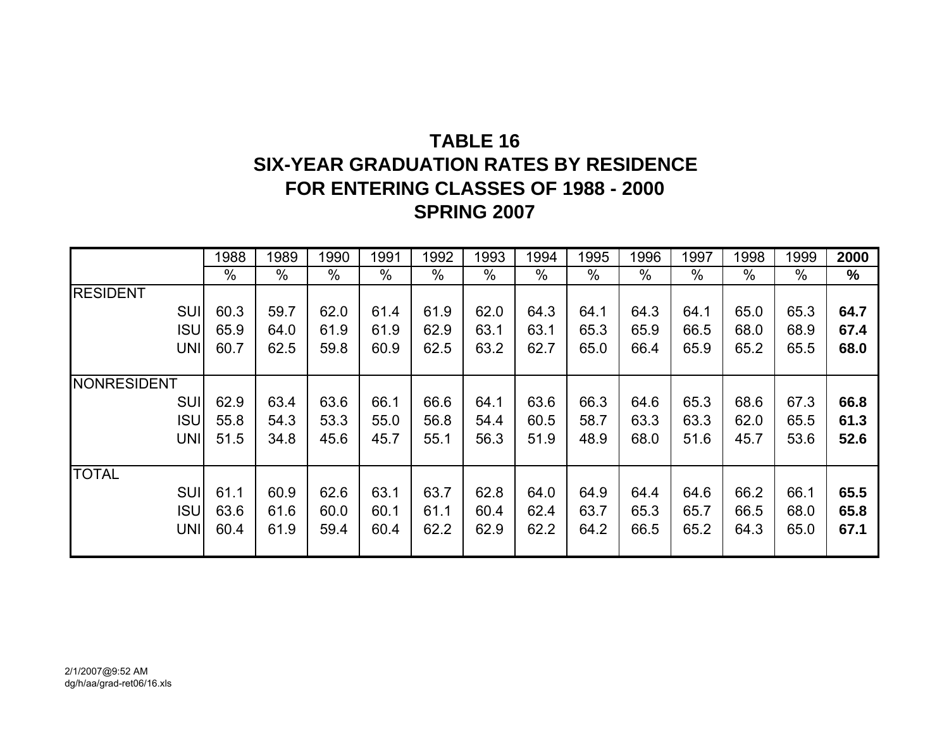# **TABLE 16SIX-YEAR GRADUATION RATES BY RESIDENCE FOR ENTERING CLASSES OF 1988 - 2000 SPRING 2007**

|                    | 1988 | 1989 | 1990          | 1991          | 1992 | 1993 | 1994 | 1995 | 1996 | 1997          | 1998 | 1999 | 2000 |
|--------------------|------|------|---------------|---------------|------|------|------|------|------|---------------|------|------|------|
|                    | %    | %    | $\frac{0}{0}$ | $\frac{0}{0}$ | $\%$ | $\%$ | $\%$ | $\%$ | %    | $\frac{0}{0}$ | $\%$ | $\%$ | %    |
| <b>RESIDENT</b>    |      |      |               |               |      |      |      |      |      |               |      |      |      |
| <b>SUI</b>         | 60.3 | 59.7 | 62.0          | 61.4          | 61.9 | 62.0 | 64.3 | 64.1 | 64.3 | 64.1          | 65.0 | 65.3 | 64.7 |
| <b>ISU</b>         | 65.9 | 64.0 | 61.9          | 61.9          | 62.9 | 63.1 | 63.1 | 65.3 | 65.9 | 66.5          | 68.0 | 68.9 | 67.4 |
| <b>UNI</b>         | 60.7 | 62.5 | 59.8          | 60.9          | 62.5 | 63.2 | 62.7 | 65.0 | 66.4 | 65.9          | 65.2 | 65.5 | 68.0 |
|                    |      |      |               |               |      |      |      |      |      |               |      |      |      |
| <b>NONRESIDENT</b> |      |      |               |               |      |      |      |      |      |               |      |      |      |
| <b>SUI</b>         | 62.9 | 63.4 | 63.6          | 66.1          | 66.6 | 64.1 | 63.6 | 66.3 | 64.6 | 65.3          | 68.6 | 67.3 | 66.8 |
| <b>ISU</b>         | 55.8 | 54.3 | 53.3          | 55.0          | 56.8 | 54.4 | 60.5 | 58.7 | 63.3 | 63.3          | 62.0 | 65.5 | 61.3 |
| <b>UNI</b>         | 51.5 | 34.8 | 45.6          | 45.7          | 55.1 | 56.3 | 51.9 | 48.9 | 68.0 | 51.6          | 45.7 | 53.6 | 52.6 |
|                    |      |      |               |               |      |      |      |      |      |               |      |      |      |
| <b>TOTAL</b>       |      |      |               |               |      |      |      |      |      |               |      |      |      |
| <b>SUI</b>         | 61.1 | 60.9 | 62.6          | 63.1          | 63.7 | 62.8 | 64.0 | 64.9 | 64.4 | 64.6          | 66.2 | 66.1 | 65.5 |
| <b>ISU</b>         | 63.6 | 61.6 | 60.0          | 60.1          | 61.1 | 60.4 | 62.4 | 63.7 | 65.3 | 65.7          | 66.5 | 68.0 | 65.8 |
| <b>UNI</b>         | 60.4 | 61.9 | 59.4          | 60.4          | 62.2 | 62.9 | 62.2 | 64.2 | 66.5 | 65.2          | 64.3 | 65.0 | 67.1 |
|                    |      |      |               |               |      |      |      |      |      |               |      |      |      |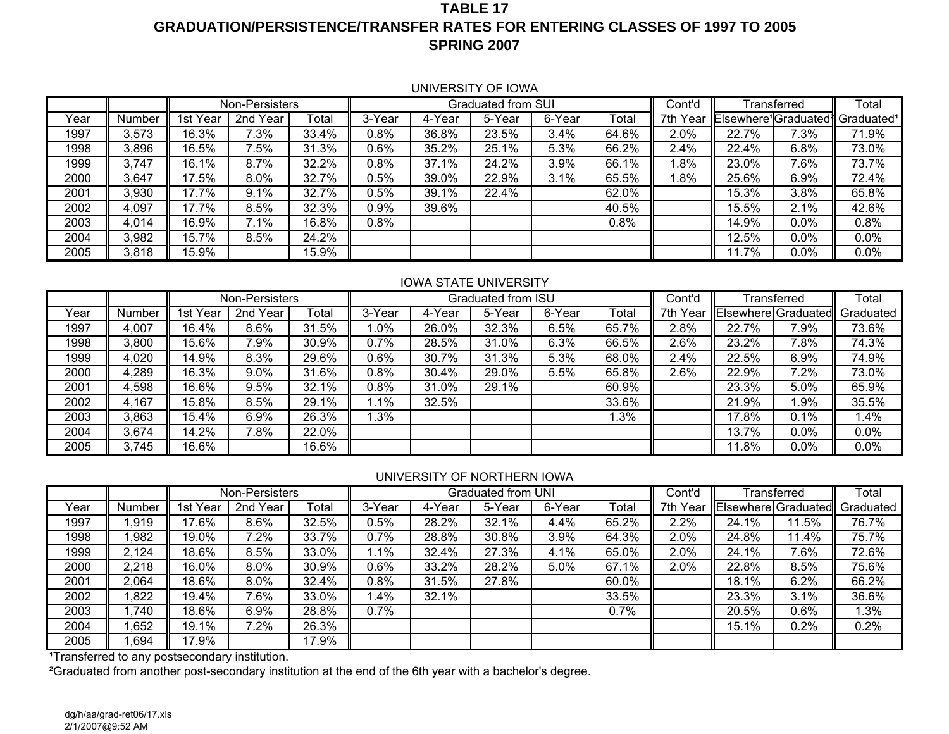#### **TABLE 17GRADUATION/PERSISTENCE/TRANSFER RATES FOR ENTERING CLASSES OF 1997 TO 2005 SPRING 2007**

#### UNIVERSITY OF IOWA

|      |        |               | Non-Persisters |       |        |        | Graduated from SUI |        |       | Cont'd      |       | Transferred                                   | $\overline{\text{Total}}$ |
|------|--------|---------------|----------------|-------|--------|--------|--------------------|--------|-------|-------------|-------|-----------------------------------------------|---------------------------|
| Year | Number | 1st<br>Year   | 2nd Year       | Total | 3-Year | 4-Year | 5-Year             | 6-Year | Total | 7th<br>Year |       | Elsewhere <sup>1</sup> Graduated <sup>1</sup> | Graduated <sup>1</sup>    |
| 1997 | 3,573  | 16.3%         | 7.3%           | 33.4% | 0.8%   | 36.8%  | 23.5%              | 3.4%   | 64.6% | 2.0%        | 22.7% | 7.3%                                          | 71.9%                     |
| 1998 | 3,896  | 16.5%         | 7.5%           | 31.3% | 0.6%   | 35.2%  | 25.1%              | 5.3%   | 66.2% | 2.4%        | 22.4% | 6.8%                                          | 73.0%                     |
| 1999 | 3,747  | 1%<br>$16.$ . | 8.7%           | 32.2% | 0.8%   | 37.1%  | 24.2%              | 3.9%   | 66.1% | .8%         | 23.0% | 7.6%                                          | 73.7%                     |
| 2000 | 3,647  | 17.5%         | 8.0%           | 32.7% | 0.5%   | 39.0%  | 22.9%              | 3.1%   | 65.5% | l.8%        | 25.6% | 6.9%                                          | 72.4%                     |
| 2001 | 3,930  | 17.7%         | 9.1%           | 32.7% | 0.5%   | 39.1%  | 22.4%              |        | 62.0% |             | 15.3% | 3.8%                                          | 65.8%                     |
| 2002 | 4,097  | 17.7%         | 8.5%           | 32.3% | 0.9%   | 39.6%  |                    |        | 40.5% |             | 15.5% | 2.1%                                          | 42.6%                     |
| 2003 | 4,014  | 16.9%         | 7.1%           | 16.8% | 0.8%   |        |                    |        | 0.8%  |             | 14.9% | $0.0\%$                                       | 0.8%                      |
| 2004 | 3,982  | 15.7%         | 8.5%           | 24.2% |        |        |                    |        |       |             | 12.5% | 0.0%                                          | 0.0%                      |
| 2005 | 3,818  | 15.9%         |                | 15.9% |        |        |                    |        |       |             | 1.7%  | 0.0%                                          | $0.0\%$                   |

#### IOWA STATE UNIVERSITY

|      |        |             | Non-Persisters |       |         |        | Graduated from ISU |        |       | Cont'd      |       | Transferred | Total                         |
|------|--------|-------------|----------------|-------|---------|--------|--------------------|--------|-------|-------------|-------|-------------|-------------------------------|
| Year | Number | Year<br>1st | 2nd Year       | Total | 3-Year  | 4-Year | 5-Year             | 6-Year | Total | Year<br>7th |       |             | Elsewhere Graduated Graduated |
| 1997 | 4,007  | 16.4%       | 8.6%           | 31.5% | $.0\%$  | 26.0%  | 32.3%              | 6.5%   | 65.7% | 2.8%        | 22.7% | 7.9%        | 73.6%                         |
| 1998 | 3,800  | 15.6%       | .9%            | 30.9% | $0.7\%$ | 28.5%  | 31.0%              | 6.3%   | 66.5% | 2.6%        | 23.2% | 7.8%        | $74.\overline{3\%}$           |
| 1999 | 4,020  | 14.9%       | 8.3%           | 29.6% | $0.6\%$ | 30.7%  | 31.3%              | 5.3%   | 68.0% | 2.4%        | 22.5% | 6.9%        | 74.9%                         |
| 2000 | 4,289  | 16.3%       | 9.0%           | 31.6% | 0.8%    | 30.4%  | 29.0%              | 5.5%   | 65.8% | 2.6%        | 22.9% | $7.2\%$     | 73.0%                         |
| 2001 | 4,598  | 16.6%       | 9.5%           | 32.1% | $0.8\%$ | 31.0%  | 29.1%              |        | 60.9% |             | 23.3% | 5.0%        | 65.9%                         |
| 2002 | 4,167  | 15.8%       | $8.5\%$        | 29.1% | . 1%    | 32.5%  |                    |        | 33.6% |             | 21.9% | .9%         | 35.5%                         |
| 2003 | 3,863  | 15.4%       | $6.9\%$        | 26.3% | .3%     |        |                    |        | 1.3%  |             | 17.8% | 0.1%        | 4%. ا                         |
| 2004 | 3,674  | 14.2%       | '.8%           | 22.0% |         |        |                    |        |       |             | 13.7% | 0.0%        | $0.0\%$                       |
| 2005 | 3,745  | 16.6%       |                | 16.6% |         |        |                    |        |       |             | 1.8%  | 0.0%        | $0.0\%$                       |

#### UNIVERSITY OF NORTHERN IOWA

|      |        |               | Non-Persisters |       |        |        | <b>Graduated from UNI</b> |        |       | Cont'd      |                     | <b>Transferred</b> | Total     |
|------|--------|---------------|----------------|-------|--------|--------|---------------------------|--------|-------|-------------|---------------------|--------------------|-----------|
| Year | Number | ∶ Year<br>1st | 2nd Year       | Total | 3-Year | 4-Year | 5-Year                    | 6-Year | Total | 7th<br>Year | Elsewhere Graduated |                    | Graduated |
| 1997 | .919   | 17.6%         | 8.6%           | 32.5% | 0.5%   | 28.2%  | 32.1%                     | 4.4%   | 65.2% | 2.2%        | 24.1%               | 11.5%              | 76.7%     |
| 1998 | ,982   | 19.0%         | 7.2%           | 33.7% | 0.7%   | 28.8%  | 30.8%                     | 3.9%   | 64.3% | 2.0%        | 24.8%               | 11.4%              | 75.7%     |
| 1999 | 2,124  | 18.6%         | 8.5%           | 33.0% | $.1\%$ | 32.4%  | 27.3%                     | 4.1%   | 65.0% | 2.0%        | 24.1%               | 7.6%               | 72.6%     |
| 2000 | 2,218  | 16.0%         | $8.0\%$        | 30.9% | 0.6%   | 33.2%  | 28.2%                     | 5.0%   | 67.1% | 2.0%        | 22.8%               | 8.5%               | 75.6%     |
| 2001 | 2,064  | 18.6%         | $8.0\%$        | 32.4% | 0.8%   | 31.5%  | 27.8%                     |        | 60.0% |             | 18.1%               | 6.2%               | 66.2%     |
| 2002 | ,822   | 19.4%         | .6%            | 33.0% | $.4\%$ | 32.1%  |                           |        | 33.5% |             | 23.3%               | 3.1%               | 36.6%     |
| 2003 | .740   | 18.6%         | 6.9%           | 28.8% | 0.7%   |        |                           |        | 0.7%  |             | 20.5%               | 0.6%               | 1.3%      |
| 2004 | ,652   | 19.1%         | $7.2\%$        | 26.3% |        |        |                           |        |       |             | 15.1%               | 0.2%               | 0.2%      |
| 2005 | ,694   | 7.9%<br>17    |                | 17.9% |        |        |                           |        |       |             |                     |                    |           |

<sup>1</sup>Transferred to any postsecondary institution.

²Graduated from another post-secondary institution at the end of the 6th year with a bachelor's degree.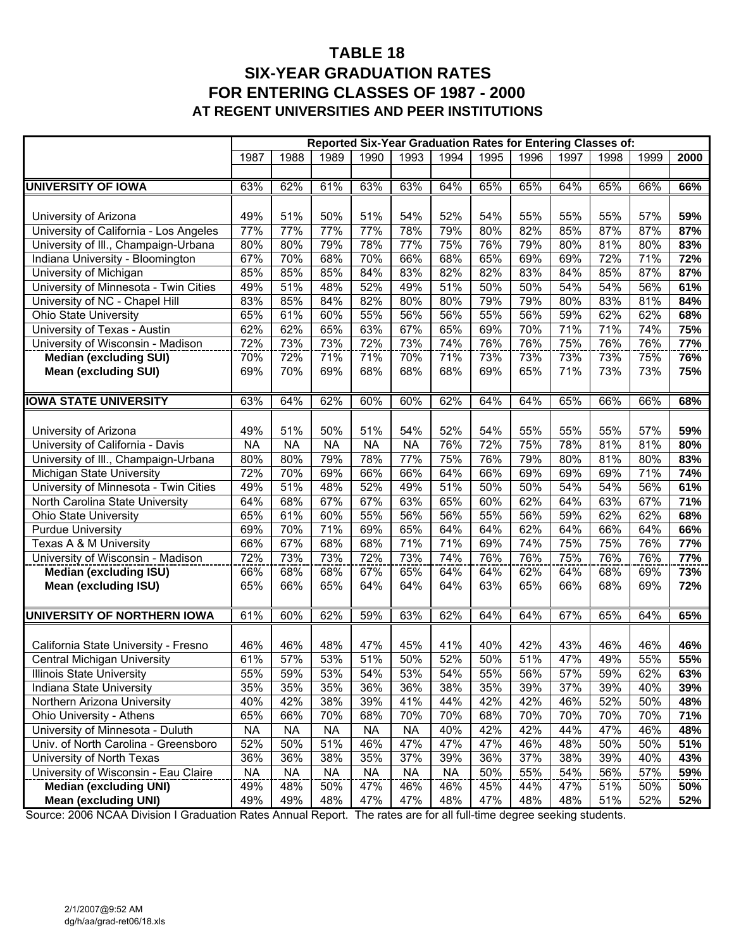### **TABLE 18 SIX-YEAR GRADUATION RATES FOR ENTERING CLASSES OF 1987 - 2000 AT REGENT UNIVERSITIES AND PEER INSTITUTIONS**

|                                                              | Reported Six-Year Graduation Rates for Entering Classes of: |                  |                  |                  |                  |            |            |            |            |            |            |            |
|--------------------------------------------------------------|-------------------------------------------------------------|------------------|------------------|------------------|------------------|------------|------------|------------|------------|------------|------------|------------|
|                                                              | 1987                                                        | 1988             | 1989             | 1990             | 1993             | 1994       | 1995       | 1996       | 1997       | 1998       | 1999       | 2000       |
|                                                              |                                                             |                  |                  |                  |                  |            |            |            |            |            |            |            |
| <b>UNIVERSITY OF IOWA</b>                                    | 63%                                                         | 62%              | 61%              | 63%              | 63%              | 64%        | 65%        | 65%        | 64%        | 65%        | 66%        | 66%        |
|                                                              |                                                             |                  |                  |                  |                  |            |            |            |            |            |            |            |
| University of Arizona                                        | 49%                                                         | 51%              | 50%              | 51%              | 54%              | 52%        | 54%        | 55%        | 55%        | 55%        | 57%        | 59%        |
| University of California - Los Angeles                       | 77%                                                         | 77%              | 77%              | 77%              | 78%              | 79%        | 80%        | 82%        | 85%        | 87%        | 87%        | 87%        |
| University of III., Champaign-Urbana                         | 80%                                                         | 80%              | 79%              | 78%              | 77%              | 75%        | 76%        | 79%        | 80%        | 81%        | 80%        | 83%        |
| Indiana University - Bloomington                             | 67%                                                         | 70%              | 68%              | 70%              | 66%              | 68%        | 65%        | 69%        | 69%        | 72%        | 71%        | 72%        |
| University of Michigan                                       | 85%                                                         | 85%              | 85%              | 84%              | 83%              | 82%        | 82%        | 83%        | 84%        | 85%        | 87%        | 87%        |
| University of Minnesota - Twin Cities                        | 49%                                                         | 51%              | 48%              | 52%              | 49%              | 51%        | 50%        | 50%        | 54%        | 54%        | 56%        | 61%        |
| University of NC - Chapel Hill                               | 83%                                                         | 85%              | 84%              | 82%              | 80%              | 80%        | 79%        | 79%        | 80%        | 83%        | 81%        | 84%        |
| <b>Ohio State University</b>                                 | 65%                                                         | 61%              | 60%              | 55%              | 56%              | 56%        | 55%        | 56%        | 59%        | 62%        | 62%        | 68%        |
| University of Texas - Austin                                 | 62%                                                         | 62%              | 65%              | 63%              | 67%              | 65%        | 69%        | 70%        | 71%        | 71%        | 74%        | 75%        |
| University of Wisconsin - Madison                            | 72%                                                         | 73%              | 73%              | 72%              | 73%              | 74%        | 76%        | 76%        | 75%        | 76%        | 76%        | 77%        |
| <b>Median (excluding SUI)</b>                                | 70%                                                         | 72%              | 71%              | 71%              | 70%              | 71%        | 73%        | 73%        | 73%        | 73%        | 75%        | 76%        |
| <b>Mean (excluding SUI)</b>                                  | 69%                                                         | 70%              | 69%              | 68%              | 68%              | 68%        | 69%        | 65%        | 71%        | 73%        | 73%        | 75%        |
|                                                              |                                                             |                  |                  |                  |                  |            |            |            |            |            |            |            |
| <b>IOWA STATE UNIVERSITY</b>                                 | 63%                                                         | 64%              | 62%              | 60%              | 60%              | 62%        | 64%        | 64%        | 65%        | 66%        | 66%        | 68%        |
|                                                              |                                                             |                  |                  |                  |                  |            |            |            |            |            |            |            |
| University of Arizona                                        | 49%                                                         | 51%              | 50%              | 51%              | 54%              | 52%        | 54%        | 55%        | 55%        | 55%        | 57%        | 59%        |
| University of California - Davis                             | <b>NA</b>                                                   | <b>NA</b>        | <b>NA</b>        | <b>NA</b>        | <b>NA</b>        | 76%        | 72%        | 75%        | 78%        | 81%        | 81%        | 80%        |
| University of III., Champaign-Urbana                         | 80%                                                         | 80%              | 79%              | 78%              | 77%              | 75%        | 76%        | 79%        | 80%        | 81%        | 80%        | 83%        |
| Michigan State University                                    | 72%                                                         | 70%              | 69%              | 66%              | 66%              | 64%        | 66%        | 69%        | 69%        | 69%        | 71%        | 74%        |
| University of Minnesota - Twin Cities                        | 49%                                                         | 51%              | 48%              | 52%              | 49%              | 51%        | 50%        | 50%        | 54%        | 54%        | 56%        | 61%        |
| North Carolina State University                              | 64%                                                         | 68%              | 67%              | 67%              | 63%              | 65%        | 60%        | 62%        | 64%        | 63%        | 67%        | 71%        |
| <b>Ohio State University</b>                                 | 65%                                                         | 61%              | 60%              | 55%              | 56%              | 56%        | 55%        | 56%        | 59%        | 62%        | 62%        | 68%        |
| <b>Purdue University</b>                                     | 69%                                                         | 70%              | 71%              | 69%              | 65%              | 64%        | 64%        | 62%        | 64%        | 66%        | 64%        | 66%        |
| Texas A & M University                                       | 66%                                                         | 67%              | 68%              | 68%              | 71%              | 71%        | 69%        | 74%        | 75%        | 75%        | 76%        | 77%        |
| University of Wisconsin - Madison                            | 72%                                                         | 73%              | 73%              | 72%              | 73%              | 74%        | 76%        | 76%        | 75%        | 76%        | 76%        | 77%        |
| <b>Median (excluding ISU)</b>                                | 66%                                                         | 68%              | 68%              | 67%              | 65%              | 64%        | 64%        | 62%        | 64%        | 68%        | 69%        | 73%        |
| <b>Mean (excluding ISU)</b>                                  | 65%                                                         | 66%              | 65%              | 64%              | 64%              | 64%        | 63%        | 65%        | 66%        | 68%        | 69%        | 72%        |
|                                                              |                                                             |                  |                  |                  |                  |            |            |            |            |            |            |            |
| UNIVERSITY OF NORTHERN IOWA                                  | 61%                                                         | 60%              | 62%              | 59%              | 63%              | 62%        | 64%        | 64%        | 67%        | 65%        | 64%        | 65%        |
|                                                              |                                                             |                  |                  |                  |                  |            |            |            |            |            |            |            |
| California State University - Fresno                         | 46%                                                         | 46%              | 48%              | 47%              | 45%              | 41%        | 40%        | 42%        | 43%        | 46%        | 46%        | 46%        |
| Central Michigan University                                  | 61%                                                         | 57%              | 53%              | 51%              | 50%              | 52%        | 50%        | 51%        | 47%        | 49%        | 55%        | 55%        |
| Illinois State University                                    | 55%                                                         | 59%              | 53%              | 54%              | 53%              | 54%        | 55%        | 56%        | 57%        | 59%        | 62%        | 63%        |
| Indiana State University                                     | 35%                                                         | 35%              | 35%              | 36%              | 36%              | 38%        | 35%        | 39%        | 37%        | 39%        | 40%        | 39%        |
| Northern Arizona University                                  | 40%                                                         | 42%              | 38%              | 39%              | 41%              | 44%        | 42%        | 42%        | 46%        | 52%<br>70% | 50%        | 48%        |
| Ohio University - Athens<br>University of Minnesota - Duluth | 65%                                                         | 66%              | 70%<br><b>NA</b> | 68%<br><b>NA</b> | 70%              | 70%        | 68%<br>42% | 70%<br>42% | 70%        | 47%        | 70%<br>46% | 71%        |
| Univ. of North Carolina - Greensboro                         | <b>NA</b><br>52%                                            | <b>NA</b><br>50% | 51%              | 46%              | <b>NA</b><br>47% | 40%<br>47% | 47%        | 46%        | 44%<br>48% | 50%        | 50%        | 48%<br>51% |
| University of North Texas                                    | 36%                                                         | 36%              | 38%              | 35%              | 37%              | 39%        | 36%        | 37%        | 38%        | 39%        | 40%        | 43%        |
| University of Wisconsin - Eau Claire                         | <b>NA</b>                                                   | <b>NA</b>        | <b>NA</b>        | <b>NA</b>        | <b>NA</b>        | <b>NA</b>  | 50%        | 55%        | 54%        | 56%        | 57%        | 59%        |
| <b>Median (excluding UNI)</b>                                | 49%                                                         | 48%              | 50%              | 47%              | 46%              | 46%        | 45%        | 44%        | 47%        | 51%        | 50%        | 50%        |
| <b>Mean (excluding UNI)</b>                                  | 49%                                                         | 49%              | 48%              | 47%              | 47%              | 48%        | 47%        | 48%        | 48%        | 51%        | 52%        | 52%        |
|                                                              |                                                             |                  |                  |                  |                  |            |            |            |            |            |            |            |

Source: 2006 NCAA Division I Graduation Rates Annual Report. The rates are for all full-time degree seeking students.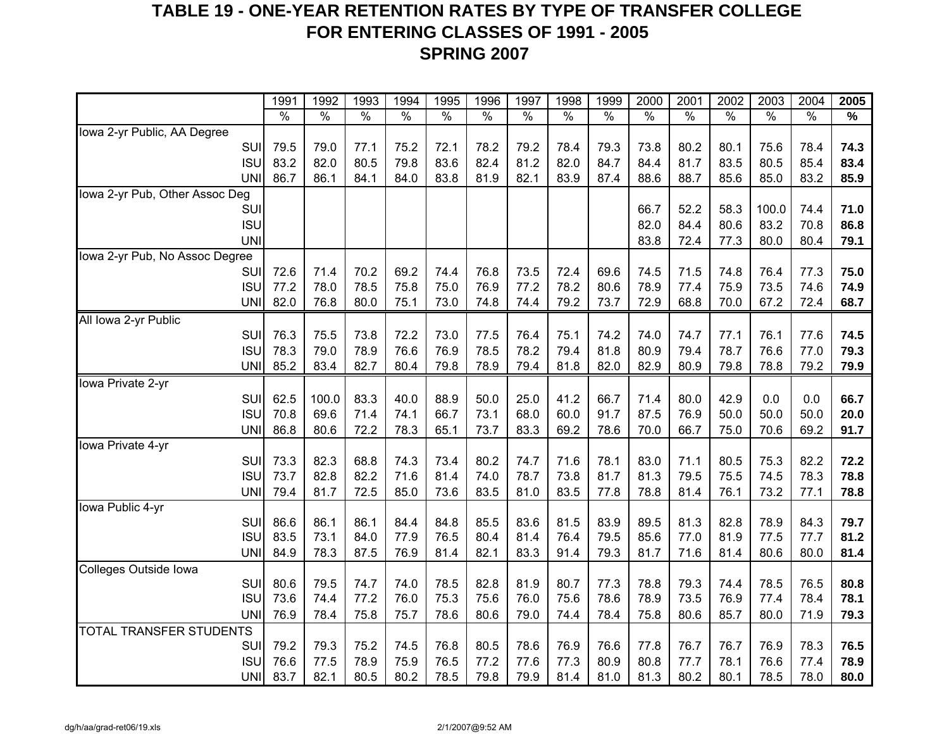## **TABLE 19 - ONE-YEAR RETENTION RATES BY TYPE OF TRANSFER COLLEGE FOR ENTERING CLASSES OF 1991 - 2005 SPRING 2007**

|                                | 1991          | 1992          | 1993          | 1994          | 1995          | 1996          | 1997          | 1998          | 1999          | 2000          | 2001          | 2002          | 2003          | 2004          | 2005 |
|--------------------------------|---------------|---------------|---------------|---------------|---------------|---------------|---------------|---------------|---------------|---------------|---------------|---------------|---------------|---------------|------|
|                                | $\frac{1}{2}$ | $\frac{0}{0}$ | $\frac{1}{2}$ | $\frac{1}{2}$ | $\frac{8}{6}$ | $\frac{8}{6}$ | $\frac{1}{2}$ | $\frac{1}{2}$ | $\frac{1}{2}$ | $\frac{8}{6}$ | $\frac{1}{2}$ | $\frac{0}{6}$ | $\frac{1}{2}$ | $\frac{8}{6}$ | %    |
| Iowa 2-yr Public, AA Degree    |               |               |               |               |               |               |               |               |               |               |               |               |               |               |      |
| SUI                            | 79.5          | 79.0          | 77.1          | 75.2          | 72.1          | 78.2          | 79.2          | 78.4          | 79.3          | 73.8          | 80.2          | 80.1          | 75.6          | 78.4          | 74.3 |
| <b>ISU</b>                     | 83.2          | 82.0          | 80.5          | 79.8          | 83.6          | 82.4          | 81.2          | 82.0          | 84.7          | 84.4          | 81.7          | 83.5          | 80.5          | 85.4          | 83.4 |
| <b>UNI</b>                     | 86.7          | 86.1          | 84.1          | 84.0          | 83.8          | 81.9          | 82.1          | 83.9          | 87.4          | 88.6          | 88.7          | 85.6          | 85.0          | 83.2          | 85.9 |
| Iowa 2-yr Pub, Other Assoc Deg |               |               |               |               |               |               |               |               |               |               |               |               |               |               |      |
| SUI                            |               |               |               |               |               |               |               |               |               | 66.7          | 52.2          | 58.3          | 100.0         | 74.4          | 71.0 |
| <b>ISU</b>                     |               |               |               |               |               |               |               |               |               | 82.0          | 84.4          | 80.6          | 83.2          | 70.8          | 86.8 |
| <b>UNI</b>                     |               |               |               |               |               |               |               |               |               | 83.8          | 72.4          | 77.3          | 80.0          | 80.4          | 79.1 |
| Iowa 2-yr Pub, No Assoc Degree |               |               |               |               |               |               |               |               |               |               |               |               |               |               |      |
| <b>SUI</b>                     | 72.6          | 71.4          | 70.2          | 69.2          | 74.4          | 76.8          | 73.5          | 72.4          | 69.6          | 74.5          | 71.5          | 74.8          | 76.4          | 77.3          | 75.0 |
| <b>ISU</b>                     | 77.2          | 78.0          | 78.5          | 75.8          | 75.0          | 76.9          | 77.2          | 78.2          | 80.6          | 78.9          | 77.4          | 75.9          | 73.5          | 74.6          | 74.9 |
| <b>UNI</b>                     | 82.0          | 76.8          | 80.0          | 75.1          | 73.0          | 74.8          | 74.4          | 79.2          | 73.7          | 72.9          | 68.8          | 70.0          | 67.2          | 72.4          | 68.7 |
| All Iowa 2-yr Public           |               |               |               |               |               |               |               |               |               |               |               |               |               |               |      |
| SUI                            | 76.3          | 75.5          | 73.8          | 72.2          | 73.0          | 77.5          | 76.4          | 75.1          | 74.2          | 74.0          | 74.7          | 77.1          | 76.1          | 77.6          | 74.5 |
| <b>ISU</b>                     | 78.3          | 79.0          | 78.9          | 76.6          | 76.9          | 78.5          | 78.2          | 79.4          | 81.8          | 80.9          | 79.4          | 78.7          | 76.6          | 77.0          | 79.3 |
| <b>UNI</b>                     | 85.2          | 83.4          | 82.7          | 80.4          | 79.8          | 78.9          | 79.4          | 81.8          | 82.0          | 82.9          | 80.9          | 79.8          | 78.8          | 79.2          | 79.9 |
| Iowa Private 2-yr              |               |               |               |               |               |               |               |               |               |               |               |               |               |               |      |
| SUI                            | 62.5          | 100.0         | 83.3          | 40.0          | 88.9          | 50.0          | 25.0          | 41.2          | 66.7          | 71.4          | 80.0          | 42.9          | 0.0           | 0.0           | 66.7 |
| <b>ISU</b>                     | 70.8          | 69.6          | 71.4          | 74.1          | 66.7          | 73.1          | 68.0          | 60.0          | 91.7          | 87.5          | 76.9          | 50.0          | 50.0          | 50.0          | 20.0 |
| <b>UNI</b>                     | 86.8          | 80.6          | 72.2          | 78.3          | 65.1          | 73.7          | 83.3          | 69.2          | 78.6          | 70.0          | 66.7          | 75.0          | 70.6          | 69.2          | 91.7 |
| Iowa Private 4-yr              |               |               |               |               |               |               |               |               |               |               |               |               |               |               |      |
| SUI                            | 73.3          | 82.3          | 68.8          | 74.3          | 73.4          | 80.2          | 74.7          | 71.6          | 78.1          | 83.0          | 71.1          | 80.5          | 75.3          | 82.2          | 72.2 |
| <b>ISU</b>                     | 73.7          | 82.8          | 82.2          | 71.6          | 81.4          | 74.0          | 78.7          | 73.8          | 81.7          | 81.3          | 79.5          | 75.5          | 74.5          | 78.3          | 78.8 |
| <b>UNI</b>                     | 79.4          | 81.7          | 72.5          | 85.0          | 73.6          | 83.5          | 81.0          | 83.5          | 77.8          | 78.8          | 81.4          | 76.1          | 73.2          | 77.1          | 78.8 |
| Iowa Public 4-yr               |               |               |               |               |               |               |               |               |               |               |               |               |               |               |      |
| SUI                            | 86.6          | 86.1          | 86.1          | 84.4          | 84.8          | 85.5          | 83.6          | 81.5          | 83.9          | 89.5          | 81.3          | 82.8          | 78.9          | 84.3          | 79.7 |
| <b>ISU</b>                     | 83.5          | 73.1          | 84.0          | 77.9          | 76.5          | 80.4          | 81.4          | 76.4          | 79.5          | 85.6          | 77.0          | 81.9          | 77.5          | 77.7          | 81.2 |
| <b>UNI</b>                     | 84.9          | 78.3          | 87.5          | 76.9          | 81.4          | 82.1          | 83.3          | 91.4          | 79.3          | 81.7          | 71.6          | 81.4          | 80.6          | 80.0          | 81.4 |
| Colleges Outside Iowa          |               |               |               |               |               |               |               |               |               |               |               |               |               |               |      |
| SUI                            | 80.6          | 79.5          | 74.7          | 74.0          | 78.5          | 82.8          | 81.9          | 80.7          | 77.3          | 78.8          | 79.3          | 74.4          | 78.5          | 76.5          | 80.8 |
| <b>ISU</b>                     | 73.6          | 74.4          | 77.2          | 76.0          | 75.3          | 75.6          | 76.0          | 75.6          | 78.6          | 78.9          | 73.5          | 76.9          | 77.4          | 78.4          | 78.1 |
| <b>UNI</b>                     | 76.9          | 78.4          | 75.8          | 75.7          | 78.6          | 80.6          | 79.0          | 74.4          | 78.4          | 75.8          | 80.6          | 85.7          | 80.0          | 71.9          | 79.3 |
| <b>TOTAL TRANSFER STUDENTS</b> |               |               |               |               |               |               |               |               |               |               |               |               |               |               |      |
| SUI                            | 79.2          | 79.3          | 75.2          | 74.5          | 76.8          | 80.5          | 78.6          | 76.9          | 76.6          | 77.8          | 76.7          | 76.7          | 76.9          | 78.3          | 76.5 |
| <b>ISU</b>                     | 76.6          | 77.5          | 78.9          | 75.9          | 76.5          | 77.2          | 77.6          | 77.3          | 80.9          | 80.8          | 77.7          | 78.1          | 76.6          | 77.4          | 78.9 |
| <b>UNI</b>                     | 83.7          | 82.1          | 80.5          | 80.2          | 78.5          | 79.8          | 79.9          | 81.4          | 81.0          | 81.3          | 80.2          | 80.1          | 78.5          | 78.0          | 80.0 |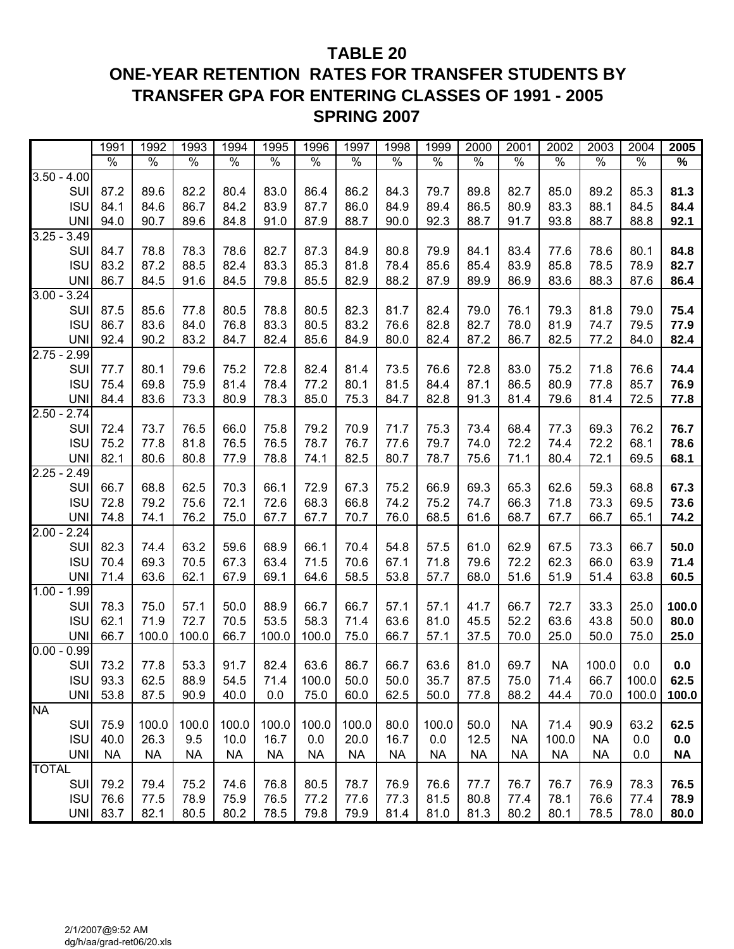## **TABLE 20 ONE-YEAR RETENTION RATES FOR TRANSFER STUDENTS BY TRANSFER GPA FOR ENTERING CLASSES OF 1991 - 2005 SPRING 2007**

|               |                   | 1991          | 1992          | 1993          | 1994          | 1995          | 1996          | 1997          | 1998          | 1999          | 2000          | 2001          | 2002          | 2003          | 2004          | 2005          |
|---------------|-------------------|---------------|---------------|---------------|---------------|---------------|---------------|---------------|---------------|---------------|---------------|---------------|---------------|---------------|---------------|---------------|
|               |                   | $\frac{0}{6}$ | $\frac{1}{2}$ | $\frac{1}{2}$ | $\frac{8}{6}$ | $\frac{0}{6}$ | $\frac{1}{6}$ | $\frac{1}{2}$ | $\frac{8}{6}$ | $\frac{0}{0}$ | $\frac{8}{6}$ | $\frac{1}{2}$ | $\frac{8}{6}$ | $\frac{0}{6}$ | $\frac{8}{6}$ | $\frac{9}{6}$ |
| $3.50 - 4.00$ |                   |               |               |               |               |               |               |               |               |               |               |               |               |               |               |               |
|               | SUI               | 87.2          | 89.6          | 82.2          | 80.4          | 83.0          | 86.4          | 86.2          | 84.3          | 79.7          | 89.8          | 82.7          | 85.0          | 89.2          | 85.3          | 81.3          |
|               | <b>ISU</b>        | 84.1          | 84.6          | 86.7          | 84.2          | 83.9          | 87.7          | 86.0          | 84.9          | 89.4          | 86.5          | 80.9          | 83.3          | 88.1          | 84.5          | 84.4          |
|               | <b>UNI</b>        | 94.0          | 90.7          | 89.6          | 84.8          | 91.0          | 87.9          | 88.7          | 90.0          | 92.3          | 88.7          | 91.7          | 93.8          | 88.7          | 88.8          | 92.1          |
| $3.25 - 3.49$ |                   |               |               |               |               |               |               |               |               |               |               |               |               |               |               |               |
|               | SUI               | 84.7          | 78.8          | 78.3          | 78.6          | 82.7          | 87.3          | 84.9          | 80.8          | 79.9          | 84.1          | 83.4          | 77.6          | 78.6          | 80.1          | 84.8          |
|               | <b>ISU</b>        | 83.2          | 87.2          | 88.5          | 82.4          | 83.3          | 85.3          | 81.8          | 78.4          | 85.6          | 85.4          | 83.9          | 85.8          | 78.5          | 78.9          | 82.7          |
|               | <b>UNI</b>        | 86.7          | 84.5          | 91.6          | 84.5          | 79.8          | 85.5          | 82.9          | 88.2          | 87.9          | 89.9          | 86.9          | 83.6          | 88.3          | 87.6          | 86.4          |
| $3.00 - 3.24$ |                   |               |               |               |               |               |               |               |               |               |               |               |               |               |               |               |
|               | SUI               | 87.5          | 85.6          | 77.8          | 80.5          | 78.8          | 80.5          | 82.3          | 81.7          | 82.4          | 79.0          | 76.1          | 79.3          | 81.8          | 79.0          | 75.4          |
|               | <b>ISU</b>        | 86.7          | 83.6          | 84.0          | 76.8          | 83.3          | 80.5          | 83.2          | 76.6          | 82.8          | 82.7          | 78.0          | 81.9          | 74.7          | 79.5          | 77.9          |
|               | <b>UNI</b>        | 92.4          | 90.2          | 83.2          | 84.7          | 82.4          | 85.6          | 84.9          | 80.0          | 82.4          | 87.2          | 86.7          | 82.5          | 77.2          | 84.0          | 82.4          |
| $2.75 - 2.99$ |                   |               |               |               |               |               |               |               |               |               |               |               |               |               |               |               |
|               | SUI               | 77.7          | 80.1          | 79.6          | 75.2          | 72.8          | 82.4          | 81.4          | 73.5          | 76.6          | 72.8          | 83.0          | 75.2          | 71.8          | 76.6          | 74.4          |
|               | <b>ISU</b>        | 75.4          | 69.8          | 75.9          | 81.4          | 78.4          | 77.2          | 80.1          | 81.5          | 84.4          | 87.1          | 86.5          | 80.9          | 77.8          | 85.7          | 76.9          |
|               | <b>UNI</b>        | 84.4          | 83.6          | 73.3          | 80.9          | 78.3          | 85.0          | 75.3          | 84.7          | 82.8          | 91.3          | 81.4          | 79.6          | 81.4          | 72.5          | 77.8          |
| $2.50 - 2.74$ |                   |               |               |               |               |               |               |               |               |               |               |               |               |               |               |               |
|               | SUI               | 72.4          | 73.7          | 76.5          | 66.0          | 75.8          | 79.2          | 70.9          | 71.7          | 75.3          | 73.4          | 68.4          | 77.3          | 69.3          | 76.2          | 76.7          |
|               | <b>ISU</b>        | 75.2          | 77.8          | 81.8          | 76.5          | 76.5          | 78.7          | 76.7          | 77.6          | 79.7          | 74.0          | 72.2          | 74.4          | 72.2          | 68.1          | 78.6          |
|               | <b>UNI</b>        | 82.1          | 80.6          | 80.8          | 77.9          | 78.8          | 74.1          | 82.5          | 80.7          | 78.7          | 75.6          | 71.1          | 80.4          | 72.1          | 69.5          | 68.1          |
| $2.25 -$      | 2.49              |               |               |               |               |               |               |               |               |               |               |               |               |               |               |               |
|               | SUI               | 66.7          | 68.8          | 62.5          | 70.3          | 66.1          | 72.9          | 67.3          | 75.2          | 66.9          | 69.3          | 65.3          | 62.6          | 59.3          | 68.8          | 67.3          |
|               | <b>ISU</b>        | 72.8          | 79.2          | 75.6          | 72.1          | 72.6          | 68.3          | 66.8          | 74.2          | 75.2          | 74.7          | 66.3          | 71.8          | 73.3          | 69.5          | 73.6          |
|               | <b>UNI</b>        | 74.8          | 74.1          | 76.2          | 75.0          | 67.7          | 67.7          | 70.7          | 76.0          | 68.5          | 61.6          | 68.7          | 67.7          | 66.7          | 65.1          | 74.2          |
| $2.00 -$      | 2.24              |               |               |               |               |               |               |               |               |               |               |               |               |               |               |               |
|               | SUI               | 82.3          | 74.4          | 63.2          | 59.6          | 68.9          | 66.1          | 70.4          | 54.8          | 57.5          | 61.0          | 62.9          | 67.5          | 73.3          | 66.7          | 50.0          |
|               | <b>ISU</b>        | 70.4          | 69.3          | 70.5          | 67.3          | 63.4          | 71.5          | 70.6          | 67.1          | 71.8          | 79.6          | 72.2          | 62.3          | 66.0          | 63.9          | 71.4          |
|               | <b>UNI</b>        | 71.4          | 63.6          | 62.1          | 67.9          | 69.1          | 64.6          | 58.5          | 53.8          | 57.7          | 68.0          | 51.6          | 51.9          | 51.4          | 63.8          | 60.5          |
| $1.00 - 1.99$ |                   |               |               |               |               |               |               |               |               |               |               |               |               |               |               |               |
|               | SUI               | 78.3          | 75.0          | 57.1          | 50.0          | 88.9          | 66.7          | 66.7          | 57.1          | 57.1          | 41.7          | 66.7          | 72.7          | 33.3          | 25.0          | 100.0         |
|               | <b>ISU</b>        | 62.1          | 71.9          | 72.7          | 70.5          | 53.5          | 58.3          | 71.4          | 63.6          | 81.0          | 45.5          | 52.2          | 63.6          | 43.8          | 50.0          | 80.0          |
|               | <b>UNI</b>        | 66.7          | 100.0         | 100.0         | 66.7          | 100.0         | 100.0         | 75.0          | 66.7          | 57.1          | 37.5          | 70.0          | 25.0          | 50.0          | 75.0          | 25.0          |
| $0.00 - 0.99$ |                   |               |               |               |               |               |               |               |               |               |               |               |               |               |               |               |
|               | SUI               | 73.2          | 77.8          | 53.3          | 91.7          | 82.4          | 63.6          | 86.7          | 66.7          | 63.6          | 81.0          | 69.7          | <b>NA</b>     | 100.0         | 0.0           | 0.0           |
|               | <b>ISU</b>        | 93.3          | 62.5          | 88.9          | 54.5          | 71.4          | 100.0         | 50.0          | 50.0          | 35.7          | 87.5          | 75.0          | 71.4          | 66.7          | 100.0         | 62.5          |
|               | UNI               | 53.8          | 87.5          | 90.9          | 40.0          | 0.0           | 75.0          | 60.0          | 62.5          | 50.0          | 77.8          | 88.2          | 44.4          | 70.0          | 100.0         | 100.0         |
| <b>NA</b>     |                   |               |               |               |               |               |               |               |               |               |               |               |               |               |               |               |
|               | SUI               | 75.9          | 100.0         | 100.0         | 100.0         | 100.0         | 100.0         | 100.0         | 80.0          | 100.0         | 50.0          | <b>NA</b>     | 71.4          | 90.9          | 63.2          | 62.5          |
|               | <b>ISU</b>        | 40.0          | 26.3          | 9.5           | 10.0          | 16.7          | 0.0           | 20.0          | 16.7          | 0.0           | 12.5          | <b>NA</b>     | 100.0         | <b>NA</b>     | 0.0           | 0.0           |
| <b>TOTAL</b>  | <b>UNI</b>        | <b>NA</b>     | <b>NA</b>     | <b>NA</b>     | <b>NA</b>     | <b>NA</b>     | <b>NA</b>     | <b>NA</b>     | <b>NA</b>     | <b>NA</b>     | <b>NA</b>     | <b>NA</b>     | <b>NA</b>     | <b>NA</b>     | 0.0           | <b>NA</b>     |
|               |                   |               |               |               |               |               |               |               |               |               |               |               |               |               |               |               |
|               | SUI<br><b>ISU</b> | 79.2<br>76.6  | 79.4<br>77.5  | 75.2<br>78.9  | 74.6<br>75.9  | 76.8<br>76.5  | 80.5          | 78.7          | 76.9          | 76.6<br>81.5  | 77.7<br>80.8  | 76.7          | 76.7<br>78.1  | 76.9<br>76.6  | 78.3          | 76.5          |
|               |                   |               |               |               |               |               | 77.2          | 77.6          | 77.3          |               |               | 77.4          |               |               | 77.4          | 78.9          |
|               | <b>UNI</b>        | 83.7          | 82.1          | 80.5          | 80.2          | 78.5          | 79.8          | 79.9          | 81.4          | 81.0          | 81.3          | 80.2          | 80.1          | 78.5          | 78.0          | 80.0          |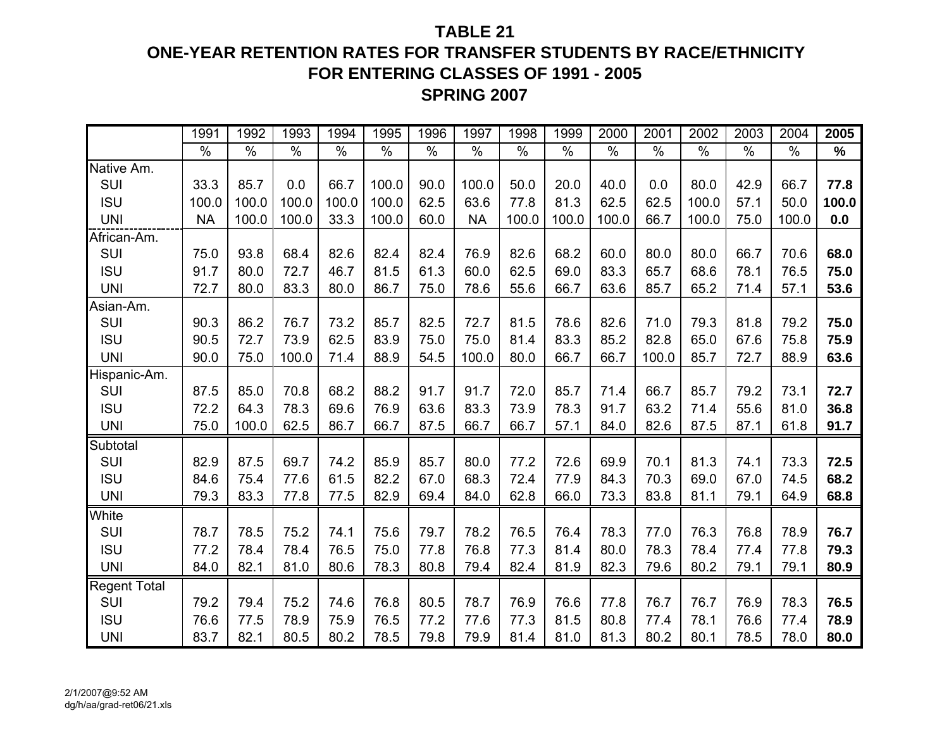## **TABLE 21ONE-YEAR RETENTION RATES FOR TRANSFER STUDENTS BY RACE/ETHNICITY FOR ENTERING CLASSES OF 1991 - 2005 SPRING 2007**

|              | 1991          | 1992  | 1993          | 1994          | 1995          | 1996          | 1997          | 1998  | 1999          | 2000          | 2001          | 2002          | 2003          | 2004          | 2005          |
|--------------|---------------|-------|---------------|---------------|---------------|---------------|---------------|-------|---------------|---------------|---------------|---------------|---------------|---------------|---------------|
|              | $\frac{9}{6}$ | $\%$  | $\frac{8}{6}$ | $\frac{1}{2}$ | $\frac{1}{2}$ | $\frac{9}{6}$ | $\frac{9}{6}$ | $\%$  | $\frac{1}{2}$ | $\frac{0}{0}$ | $\frac{9}{6}$ | $\frac{1}{2}$ | $\frac{0}{0}$ | $\frac{0}{0}$ | $\frac{1}{2}$ |
| Native Am.   |               |       |               |               |               |               |               |       |               |               |               |               |               |               |               |
| SUI          | 33.3          | 85.7  | 0.0           | 66.7          | 100.0         | 90.0          | 100.0         | 50.0  | 20.0          | 40.0          | 0.0           | 80.0          | 42.9          | 66.7          | 77.8          |
| <b>ISU</b>   | 100.0         | 100.0 | 100.0         | 100.0         | 100.0         | 62.5          | 63.6          | 77.8  | 81.3          | 62.5          | 62.5          | 100.0         | 57.1          | 50.0          | 100.0         |
| <b>UNI</b>   | <b>NA</b>     | 100.0 | 100.0         | 33.3          | 100.0         | 60.0          | <b>NA</b>     | 100.0 | 100.0         | 100.0         | 66.7          | 100.0         | 75.0          | 100.0         | 0.0           |
| African-Am.  |               |       |               |               |               |               |               |       |               |               |               |               |               |               |               |
| SUI          | 75.0          | 93.8  | 68.4          | 82.6          | 82.4          | 82.4          | 76.9          | 82.6  | 68.2          | 60.0          | 80.0          | 80.0          | 66.7          | 70.6          | 68.0          |
| <b>ISU</b>   | 91.7          | 80.0  | 72.7          | 46.7          | 81.5          | 61.3          | 60.0          | 62.5  | 69.0          | 83.3          | 65.7          | 68.6          | 78.1          | 76.5          | 75.0          |
| <b>UNI</b>   | 72.7          | 80.0  | 83.3          | 80.0          | 86.7          | 75.0          | 78.6          | 55.6  | 66.7          | 63.6          | 85.7          | 65.2          | 71.4          | 57.1          | 53.6          |
| Asian-Am.    |               |       |               |               |               |               |               |       |               |               |               |               |               |               |               |
| SUI          | 90.3          | 86.2  | 76.7          | 73.2          | 85.7          | 82.5          | 72.7          | 81.5  | 78.6          | 82.6          | 71.0          | 79.3          | 81.8          | 79.2          | 75.0          |
| <b>ISU</b>   | 90.5          | 72.7  | 73.9          | 62.5          | 83.9          | 75.0          | 75.0          | 81.4  | 83.3          | 85.2          | 82.8          | 65.0          | 67.6          | 75.8          | 75.9          |
| <b>UNI</b>   | 90.0          | 75.0  | 100.0         | 71.4          | 88.9          | 54.5          | 100.0         | 80.0  | 66.7          | 66.7          | 100.0         | 85.7          | 72.7          | 88.9          | 63.6          |
| Hispanic-Am. |               |       |               |               |               |               |               |       |               |               |               |               |               |               |               |
| SUI          | 87.5          | 85.0  | 70.8          | 68.2          | 88.2          | 91.7          | 91.7          | 72.0  | 85.7          | 71.4          | 66.7          | 85.7          | 79.2          | 73.1          | 72.7          |
| <b>ISU</b>   | 72.2          | 64.3  | 78.3          | 69.6          | 76.9          | 63.6          | 83.3          | 73.9  | 78.3          | 91.7          | 63.2          | 71.4          | 55.6          | 81.0          | 36.8          |
| <b>UNI</b>   | 75.0          | 100.0 | 62.5          | 86.7          | 66.7          | 87.5          | 66.7          | 66.7  | 57.1          | 84.0          | 82.6          | 87.5          | 87.1          | 61.8          | 91.7          |
| Subtotal     |               |       |               |               |               |               |               |       |               |               |               |               |               |               |               |
| SUI          | 82.9          | 87.5  | 69.7          | 74.2          | 85.9          | 85.7          | 80.0          | 77.2  | 72.6          | 69.9          | 70.1          | 81.3          | 74.1          | 73.3          | 72.5          |
| <b>ISU</b>   | 84.6          | 75.4  | 77.6          | 61.5          | 82.2          | 67.0          | 68.3          | 72.4  | 77.9          | 84.3          | 70.3          | 69.0          | 67.0          | 74.5          | 68.2          |
| <b>UNI</b>   | 79.3          | 83.3  | 77.8          | 77.5          | 82.9          | 69.4          | 84.0          | 62.8  | 66.0          | 73.3          | 83.8          | 81.1          | 79.1          | 64.9          | 68.8          |
| White        |               |       |               |               |               |               |               |       |               |               |               |               |               |               |               |
| SUI          | 78.7          | 78.5  | 75.2          | 74.1          | 75.6          | 79.7          | 78.2          | 76.5  | 76.4          | 78.3          | 77.0          | 76.3          | 76.8          | 78.9          | 76.7          |
| <b>ISU</b>   | 77.2          | 78.4  | 78.4          | 76.5          | 75.0          | 77.8          | 76.8          | 77.3  | 81.4          | 80.0          | 78.3          | 78.4          | 77.4          | 77.8          | 79.3          |
| <b>UNI</b>   | 84.0          | 82.1  | 81.0          | 80.6          | 78.3          | 80.8          | 79.4          | 82.4  | 81.9          | 82.3          | 79.6          | 80.2          | 79.1          | 79.1          | 80.9          |
| Regent Total |               |       |               |               |               |               |               |       |               |               |               |               |               |               |               |
| SUI          | 79.2          | 79.4  | 75.2          | 74.6          | 76.8          | 80.5          | 78.7          | 76.9  | 76.6          | 77.8          | 76.7          | 76.7          | 76.9          | 78.3          | 76.5          |
| <b>ISU</b>   | 76.6          | 77.5  | 78.9          | 75.9          | 76.5          | 77.2          | 77.6          | 77.3  | 81.5          | 80.8          | 77.4          | 78.1          | 76.6          | 77.4          | 78.9          |
| <b>UNI</b>   | 83.7          | 82.1  | 80.5          | 80.2          | 78.5          | 79.8          | 79.9          | 81.4  | 81.0          | 81.3          | 80.2          | 80.1          | 78.5          | 78.0          | 80.0          |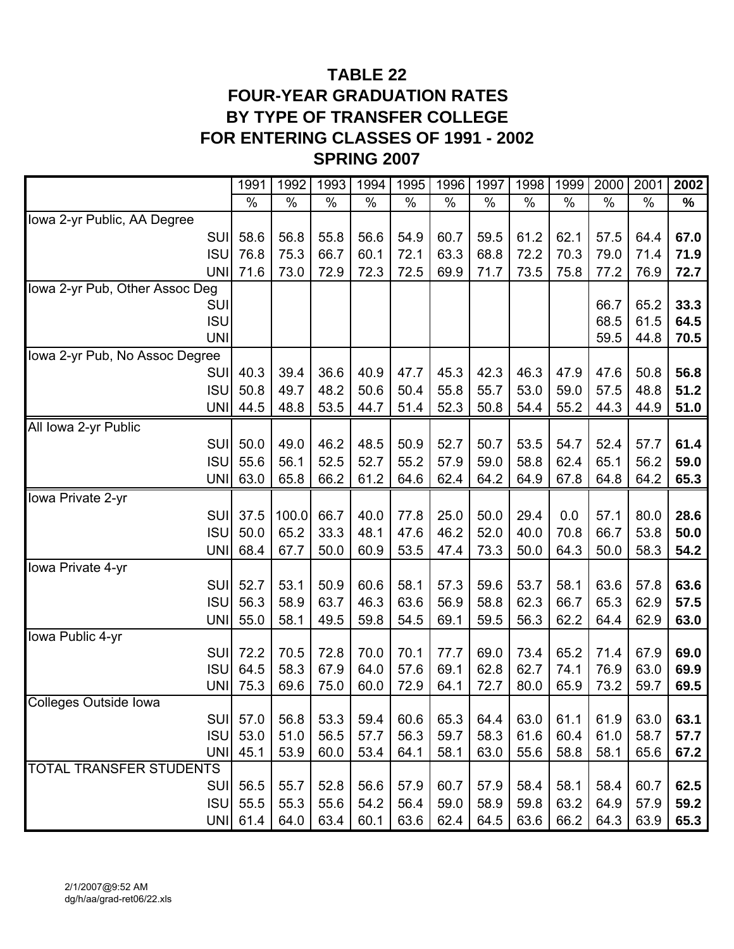## **TABLE 22 FOUR-YEAR GRADUATION RATES BY TYPE OF TRANSFER COLLEGE FOR ENTERING CLASSES OF 1991 - 2002 SPRING 2007**

|                                | 1991         | 1992         | 1993         | 1994         | 1995         | 1996         | 1997         | 1998         | 1999         | 2000         | 2001         | 2002         |
|--------------------------------|--------------|--------------|--------------|--------------|--------------|--------------|--------------|--------------|--------------|--------------|--------------|--------------|
|                                | %            | $\%$         | $\%$         | $\%$         | $\%$         | $\%$         | $\%$         | $\%$         | $\%$         | $\%$         | $\%$         | $\%$         |
| Iowa 2-yr Public, AA Degree    |              |              |              |              |              |              |              |              |              |              |              |              |
| <b>SUI</b>                     | 58.6         | 56.8         | 55.8         | 56.6         | 54.9         | 60.7         | 59.5         | 61.2         | 62.1         | 57.5         | 64.4         | 67.0         |
| <b>ISU</b>                     | 76.8         | 75.3         | 66.7         | 60.1         | 72.1         | 63.3         | 68.8         | 72.2         | 70.3         | 79.0         | 71.4         | 71.9         |
| <b>UNI</b>                     | 71.6         | 73.0         | 72.9         | 72.3         | 72.5         | 69.9         | 71.7         | 73.5         | 75.8         | 77.2         | 76.9         | 72.7         |
| Iowa 2-yr Pub, Other Assoc Deg |              |              |              |              |              |              |              |              |              |              |              |              |
| SUI                            |              |              |              |              |              |              |              |              |              | 66.7         | 65.2         | 33.3         |
| <b>ISU</b><br><b>UNI</b>       |              |              |              |              |              |              |              |              |              | 68.5<br>59.5 | 61.5<br>44.8 | 64.5<br>70.5 |
| lowa 2-yr Pub, No Assoc Degree |              |              |              |              |              |              |              |              |              |              |              |              |
| <b>SUI</b>                     | 40.3         | 39.4         | 36.6         | 40.9         | 47.7         | 45.3         | 42.3         | 46.3         | 47.9         | 47.6         | 50.8         | 56.8         |
| <b>ISU</b>                     | 50.8         | 49.7         | 48.2         | 50.6         | 50.4         | 55.8         | 55.7         | 53.0         | 59.0         | 57.5         | 48.8         | 51.2         |
| <b>UNI</b>                     | 44.5         | 48.8         | 53.5         | 44.7         | 51.4         | 52.3         | 50.8         | 54.4         | 55.2         | 44.3         | 44.9         | 51.0         |
| All Iowa 2-yr Public           |              |              |              |              |              |              |              |              |              |              |              |              |
| SUI                            | 50.0         | 49.0         | 46.2         | 48.5         | 50.9         | 52.7         | 50.7         | 53.5         | 54.7         | 52.4         | 57.7         | 61.4         |
| <b>ISU</b>                     | 55.6         | 56.1         | 52.5         | 52.7         | 55.2         | 57.9         | 59.0         | 58.8         | 62.4         | 65.1         | 56.2         | 59.0         |
| <b>UNI</b>                     | 63.0         | 65.8         | 66.2         | 61.2         | 64.6         | 62.4         | 64.2         | 64.9         | 67.8         | 64.8         | 64.2         | 65.3         |
| Iowa Private 2-yr              |              |              |              |              |              |              |              |              |              |              |              |              |
| <b>SUI</b>                     | 37.5         | 100.0        | 66.7         | 40.0         | 77.8         | 25.0         | 50.0         | 29.4         | 0.0          | 57.1         | 80.0         | 28.6         |
| <b>ISU</b>                     | 50.0         | 65.2         | 33.3         | 48.1         | 47.6         | 46.2         | 52.0         | 40.0         | 70.8         | 66.7         | 53.8         | 50.0         |
| <b>UNI</b>                     | 68.4         | 67.7         | 50.0         | 60.9         | 53.5         | 47.4         | 73.3         | 50.0         | 64.3         | 50.0         | 58.3         | 54.2         |
| lowa Private 4-yr              |              |              |              |              |              |              |              |              |              |              |              |              |
| SUI                            | 52.7         | 53.1         | 50.9         | 60.6         | 58.1         | 57.3         | 59.6         | 53.7         | 58.1         | 63.6         | 57.8         | 63.6         |
| <b>ISU</b>                     | 56.3         | 58.9         | 63.7         | 46.3         | 63.6         | 56.9         | 58.8         | 62.3         | 66.7         | 65.3         | 62.9         | 57.5         |
| <b>UNI</b>                     | 55.0         | 58.1         | 49.5         | 59.8         | 54.5         | 69.1         | 59.5         | 56.3         | 62.2         | 64.4         | 62.9         | 63.0         |
| Iowa Public 4-yr               |              |              |              |              |              |              |              |              |              |              |              |              |
| SUI                            | 72.2         | 70.5         | 72.8         | 70.0         | 70.1         | 77.7         | 69.0         | 73.4         | 65.2         | 71.4         | 67.9         | 69.0         |
| <b>ISU</b><br><b>UNI</b>       | 64.5<br>75.3 | 58.3<br>69.6 | 67.9<br>75.0 | 64.0<br>60.0 | 57.6<br>72.9 | 69.1<br>64.1 | 62.8<br>72.7 | 62.7<br>80.0 | 74.1<br>65.9 | 76.9<br>73.2 | 63.0<br>59.7 | 69.9<br>69.5 |
| <b>Colleges Outside Iowa</b>   |              |              |              |              |              |              |              |              |              |              |              |              |
|                                | SUI 57.0     | 56.8         | 53.3         | 59.4         | 60.6         | 65.3         | 64.4         | 63.0         | 61.1         | 61.9         | 63.0         | 63.1         |
| <b>ISU</b>                     | 53.0         | 51.0         | 56.5         | 57.7         | 56.3         | 59.7         | 58.3         | 61.6         | 60.4         | 61.0         | 58.7         | 57.7         |
| <b>UNII</b>                    | 45.1         | 53.9         | 60.0         | 53.4         | 64.1         | 58.1         | 63.0         | 55.6         | 58.8         | 58.1         | 65.6         | 67.2         |
| TOTAL TRANSFER STUDENTS        |              |              |              |              |              |              |              |              |              |              |              |              |
|                                | SUI 56.5     | 55.7         | 52.8         | 56.6         | 57.9         | 60.7         | 57.9         | 58.4         | 58.1         | 58.4         | 60.7         | 62.5         |
| <b>ISU</b>                     | 55.5         | 55.3         | 55.6         | 54.2         | 56.4         | 59.0         | 58.9         | 59.8         | 63.2         | 64.9         | 57.9         | 59.2         |
| <b>UNI</b>                     | 61.4         | 64.0         | 63.4         | 60.1         | 63.6         | 62.4         | 64.5         | 63.6         | 66.2         | 64.3         | 63.9         | 65.3         |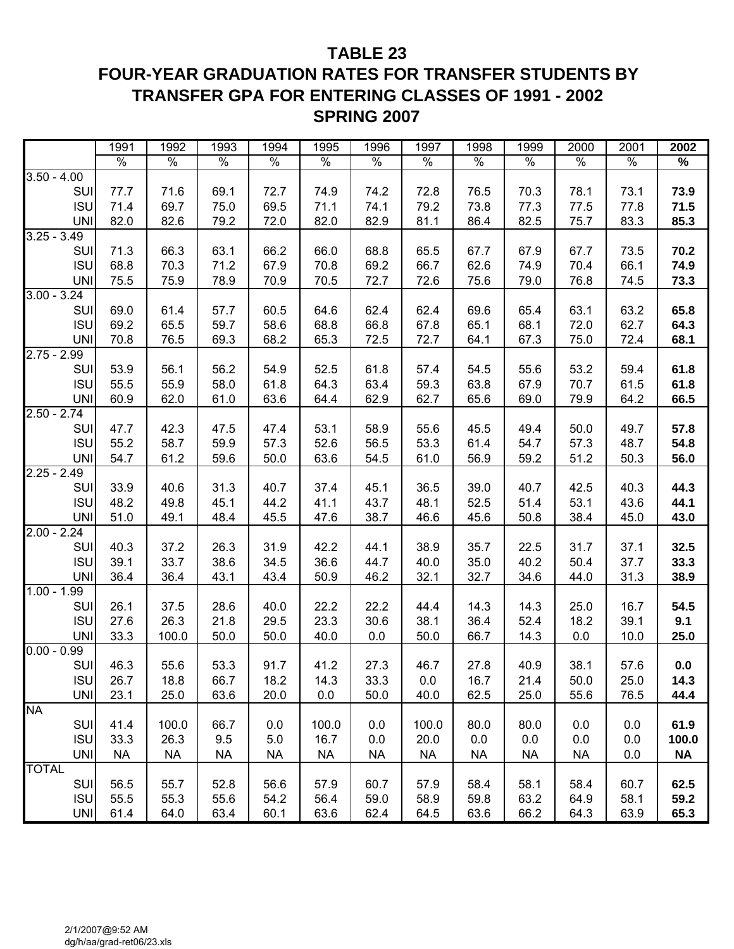#### **TABLE 23**

## **FOUR-YEAR GRADUATION RATES FOR TRANSFER STUDENTS BY TRANSFER GPA FOR ENTERING CLASSES OF 1991 - 2002 SPRING 2007**

|               | 1991      | 1992      | 1993      | 1994      | 1995      | 1996      | 1997      | 1998      | 1999      | 2000      | 2001 | 2002      |
|---------------|-----------|-----------|-----------|-----------|-----------|-----------|-----------|-----------|-----------|-----------|------|-----------|
|               | $\%$      | $\%$      | $\%$      | $\%$      | $\%$      | $\%$      | $\%$      | $\%$      | $\%$      | $\%$      | $\%$ | %         |
| $3.50 - 4.00$ |           |           |           |           |           |           |           |           |           |           |      |           |
| SUI           | 77.7      | 71.6      | 69.1      | 72.7      | 74.9      | 74.2      | 72.8      | 76.5      | 70.3      | 78.1      | 73.1 | 73.9      |
| <b>ISU</b>    | 71.4      | 69.7      | 75.0      | 69.5      | 71.1      | 74.1      | 79.2      | 73.8      | 77.3      | 77.5      | 77.8 | 71.5      |
| <b>UNI</b>    | 82.0      | 82.6      | 79.2      | 72.0      | 82.0      | 82.9      | 81.1      | 86.4      | 82.5      | 75.7      | 83.3 | 85.3      |
| $3.25 - 3.49$ |           |           |           |           |           |           |           |           |           |           |      |           |
| SUI           | 71.3      | 66.3      | 63.1      | 66.2      | 66.0      | 68.8      | 65.5      | 67.7      | 67.9      | 67.7      | 73.5 | 70.2      |
| <b>ISU</b>    | 68.8      | 70.3      | 71.2      | 67.9      | 70.8      | 69.2      | 66.7      | 62.6      | 74.9      | 70.4      | 66.1 | 74.9      |
| <b>UNI</b>    | 75.5      | 75.9      | 78.9      | 70.9      | 70.5      | 72.7      | 72.6      | 75.6      | 79.0      | 76.8      | 74.5 | 73.3      |
| $3.00 - 3.24$ |           |           |           |           |           |           |           |           |           |           |      |           |
| SUI           | 69.0      | 61.4      | 57.7      | 60.5      | 64.6      | 62.4      | 62.4      | 69.6      | 65.4      | 63.1      | 63.2 | 65.8      |
| <b>ISU</b>    | 69.2      | 65.5      | 59.7      | 58.6      | 68.8      | 66.8      | 67.8      | 65.1      | 68.1      | 72.0      | 62.7 | 64.3      |
| <b>UNI</b>    | 70.8      | 76.5      | 69.3      | 68.2      | 65.3      | 72.5      | 72.7      | 64.1      | 67.3      | 75.0      | 72.4 | 68.1      |
| $2.75 - 2.99$ |           |           |           |           |           |           |           |           |           |           |      |           |
| SUI           | 53.9      | 56.1      | 56.2      | 54.9      | 52.5      | 61.8      | 57.4      | 54.5      | 55.6      | 53.2      | 59.4 | 61.8      |
| <b>ISU</b>    | 55.5      | 55.9      | 58.0      | 61.8      | 64.3      | 63.4      | 59.3      | 63.8      | 67.9      | 70.7      | 61.5 | 61.8      |
| <b>UNI</b>    | 60.9      | 62.0      | 61.0      | 63.6      | 64.4      | 62.9      | 62.7      | 65.6      | 69.0      | 79.9      | 64.2 | 66.5      |
| $2.50 - 2.74$ |           |           |           |           |           |           |           |           |           |           |      |           |
| SUI           | 47.7      | 42.3      | 47.5      | 47.4      | 53.1      | 58.9      | 55.6      | 45.5      | 49.4      | 50.0      | 49.7 | 57.8      |
| <b>ISU</b>    | 55.2      | 58.7      | 59.9      | 57.3      | 52.6      | 56.5      | 53.3      | 61.4      | 54.7      | 57.3      | 48.7 | 54.8      |
| <b>UNI</b>    | 54.7      | 61.2      | 59.6      | 50.0      | 63.6      | 54.5      | 61.0      | 56.9      | 59.2      | 51.2      | 50.3 | 56.0      |
| $2.25 - 2.49$ |           |           |           |           |           |           |           |           |           |           |      |           |
| SUI           | 33.9      | 40.6      | 31.3      | 40.7      | 37.4      | 45.1      | 36.5      | 39.0      | 40.7      | 42.5      | 40.3 | 44.3      |
| <b>ISU</b>    | 48.2      | 49.8      | 45.1      | 44.2      | 41.1      | 43.7      | 48.1      | 52.5      | 51.4      | 53.1      | 43.6 | 44.1      |
| <b>UNI</b>    | 51.0      | 49.1      | 48.4      | 45.5      | 47.6      | 38.7      | 46.6      | 45.6      | 50.8      | 38.4      | 45.0 | 43.0      |
| $2.00 - 2.24$ |           |           |           |           |           |           |           |           |           |           |      |           |
| SUI           | 40.3      | 37.2      | 26.3      | 31.9      | 42.2      | 44.1      | 38.9      | 35.7      | 22.5      | 31.7      | 37.1 | 32.5      |
| <b>ISU</b>    | 39.1      | 33.7      | 38.6      | 34.5      | 36.6      | 44.7      | 40.0      | 35.0      | 40.2      | 50.4      | 37.7 | 33.3      |
| <b>UNI</b>    | 36.4      | 36.4      | 43.1      | 43.4      | 50.9      | 46.2      | 32.1      | 32.7      | 34.6      | 44.0      | 31.3 | 38.9      |
| $1.00 - 1.99$ |           |           |           |           |           |           |           |           |           |           |      |           |
| SUI           | 26.1      | 37.5      | 28.6      | 40.0      | 22.2      | 22.2      | 44.4      | 14.3      | 14.3      | 25.0      | 16.7 | 54.5      |
| <b>ISU</b>    | 27.6      | 26.3      | 21.8      | 29.5      | 23.3      | 30.6      | 38.1      | 36.4      | 52.4      | 18.2      | 39.1 | 9.1       |
| <b>UNI</b>    | 33.3      | 100.0     | 50.0      | 50.0      | 40.0      | 0.0       | 50.0      | 66.7      | 14.3      | 0.0       | 10.0 | 25.0      |
| $0.00 - 0.99$ |           |           |           |           |           |           |           |           |           |           |      |           |
| SUI           | 46.3      | 55.6      | 53.3      | 91.7      | 41.2      | 27.3      | 46.7      | 27.8      | 40.9      | 38.1      | 57.6 | 0.0       |
| <b>ISU</b>    | 26.7      | 18.8      | 66.7      | 18.2      | 14.3      | 33.3      | 0.0       | 16.7      | 21.4      | 50.0      | 25.0 | 14.3      |
| <b>UNI</b>    | 23.1      | 25.0      | 63.6      | 20.0      | 0.0       | 50.0      | 40.0      | 62.5      | 25.0      | 55.6      | 76.5 | 44.4      |
| <b>NA</b>     |           |           |           |           |           |           |           |           |           |           |      |           |
| SUI           | 41.4      | 100.0     | 66.7      | 0.0       | 100.0     | 0.0       | 100.0     | 80.0      | 80.0      | 0.0       | 0.0  | 61.9      |
| <b>ISU</b>    | 33.3      | 26.3      | 9.5       | 5.0       | 16.7      | 0.0       | 20.0      | 0.0       | 0.0       | 0.0       | 0.0  | 100.0     |
| <b>UNI</b>    | <b>NA</b> | <b>NA</b> | <b>NA</b> | <b>NA</b> | <b>NA</b> | <b>NA</b> | <b>NA</b> | <b>NA</b> | <b>NA</b> | <b>NA</b> | 0.0  | <b>NA</b> |
| <b>TOTAL</b>  |           |           |           |           |           |           |           |           |           |           |      |           |
| SUI           | 56.5      | 55.7      | 52.8      | 56.6      | 57.9      | 60.7      | 57.9      | 58.4      | 58.1      | 58.4      | 60.7 | 62.5      |
| <b>ISU</b>    | 55.5      | 55.3      | 55.6      | 54.2      | 56.4      | 59.0      | 58.9      | 59.8      | 63.2      | 64.9      | 58.1 | 59.2      |
| <b>UNI</b>    | 61.4      | 64.0      | 63.4      | 60.1      | 63.6      | 62.4      | 64.5      | 63.6      | 66.2      | 64.3      | 63.9 | 65.3      |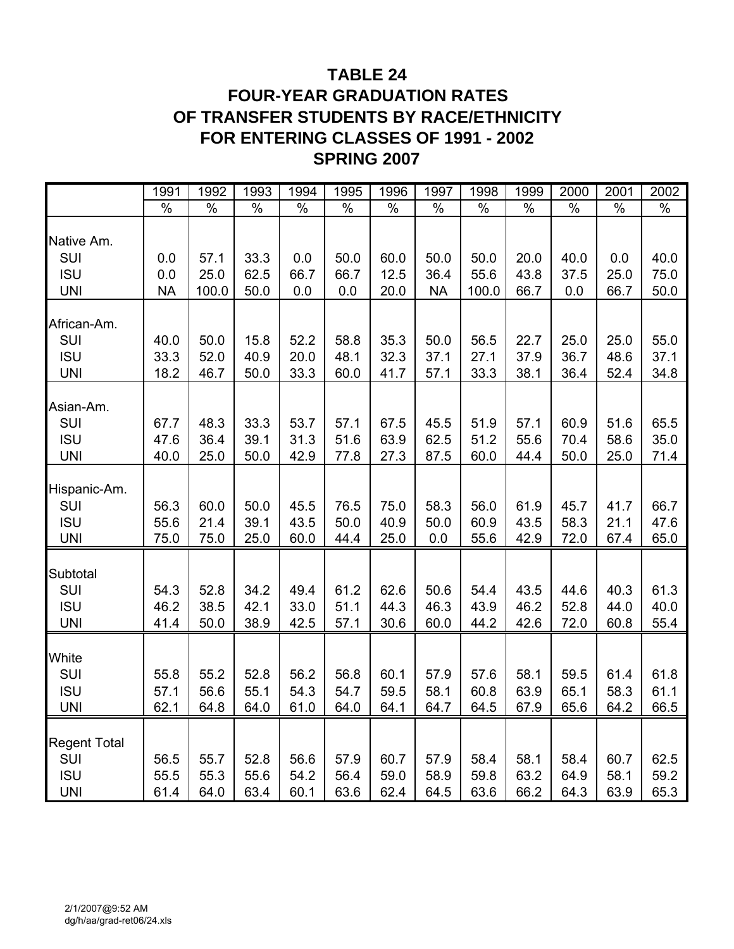## **TABLE 24**

## **FOUR-YEAR GRADUATION RATES OF TRANSFER STUDENTS BY RACE/ETHNICITY FOR ENTERING CLASSES OF 1991 - 2002 SPRING 2007**

|                     | 1991      | 1992  | 1993 | 1994 | 1995 | 1996 | 1997      | 1998  | 1999 | 2000 | 2001 | 2002 |
|---------------------|-----------|-------|------|------|------|------|-----------|-------|------|------|------|------|
|                     | $\%$      | $\%$  | $\%$ | $\%$ | $\%$ | $\%$ | $\%$      | $\%$  | $\%$ | $\%$ | $\%$ | $\%$ |
|                     |           |       |      |      |      |      |           |       |      |      |      |      |
| Native Am.          |           |       |      |      |      |      |           |       |      |      |      |      |
| SUI                 | 0.0       | 57.1  | 33.3 | 0.0  | 50.0 | 60.0 | 50.0      | 50.0  | 20.0 | 40.0 | 0.0  | 40.0 |
| <b>ISU</b>          | 0.0       | 25.0  | 62.5 | 66.7 | 66.7 | 12.5 | 36.4      | 55.6  | 43.8 | 37.5 | 25.0 | 75.0 |
| <b>UNI</b>          | <b>NA</b> | 100.0 | 50.0 | 0.0  | 0.0  | 20.0 | <b>NA</b> | 100.0 | 66.7 | 0.0  | 66.7 | 50.0 |
|                     |           |       |      |      |      |      |           |       |      |      |      |      |
| African-Am.         |           |       |      |      |      |      |           |       |      |      |      |      |
| SUI                 | 40.0      | 50.0  | 15.8 | 52.2 | 58.8 | 35.3 | 50.0      | 56.5  | 22.7 | 25.0 | 25.0 | 55.0 |
| <b>ISU</b>          | 33.3      | 52.0  | 40.9 | 20.0 | 48.1 | 32.3 | 37.1      | 27.1  | 37.9 | 36.7 | 48.6 | 37.1 |
| <b>UNI</b>          | 18.2      | 46.7  | 50.0 | 33.3 | 60.0 | 41.7 | 57.1      | 33.3  | 38.1 | 36.4 | 52.4 | 34.8 |
| Asian-Am.           |           |       |      |      |      |      |           |       |      |      |      |      |
| SUI                 | 67.7      | 48.3  | 33.3 | 53.7 | 57.1 | 67.5 | 45.5      | 51.9  | 57.1 | 60.9 | 51.6 | 65.5 |
| <b>ISU</b>          | 47.6      | 36.4  | 39.1 | 31.3 | 51.6 | 63.9 | 62.5      | 51.2  | 55.6 | 70.4 | 58.6 | 35.0 |
| <b>UNI</b>          | 40.0      | 25.0  | 50.0 | 42.9 | 77.8 |      |           | 60.0  | 44.4 | 50.0 | 25.0 |      |
|                     |           |       |      |      |      | 27.3 | 87.5      |       |      |      |      | 71.4 |
| Hispanic-Am.        |           |       |      |      |      |      |           |       |      |      |      |      |
| SUI                 | 56.3      | 60.0  | 50.0 | 45.5 | 76.5 | 75.0 | 58.3      | 56.0  | 61.9 | 45.7 | 41.7 | 66.7 |
| <b>ISU</b>          | 55.6      | 21.4  | 39.1 | 43.5 | 50.0 | 40.9 | 50.0      | 60.9  | 43.5 | 58.3 | 21.1 | 47.6 |
| <b>UNI</b>          | 75.0      | 75.0  | 25.0 | 60.0 | 44.4 | 25.0 | 0.0       | 55.6  | 42.9 | 72.0 | 67.4 | 65.0 |
|                     |           |       |      |      |      |      |           |       |      |      |      |      |
| Subtotal            |           |       |      |      |      |      |           |       |      |      |      |      |
| SUI                 | 54.3      | 52.8  | 34.2 | 49.4 | 61.2 | 62.6 | 50.6      | 54.4  | 43.5 | 44.6 | 40.3 | 61.3 |
| <b>ISU</b>          | 46.2      | 38.5  | 42.1 | 33.0 | 51.1 | 44.3 | 46.3      | 43.9  | 46.2 | 52.8 | 44.0 | 40.0 |
| <b>UNI</b>          | 41.4      | 50.0  | 38.9 | 42.5 | 57.1 | 30.6 | 60.0      | 44.2  | 42.6 | 72.0 | 60.8 | 55.4 |
|                     |           |       |      |      |      |      |           |       |      |      |      |      |
| White               |           |       |      |      |      |      |           |       |      |      |      |      |
| SUI                 | 55.8      | 55.2  | 52.8 | 56.2 | 56.8 | 60.1 | 57.9      | 57.6  | 58.1 | 59.5 | 61.4 | 61.8 |
| <b>ISU</b>          | 57.1      | 56.6  | 55.1 | 54.3 | 54.7 | 59.5 | 58.1      | 60.8  | 63.9 | 65.1 | 58.3 | 61.1 |
| <b>UNI</b>          | 62.1      | 64.8  | 64.0 | 61.0 | 64.0 | 64.1 | 64.7      | 64.5  | 67.9 | 65.6 | 64.2 | 66.5 |
|                     |           |       |      |      |      |      |           |       |      |      |      |      |
| <b>Regent Total</b> |           |       |      |      |      |      |           |       |      |      |      |      |
| SUI                 | 56.5      | 55.7  | 52.8 | 56.6 | 57.9 | 60.7 | 57.9      | 58.4  | 58.1 | 58.4 | 60.7 | 62.5 |
| <b>ISU</b>          | 55.5      | 55.3  | 55.6 | 54.2 | 56.4 | 59.0 | 58.9      | 59.8  | 63.2 | 64.9 | 58.1 | 59.2 |
| <b>UNI</b>          | 61.4      | 64.0  | 63.4 | 60.1 | 63.6 | 62.4 | 64.5      | 63.6  | 66.2 | 64.3 | 63.9 | 65.3 |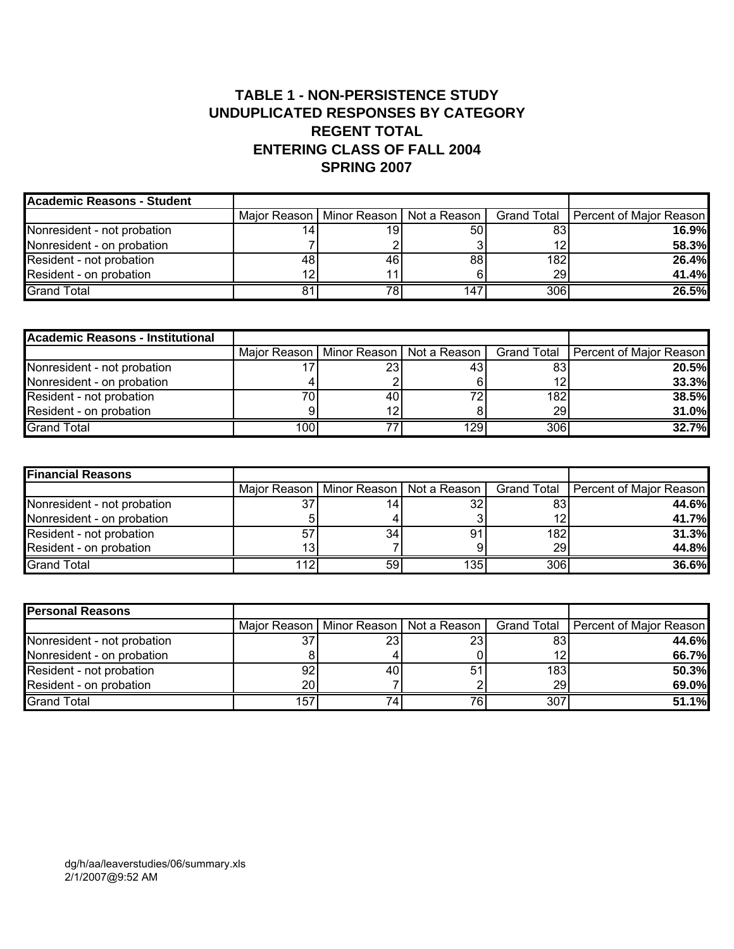#### **TABLE 1 - NON-PERSISTENCE STUDY UNDUPLICATED RESPONSES BY CATEGORY REGENT TOTAL ENTERING CLASS OF FALL 2004 SPRING 2007**

| Academic Reasons - Student  |     |     |                                            |           |                                       |
|-----------------------------|-----|-----|--------------------------------------------|-----------|---------------------------------------|
|                             |     |     | Major Reason   Minor Reason   Not a Reason |           | Grand Total   Percent of Major Reason |
| Nonresident - not probation | 14. | 191 | 50                                         | 83        | 16.9%                                 |
| Nonresident - on probation  |     |     |                                            | 12        | 58.3%                                 |
| Resident - not probation    | 481 | 461 | 88                                         | 182       | 26.4%                                 |
| Resident - on probation     | 12  | 11  |                                            | <b>29</b> | 41.4%                                 |
| <b>Grand Total</b>          |     | 78I | 147                                        | 306       | 26.5%                                 |

| Academic Reasons - Institutional |      |    |      |                 |                                                                                    |
|----------------------------------|------|----|------|-----------------|------------------------------------------------------------------------------------|
|                                  |      |    |      |                 | Major Reason   Minor Reason   Not a Reason   Grand Total   Percent of Major Reason |
| Nonresident - not probation      |      | 23 | 43.  | 83              | 20.5%                                                                              |
| Nonresident - on probation       |      |    |      | 12 <sub>1</sub> | 33.3%                                                                              |
| Resident - not probation         |      | 40 | 72.  | 182             | 38.5%                                                                              |
| Resident - on probation          |      | 12 |      | 29              | 31.0%                                                                              |
| <b>Grand Total</b>               | 1001 |    | 129I | 306             | 32.7%                                                                              |

| <b>Financial Reasons</b>    |     |    |                                            |                 |                                       |
|-----------------------------|-----|----|--------------------------------------------|-----------------|---------------------------------------|
|                             |     |    | Major Reason   Minor Reason   Not a Reason |                 | Grand Total   Percent of Major Reason |
| Nonresident - not probation | 37  | 14 |                                            | 83              | 44.6%                                 |
| Nonresident - on probation  |     |    |                                            | 12 <sub>1</sub> | 41.7%                                 |
| Resident - not probation    | 57  | 34 |                                            | 1821            | 31.3%                                 |
| Resident - on probation     | 131 |    |                                            | 29              | 44.8%                                 |
| <b>Grand Total</b>          | 112 | 59 | 135.                                       | 306             | 36.6%                                 |

| <b>Personal Reasons</b>     |                 |     |                                            |           |                                       |
|-----------------------------|-----------------|-----|--------------------------------------------|-----------|---------------------------------------|
|                             |                 |     | Major Reason   Minor Reason   Not a Reason |           | Grand Total   Percent of Major Reason |
| Nonresident - not probation | 37              | 23  | 23                                         | 83        | 44.6%                                 |
| Nonresident - on probation  |                 |     |                                            | 12        | 66.7%                                 |
| Resident - not probation    | 92              | 401 | 51                                         | 183       | 50.3%                                 |
| Resident - on probation     | 20 <sup>1</sup> |     |                                            | <b>29</b> | 69.0%                                 |
| <b>Grand Total</b>          | 157             | 74  | 76.                                        | 307       | 51.1%                                 |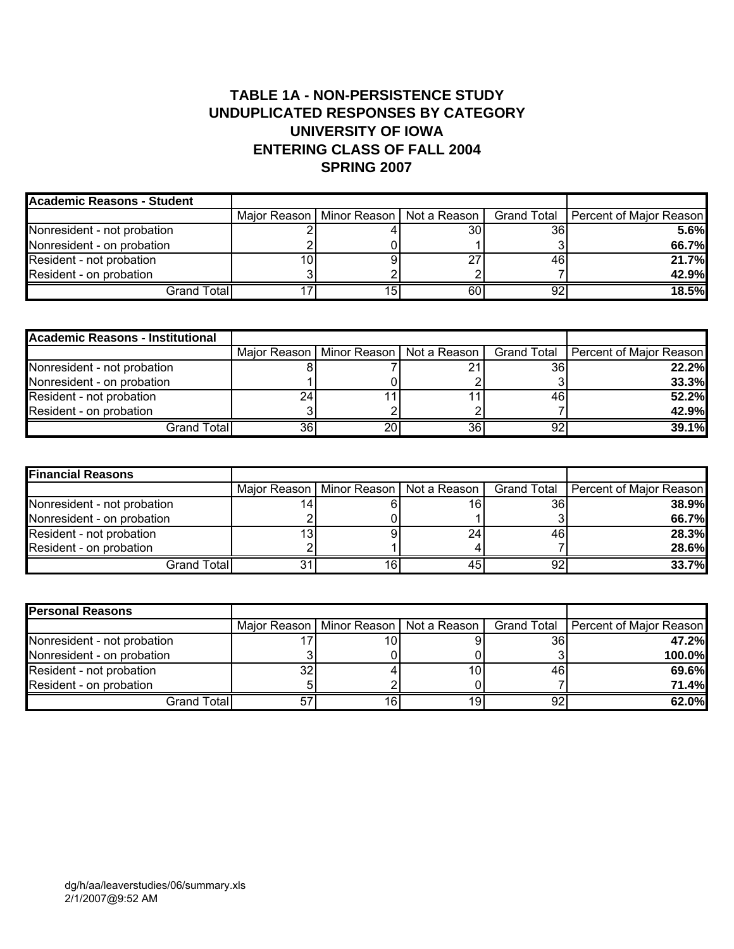#### **TABLE 1A - NON-PERSISTENCE STUDY UNDUPLICATED RESPONSES BY CATEGORY UNIVERSITY OF IOWA ENTERING CLASS OF FALL 2004 SPRING 2007**

| <b>Academic Reasons - Student</b> |  |                                            |    |                                       |
|-----------------------------------|--|--------------------------------------------|----|---------------------------------------|
|                                   |  | Major Reason   Minor Reason   Not a Reason |    | Grand Total   Percent of Major Reason |
| Nonresident - not probation       |  | 30I                                        | 36 | 5.6%                                  |
| Nonresident - on probation        |  |                                            |    | 66.7%                                 |
| Resident - not probation          |  |                                            | 46 | 21.7%                                 |
| Resident - on probation           |  |                                            |    | 42.9%                                 |
| Grand Total                       |  | 60                                         | 92 | 18.5%                                 |

| <b>Academic Reasons - Institutional</b> |    |                                            |    |    |                                       |
|-----------------------------------------|----|--------------------------------------------|----|----|---------------------------------------|
|                                         |    | Major Reason   Minor Reason   Not a Reason |    |    | Grand Total   Percent of Major Reason |
| Nonresident - not probation             |    |                                            |    | 36 | 22.2%                                 |
| Nonresident - on probation              |    |                                            |    |    | 33.3%                                 |
| Resident - not probation                |    |                                            |    | 46 | 52.2%                                 |
| Resident - on probation                 |    |                                            |    |    | 42.9%                                 |
| Grand Total <b>l</b>                    | 36 | 20                                         | 36 | 92 | 39.1%                                 |

| <b>Financial Reasons</b>    |    |                                            |    |                                       |
|-----------------------------|----|--------------------------------------------|----|---------------------------------------|
|                             |    | Major Reason   Minor Reason   Not a Reason |    | Grand Total   Percent of Major Reason |
| Nonresident - not probation |    | 16                                         | 36 | 38.9%                                 |
| Nonresident - on probation  |    |                                            |    | 66.7%                                 |
| Resident - not probation    |    | 24                                         | 46 | 28.3%                                 |
| Resident - on probation     |    |                                            |    | 28.6%                                 |
| Grand Total                 | 16 |                                            | 92 | 33.7%                                 |

| <b>Personal Reasons</b>     |                |    |                                            |    |                                       |
|-----------------------------|----------------|----|--------------------------------------------|----|---------------------------------------|
|                             |                |    | Major Reason   Minor Reason   Not a Reason |    | Grand Total   Percent of Major Reason |
| Nonresident - not probation |                | 10 |                                            | 36 | 47.2%                                 |
| Nonresident - on probation  |                |    |                                            |    | 100.0%                                |
| Resident - not probation    | 32             |    | 10                                         | 46 | 69.6%                                 |
| Resident - on probation     |                |    |                                            |    | 71.4%                                 |
| Grand Total                 | 5 <sup>7</sup> | 16 | 19.                                        | 92 | 62.0%                                 |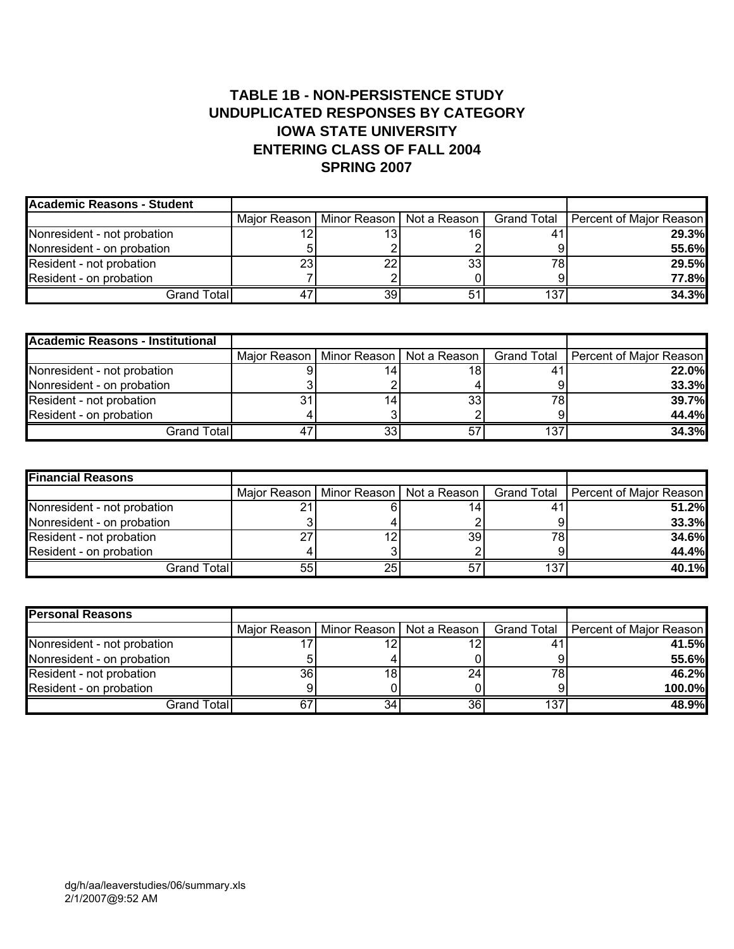#### **TABLE 1B - NON-PERSISTENCE STUDY UNDUPLICATED RESPONSES BY CATEGORY IOWA STATE UNIVERSITY ENTERING CLASS OF FALL 2004 SPRING 2007**

| <b>Academic Reasons - Student</b> |    |    |                                            |     |                                       |
|-----------------------------------|----|----|--------------------------------------------|-----|---------------------------------------|
|                                   |    |    | Major Reason   Minor Reason   Not a Reason |     | Grand Total   Percent of Major Reason |
| Nonresident - not probation       |    |    | 16                                         | 41  | <b>29.3%</b>                          |
| Nonresident - on probation        |    |    |                                            |     | 55.6%                                 |
| Resident - not probation          | 23 | 22 | 33 <sub>1</sub>                            | 78  | 29.5%                                 |
| Resident - on probation           |    |    |                                            |     | 77.8%                                 |
| Grand Total                       |    | 39 |                                            | 137 | 34.3%                                 |

| <b>Academic Reasons - Institutional</b> |     |                                            |     |                                       |
|-----------------------------------------|-----|--------------------------------------------|-----|---------------------------------------|
|                                         |     | Major Reason   Minor Reason   Not a Reason |     | Grand Total   Percent of Major Reason |
| Nonresident - not probation             | 14  | 18                                         |     | 22.0%                                 |
| Nonresident - on probation              |     |                                            |     | 33.3%                                 |
| Resident - not probation                | 14. | 33                                         | 78  | 39.7%                                 |
| Resident - on probation                 |     |                                            |     | 44.4%                                 |
| Grand Total                             | 33  |                                            | 137 | 34.3%                                 |

| <b>Financial Reasons</b>    |                 |    |                                            |     |                                       |
|-----------------------------|-----------------|----|--------------------------------------------|-----|---------------------------------------|
|                             |                 |    | Major Reason   Minor Reason   Not a Reason |     | Grand Total   Percent of Major Reason |
| Nonresident - not probation | n,              |    |                                            |     | 51.2%                                 |
| Nonresident - on probation  |                 |    |                                            |     | 33.3%                                 |
| Resident - not probation    | ົ               |    | 39                                         | 78  | 34.6%                                 |
| Resident - on probation     |                 |    |                                            |     | 44.4%                                 |
| Grand Total                 | 55 <sub>1</sub> | 25 |                                            | 137 | 40.1%                                 |

| <b>Personal Reasons</b>     |    |                 |                                            |     |                                       |
|-----------------------------|----|-----------------|--------------------------------------------|-----|---------------------------------------|
|                             |    |                 | Major Reason   Minor Reason   Not a Reason |     | Grand Total   Percent of Major Reason |
| Nonresident - not probation |    |                 |                                            | 4.  | 41.5%                                 |
| Nonresident - on probation  |    |                 |                                            |     | 55.6%                                 |
| Resident - not probation    | 36 | 18              | 24                                         | 78  | 46.2%                                 |
| Resident - on probation     |    |                 |                                            |     | 100.0%                                |
| Grand Total                 | 67 | 34 <sub>1</sub> | 36                                         | 137 | 48.9%                                 |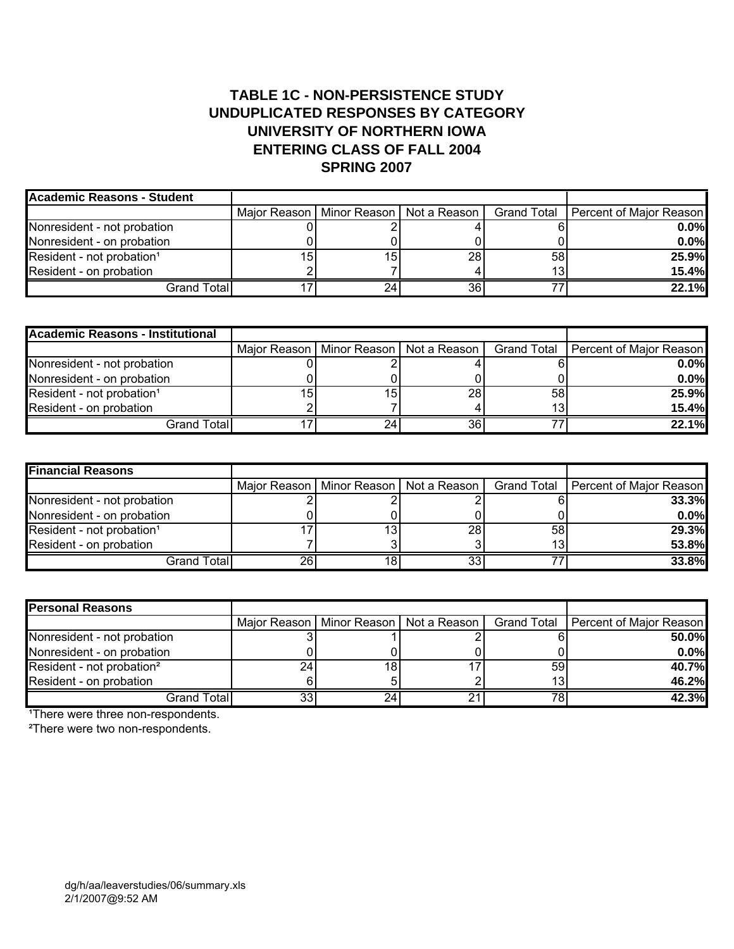#### **TABLE 1C - NON-PERSISTENCE STUDY UNDUPLICATED RESPONSES BY CATEGORY UNIVERSITY OF NORTHERN IOWA ENTERING CLASS OF FALL 2004 SPRING 2007**

| Academic Reasons - Student            |     |    |                                            |    |                                       |
|---------------------------------------|-----|----|--------------------------------------------|----|---------------------------------------|
|                                       |     |    | Major Reason   Minor Reason   Not a Reason |    | Grand Total   Percent of Major Reason |
| Nonresident - not probation           |     |    |                                            |    | $0.0\%$                               |
| Nonresident - on probation            |     |    |                                            |    | $0.0\%$                               |
| Resident - not probation <sup>1</sup> | 15. | 15 | 28                                         | 58 | 25.9%                                 |
| Resident - on probation               |     |    |                                            | 13 | 15.4%                                 |
| Grand Total <b>l</b>                  |     | 24 | 36                                         |    | 22.1%                                 |

| <b>Academic Reasons - Institutional</b> |    |     |                                            |    |                                       |
|-----------------------------------------|----|-----|--------------------------------------------|----|---------------------------------------|
|                                         |    |     | Major Reason   Minor Reason   Not a Reason |    | Grand Total   Percent of Major Reason |
| Nonresident - not probation             |    |     |                                            |    | $0.0\%$                               |
| Nonresident - on probation              |    |     |                                            |    | $0.0\%$                               |
| Resident - not probation <sup>1</sup>   | 15 | 15  | 28                                         | 58 | 25.9%                                 |
| Resident - on probation                 |    |     |                                            | 13 | 15.4%                                 |
| Grand Total                             |    | 24. | 36                                         |    | 22.1%                                 |

| <b>Financial Reasons</b>              |    |    |                                            |    |                                       |
|---------------------------------------|----|----|--------------------------------------------|----|---------------------------------------|
|                                       |    |    | Major Reason   Minor Reason   Not a Reason |    | Grand Total   Percent of Major Reason |
| Nonresident - not probation           |    |    |                                            |    | 33.3%                                 |
| Nonresident - on probation            |    |    |                                            |    | $0.0\%$                               |
| Resident - not probation <sup>1</sup> |    | 13 | 28                                         | 58 | 29.3%                                 |
| Resident - on probation               |    |    |                                            | 13 | 53.8%                                 |
| Grand Total                           | 26 | 18 | つつ                                         |    | 33.8%                                 |

| <b>Personal Reasons</b>               |    |    |                                            |    |                                       |
|---------------------------------------|----|----|--------------------------------------------|----|---------------------------------------|
|                                       |    |    | Major Reason   Minor Reason   Not a Reason |    | Grand Total   Percent of Major Reason |
| Nonresident - not probation           |    |    |                                            |    | 50.0%                                 |
| Nonresident - on probation            |    |    |                                            |    | $0.0\%$                               |
| Resident - not probation <sup>2</sup> | 24 | 18 |                                            | 59 | 40.7%                                 |
| Resident - on probation               |    |    |                                            | 13 | 46.2%                                 |
| Grand Total                           | 33 | 24 |                                            | 78 | 42.3%                                 |

<sup>1</sup>There were three non-respondents.

²There were two non-respondents.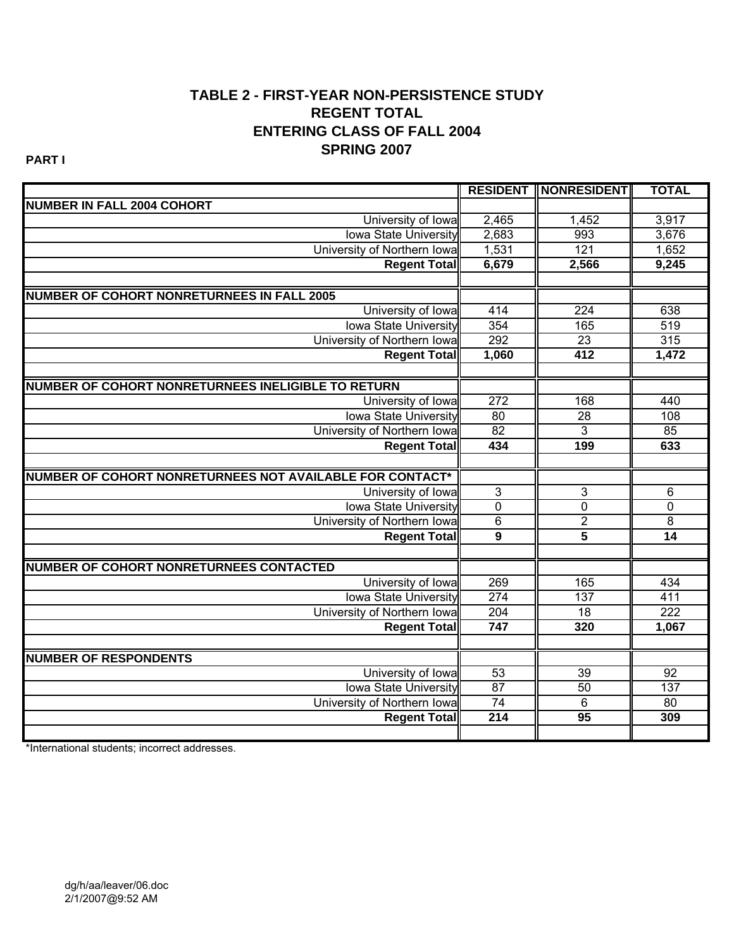#### **TABLE 2 - FIRST-YEAR NON-PERSISTENCE STUDY REGENT TOTAL ENTERING CLASS OF FALL 2004 SPRING 2007**

**PART I**

|                                                           |                  | <b>RESIDENT   NONRESIDENT </b> | <b>TOTAL</b>     |
|-----------------------------------------------------------|------------------|--------------------------------|------------------|
| <b>NUMBER IN FALL 2004 COHORT</b>                         |                  |                                |                  |
| University of lowa                                        | 2,465            | 1,452                          | 3,917            |
| Iowa State University                                     | 2,683            | 993                            | 3,676            |
| University of Northern Iowal                              | 1,531            | 121                            | 1,652            |
| <b>Regent Total</b>                                       | 6,679            | 2,566                          | 9,245            |
|                                                           |                  |                                |                  |
| <b>NUMBER OF COHORT NONRETURNEES IN FALL 2005</b>         |                  |                                |                  |
| University of Iowa                                        | 414              | 224                            | 638              |
| <b>Iowa State University</b>                              | 354              | 165                            | 519              |
| University of Northern Iowa                               | 292              | $\overline{23}$                | 315              |
| <b>Regent Total</b>                                       | 1,060            | 412                            | 1,472            |
|                                                           |                  |                                |                  |
| <b>NUMBER OF COHORT NONRETURNEES INELIGIBLE TO RETURN</b> |                  |                                |                  |
| University of Iowa                                        | 272              | 168                            | 440              |
| <b>Iowa State University</b>                              | 80               | $\overline{28}$                | 108              |
| University of Northern Iowa                               | 82               | $\overline{3}$                 | 85               |
| <b>Regent Total</b>                                       | 434              | 199                            | 633              |
|                                                           |                  |                                |                  |
| NUMBER OF COHORT NONRETURNEES NOT AVAILABLE FOR CONTACT*  |                  |                                |                  |
| University of Iowa                                        | $\overline{3}$   | $\overline{3}$                 | 6                |
| <b>Iowa State University</b>                              | $\overline{0}$   | $\pmb{0}$                      | $\mathbf 0$      |
| University of Northern Iowa                               | $\,6$            | $\overline{2}$                 | 8                |
| <b>Regent Total</b>                                       | $\overline{9}$   | $\overline{\mathbf{5}}$        | $\overline{14}$  |
|                                                           |                  |                                |                  |
| <b>NUMBER OF COHORT NONRETURNEES CONTACTED</b>            |                  |                                |                  |
| University of Iowa                                        | 269              | 165                            | 434              |
| <b>Iowa State University</b>                              | 274              | 137                            | 411              |
| University of Northern Iowa                               | 204              | $\overline{18}$                | $\overline{222}$ |
| <b>Regent Total</b>                                       | 747              | 320                            | 1,067            |
|                                                           |                  |                                |                  |
| <b>NUMBER OF RESPONDENTS</b>                              |                  |                                |                  |
| University of Iowa                                        | 53               | 39                             | 92               |
| <b>Iowa State University</b>                              | 87               | 50                             | $\overline{137}$ |
| University of Northern Iowa                               | 74               | $\overline{6}$                 | 80               |
| <b>Regent Total</b>                                       | $\overline{214}$ | 95                             | 309              |
|                                                           |                  |                                |                  |

\*International students; incorrect addresses.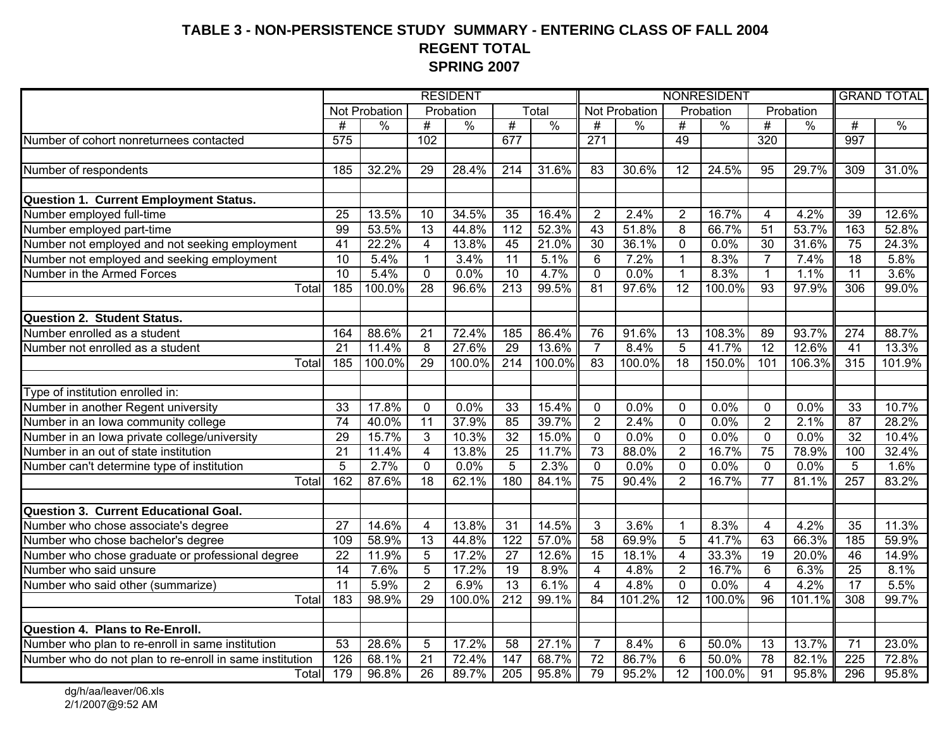#### **TABLE 3 - NON-PERSISTENCE STUDY SUMMARY - ENTERING CLASS OF FALL 2004 REGENT TOTAL SPRING 2007**

|                                                         | <b>RESIDENT</b> |               |                 |               |                  | NONRESIDENT   |                 |                      |                 |               |                 | <b>GRAND TOTAL</b> |                 |               |
|---------------------------------------------------------|-----------------|---------------|-----------------|---------------|------------------|---------------|-----------------|----------------------|-----------------|---------------|-----------------|--------------------|-----------------|---------------|
|                                                         |                 | Not Probation |                 | Probation     |                  | Total         |                 | <b>Not Probation</b> |                 | Probation     |                 | Probation          |                 |               |
|                                                         | $\overline{\#}$ | $\%$          | $\overline{\#}$ | $\frac{0}{0}$ | #                | $\frac{0}{0}$ | $\overline{\#}$ | $\frac{0}{0}$        | #               | $\frac{0}{6}$ | #               | $\frac{0}{0}$      | #               | $\frac{0}{0}$ |
| Number of cohort nonreturnees contacted                 | 575             |               | 102             |               | 677              |               | 271             |                      | 49              |               | 320             |                    | 997             |               |
|                                                         |                 |               |                 |               |                  |               |                 |                      |                 |               |                 |                    |                 |               |
| Number of respondents                                   | 185             | 32.2%         | $\overline{29}$ | 28.4%         | $\overline{214}$ | 31.6%         | $\overline{83}$ | 30.6%                | $\overline{12}$ | 24.5%         | $\overline{95}$ | 29.7%              | 309             | 31.0%         |
|                                                         |                 |               |                 |               |                  |               |                 |                      |                 |               |                 |                    |                 |               |
| Question 1. Current Employment Status.                  |                 |               |                 |               |                  |               |                 |                      |                 |               |                 |                    |                 |               |
| Number employed full-time                               | 25              | 13.5%         | 10              | 34.5%         | 35               | 16.4%         | $\overline{2}$  | 2.4%                 | $\overline{2}$  | 16.7%         | 4               | 4.2%               | 39              | 12.6%         |
| Number employed part-time                               | 99              | 53.5%         | $\overline{13}$ | 44.8%         | 112              | 52.3%         | $\overline{43}$ | 51.8%                | $\overline{8}$  | 66.7%         | $\overline{51}$ | 53.7%              | 163             | 52.8%         |
| Number not employed and not seeking employment          | 41              | 22.2%         | $\overline{4}$  | 13.8%         | 45               | 21.0%         | $\overline{30}$ | 36.1%                | $\overline{0}$  | 0.0%          | 30              | 31.6%              | 75              | 24.3%         |
| Number not employed and seeking employment              | $\overline{10}$ | 5.4%          | $\mathbf{1}$    | 3.4%          | $\overline{11}$  | 5.1%          | 6               | 7.2%                 | $\mathbf{1}$    | 8.3%          | $\overline{7}$  | 7.4%               | $\overline{18}$ | 5.8%          |
| Number in the Armed Forces                              | 10              | 5.4%          | $\mathbf{0}$    | 0.0%          | 10               | 4.7%          | $\mathbf{0}$    | 0.0%                 | $\mathbf{1}$    | 8.3%          | $\mathbf{1}$    | 1.1%               | $\overline{11}$ | 3.6%          |
| $\overline{T}$ <sub>O</sub> tal                         | 185             | 100.0%        | $\overline{28}$ | 96.6%         | $\overline{213}$ | 99.5%         | $\overline{81}$ | 97.6%                | $\overline{12}$ | 100.0%        | 93              | 97.9%              | 306             | 99.0%         |
|                                                         |                 |               |                 |               |                  |               |                 |                      |                 |               |                 |                    |                 |               |
| <b>Question 2. Student Status.</b>                      |                 |               |                 |               |                  |               |                 |                      |                 |               |                 |                    |                 |               |
| Number enrolled as a student                            | 164             | 88.6%         | 21              | 72.4%         | 185              | 86.4%         | 76              | 91.6%                | 13              | 108.3%        | 89              | 93.7%              | 274             | 88.7%         |
| Number not enrolled as a student                        | $\overline{21}$ | 11.4%         | $\overline{8}$  | 27.6%         | 29               | 13.6%         | $\overline{7}$  | 8.4%                 | $\overline{5}$  | 41.7%         | $\overline{12}$ | 12.6%              | $\overline{41}$ | 13.3%         |
| Total                                                   | 185             | 100.0%        | $\overline{29}$ | 100.0%        | $\overline{214}$ | 100.0%        | 83              | 100.0%               | 18              | 150.0%        | 101             | 106.3%             | 315             | 101.9%        |
| Type of institution enrolled in:                        |                 |               |                 |               |                  |               |                 |                      |                 |               |                 |                    |                 |               |
| Number in another Regent university                     | 33              | 17.8%         | $\mathbf 0$     | 0.0%          | 33               | 15.4%         | $\mathbf 0$     | 0.0%                 | $\mathbf 0$     | 0.0%          | $\mathbf 0$     | 0.0%               | $\overline{33}$ | 10.7%         |
| Number in an Iowa community college                     | $\overline{74}$ | 40.0%         | 11              | 37.9%         | 85               | 39.7%         | $\overline{2}$  | 2.4%                 | $\overline{0}$  | 0.0%          | $\overline{2}$  | 2.1%               | 87              | 28.2%         |
| Number in an Iowa private college/university            | 29              | 15.7%         | 3               | 10.3%         | $\overline{32}$  | 15.0%         | $\overline{0}$  | 0.0%                 | $\overline{0}$  | 0.0%          | $\overline{0}$  | 0.0%               | $\overline{32}$ | 10.4%         |
| Number in an out of state institution                   | $\overline{21}$ | 11.4%         | $\overline{4}$  | 13.8%         | $\overline{25}$  | 11.7%         | 73              | 88.0%                | $\overline{2}$  | 16.7%         | $\overline{75}$ | 78.9%              | 100             | 32.4%         |
| Number can't determine type of institution              | $\overline{5}$  | 2.7%          | $\mathbf 0$     | 0.0%          | $\overline{5}$   | 2.3%          | $\mathbf 0$     | 0.0%                 | $\overline{0}$  | 0.0%          | $\mathbf 0$     | 0.0%               | 5               | 1.6%          |
| Total                                                   | 162             | 87.6%         | $\overline{18}$ | 62.1%         | 180              | 84.1%         | 75              | 90.4%                | $\overline{2}$  | 16.7%         | $\overline{77}$ | 81.1%              | 257             | 83.2%         |
|                                                         |                 |               |                 |               |                  |               |                 |                      |                 |               |                 |                    |                 |               |
| <b>Question 3. Current Educational Goal.</b>            |                 |               |                 |               |                  |               |                 |                      |                 |               |                 |                    |                 |               |
| Number who chose associate's degree                     | $\overline{27}$ | 14.6%         | $\overline{4}$  | 13.8%         | $\overline{31}$  | 14.5%         | 3               | 3.6%                 | $\mathbf{1}$    | 8.3%          | $\overline{4}$  | 4.2%               | $\overline{35}$ | 11.3%         |
| Number who chose bachelor's degree                      | 109             | 58.9%         | 13              | 44.8%         | 122              | 57.0%         | 58              | 69.9%                | $\overline{5}$  | 41.7%         | 63              | 66.3%              | 185             | 59.9%         |
| Number who chose graduate or professional degree        | $\overline{22}$ | 11.9%         | $\overline{5}$  | 17.2%         | $\overline{27}$  | 12.6%         | 15              | 18.1%                | $\overline{4}$  | 33.3%         | $\overline{19}$ | 20.0%              | 46              | 14.9%         |
| Number who said unsure                                  | $\overline{14}$ | 7.6%          | 5               | 17.2%         | $\overline{19}$  | 8.9%          | 4               | 4.8%                 | $\overline{2}$  | 16.7%         | 6               | 6.3%               | $\overline{25}$ | 8.1%          |
| Number who said other (summarize)                       | $\overline{11}$ | 5.9%          | $\overline{2}$  | 6.9%          | $\overline{13}$  | 6.1%          | $\overline{4}$  | 4.8%                 | $\overline{0}$  | 0.0%          | $\overline{4}$  | 4.2%               | $\overline{17}$ | 5.5%          |
| Total                                                   | 183             | 98.9%         | $\overline{29}$ | 100.0%        | $\overline{212}$ | 99.1%         | 84              | 101.2%               | $\overline{12}$ | 100.0%        | $\overline{96}$ | 101.1%             | 308             | 99.7%         |
| Question 4. Plans to Re-Enroll.                         |                 |               |                 |               |                  |               |                 |                      |                 |               |                 |                    |                 |               |
| Number who plan to re-enroll in same institution        | $\overline{53}$ | 28.6%         | 5               | 17.2%         | $\overline{58}$  | 27.1%         | $\overline{7}$  | 8.4%                 | $6\phantom{1}6$ | 50.0%         | $\overline{13}$ | 13.7%              | $\overline{71}$ | 23.0%         |
| Number who do not plan to re-enroll in same institution | 126             | 68.1%         | $\overline{21}$ | 72.4%         | 147              | 68.7%         | $\overline{72}$ | 86.7%                | 6               | 50.0%         | $\overline{78}$ | 82.1%              | 225             | 72.8%         |
| Total                                                   | 179             | 96.8%         | 26              | 89.7%         | $\overline{205}$ | 95.8%         | 79              | 95.2%                | 12              | 100.0%        | $\overline{91}$ | 95.8%              | 296             | 95.8%         |
|                                                         |                 |               |                 |               |                  |               |                 |                      |                 |               |                 |                    |                 |               |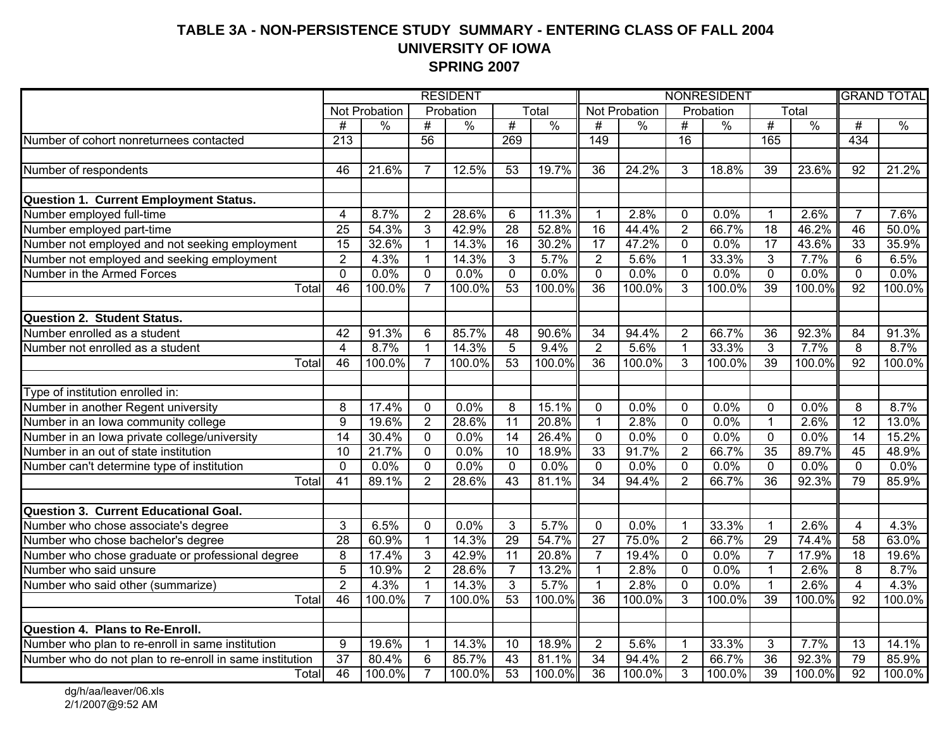#### **TABLE 3A - NON-PERSISTENCE STUDY SUMMARY - ENTERING CLASS OF FALL 2004 UNIVERSITY OF IOWA SPRING 2007**

|                                                                            | <b>RESIDENT</b> |               |                |               |                 | <b>NONRESIDENT</b>  |                 |               |                         |               |                 | <b>GRAND TOTAL</b> |                 |               |
|----------------------------------------------------------------------------|-----------------|---------------|----------------|---------------|-----------------|---------------------|-----------------|---------------|-------------------------|---------------|-----------------|--------------------|-----------------|---------------|
|                                                                            |                 | Not Probation |                | Probation     |                 | Total               |                 | Not Probation |                         | Probation     |                 | Total              |                 |               |
|                                                                            | #               | $\%$          | #              | $\frac{0}{0}$ | #               | $\frac{0}{0}$       | #               | $\frac{0}{0}$ | $\overline{\#}$         | $\frac{0}{0}$ | #               | $\frac{0}{0}$      | $\overline{\#}$ | $\frac{0}{0}$ |
| Number of cohort nonreturnees contacted                                    | 213             |               | 56             |               | 269             |                     | 149             |               | 16                      |               | 165             |                    | 434             |               |
|                                                                            |                 |               |                |               |                 |                     |                 |               |                         |               |                 |                    |                 |               |
| Number of respondents                                                      | 46              | 21.6%         | 7              | 12.5%         | $\overline{53}$ | 19.7%               | $\overline{36}$ | 24.2%         | 3                       | 18.8%         | $\overline{39}$ | 23.6%              | 92              | 21.2%         |
|                                                                            |                 |               |                |               |                 |                     |                 |               |                         |               |                 |                    |                 |               |
| <b>Question 1. Current Employment Status.</b>                              |                 |               |                |               |                 |                     |                 |               |                         |               |                 |                    |                 |               |
| Number employed full-time                                                  | $\overline{4}$  | 8.7%          | $\overline{2}$ | 28.6%         | 6               | 11.3%               | $\mathbf 1$     | 2.8%          | $\mathbf{0}$            | 0.0%          | $\mathbf 1$     | 2.6%               | $\overline{7}$  | 7.6%          |
| Number employed part-time                                                  | $\overline{25}$ | 54.3%         | 3              | 42.9%         | $\overline{28}$ | 52.8%               | $\overline{16}$ | 44.4%         | $\overline{2}$          | 66.7%         | 18              | 46.2%              | 46              | 50.0%         |
| Number not employed and not seeking employment                             | $\overline{15}$ | 32.6%         | $\mathbf{1}$   | 14.3%         | $\overline{16}$ | 30.2%               | $\overline{17}$ | 47.2%         | $\mathbf{0}$            | 0.0%          | $\overline{17}$ | 43.6%              | $\overline{33}$ | 35.9%         |
| Number not employed and seeking employment                                 | $\overline{2}$  | 4.3%          | $\mathbf{1}$   | 14.3%         | $\overline{3}$  | 5.7%                | $\overline{2}$  | 5.6%          | $\overline{1}$          | 33.3%         | $\overline{3}$  | 7.7%               | 6               | 6.5%          |
| Number in the Armed Forces                                                 | $\overline{0}$  | 0.0%          | $\mathbf 0$    | 0.0%          | $\overline{0}$  | 0.0%                | $\overline{0}$  | 0.0%          | $\mathbf 0$             | 0.0%          | $\overline{0}$  | 0.0%               | $\mathbf 0$     | 0.0%          |
| Total                                                                      | 46              | 100.0%        | $\overline{7}$ | 100.0%        | 53              | 100.0%              | $\overline{36}$ | 100.0%        | 3                       | 100.0%        | 39              | 100.0%             | $\overline{92}$ | 100.0%        |
|                                                                            |                 |               |                |               |                 |                     |                 |               |                         |               |                 |                    |                 |               |
| <b>Question 2. Student Status.</b>                                         |                 |               |                |               |                 |                     |                 |               |                         |               |                 |                    |                 |               |
| Number enrolled as a student                                               | $\overline{42}$ | 91.3%         | 6              | 85.7%         | 48              | 90.6%               | $\overline{34}$ | 94.4%         | $\overline{2}$          | 66.7%         | 36              | 92.3%              | 84              | 91.3%         |
| Number not enrolled as a student                                           | $\overline{4}$  | 8.7%          | $\mathbf{1}$   | 14.3%         | 5               | 9.4%                | $\overline{2}$  | 5.6%          | $\mathbf{1}$            | 33.3%         | $\overline{3}$  | 7.7%               | 8               | 8.7%          |
| Total                                                                      | 46              | 100.0%        | $\overline{7}$ | 100.0%        | 53              | 100.0%              | $\overline{36}$ | 100.0%        | 3                       | 100.0%        | 39              | 100.0%             | $\overline{92}$ | 100.0%        |
|                                                                            |                 |               |                |               |                 |                     |                 |               |                         |               |                 |                    |                 |               |
| Type of institution enrolled in:                                           |                 |               |                |               |                 |                     |                 |               |                         |               |                 |                    |                 |               |
|                                                                            | 8               | 17.4%         | $\mathbf 0$    | 0.0%          | 8               | $\overline{15.1\%}$ | $\mathbf 0$     | 0.0%          | $\mathbf{0}$            | 0.0%          | $\mathbf 0$     | 0.0%               | 8               | 8.7%          |
| Number in another Regent university<br>Number in an Iowa community college | $\overline{9}$  | 19.6%         | $\overline{2}$ | 28.6%         | $\overline{11}$ | 20.8%               | $\overline{1}$  | 2.8%          | $\overline{0}$          | 0.0%          | $\mathbf{1}$    | 2.6%               | $\overline{12}$ | 13.0%         |
| Number in an Iowa private college/university                               | $\overline{14}$ | 30.4%         | $\mathbf 0$    | 0.0%          | 14              | 26.4%               | $\overline{0}$  | 0.0%          | $\overline{0}$          | 0.0%          | $\overline{0}$  | 0.0%               | $\overline{14}$ | 15.2%         |
| Number in an out of state institution                                      | 10              | 21.7%         | $\overline{0}$ | 0.0%          | 10              | 18.9%               | 33              | 91.7%         | $\overline{2}$          | 66.7%         | 35              | 89.7%              | 45              | 48.9%         |
| Number can't determine type of institution                                 | $\mathbf 0$     | 0.0%          | $\mathbf 0$    | 0.0%          | $\Omega$        | 0.0%                | $\overline{0}$  | 0.0%          | $\mathbf 0$             | 0.0%          | $\mathbf 0$     | 0.0%               | $\mathbf{0}$    | 0.0%          |
| Total                                                                      | $\overline{41}$ | 89.1%         | $\overline{2}$ | 28.6%         | 43              | 81.1%               | 34              | 94.4%         | $\overline{2}$          | 66.7%         | $\overline{36}$ | 92.3%              | 79              | 85.9%         |
|                                                                            |                 |               |                |               |                 |                     |                 |               |                         |               |                 |                    |                 |               |
| <b>Question 3. Current Educational Goal.</b>                               |                 |               |                |               |                 |                     |                 |               |                         |               |                 |                    |                 |               |
| Number who chose associate's degree                                        | 3               | 6.5%          | $\mathbf 0$    | 0.0%          | 3               | 5.7%                | $\mathbf 0$     | 0.0%          | $\overline{\mathbf{1}}$ | 33.3%         | $\mathbf{1}$    | 2.6%               | 4               | 4.3%          |
| Number who chose bachelor's degree                                         | 28              | 60.9%         | $\mathbf{1}$   | 14.3%         | 29              | 54.7%               | $\overline{27}$ | 75.0%         | $\overline{2}$          | 66.7%         | 29              | 74.4%              | $\overline{58}$ | 63.0%         |
| Number who chose graduate or professional degree                           | 8               | 17.4%         | 3              | 42.9%         | $\overline{11}$ | 20.8%               | $\overline{7}$  | 19.4%         | $\mathbf 0$             | 0.0%          | $\overline{7}$  | 17.9%              | 18              | 19.6%         |
| Number who said unsure                                                     | $\overline{5}$  | 10.9%         | $\overline{2}$ | 28.6%         | $\overline{7}$  | 13.2%               | $\mathbf{1}$    | 2.8%          | $\mathbf{0}$            | 0.0%          | $\overline{1}$  | 2.6%               | 8               | 8.7%          |
| Number who said other (summarize)                                          | $\overline{2}$  | 4.3%          | $\mathbf 1$    | 14.3%         | $\overline{3}$  | 5.7%                | 1               | 2.8%          | $\Omega$                | 0.0%          | 1               | 2.6%               | $\overline{4}$  | 4.3%          |
| Total                                                                      | 46              | 100.0%        | $\overline{7}$ | 100.0%        | $\overline{53}$ | 100.0%              | $\overline{36}$ | 100.0%        | 3                       | 100.0%        | $\overline{39}$ | 100.0%             | 92              | 100.0%        |
|                                                                            |                 |               |                |               |                 |                     |                 |               |                         |               |                 |                    |                 |               |
| Question 4. Plans to Re-Enroll.                                            |                 |               |                |               |                 |                     |                 |               |                         |               |                 |                    |                 |               |
| Number who plan to re-enroll in same institution                           | 9               | 19.6%         | $\mathbf{1}$   | 14.3%         | 10              | 18.9%               | $\overline{2}$  | 5.6%          | $\overline{1}$          | 33.3%         | 3               | 7.7%               | 13              | 14.1%         |
| Number who do not plan to re-enroll in same institution                    | $\overline{37}$ | 80.4%         | 6              | 85.7%         | $\overline{43}$ | 81.1%               | $\overline{34}$ | 94.4%         | $\overline{2}$          | 66.7%         | $\overline{36}$ | 92.3%              | 79              | 85.9%         |
| Totall                                                                     | 46              | 100.0%        | $\overline{7}$ | 100.0%        | 53              | 100.0%              | 36              | 100.0%        | 3                       | 100.0%        | 39              | 100.0%             | 92              | 100.0%        |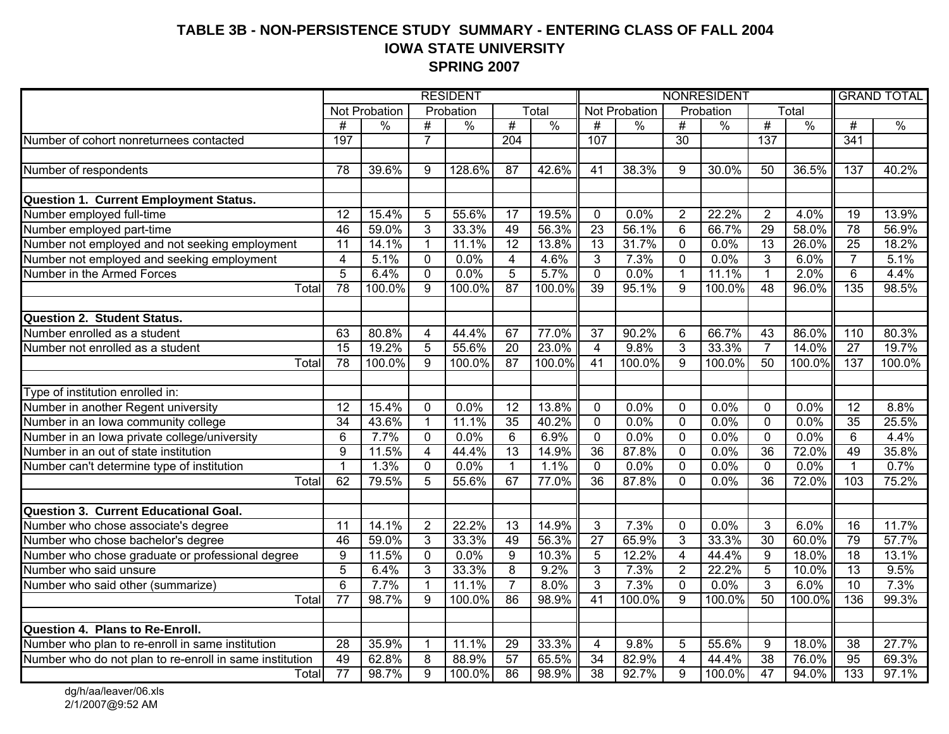#### **TABLE 3B - NON-PERSISTENCE STUDY SUMMARY - ENTERING CLASS OF FALL 2004IOWA STATE UNIVERSITY SPRING 2007**

|                                                                            | <b>RESIDENT</b>         |               |                |               |                         | NONRESIDENT   |                 |               |                         |               |                  | <b>GRAND TOTAL</b> |                 |               |
|----------------------------------------------------------------------------|-------------------------|---------------|----------------|---------------|-------------------------|---------------|-----------------|---------------|-------------------------|---------------|------------------|--------------------|-----------------|---------------|
|                                                                            |                         | Not Probation |                | Probation     |                         | Total         |                 | Not Probation |                         | Probation     |                  | Total              |                 |               |
|                                                                            | #                       | $\%$          | #              | $\frac{0}{0}$ | #                       | $\frac{0}{0}$ | #               | $\frac{0}{0}$ | #                       | $\frac{0}{0}$ | #                | $\frac{0}{0}$      | $\overline{\#}$ | $\frac{0}{0}$ |
| Number of cohort nonreturnees contacted                                    | 197                     |               | $\overline{7}$ |               | $\overline{204}$        |               | 107             |               | $\overline{30}$         |               | $\overline{137}$ |                    | 341             |               |
|                                                                            |                         |               |                |               |                         |               |                 |               |                         |               |                  |                    |                 |               |
| Number of respondents                                                      | 78                      | 39.6%         | 9              | 128.6%        | $\overline{87}$         | 42.6%         | $\overline{41}$ | 38.3%         | 9                       | 30.0%         | $\overline{50}$  | 36.5%              | 137             | 40.2%         |
|                                                                            |                         |               |                |               |                         |               |                 |               |                         |               |                  |                    |                 |               |
| <b>Question 1. Current Employment Status.</b>                              |                         |               |                |               |                         |               |                 |               |                         |               |                  |                    |                 |               |
| Number employed full-time                                                  | 12                      | 15.4%         | 5              | 55.6%         | 17                      | 19.5%         | $\mathbf{0}$    | 0.0%          | $\overline{2}$          | 22.2%         | $\overline{2}$   | 4.0%               | 19              | 13.9%         |
| Number employed part-time                                                  | $\overline{46}$         | 59.0%         | 3              | 33.3%         | 49                      | 56.3%         | $\overline{23}$ | 56.1%         | 6                       | 66.7%         | $\overline{29}$  | 58.0%              | $\overline{78}$ | 56.9%         |
| Number not employed and not seeking employment                             | $\overline{11}$         | 14.1%         | $\mathbf{1}$   | 11.1%         | 12                      | 13.8%         | 13              | 31.7%         | $\overline{0}$          | 0.0%          | 13               | 26.0%              | $\overline{25}$ | 18.2%         |
| Number not employed and seeking employment                                 | $\overline{\mathbf{4}}$ | 5.1%          | $\mathbf 0$    | 0.0%          | $\overline{\mathbf{4}}$ | 4.6%          | 3               | 7.3%          | $\overline{0}$          | 0.0%          | $\overline{3}$   | 6.0%               | $\overline{7}$  | 5.1%          |
| Number in the Armed Forces                                                 | $\overline{5}$          | 6.4%          | $\mathbf{0}$   | 0.0%          | $\overline{5}$          | 5.7%          | $\overline{0}$  | 0.0%          | $\overline{1}$          | 11.1%         | $\overline{1}$   | 2.0%               | $\overline{6}$  | 4.4%          |
| Total                                                                      | 78                      | 100.0%        | 9              | 100.0%        | 87                      | 100.0%        | 39              | 95.1%         | $\overline{9}$          | 100.0%        | $\overline{48}$  | 96.0%              | 135             | 98.5%         |
|                                                                            |                         |               |                |               |                         |               |                 |               |                         |               |                  |                    |                 |               |
| <b>Question 2. Student Status.</b>                                         |                         |               |                |               |                         |               |                 |               |                         |               |                  |                    |                 |               |
| Number enrolled as a student                                               | 63                      | 80.8%         | 4              | 44.4%         | 67                      | 77.0%         | 37              | 90.2%         | 6                       | 66.7%         | 43               | 86.0%              | 110             | 80.3%         |
| Number not enrolled as a student                                           | 15                      | 19.2%         | $\overline{5}$ | 55.6%         | 20                      | 23.0%         | $\overline{4}$  | 9.8%          | $\overline{3}$          | 33.3%         | $\overline{7}$   | 14.0%              | $\overline{27}$ | 19.7%         |
| Total                                                                      | 78                      | 100.0%        | 9              | 100.0%        | 87                      | 100.0%        | 41              | 100.0%        | $\overline{9}$          | 100.0%        | $\overline{50}$  | 100.0%             | 137             | 100.0%        |
|                                                                            |                         |               |                |               |                         |               |                 |               |                         |               |                  |                    |                 |               |
| Type of institution enrolled in:                                           |                         |               |                |               |                         |               |                 |               |                         |               |                  |                    |                 |               |
| Number in another Regent university<br>Number in an Iowa community college | 12                      | 15.4%         | $\mathbf 0$    | 0.0%          | 12                      | 13.8%         | $\mathbf 0$     | 0.0%          | $\mathbf 0$             | 0.0%          | $\mathbf 0$      | 0.0%               | 12              | 8.8%          |
|                                                                            | $\overline{34}$         | 43.6%         | $\overline{1}$ | 11.1%         | 35                      | 40.2%         | $\overline{0}$  | 0.0%          | $\overline{0}$          | 0.0%          | $\overline{0}$   | 0.0%               | 35              | 25.5%         |
| Number in an Iowa private college/university                               | $\overline{6}$          | 7.7%          | $\mathbf 0$    | 0.0%          | $\overline{6}$          | 6.9%          | $\mathbf{0}$    | 0.0%          | $\mathbf{0}$            | 0.0%          | $\overline{0}$   | 0.0%               | 6               | 4.4%          |
| Number in an out of state institution                                      | $\overline{9}$          | 11.5%         | $\overline{4}$ | 44.4%         | $\overline{13}$         | 14.9%         | $\overline{36}$ | 87.8%         | $\overline{0}$          | 0.0%          | $\overline{36}$  | 72.0%              | 49              | 35.8%         |
| Number can't determine type of institution                                 | $\mathbf{1}$            | 1.3%          | 0              | 0.0%          | $\mathbf{1}$            | 1.1%          | $\Omega$        | 0.0%          | $\mathbf{0}$            | 0.0%          | $\Omega$         | 0.0%               | $\mathbf{1}$    | 0.7%          |
| Total                                                                      | 62                      | 79.5%         | 5              | 55.6%         | 67                      | 77.0%         | 36              | 87.8%         | $\Omega$                | 0.0%          | $\overline{36}$  | 72.0%              | 103             | 75.2%         |
|                                                                            |                         |               |                |               |                         |               |                 |               |                         |               |                  |                    |                 |               |
| <b>Question 3. Current Educational Goal.</b>                               |                         |               |                |               |                         |               |                 |               |                         |               |                  |                    |                 |               |
| Number who chose associate's degree                                        | $\overline{11}$         | 14.1%         | $\overline{2}$ | 22.2%         | $\overline{13}$         | 14.9%         | 3               | 7.3%          | $\mathbf 0$             | 0.0%          | 3                | 6.0%               | 16              | 11.7%         |
| Number who chose bachelor's degree                                         | 46                      | 59.0%         | 3              | 33.3%         | 49                      | 56.3%         | $\overline{27}$ | 65.9%         | $\overline{3}$          | 33.3%         | $\overline{30}$  | 60.0%              | 79              | 57.7%         |
| Number who chose graduate or professional degree                           | 9                       | 11.5%         | $\mathbf 0$    | 0.0%          | $\overline{9}$          | 10.3%         | $\overline{5}$  | 12.2%         | $\overline{\mathbf{4}}$ | 44.4%         | 9                | 18.0%              | 18              | 13.1%         |
| Number who said unsure                                                     | $\overline{5}$          | 6.4%          | 3              | 33.3%         | 8                       | 9.2%          | 3               | 7.3%          | $\overline{2}$          | 22.2%         | $\overline{5}$   | 10.0%              | $\overline{13}$ | 9.5%          |
| Number who said other (summarize)                                          | $\overline{6}$          | 7.7%          | $\mathbf 1$    | 11.1%         | $\overline{7}$          | 8.0%          | $\overline{3}$  | 7.3%          | $\mathbf{0}$            | 0.0%          | $\overline{3}$   | 6.0%               | $\overline{10}$ | 7.3%          |
| Total                                                                      | $\overline{77}$         | 98.7%         | 9              | 100.0%        | 86                      | 98.9%         | 41              | 100.0%        | $\overline{9}$          | 100.0%        | 50               | 100.0%             | 136             | 99.3%         |
|                                                                            |                         |               |                |               |                         |               |                 |               |                         |               |                  |                    |                 |               |
| Question 4. Plans to Re-Enroll.                                            |                         |               |                |               |                         |               |                 |               |                         |               |                  |                    |                 |               |
| Number who plan to re-enroll in same institution                           | 28                      | 35.9%         | $\mathbf{1}$   | 11.1%         | 29                      | 33.3%         | $\overline{4}$  | 9.8%          | 5                       | 55.6%         | 9                | 18.0%              | 38              | 27.7%         |
| Number who do not plan to re-enroll in same institution                    | 49                      | 62.8%         | 8              | 88.9%         | $\overline{57}$         | 65.5%         | $\overline{34}$ | 82.9%         | 4                       | 44.4%         | $\overline{38}$  | 76.0%              | $\overline{95}$ | 69.3%         |
| Total                                                                      | $\overline{77}$         | 98.7%         | $\overline{9}$ | 100.0%        | 86                      | 98.9%         | $\overline{38}$ | 92.7%         | $\overline{9}$          | 100.0%        | 47               | 94.0%              | 133             | 97.1%         |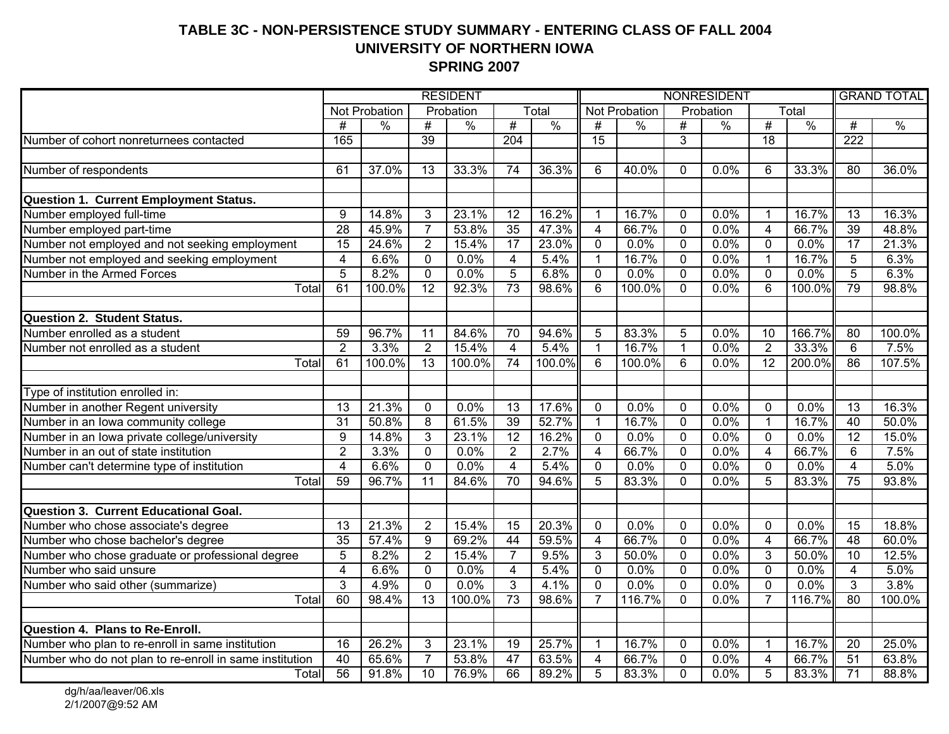#### **TABLE 3C - NON-PERSISTENCE STUDY SUMMARY - ENTERING CLASS OF FALL 2004 UNIVERSITY OF NORTHERN IOWA SPRING 2007**

|                                                         | <b>RESIDENT</b>         |               |                 |               |                         | NONRESIDENT   |                 |               |                |               |                         | <b>GRAND TOTAL</b> |                 |               |
|---------------------------------------------------------|-------------------------|---------------|-----------------|---------------|-------------------------|---------------|-----------------|---------------|----------------|---------------|-------------------------|--------------------|-----------------|---------------|
|                                                         |                         | Not Probation |                 | Probation     |                         | Total         |                 | Not Probation |                | Probation     |                         | Total              |                 |               |
|                                                         | $\overline{\#}$         | $\frac{1}{2}$ | $\overline{\#}$ | $\frac{0}{0}$ | #                       | $\frac{0}{0}$ | $\overline{\#}$ | $\frac{0}{0}$ | #              | $\frac{0}{0}$ | #                       | $\frac{0}{0}$      | #               | $\frac{0}{0}$ |
| Number of cohort nonreturnees contacted                 | 165                     |               | $\overline{39}$ |               | $\overline{204}$        |               | $\overline{15}$ |               | 3              |               | $\overline{18}$         |                    | 222             |               |
|                                                         |                         |               |                 |               |                         |               |                 |               |                |               |                         |                    |                 |               |
| Number of respondents                                   | 61                      | 37.0%         | 13              | 33.3%         | 74                      | 36.3%         | 6               | 40.0%         | $\mathbf 0$    | 0.0%          | 6                       | 33.3%              | 80              | 36.0%         |
|                                                         |                         |               |                 |               |                         |               |                 |               |                |               |                         |                    |                 |               |
| <b>Question 1. Current Employment Status.</b>           |                         |               |                 |               |                         |               |                 |               |                |               |                         |                    |                 |               |
| Number employed full-time                               | 9                       | 14.8%         | 3               | 23.1%         | $\overline{12}$         | 16.2%         | $\mathbf 1$     | 16.7%         | $\mathbf 0$    | 0.0%          | $\overline{1}$          | 16.7%              | 13              | 16.3%         |
| Number employed part-time                               | 28                      | 45.9%         | $\overline{7}$  | 53.8%         | 35                      | 47.3%         | 4               | 66.7%         | $\mathbf 0$    | 0.0%          | $\overline{\mathbf{4}}$ | 66.7%              | 39              | 48.8%         |
| Number not employed and not seeking employment          | 15                      | 24.6%         | $\overline{2}$  | 15.4%         | 17                      | 23.0%         | $\mathbf 0$     | 0.0%          | $\overline{0}$ | 0.0%          | $\mathbf 0$             | 0.0%               | $\overline{17}$ | 21.3%         |
| Number not employed and seeking employment              | $\overline{\mathbf{4}}$ | 6.6%          | $\mathbf 0$     | 0.0%          | $\overline{\mathbf{4}}$ | 5.4%          | $\mathbf{1}$    | 16.7%         | $\mathbf 0$    | 0.0%          | $\mathbf{1}$            | 16.7%              | 5               | 6.3%          |
| Number in the Armed Forces                              | $\overline{5}$          | 8.2%          | 0               | 0.0%          | $\overline{5}$          | 6.8%          | $\mathbf 0$     | 0.0%          | 0              | 0.0%          | $\mathbf 0$             | 0.0%               | 5               | 6.3%          |
| Total                                                   | 61                      | 100.0%        | $\overline{12}$ | 92.3%         | 73                      | 98.6%         | 6               | 100.0%        | $\Omega$       | 0.0%          | 6                       | 100.0%             | 79              | 98.8%         |
|                                                         |                         |               |                 |               |                         |               |                 |               |                |               |                         |                    |                 |               |
| <b>Question 2. Student Status.</b>                      |                         |               |                 |               |                         |               |                 |               |                |               |                         |                    |                 |               |
| Number enrolled as a student                            | 59                      | 96.7%         | $\overline{11}$ | 84.6%         | $\overline{70}$         | 94.6%         | 5               | 83.3%         | 5              | 0.0%          | $\overline{10}$         | 166.7%             | $\overline{80}$ | 100.0%        |
| Number not enrolled as a student                        | $\overline{2}$          | 3.3%          | $\overline{2}$  | 15.4%         | $\overline{4}$          | 5.4%          | $\mathbf{1}$    | 16.7%         | $\mathbf{1}$   | 0.0%          | $\overline{2}$          | 33.3%              | 6               | 7.5%          |
| Total                                                   | 61                      | 100.0%        | $\overline{13}$ | 100.0%        | $\overline{74}$         | 100.0%        | 6               | 100.0%        | $6\phantom{1}$ | 0.0%          | 12                      | 200.0%             | $\overline{86}$ | 107.5%        |
|                                                         |                         |               |                 |               |                         |               |                 |               |                |               |                         |                    |                 |               |
| Type of institution enrolled in:                        |                         |               |                 |               |                         |               |                 |               |                |               |                         |                    |                 |               |
| Number in another Regent university                     | $\overline{13}$         | 21.3%         | 0               | 0.0%          | 13                      | 17.6%         | $\mathbf 0$     | 0.0%          | $\mathbf 0$    | 0.0%          | $\mathbf 0$             | 0.0%               | $\overline{13}$ | 16.3%         |
| Number in an Iowa community college                     | $\overline{31}$         | 50.8%         | $\overline{8}$  | 61.5%         | 39                      | 52.7%         | $\mathbf{1}$    | 16.7%         | $\overline{0}$ | 0.0%          | $\mathbf 1$             | 16.7%              | 40              | 50.0%         |
| Number in an Iowa private college/university            | $\overline{9}$          | 14.8%         | $\overline{3}$  | 23.1%         | 12                      | 16.2%         | $\overline{0}$  | 0.0%          | $\overline{0}$ | 0.0%          | $\overline{0}$          | 0.0%               | $\overline{12}$ | 15.0%         |
| Number in an out of state institution                   | $\overline{2}$          | 3.3%          | $\overline{0}$  | 0.0%          | $\overline{2}$          | 2.7%          | $\overline{4}$  | 66.7%         | $\overline{0}$ | 0.0%          | $\overline{\mathbf{4}}$ | 66.7%              | 6               | 7.5%          |
| Number can't determine type of institution              | $\overline{4}$          | 6.6%          | $\mathbf 0$     | 0.0%          | $\overline{4}$          | 5.4%          | $\overline{0}$  | 0.0%          | $\mathbf{0}$   | 0.0%          | $\overline{0}$          | 0.0%               | $\overline{4}$  | 5.0%          |
| Total                                                   | 59                      | 96.7%         | $\overline{11}$ | 84.6%         | 70                      | 94.6%         | 5               | 83.3%         | $\Omega$       | 0.0%          | 5                       | 83.3%              | 75              | 93.8%         |
|                                                         |                         |               |                 |               |                         |               |                 |               |                |               |                         |                    |                 |               |
| <b>Question 3. Current Educational Goal.</b>            |                         |               |                 |               |                         |               |                 |               |                |               |                         |                    |                 |               |
| Number who chose associate's degree                     | $\overline{13}$         | 21.3%         | $\overline{2}$  | 15.4%         | $\overline{15}$         | 20.3%         | $\mathbf 0$     | 0.0%          | $\mathbf 0$    | 0.0%          | $\mathbf 0$             | 0.0%               | $\overline{15}$ | 18.8%         |
| Number who chose bachelor's degree                      | $\overline{35}$         | 57.4%         | $\overline{9}$  | 69.2%         | $\overline{44}$         | 59.5%         | $\overline{4}$  | 66.7%         | $\mathbf 0$    | 0.0%          | $\overline{4}$          | 66.7%              | 48              | 60.0%         |
| Number who chose graduate or professional degree        | $\overline{5}$          | 8.2%          | $\overline{2}$  | 15.4%         | $\overline{7}$          | 9.5%          | $\overline{3}$  | 50.0%         | $\mathbf 0$    | 0.0%          | $\overline{3}$          | 50.0%              | 10              | 12.5%         |
| Number who said unsure                                  | $\overline{4}$          | 6.6%          | $\Omega$        | 0.0%          | $\overline{4}$          | 5.4%          | $\mathbf 0$     | 0.0%          | $\Omega$       | 0.0%          | $\mathbf 0$             | 0.0%               | 4               | 5.0%          |
| Number who said other (summarize)                       | $\overline{3}$          | 4.9%          | $\overline{0}$  | 0.0%          | $\overline{3}$          | 4.1%          | $\overline{0}$  | 0.0%          | 0              | 0.0%          | $\overline{0}$          | 0.0%               | 3               | 3.8%          |
| Total                                                   | 60                      | 98.4%         | $\overline{13}$ | 100.0%        | $\overline{73}$         | 98.6%         | $\overline{7}$  | 116.7%        | $\mathbf 0$    | 0.0%          | $\overline{7}$          | 116.7%             | $\overline{80}$ | 100.0%        |
|                                                         |                         |               |                 |               |                         |               |                 |               |                |               |                         |                    |                 |               |
| Question 4. Plans to Re-Enroll.                         |                         |               |                 |               |                         |               |                 |               |                |               |                         |                    |                 |               |
| Number who plan to re-enroll in same institution        | 16                      | 26.2%         | 3               | 23.1%         | $\overline{19}$         | 25.7%         | $\overline{1}$  | 16.7%         | $\mathbf 0$    | 0.0%          | $\overline{1}$          | 16.7%              | 20              | 25.0%         |
| Number who do not plan to re-enroll in same institution | 40                      | 65.6%         | $\overline{7}$  | 53.8%         | $\overline{47}$         | 63.5%         | 4               | 66.7%         | $\mathbf 0$    | 0.0%          | $\overline{4}$          | 66.7%              | 51              | 63.8%         |
| Total                                                   | 56                      | 91.8%         | $\overline{10}$ | 76.9%         | 66                      | 89.2%         | $\overline{5}$  | 83.3%         | $\Omega$       | 0.0%          | $\overline{5}$          | 83.3%              | $\overline{71}$ | 88.8%         |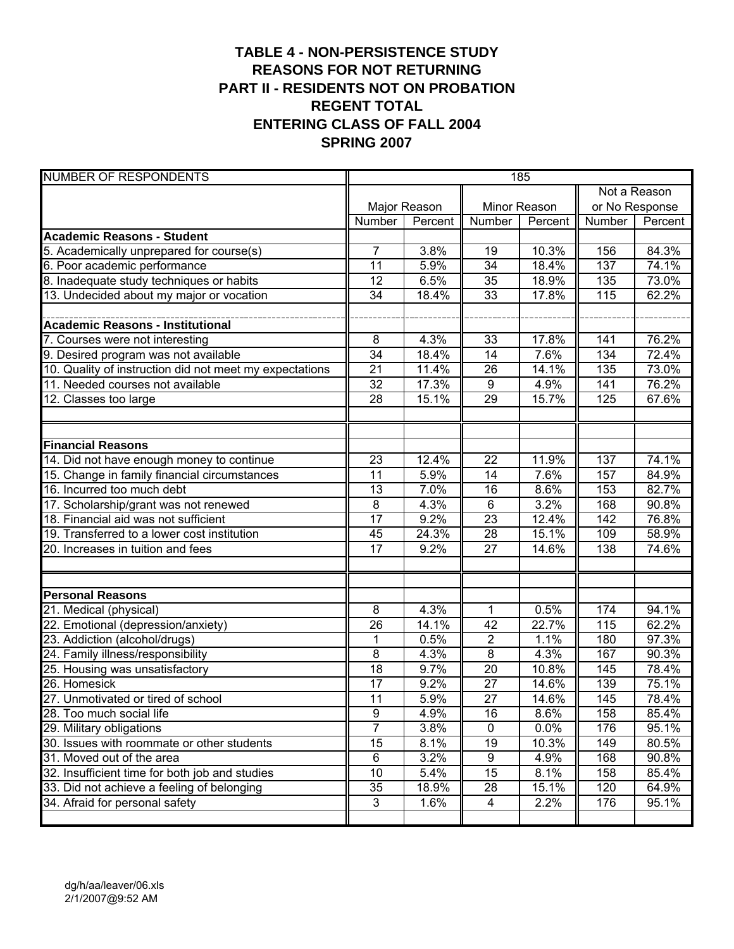#### **TABLE 4 - NON-PERSISTENCE STUDY REASONS FOR NOT RETURNING PART II - RESIDENTS NOT ON PROBATION REGENT TOTAL ENTERING CLASS OF FALL 2004 SPRING 2007**

| <b>NUMBER OF RESPONDENTS</b>                            |                 |              |                 | 185          |        |                |
|---------------------------------------------------------|-----------------|--------------|-----------------|--------------|--------|----------------|
|                                                         |                 |              |                 |              |        | Not a Reason   |
|                                                         |                 | Major Reason |                 | Minor Reason |        | or No Response |
|                                                         | Number          | Percent      | Number          | Percent      | Number | Percent        |
| <b>Academic Reasons - Student</b>                       |                 |              |                 |              |        |                |
| 5. Academically unprepared for course(s)                | $\overline{7}$  | 3.8%         | 19              | 10.3%        | 156    | 84.3%          |
| 6. Poor academic performance                            | $\overline{11}$ | 5.9%         | $\overline{34}$ | 18.4%        | 137    | 74.1%          |
| 8. Inadequate study techniques or habits                | 12              | 6.5%         | $\overline{35}$ | 18.9%        | 135    | 73.0%          |
| 13. Undecided about my major or vocation                | 34              | 18.4%        | 33              | 17.8%        | 115    | 62.2%          |
|                                                         |                 |              |                 |              |        |                |
| <b>Academic Reasons - Institutional</b>                 |                 |              |                 |              |        |                |
| 7. Courses were not interesting                         | 8               | 4.3%         | 33              | 17.8%        | 141    | 76.2%          |
| 9. Desired program was not available                    | $\overline{34}$ | 18.4%        | $\overline{14}$ | 7.6%         | 134    | 72.4%          |
| 10. Quality of instruction did not meet my expectations | 21              | 11.4%        | 26              | 14.1%        | 135    | 73.0%          |
| 11. Needed courses not available                        | 32              | 17.3%        | 9               | 4.9%         | 141    | 76.2%          |
| 12. Classes too large                                   | 28              | 15.1%        | 29              | 15.7%        | 125    | 67.6%          |
|                                                         |                 |              |                 |              |        |                |
|                                                         |                 |              |                 |              |        |                |
| <b>Financial Reasons</b>                                |                 |              |                 |              |        |                |
| 14. Did not have enough money to continue               | 23              | 12.4%        | 22              | 11.9%        | 137    | 74.1%          |
| 15. Change in family financial circumstances            | 11              | 5.9%         | 14              | 7.6%         | 157    | 84.9%          |
| 16. Incurred too much debt                              | 13              | 7.0%         | $\overline{16}$ | 8.6%         | 153    | 82.7%          |
| 17. Scholarship/grant was not renewed                   | 8               | 4.3%         | $6\phantom{1}$  | 3.2%         | 168    | 90.8%          |
| 18. Financial aid was not sufficient                    | 17              | 9.2%         | $\overline{23}$ | 12.4%        | 142    | 76.8%          |
| 19. Transferred to a lower cost institution             | 45              | 24.3%        | 28              | 15.1%        | 109    | 58.9%          |
| 20. Increases in tuition and fees                       | 17              | 9.2%         | 27              | 14.6%        | 138    | 74.6%          |
|                                                         |                 |              |                 |              |        |                |
|                                                         |                 |              |                 |              |        |                |
| <b>Personal Reasons</b>                                 |                 |              |                 |              |        |                |
| 21. Medical (physical)                                  | 8               | 4.3%         | 1               | 0.5%         | 174    | 94.1%          |
| 22. Emotional (depression/anxiety)                      | 26              | 14.1%        | 42              | 22.7%        | 115    | 62.2%          |
| 23. Addiction (alcohol/drugs)                           | 1               | 0.5%         | $\overline{2}$  | 1.1%         | 180    | 97.3%          |
| 24. Family illness/responsibility                       | 8               | 4.3%         | $\overline{8}$  | 4.3%         | 167    | 90.3%          |
| 25. Housing was unsatisfactory                          | 18              | 9.7%         | 20              | 10.8%        | 145    | 78.4%          |
| 26. Homesick                                            | 17              | 9.2%         | 27              | 14.6%        | 139    | 75.1%          |
| 27. Unmotivated or tired of school                      | 11              | 5.9%         | $\overline{27}$ | 14.6%        | 145    | 78.4%          |
| 28. Too much social life                                | $\overline{9}$  | 4.9%         | 16              | 8.6%         | 158    | 85.4%          |
| 29. Military obligations                                | 7               | 3.8%         | 0               | 0.0%         | 176    | 95.1%          |
| 30. Issues with roommate or other students              | 15              | 8.1%         | 19              | 10.3%        | 149    | 80.5%          |
| 31. Moved out of the area                               | $\,6$           | 3.2%         | 9               | 4.9%         | 168    | 90.8%          |
| 32. Insufficient time for both job and studies          | 10              | 5.4%         | 15              | 8.1%         | 158    | 85.4%          |
| 33. Did not achieve a feeling of belonging              | 35              | 18.9%        | 28              | 15.1%        | 120    | 64.9%          |
| 34. Afraid for personal safety                          | 3               | 1.6%         | 4               | 2.2%         | 176    | 95.1%          |
|                                                         |                 |              |                 |              |        |                |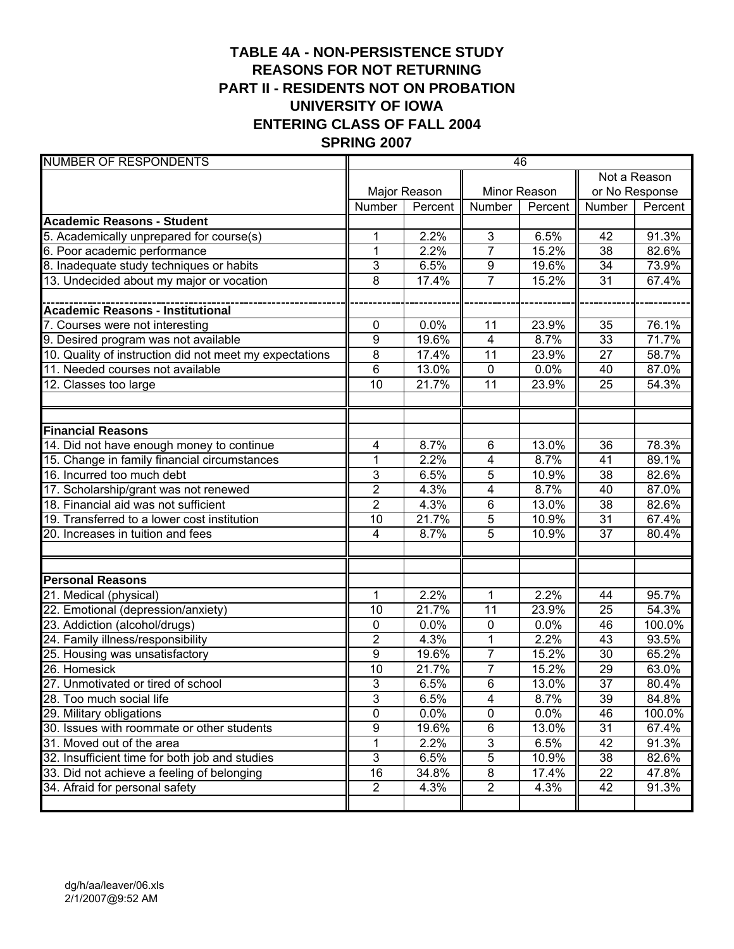# **TABLE 4A - NON-PERSISTENCE STUDY REASONS FOR NOT RETURNING PART II - RESIDENTS NOT ON PROBATION UNIVERSITY OF IOWA ENTERING CLASS OF FALL 2004 SPRING 2007**

| <b>NUMBER OF RESPONDENTS</b>                            |                 |              |                  | 46           |                 |         |  |  |
|---------------------------------------------------------|-----------------|--------------|------------------|--------------|-----------------|---------|--|--|
|                                                         |                 |              |                  |              | Not a Reason    |         |  |  |
|                                                         |                 | Major Reason |                  | Minor Reason | or No Response  |         |  |  |
|                                                         | Number          | Percent      | <b>Number</b>    | Percent      | Number          | Percent |  |  |
| <b>Academic Reasons - Student</b>                       |                 |              |                  |              |                 |         |  |  |
| 5. Academically unprepared for course(s)                | 1               | 2.2%         | 3                | 6.5%         | 42              | 91.3%   |  |  |
| 6. Poor academic performance                            | $\mathbf{1}$    | 2.2%         | $\overline{7}$   | 15.2%        | 38              | 82.6%   |  |  |
| 8. Inadequate study techniques or habits                | 3               | 6.5%         | $\boldsymbol{9}$ | 19.6%        | 34              | 73.9%   |  |  |
| 13. Undecided about my major or vocation                | 8               | 17.4%        | $\overline{7}$   | 15.2%        | 31              | 67.4%   |  |  |
|                                                         |                 |              |                  |              |                 |         |  |  |
| <b>Academic Reasons - Institutional</b>                 |                 |              |                  |              |                 |         |  |  |
| 7. Courses were not interesting                         | 0               | 0.0%         | 11               | 23.9%        | 35              | 76.1%   |  |  |
| 9. Desired program was not available                    | 9               | 19.6%        | 4                | 8.7%         | 33              | 71.7%   |  |  |
| 10. Quality of instruction did not meet my expectations | 8               | 17.4%        | $\overline{11}$  | 23.9%        | 27              | 58.7%   |  |  |
| 11. Needed courses not available                        | 6               | 13.0%        | $\mathbf 0$      | 0.0%         | 40              | 87.0%   |  |  |
| 12. Classes too large                                   | 10              | 21.7%        | 11               | 23.9%        | 25              | 54.3%   |  |  |
|                                                         |                 |              |                  |              |                 |         |  |  |
|                                                         |                 |              |                  |              |                 |         |  |  |
| <b>Financial Reasons</b>                                |                 |              |                  |              |                 |         |  |  |
| 14. Did not have enough money to continue               | 4               | 8.7%         | $\overline{6}$   | 13.0%        | $\overline{36}$ | 78.3%   |  |  |
| 15. Change in family financial circumstances            | 1               | 2.2%         | 4                | 8.7%         | 41              | 89.1%   |  |  |
| 16. Incurred too much debt                              | 3               | 6.5%         | 5                | 10.9%        | 38              | 82.6%   |  |  |
| 17. Scholarship/grant was not renewed                   | $\overline{2}$  | 4.3%         | $\overline{4}$   | 8.7%         | 40              | 87.0%   |  |  |
| 18. Financial aid was not sufficient                    | $\overline{2}$  | 4.3%         | $\overline{6}$   | 13.0%        | 38              | 82.6%   |  |  |
| 19. Transferred to a lower cost institution             | $\overline{10}$ | 21.7%        | 5                | 10.9%        | 31              | 67.4%   |  |  |
| 20. Increases in tuition and fees                       | 4               | 8.7%         | $\overline{5}$   | 10.9%        | 37              | 80.4%   |  |  |
|                                                         |                 |              |                  |              |                 |         |  |  |
|                                                         |                 |              |                  |              |                 |         |  |  |
| <b>Personal Reasons</b>                                 |                 |              |                  |              |                 |         |  |  |
| 21. Medical (physical)                                  | 1               | 2.2%         | 1                | 2.2%         | 44              | 95.7%   |  |  |
| 22. Emotional (depression/anxiety)                      | 10              | 21.7%        | $\overline{11}$  | 23.9%        | 25              | 54.3%   |  |  |
| 23. Addiction (alcohol/drugs)                           | 0               | $0.0\%$      | $\mathbf 0$      | 0.0%         | 46              | 100.0%  |  |  |
| 24. Family illness/responsibility                       | $\overline{2}$  | 4.3%         | 1                | 2.2%         | 43              | 93.5%   |  |  |
| 25. Housing was unsatisfactory                          | 9               | 19.6%        | $\overline{7}$   | 15.2%        | 30              | 65.2%   |  |  |
| 26. Homesick                                            | 10              | 21.7%        | $\overline{7}$   | 15.2%        | 29              | 63.0%   |  |  |
| 27. Unmotivated or tired of school                      | 3               | 6.5%         | $\overline{6}$   | 13.0%        | $\overline{37}$ | 80.4%   |  |  |
| 28. Too much social life                                | 3               | 6.5%         | 4                | 8.7%         | 39              | 84.8%   |  |  |
| 29. Military obligations                                | $\overline{0}$  | 0.0%         | $\pmb{0}$        | 0.0%         | 46              | 100.0%  |  |  |
| 30. Issues with roommate or other students              | 9               | 19.6%        | $\,6$            | 13.0%        | $\overline{31}$ | 67.4%   |  |  |
| 31. Moved out of the area                               | 1               | 2.2%         | 3                | 6.5%         | 42              | 91.3%   |  |  |
| 32. Insufficient time for both job and studies          | $\overline{3}$  | 6.5%         | $\overline{5}$   | 10.9%        | 38              | 82.6%   |  |  |
| 33. Did not achieve a feeling of belonging              | 16              | 34.8%        | $\bf 8$          | 17.4%        | 22              | 47.8%   |  |  |
| 34. Afraid for personal safety                          | $\overline{2}$  | 4.3%         | $\overline{2}$   | 4.3%         | 42              | 91.3%   |  |  |
|                                                         |                 |              |                  |              |                 |         |  |  |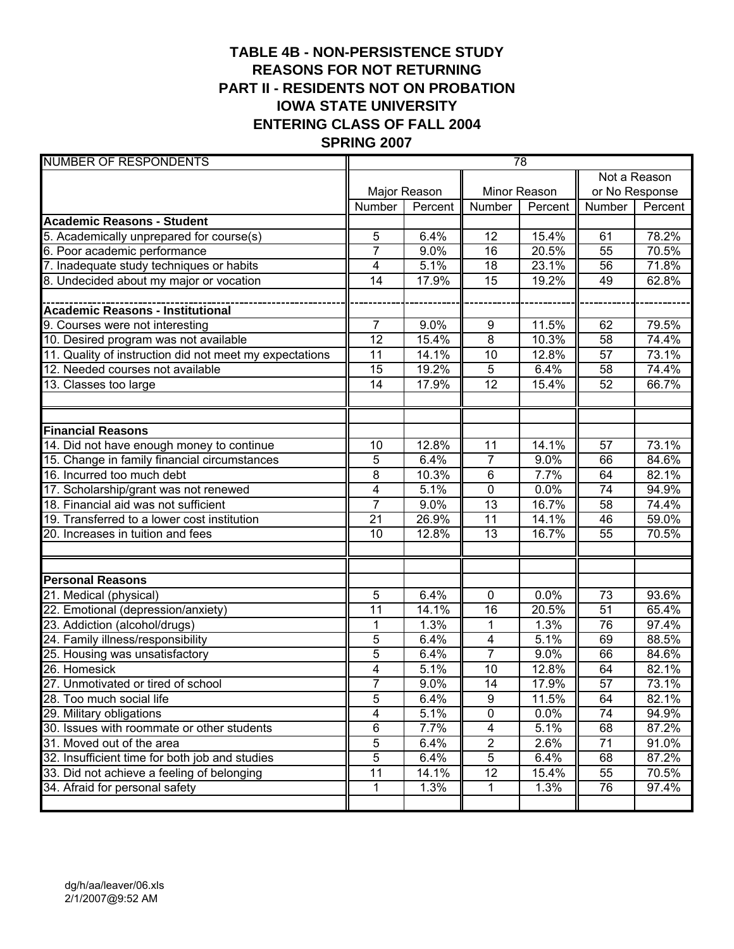# **TABLE 4B - NON-PERSISTENCE STUDY REASONS FOR NOT RETURNING PART II - RESIDENTS NOT ON PROBATION IOWA STATE UNIVERSITY ENTERING CLASS OF FALL 2004 SPRING 2007**

| <b>NUMBER OF RESPONDENTS</b>                            |                |              |                         | 78           |                 |                |
|---------------------------------------------------------|----------------|--------------|-------------------------|--------------|-----------------|----------------|
|                                                         |                |              |                         |              |                 | Not a Reason   |
|                                                         |                | Major Reason |                         | Minor Reason |                 | or No Response |
|                                                         | Number         | Percent      | Number                  | Percent      | Number          | Percent        |
| <b>Academic Reasons - Student</b>                       |                |              |                         |              |                 |                |
| 5. Academically unprepared for course(s)                | 5              | 6.4%         | 12                      | 15.4%        | 61              | 78.2%          |
| 6. Poor academic performance                            | 7              | 9.0%         | 16                      | 20.5%        | 55              | 70.5%          |
| 7. Inadequate study techniques or habits                | 4              | 5.1%         | 18                      | 23.1%        | 56              | 71.8%          |
| 8. Undecided about my major or vocation                 | 14             | 17.9%        | 15                      | 19.2%        | 49              | 62.8%          |
|                                                         |                |              |                         |              |                 |                |
| <b>Academic Reasons - Institutional</b>                 |                |              |                         |              |                 |                |
| 9. Courses were not interesting                         | $\overline{7}$ | 9.0%         | 9                       | 11.5%        | 62              | 79.5%          |
| 10. Desired program was not available                   | 12             | 15.4%        | 8                       | 10.3%        | 58              | 74.4%          |
| 11. Quality of instruction did not meet my expectations | 11             | 14.1%        | 10                      | 12.8%        | 57              | 73.1%          |
| 12. Needed courses not available                        | 15             | 19.2%        | 5                       | 6.4%         | 58              | 74.4%          |
| 13. Classes too large                                   | 14             | 17.9%        | 12                      | 15.4%        | 52              | 66.7%          |
|                                                         |                |              |                         |              |                 |                |
|                                                         |                |              |                         |              |                 |                |
| <b>Financial Reasons</b>                                |                |              |                         |              |                 |                |
| 14. Did not have enough money to continue               | 10             | 12.8%        | $\overline{11}$         | 14.1%        | 57              | 73.1%          |
| 15. Change in family financial circumstances            | 5              | 6.4%         | $\overline{7}$          | 9.0%         | 66              | 84.6%          |
| 16. Incurred too much debt                              | 8              | 10.3%        | $\,6\,$                 | 7.7%         | 64              | 82.1%          |
| 17. Scholarship/grant was not renewed                   | $\overline{4}$ | 5.1%         | $\overline{0}$          | 0.0%         | 74              | 94.9%          |
| 18. Financial aid was not sufficient                    | $\overline{7}$ | 9.0%         | 13                      | 16.7%        | 58              | 74.4%          |
| 19. Transferred to a lower cost institution             | 21             | 26.9%        | 11                      | 14.1%        | 46              | 59.0%          |
| 20. Increases in tuition and fees                       | 10             | 12.8%        | 13                      | 16.7%        | 55              | 70.5%          |
|                                                         |                |              |                         |              |                 |                |
|                                                         |                |              |                         |              |                 |                |
| <b>Personal Reasons</b>                                 |                |              |                         |              |                 |                |
| 21. Medical (physical)                                  | 5              | 6.4%         | $\mathbf 0$             | 0.0%         | 73              | 93.6%          |
| 22. Emotional (depression/anxiety)                      | 11             | 14.1%        | 16                      | 20.5%        | 51              | 65.4%          |
| 23. Addiction (alcohol/drugs)                           | 1              | 1.3%         | $\mathbf 1$             | 1.3%         | 76              | 97.4%          |
| 24. Family illness/responsibility                       | 5              | 6.4%         | $\overline{\mathbf{4}}$ | 5.1%         | 69              | 88.5%          |
| 25. Housing was unsatisfactory                          | 5              | 6.4%         | $\overline{7}$          | 9.0%         | 66              | 84.6%          |
| 26. Homesick                                            | $\overline{4}$ | 5.1%         | 10                      | 12.8%        | 64              | 82.1%          |
| 27. Unmotivated or tired of school                      | $\overline{7}$ | 9.0%         | $\overline{14}$         | 17.9%        | $\overline{57}$ | 73.1%          |
| 28. Too much social life                                | 5              | 6.4%         | 9                       | 11.5%        | 64              | 82.1%          |
| 29. Military obligations                                | 4              | 5.1%         | $\overline{0}$          | 0.0%         | 74              | 94.9%          |
| 30. Issues with roommate or other students              | 6              | 7.7%         | 4                       | 5.1%         | 68              | 87.2%          |
| 31. Moved out of the area                               | 5              | 6.4%         | $\overline{2}$          | 2.6%         | 71              | 91.0%          |
| 32. Insufficient time for both job and studies          | 5              | 6.4%         | $\overline{5}$          | 6.4%         | 68              | 87.2%          |
| 33. Did not achieve a feeling of belonging              | 11             | 14.1%        | 12                      | 15.4%        | 55              | 70.5%          |
| 34. Afraid for personal safety                          | 1              | 1.3%         | 1                       | 1.3%         | 76              | 97.4%          |
|                                                         |                |              |                         |              |                 |                |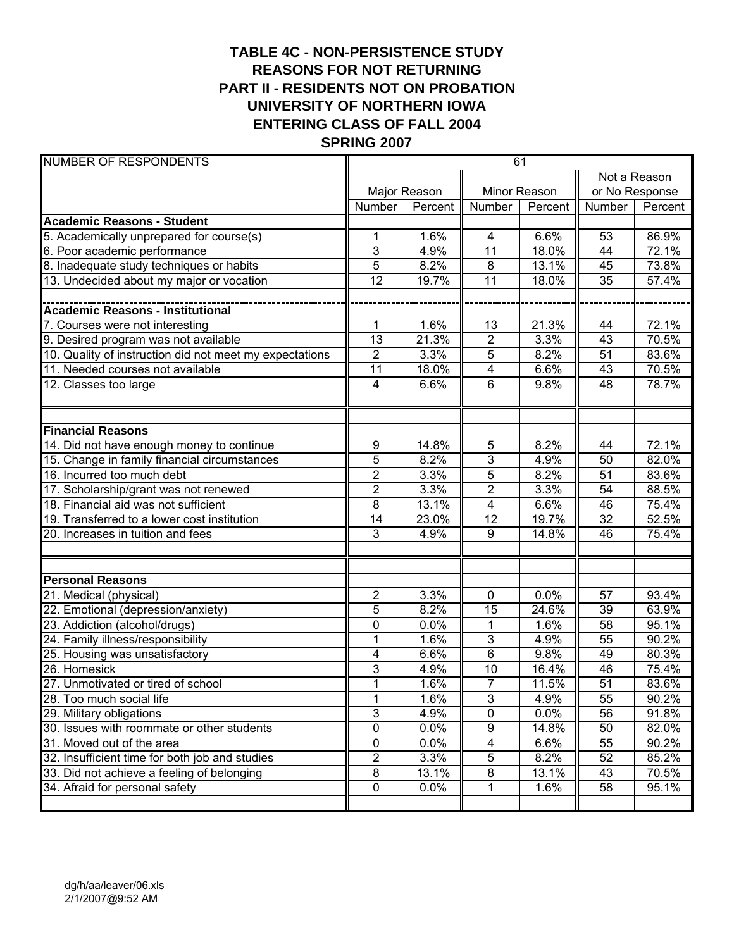# **TABLE 4C - NON-PERSISTENCE STUDY REASONS FOR NOT RETURNING PART II - RESIDENTS NOT ON PROBATION UNIVERSITY OF NORTHERN IOWA ENTERING CLASS OF FALL 2004 SPRING 2007**

| <b>NUMBER OF RESPONDENTS</b>                            |                         |              |                           | 61           |                 |                |  |  |
|---------------------------------------------------------|-------------------------|--------------|---------------------------|--------------|-----------------|----------------|--|--|
|                                                         |                         |              |                           |              | Not a Reason    |                |  |  |
|                                                         |                         | Major Reason |                           | Minor Reason |                 | or No Response |  |  |
|                                                         | Number                  | Percent      | Number                    | Percent      | Number          | Percent        |  |  |
| <b>Academic Reasons - Student</b>                       |                         |              |                           |              |                 |                |  |  |
| 5. Academically unprepared for course(s)                | 1                       | 1.6%         | 4                         | 6.6%         | 53              | 86.9%          |  |  |
| 6. Poor academic performance                            | 3                       | 4.9%         | $\overline{11}$           | 18.0%        | 44              | 72.1%          |  |  |
| 8. Inadequate study techniques or habits                | 5                       | 8.2%         | 8                         | 13.1%        | 45              | 73.8%          |  |  |
| 13. Undecided about my major or vocation                | $\overline{12}$         | 19.7%        | 11                        | 18.0%        | $\overline{35}$ | 57.4%          |  |  |
|                                                         |                         |              |                           |              |                 |                |  |  |
| <b>Academic Reasons - Institutional</b>                 |                         |              |                           |              |                 |                |  |  |
| 7. Courses were not interesting                         | 1                       | 1.6%         | 13                        | 21.3%        | 44              | 72.1%          |  |  |
| 9. Desired program was not available                    | 13                      | 21.3%        | $\overline{2}$            | 3.3%         | 43              | 70.5%          |  |  |
| 10. Quality of instruction did not meet my expectations | $\overline{2}$          | 3.3%         | 5                         | 8.2%         | 51              | 83.6%          |  |  |
| 11. Needed courses not available                        | 11                      | 18.0%        | 4                         | 6.6%         | 43              | 70.5%          |  |  |
| $\overline{12}$ . Classes too large                     | $\overline{\mathbf{4}}$ | 6.6%         | 6                         | 9.8%         | 48              | 78.7%          |  |  |
|                                                         |                         |              |                           |              |                 |                |  |  |
| <b>Financial Reasons</b>                                |                         |              |                           |              |                 |                |  |  |
| 14. Did not have enough money to continue               | 9                       | 14.8%        | 5                         | 8.2%         | 44              | 72.1%          |  |  |
| 15. Change in family financial circumstances            | 5                       | 8.2%         | 3                         | 4.9%         | 50              | 82.0%          |  |  |
| 16. Incurred too much debt                              | $\overline{2}$          | 3.3%         | $\overline{5}$            | 8.2%         | 51              | 83.6%          |  |  |
| 17. Scholarship/grant was not renewed                   | $\overline{c}$          | 3.3%         | $\overline{2}$            | 3.3%         | 54              | 88.5%          |  |  |
| 18. Financial aid was not sufficient                    | 8                       | 13.1%        | 4                         | 6.6%         | 46              | 75.4%          |  |  |
| 19. Transferred to a lower cost institution             | 14                      | 23.0%        | 12                        | 19.7%        | 32              | 52.5%          |  |  |
| 20. Increases in tuition and fees                       | 3                       | 4.9%         | 9                         | 14.8%        | 46              | 75.4%          |  |  |
|                                                         |                         |              |                           |              |                 |                |  |  |
| <b>Personal Reasons</b>                                 |                         |              |                           |              |                 |                |  |  |
| 21. Medical (physical)                                  | $\overline{2}$          | 3.3%         | $\mathbf 0$               | 0.0%         | 57              | 93.4%          |  |  |
| 22. Emotional (depression/anxiety)                      | 5                       | 8.2%         | $\overline{15}$           | 24.6%        | 39              | 63.9%          |  |  |
| 23. Addiction (alcohol/drugs)                           | 0                       | 0.0%         | $\mathbf{1}$              | 1.6%         | 58              | 95.1%          |  |  |
| 24. Family illness/responsibility                       | 1                       | 1.6%         | 3                         | 4.9%         | 55              | 90.2%          |  |  |
| 25. Housing was unsatisfactory                          | 4                       | 6.6%         | $\overline{6}$            | 9.8%         | 49              | 80.3%          |  |  |
| 26. Homesick                                            | 3                       | 4.9%         | 10                        | 16.4%        | 46              | 75.4%          |  |  |
| 27. Unmotivated or tired of school                      | 1                       | 1.6%         | $\overline{7}$            | 11.5%        | $\overline{51}$ | 83.6%          |  |  |
| 28. Too much social life                                | 1                       | 1.6%         | $\ensuremath{\mathsf{3}}$ | 4.9%         | 55              | 90.2%          |  |  |
| 29. Military obligations                                | $\overline{3}$          | 4.9%         | $\overline{0}$            | 0.0%         | 56              | 91.8%          |  |  |
| 30. Issues with roommate or other students              | 0                       | 0.0%         | 9                         | 14.8%        | 50              | 82.0%          |  |  |
| 31. Moved out of the area                               | 0                       | 0.0%         | 4                         | 6.6%         | 55              | 90.2%          |  |  |
| 32. Insufficient time for both job and studies          | $\overline{2}$          | 3.3%         | 5                         | 8.2%         | 52              | 85.2%          |  |  |
| 33. Did not achieve a feeling of belonging              | 8                       | 13.1%        | 8                         | 13.1%        | 43              | 70.5%          |  |  |
| 34. Afraid for personal safety                          | $\pmb{0}$               | 0.0%         | $\mathbf{1}$              | 1.6%         | 58              | 95.1%          |  |  |
|                                                         |                         |              |                           |              |                 |                |  |  |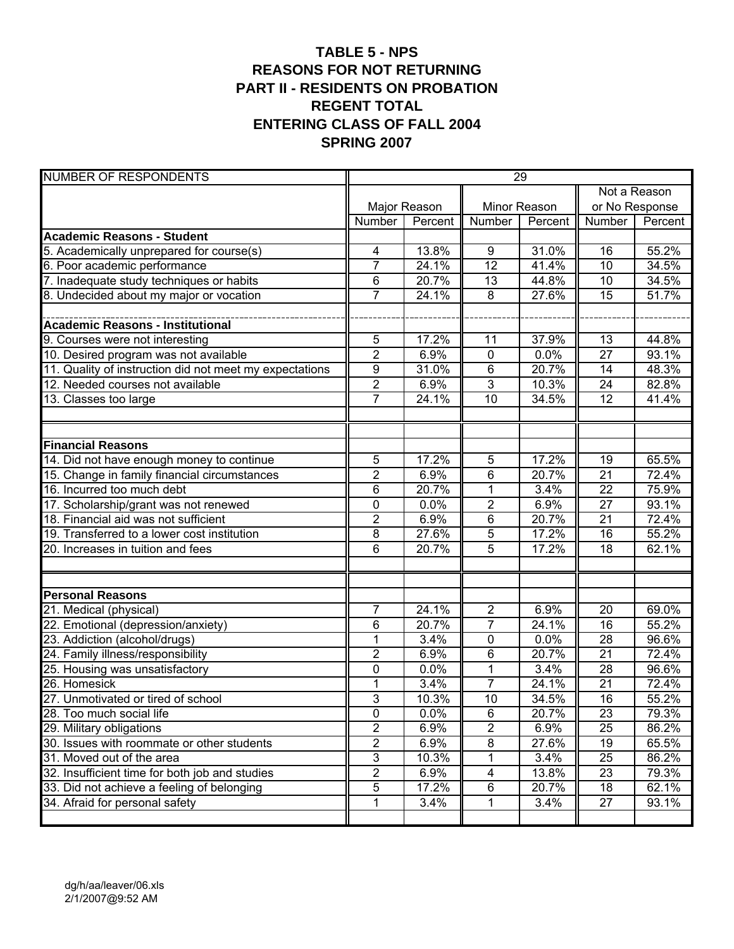#### **TABLE 5 - NPS REASONS FOR NOT RETURNING PART II - RESIDENTS ON PROBATION REGENT TOTAL ENTERING CLASS OF FALL 2004 SPRING 2007**

| <b>NUMBER OF RESPONDENTS</b>                            |                |              |                 | 29           |                 |                |
|---------------------------------------------------------|----------------|--------------|-----------------|--------------|-----------------|----------------|
|                                                         |                |              |                 |              |                 | Not a Reason   |
|                                                         |                | Major Reason |                 | Minor Reason |                 | or No Response |
|                                                         | Number         | Percent      | Number          | Percent      | Number          | Percent        |
| <b>Academic Reasons - Student</b>                       |                |              |                 |              |                 |                |
| 5. Academically unprepared for course(s)                | 4              | 13.8%        | 9               | 31.0%        | 16              | 55.2%          |
| 6. Poor academic performance                            | $\overline{7}$ | 24.1%        | $\overline{12}$ | 41.4%        | 10              | 34.5%          |
| 7. Inadequate study techniques or habits                | 6              | 20.7%        | 13              | 44.8%        | 10              | 34.5%          |
| 8. Undecided about my major or vocation                 | $\overline{7}$ | 24.1%        | 8               | 27.6%        | $\overline{15}$ | 51.7%          |
|                                                         |                |              |                 |              |                 |                |
| <b>Academic Reasons - Institutional</b>                 |                |              |                 |              |                 |                |
| 9. Courses were not interesting                         | 5              | 17.2%        | 11              | 37.9%        | 13              | 44.8%          |
| 10. Desired program was not available                   | $\overline{2}$ | 6.9%         | $\pmb{0}$       | 0.0%         | 27              | 93.1%          |
| 11. Quality of instruction did not meet my expectations | 9              | 31.0%        | $\,6$           | 20.7%        | 14              | 48.3%          |
| 12. Needed courses not available                        | $\overline{2}$ | 6.9%         | 3               | 10.3%        | 24              | 82.8%          |
| 13. Classes too large                                   | $\overline{7}$ | 24.1%        | 10              | 34.5%        | 12              | 41.4%          |
|                                                         |                |              |                 |              |                 |                |
|                                                         |                |              |                 |              |                 |                |
| <b>Financial Reasons</b>                                |                |              |                 |              |                 |                |
| 14. Did not have enough money to continue               | 5              | 17.2%        | 5               | 17.2%        | 19              | 65.5%          |
| 15. Change in family financial circumstances            | $\overline{2}$ | 6.9%         | 6               | 20.7%        | 21              | 72.4%          |
| 16. Incurred too much debt                              | 6              | 20.7%        | 1               | 3.4%         | $\overline{22}$ | 75.9%          |
| 17. Scholarship/grant was not renewed                   | $\mathbf 0$    | 0.0%         | $\overline{2}$  | 6.9%         | 27              | 93.1%          |
| 18. Financial aid was not sufficient                    | $\overline{2}$ | 6.9%         | 6               | 20.7%        | $\overline{21}$ | 72.4%          |
| 19. Transferred to a lower cost institution             | 8              | 27.6%        | 5               | 17.2%        | 16              | 55.2%          |
| 20. Increases in tuition and fees                       | 6              | 20.7%        | 5               | 17.2%        | 18              | 62.1%          |
|                                                         |                |              |                 |              |                 |                |
|                                                         |                |              |                 |              |                 |                |
| <b>Personal Reasons</b>                                 |                |              |                 |              |                 |                |
| 21. Medical (physical)                                  | $\overline{7}$ | 24.1%        | $\overline{2}$  | 6.9%         | 20              | 69.0%          |
| 22. Emotional (depression/anxiety)                      | 6              | 20.7%        | $\overline{7}$  | 24.1%        | 16              | 55.2%          |
| 23. Addiction (alcohol/drugs)                           | 1              | 3.4%         | 0               | 0.0%         | 28              | 96.6%          |
| 24. Family illness/responsibility                       | $\overline{2}$ | 6.9%         | 6               | 20.7%        | $\overline{21}$ | 72.4%          |
| 25. Housing was unsatisfactory                          | 0              | 0.0%         | 1               | 3.4%         | 28              | 96.6%          |
| 26. Homesick                                            | 1              | 3.4%         | $\overline{7}$  | 24.1%        | 21              | 72.4%          |
| 27. Unmotivated or tired of school                      | $\overline{3}$ | 10.3%        | 10              | 34.5%        | 16              | 55.2%          |
| 28. Too much social life                                | $\pmb{0}$      | 0.0%         | $\,6$           | 20.7%        | 23              | 79.3%          |
| 29. Military obligations                                | $\overline{2}$ | 6.9%         | $\overline{2}$  | 6.9%         | $\overline{25}$ | 86.2%          |
| 30. Issues with roommate or other students              | $\overline{2}$ | 6.9%         | $\,8\,$         | 27.6%        | 19              | 65.5%          |
| 31. Moved out of the area                               | $\overline{3}$ | 10.3%        | 1               | 3.4%         | $\overline{25}$ | 86.2%          |
| 32. Insufficient time for both job and studies          | $\overline{2}$ | 6.9%         | 4               | 13.8%        | 23              | 79.3%          |
| 33. Did not achieve a feeling of belonging              | $\sqrt{5}$     | 17.2%        | 6               | 20.7%        | 18              | 62.1%          |
| 34. Afraid for personal safety                          | 1              | 3.4%         | 1               | 3.4%         | 27              | 93.1%          |
|                                                         |                |              |                 |              |                 |                |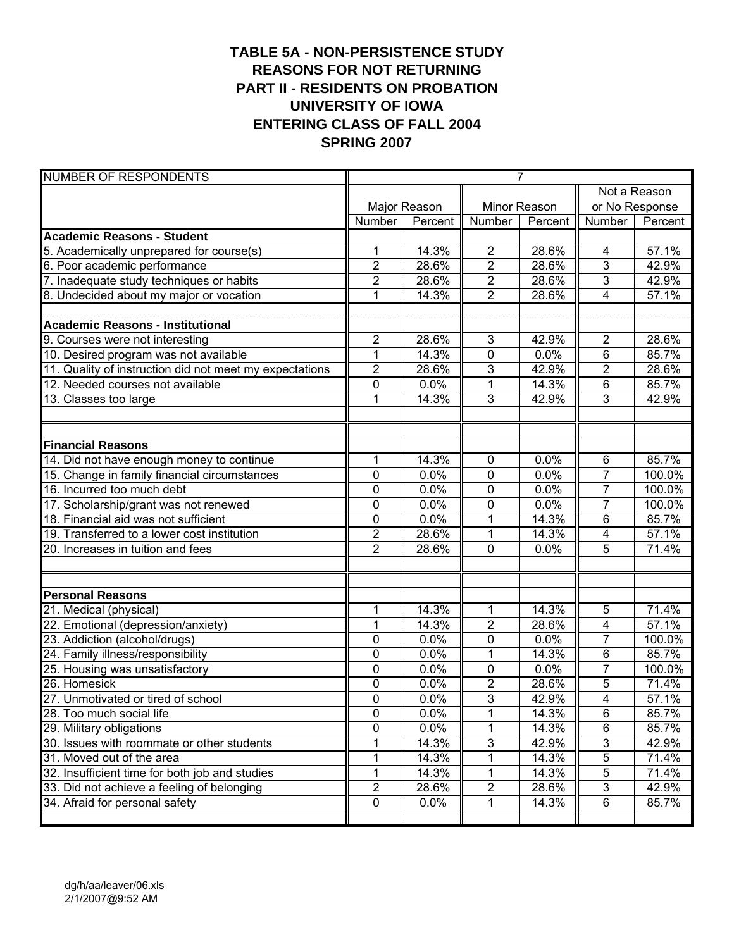# **TABLE 5A - NON-PERSISTENCE STUDY REASONS FOR NOT RETURNING PART II - RESIDENTS ON PROBATION UNIVERSITY OF IOWA ENTERING CLASS OF FALL 2004 SPRING 2007**

| <b>NUMBER OF RESPONDENTS</b>                            | $\overline{7}$   |              |                         |              |                         |                |  |
|---------------------------------------------------------|------------------|--------------|-------------------------|--------------|-------------------------|----------------|--|
|                                                         |                  |              |                         |              |                         | Not a Reason   |  |
|                                                         |                  | Major Reason |                         | Minor Reason |                         | or No Response |  |
|                                                         | Number           | Percent      | Number                  | Percent      | Number                  | Percent        |  |
| <b>Academic Reasons - Student</b>                       |                  |              |                         |              |                         |                |  |
| 5. Academically unprepared for course(s)                | 1                | 14.3%        | $\overline{2}$          | 28.6%        | 4                       | 57.1%          |  |
| 6. Poor academic performance                            | $\overline{2}$   | 28.6%        | $\overline{\mathbf{c}}$ | 28.6%        | 3                       | 42.9%          |  |
| 7. Inadequate study techniques or habits                | $\overline{2}$   | 28.6%        | $\overline{2}$          | 28.6%        | $\overline{3}$          | 42.9%          |  |
| 8. Undecided about my major or vocation                 | 1                | 14.3%        | $\overline{2}$          | 28.6%        | $\overline{4}$          | 57.1%          |  |
|                                                         |                  |              |                         |              |                         |                |  |
| <b>Academic Reasons - Institutional</b>                 |                  |              |                         |              |                         |                |  |
| 9. Courses were not interesting                         | $\overline{2}$   | 28.6%        | 3                       | 42.9%        | $\overline{2}$          | 28.6%          |  |
| 10. Desired program was not available                   | 1                | 14.3%        | 0                       | 0.0%         | $\overline{6}$          | 85.7%          |  |
| 11. Quality of instruction did not meet my expectations | $\overline{2}$   | 28.6%        | 3                       | 42.9%        | $\overline{2}$          | 28.6%          |  |
| 12. Needed courses not available                        | $\mathbf 0$      | 0.0%         | 1                       | 14.3%        | $6\phantom{1}$          | 85.7%          |  |
| 13. Classes too large                                   | $\mathbf 1$      | 14.3%        | 3                       | 42.9%        | $\overline{3}$          | 42.9%          |  |
|                                                         |                  |              |                         |              |                         |                |  |
| <b>Financial Reasons</b>                                |                  |              |                         |              |                         |                |  |
| 14. Did not have enough money to continue               | $\mathbf 1$      | 14.3%        | $\mathbf 0$             | 0.0%         | $6\phantom{1}$          | 85.7%          |  |
| 15. Change in family financial circumstances            | $\mathbf 0$      | 0.0%         | 0                       | 0.0%         | $\overline{7}$          | 100.0%         |  |
| 16. Incurred too much debt                              | $\mathbf 0$      | 0.0%         | 0                       | 0.0%         | $\overline{7}$          | 100.0%         |  |
| 17. Scholarship/grant was not renewed                   | 0                | 0.0%         | 0                       | 0.0%         | $\overline{7}$          | 100.0%         |  |
| 18. Financial aid was not sufficient                    | $\mathbf 0$      | 0.0%         | 1                       | 14.3%        | $6\phantom{1}$          | 85.7%          |  |
| 19. Transferred to a lower cost institution             | $\overline{2}$   | 28.6%        | 1                       | 14.3%        | 4                       | 57.1%          |  |
| 20. Increases in tuition and fees                       | $\overline{2}$   | 28.6%        | 0                       | 0.0%         | 5                       | 71.4%          |  |
|                                                         |                  |              |                         |              |                         |                |  |
|                                                         |                  |              |                         |              |                         |                |  |
| <b>Personal Reasons</b>                                 |                  |              |                         |              |                         |                |  |
| 21. Medical (physical)                                  | 1                | 14.3%        | 1                       | 14.3%        | 5                       | 71.4%          |  |
| 22. Emotional (depression/anxiety)                      | 1                | 14.3%        | $\overline{2}$          | 28.6%        | $\overline{\mathbf{4}}$ | 57.1%          |  |
| 23. Addiction (alcohol/drugs)                           | 0                | 0.0%         | 0                       | 0.0%         | $\overline{7}$          | 100.0%         |  |
| 24. Family illness/responsibility                       | $\mathbf 0$      | 0.0%         | 1                       | 14.3%        | 6                       | 85.7%          |  |
| 25. Housing was unsatisfactory                          | $\mathbf 0$      | 0.0%         | 0                       | 0.0%         | $\overline{7}$          | 100.0%         |  |
| 26. Homesick                                            | $\mathbf 0$      | 0.0%         | $\overline{2}$          | 28.6%        | 5                       | 71.4%          |  |
| 27. Unmotivated or tired of school                      | $\mathbf 0$      | 0.0%         | 3                       | 42.9%        | $\overline{4}$          | 57.1%          |  |
| 28. Too much social life                                | $\boldsymbol{0}$ | 0.0%         | 1                       | 14.3%        | 6                       | 85.7%          |  |
| 29. Military obligations                                | 0                | 0.0%         | 1                       | 14.3%        | $\overline{6}$          | 85.7%          |  |
| 30. Issues with roommate or other students              | 1                | 14.3%        | 3                       | 42.9%        | $\overline{3}$          | 42.9%          |  |
| 31. Moved out of the area                               | 1                | 14.3%        | 1                       | 14.3%        | $\sqrt{5}$              | 71.4%          |  |
| 32. Insufficient time for both job and studies          | 1                | 14.3%        | 1                       | 14.3%        | 5                       | 71.4%          |  |
| 33. Did not achieve a feeling of belonging              | $\overline{2}$   | 28.6%        | $\overline{2}$          | 28.6%        | $\mathfrak{S}$          | 42.9%          |  |
| 34. Afraid for personal safety                          | 0                | 0.0%         | 1                       | 14.3%        | 6                       | 85.7%          |  |
|                                                         |                  |              |                         |              |                         |                |  |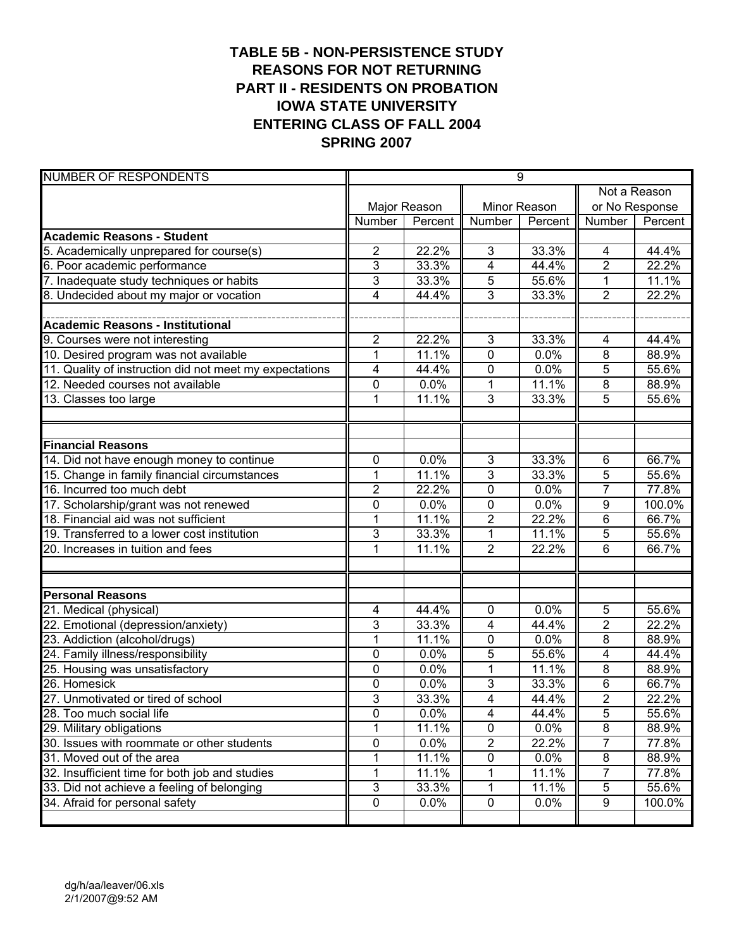# **TABLE 5B - NON-PERSISTENCE STUDY REASONS FOR NOT RETURNING PART II - RESIDENTS ON PROBATION IOWA STATE UNIVERSITY ENTERING CLASS OF FALL 2004 SPRING 2007**

| <b>NUMBER OF RESPONDENTS</b>                            |                           |              |                         | 9            |                |                |  |  |
|---------------------------------------------------------|---------------------------|--------------|-------------------------|--------------|----------------|----------------|--|--|
|                                                         |                           |              |                         |              | Not a Reason   |                |  |  |
|                                                         |                           | Major Reason |                         | Minor Reason |                | or No Response |  |  |
|                                                         | Number                    | Percent      | Number                  | Percent      | Number         | Percent        |  |  |
| <b>Academic Reasons - Student</b>                       |                           |              |                         |              |                |                |  |  |
| 5. Academically unprepared for course(s)                | $\overline{2}$            | 22.2%        | 3                       | 33.3%        | 4              | 44.4%          |  |  |
| 6. Poor academic performance                            | $\overline{3}$            | 33.3%        | $\overline{4}$          | 44.4%        | $\overline{2}$ | 22.2%          |  |  |
| 7. Inadequate study techniques or habits                | 3                         | 33.3%        | 5                       | 55.6%        | $\mathbf{1}$   | 11.1%          |  |  |
| 8. Undecided about my major or vocation                 | 4                         | 44.4%        | 3                       | 33.3%        | $\overline{2}$ | 22.2%          |  |  |
|                                                         |                           |              |                         |              |                |                |  |  |
| <b>Academic Reasons - Institutional</b>                 |                           |              |                         |              |                |                |  |  |
| 9. Courses were not interesting                         | $\overline{c}$            | 22.2%        | 3                       | 33.3%        | 4              | 44.4%          |  |  |
| 10. Desired program was not available                   | $\mathbf 1$               | 11.1%        | $\mathbf 0$             | 0.0%         | 8              | 88.9%          |  |  |
| 11. Quality of instruction did not meet my expectations | 4                         | 44.4%        | 0                       | 0.0%         | 5              | 55.6%          |  |  |
| 12. Needed courses not available                        | $\mathbf 0$               | 0.0%         | 1                       | 11.1%        | 8              | 88.9%          |  |  |
| 13. Classes too large                                   | 1                         | 11.1%        | 3                       | 33.3%        | 5              | 55.6%          |  |  |
|                                                         |                           |              |                         |              |                |                |  |  |
|                                                         |                           |              |                         |              |                |                |  |  |
| <b>Financial Reasons</b>                                |                           |              |                         |              |                |                |  |  |
| 14. Did not have enough money to continue               | 0                         | 0.0%         | 3                       | 33.3%        | $6\phantom{1}$ | 66.7%          |  |  |
| 15. Change in family financial circumstances            | 1                         | 11.1%        | 3                       | 33.3%        | 5              | 55.6%          |  |  |
| 16. Incurred too much debt                              | $\overline{2}$            | 22.2%        | 0                       | 0.0%         | $\overline{7}$ | 77.8%          |  |  |
| 17. Scholarship/grant was not renewed                   | 0                         | 0.0%         | 0                       | 0.0%         | 9              | 100.0%         |  |  |
| 18. Financial aid was not sufficient                    | $\overline{1}$            | 11.1%        | $\overline{2}$          | 22.2%        | $\overline{6}$ | 66.7%          |  |  |
| 19. Transferred to a lower cost institution             | 3                         | 33.3%        | 1                       | 11.1%        | 5              | 55.6%          |  |  |
| 20. Increases in tuition and fees                       | 1                         | 11.1%        | $\overline{2}$          | 22.2%        | 6              | 66.7%          |  |  |
|                                                         |                           |              |                         |              |                |                |  |  |
|                                                         |                           |              |                         |              |                |                |  |  |
| <b>Personal Reasons</b>                                 |                           |              |                         |              |                |                |  |  |
| 21. Medical (physical)                                  | 4                         | 44.4%        | $\mathbf 0$             | 0.0%         | 5              | 55.6%          |  |  |
| 22. Emotional (depression/anxiety)                      | 3                         | 33.3%        | 4                       | 44.4%        | $\overline{2}$ | 22.2%          |  |  |
| 23. Addiction (alcohol/drugs)                           | 1                         | 11.1%        | 0                       | 0.0%         | $\overline{8}$ | 88.9%          |  |  |
| 24. Family illness/responsibility                       | 0                         | 0.0%         | 5                       | 55.6%        | 4              | 44.4%          |  |  |
| 25. Housing was unsatisfactory                          | 0                         | 0.0%         | 1                       | 11.1%        | 8              | 88.9%          |  |  |
| 26. Homesick                                            | 0                         | 0.0%         | 3                       | 33.3%        | 6              | 66.7%          |  |  |
| 27. Unmotivated or tired of school                      | $\overline{3}$            | 33.3%        | $\overline{4}$          | 44.4%        | $\overline{2}$ | 22.2%          |  |  |
| 28. Too much social life                                | $\overline{0}$            | 0.0%         | $\overline{\mathbf{4}}$ | 44.4%        | $\overline{5}$ | 55.6%          |  |  |
| 29. Military obligations                                | 1                         | 11.1%        | $\pmb{0}$               | 0.0%         | $\overline{8}$ | 88.9%          |  |  |
| 30. Issues with roommate or other students              | 0                         | 0.0%         | $\overline{c}$          | 22.2%        | $\overline{7}$ | 77.8%          |  |  |
| 31. Moved out of the area                               | 1                         | 11.1%        | 0                       | 0.0%         | 8              | 88.9%          |  |  |
| 32. Insufficient time for both job and studies          | 1                         | 11.1%        | 1                       | 11.1%        | 7              | 77.8%          |  |  |
| 33. Did not achieve a feeling of belonging              | $\ensuremath{\mathsf{3}}$ | 33.3%        | 1                       | 11.1%        | 5              | 55.6%          |  |  |
| 34. Afraid for personal safety                          | 0                         | 0.0%         | 0                       | 0.0%         | 9              | 100.0%         |  |  |
|                                                         |                           |              |                         |              |                |                |  |  |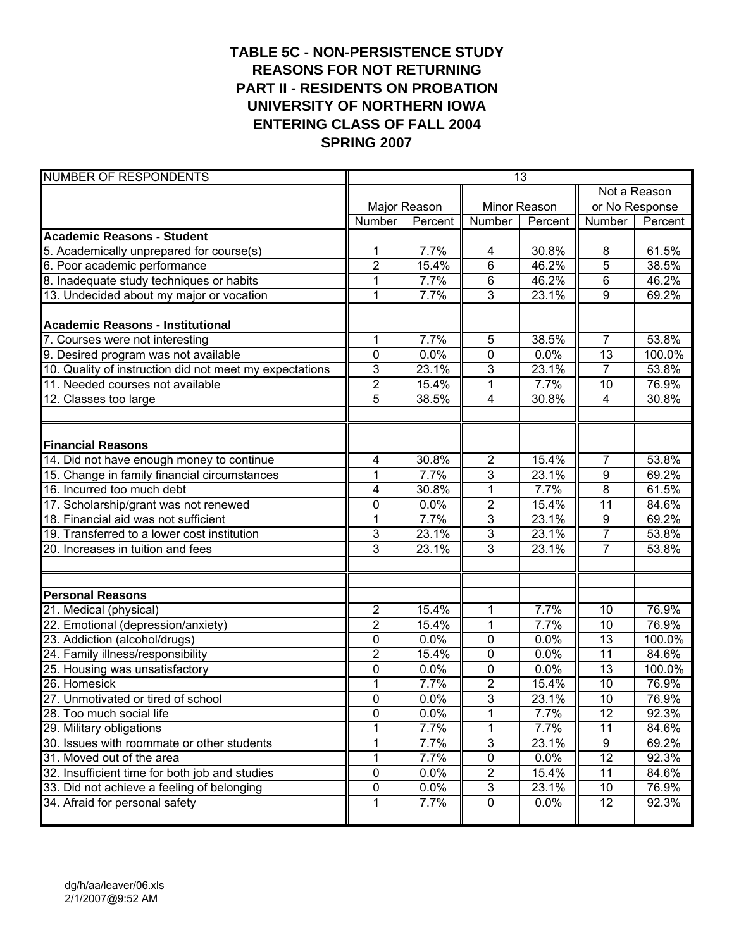# **TABLE 5C - NON-PERSISTENCE STUDY REASONS FOR NOT RETURNING PART II - RESIDENTS ON PROBATION UNIVERSITY OF NORTHERN IOWA ENTERING CLASS OF FALL 2004 SPRING 2007**

| <b>NUMBER OF RESPONDENTS</b>                            |                |              |                         | 13           |                         |                |
|---------------------------------------------------------|----------------|--------------|-------------------------|--------------|-------------------------|----------------|
|                                                         |                |              |                         |              |                         | Not a Reason   |
|                                                         |                | Major Reason |                         | Minor Reason |                         | or No Response |
|                                                         | Number         | Percent      | Number                  | Percent      | Number                  | Percent        |
| <b>Academic Reasons - Student</b>                       |                |              |                         |              |                         |                |
| 5. Academically unprepared for course(s)                | 1              | 7.7%         | 4                       | 30.8%        | 8                       | 61.5%          |
| 6. Poor academic performance                            | $\overline{2}$ | 15.4%        | 6                       | 46.2%        | 5                       | 38.5%          |
| 8. Inadequate study techniques or habits                | 1              | 7.7%         | 6                       | 46.2%        | 6                       | 46.2%          |
| 13. Undecided about my major or vocation                | $\mathbf{1}$   | 7.7%         | 3                       | 23.1%        | 9                       | 69.2%          |
|                                                         |                |              |                         |              |                         |                |
| <b>Academic Reasons - Institutional</b>                 |                |              |                         |              |                         |                |
| 7. Courses were not interesting                         | 1              | 7.7%         | 5                       | 38.5%        | $\overline{7}$          | 53.8%          |
| 9. Desired program was not available                    | 0              | 0.0%         | 0                       | 0.0%         | $\overline{13}$         | 100.0%         |
| 10. Quality of instruction did not meet my expectations | 3              | 23.1%        | 3                       | 23.1%        | $\overline{7}$          | 53.8%          |
| 11. Needed courses not available                        | $\overline{2}$ | 15.4%        | 1                       | 7.7%         | 10                      | 76.9%          |
| 12. Classes too large                                   | $\overline{5}$ | 38.5%        | $\overline{\mathbf{4}}$ | 30.8%        | $\overline{\mathbf{4}}$ | 30.8%          |
|                                                         |                |              |                         |              |                         |                |
|                                                         |                |              |                         |              |                         |                |
| <b>Financial Reasons</b>                                |                |              |                         |              |                         |                |
| 14. Did not have enough money to continue               | 4              | 30.8%        | $\sqrt{2}$              | 15.4%        | $\overline{7}$          | 53.8%          |
| 15. Change in family financial circumstances            | 1              | 7.7%         | 3                       | 23.1%        | $\overline{9}$          | 69.2%          |
| 16. Incurred too much debt                              | 4              | 30.8%        | 1                       | 7.7%         | 8                       | 61.5%          |
| 17. Scholarship/grant was not renewed                   | 0              | 0.0%         | $\overline{2}$          | 15.4%        | $\overline{11}$         | 84.6%          |
| 18. Financial aid was not sufficient                    | $\mathbf 1$    | 7.7%         | 3                       | 23.1%        | 9                       | 69.2%          |
| 19. Transferred to a lower cost institution             | 3              | 23.1%        | 3                       | 23.1%        | $\overline{7}$          | 53.8%          |
| 20. Increases in tuition and fees                       | 3              | 23.1%        | 3                       | 23.1%        | $\overline{7}$          | 53.8%          |
|                                                         |                |              |                         |              |                         |                |
|                                                         |                |              |                         |              |                         |                |
| <b>Personal Reasons</b>                                 |                |              |                         |              |                         |                |
| 21. Medical (physical)                                  | $\overline{2}$ | 15.4%        | 1                       | 7.7%         | 10                      | 76.9%          |
| 22. Emotional (depression/anxiety)                      | $\overline{2}$ | 15.4%        | $\mathbf{1}$            | 7.7%         | 10                      | 76.9%          |
| 23. Addiction (alcohol/drugs)                           | 0              | 0.0%         | 0                       | 0.0%         | 13                      | 100.0%         |
| 24. Family illness/responsibility                       | $\overline{2}$ | 15.4%        | 0                       | 0.0%         | 11                      | 84.6%          |
| 25. Housing was unsatisfactory                          | 0              | 0.0%         | 0                       | 0.0%         | 13                      | 100.0%         |
| 26. Homesick                                            | $\mathbf{1}$   | 7.7%         | $\overline{\mathbf{c}}$ | 15.4%        | 10                      | 76.9%          |
| 27. Unmotivated or tired of school                      | $\mathbf 0$    | 0.0%         | 3                       | 23.1%        | $\overline{10}$         | 76.9%          |
| 28. Too much social life                                | 0              | 0.0%         | 1                       | 7.7%         | 12                      | 92.3%          |
| 29. Military obligations                                |                | 7.7%         | 1                       | 7.7%         | $\overline{11}$         | 84.6%          |
| 30. Issues with roommate or other students              | 1              | 7.7%         | $\overline{3}$          | 23.1%        | $\overline{9}$          | 69.2%          |
| 31. Moved out of the area                               | 1              | 7.7%         | 0                       | 0.0%         | $\overline{12}$         | 92.3%          |
| 32. Insufficient time for both job and studies          | 0              | 0.0%         | $\overline{2}$          | 15.4%        | 11                      | 84.6%          |
| 33. Did not achieve a feeling of belonging              | 0              | 0.0%         | $\overline{3}$          | 23.1%        | 10                      | 76.9%          |
| 34. Afraid for personal safety                          | 1              | 7.7%         | $\pmb{0}$               | 0.0%         | 12                      | 92.3%          |
|                                                         |                |              |                         |              |                         |                |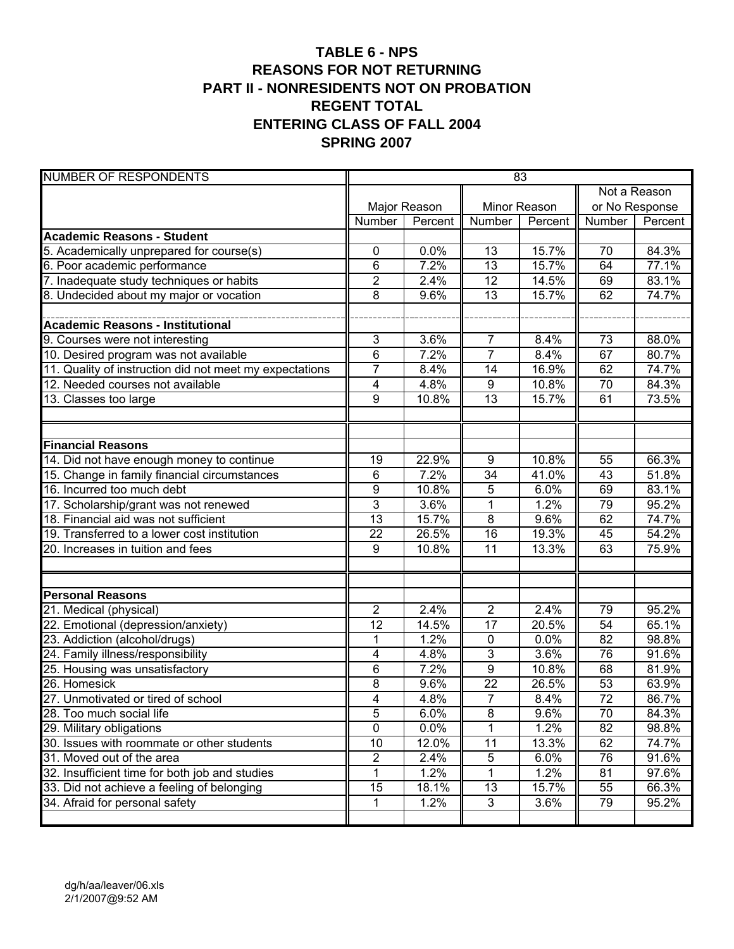#### **TABLE 6 - NPS REASONS FOR NOT RETURNING PART II - NONRESIDENTS NOT ON PROBATION REGENT TOTAL ENTERING CLASS OF FALL 2004 SPRING 2007**

| <b>NUMBER OF RESPONDENTS</b>                            | 83                      |              |                  |         |                 |         |  |
|---------------------------------------------------------|-------------------------|--------------|------------------|---------|-----------------|---------|--|
|                                                         |                         |              |                  |         | Not a Reason    |         |  |
|                                                         |                         | Major Reason | Minor Reason     |         | or No Response  |         |  |
|                                                         | Number                  | Percent      | Number           | Percent | Number          | Percent |  |
| <b>Academic Reasons - Student</b>                       |                         |              |                  |         |                 |         |  |
| 5. Academically unprepared for course(s)                | 0                       | 0.0%         | 13               | 15.7%   | 70              | 84.3%   |  |
| 6. Poor academic performance                            | 6                       | 7.2%         | $\overline{13}$  | 15.7%   | 64              | 77.1%   |  |
| 7. Inadequate study techniques or habits                | $\overline{2}$          | 2.4%         | 12               | 14.5%   | 69              | 83.1%   |  |
| 8. Undecided about my major or vocation                 | 8                       | 9.6%         | 13               | 15.7%   | 62              | 74.7%   |  |
|                                                         |                         |              |                  |         |                 |         |  |
| Academic Reasons - Institutional                        |                         |              |                  |         |                 |         |  |
| 9. Courses were not interesting                         | 3                       | 3.6%         | $\overline{7}$   | 8.4%    | 73              | 88.0%   |  |
| 10. Desired program was not available                   | 6                       | 7.2%         | $\overline{7}$   | 8.4%    | 67              | 80.7%   |  |
| 11. Quality of instruction did not meet my expectations | $\overline{7}$          | 8.4%         | 14               | 16.9%   | 62              | 74.7%   |  |
| 12. Needed courses not available                        | 4                       | 4.8%         | $\boldsymbol{9}$ | 10.8%   | 70              | 84.3%   |  |
| 13. Classes too large                                   | 9                       | 10.8%        | 13               | 15.7%   | 61              | 73.5%   |  |
|                                                         |                         |              |                  |         |                 |         |  |
|                                                         |                         |              |                  |         |                 |         |  |
| <b>Financial Reasons</b>                                |                         |              |                  |         |                 |         |  |
| 14. Did not have enough money to continue               | 19                      | 22.9%        | 9                | 10.8%   | 55              | 66.3%   |  |
| 15. Change in family financial circumstances            | 6                       | 7.2%         | 34               | 41.0%   | 43              | 51.8%   |  |
| 16. Incurred too much debt                              | 9                       | 10.8%        | 5                | 6.0%    | 69              | 83.1%   |  |
| 17. Scholarship/grant was not renewed                   | 3                       | 3.6%         | 1                | 1.2%    | 79              | 95.2%   |  |
| 18. Financial aid was not sufficient                    | $\overline{13}$         | 15.7%        | $\overline{8}$   | 9.6%    | 62              | 74.7%   |  |
| 19. Transferred to a lower cost institution             | 22                      | 26.5%        | $\overline{16}$  | 19.3%   | 45              | 54.2%   |  |
| 20. Increases in tuition and fees                       | 9                       | 10.8%        | 11               | 13.3%   | 63              | 75.9%   |  |
|                                                         |                         |              |                  |         |                 |         |  |
|                                                         |                         |              |                  |         |                 |         |  |
| <b>Personal Reasons</b>                                 |                         |              |                  |         |                 |         |  |
| 21. Medical (physical)                                  | $\overline{2}$          | 2.4%         | $\overline{2}$   | 2.4%    | 79              | 95.2%   |  |
| 22. Emotional (depression/anxiety)                      | 12                      | 14.5%        | 17               | 20.5%   | 54              | 65.1%   |  |
| 23. Addiction (alcohol/drugs)                           | $\mathbf 1$             | 1.2%         | $\mathbf 0$      | 0.0%    | 82              | 98.8%   |  |
| 24. Family illness/responsibility                       | 4                       | 4.8%         | 3                | 3.6%    | 76              | 91.6%   |  |
| 25. Housing was unsatisfactory                          | 6                       | 7.2%         | 9                | 10.8%   | 68              | 81.9%   |  |
| 26. Homesick                                            | 8                       | 9.6%         | 22               | 26.5%   | 53              | 63.9%   |  |
| 27. Unmotivated or tired of school                      | $\overline{4}$          | 4.8%         | $\overline{7}$   | 8.4%    | $\overline{72}$ | 86.7%   |  |
| 28. Too much social life                                | 5                       | 6.0%         | 8                | 9.6%    | $\overline{70}$ | 84.3%   |  |
| 29. Military obligations                                | $\overline{0}$          | 0.0%         | 1                | 1.2%    | 82              | 98.8%   |  |
| 30. Issues with roommate or other students              | 10                      | 12.0%        | 11               | 13.3%   | 62              | 74.7%   |  |
| 31. Moved out of the area                               | $\overline{\mathbf{c}}$ | 2.4%         | $\sqrt{5}$       | 6.0%    | 76              | 91.6%   |  |
| 32. Insufficient time for both job and studies          | $\mathbf 1$             | 1.2%         | 1                | 1.2%    | 81              | 97.6%   |  |
| 33. Did not achieve a feeling of belonging              | 15                      | 18.1%        | 13               | 15.7%   | 55              | 66.3%   |  |
| 34. Afraid for personal safety                          | 1                       | 1.2%         | 3                | 3.6%    | 79              | 95.2%   |  |
|                                                         |                         |              |                  |         |                 |         |  |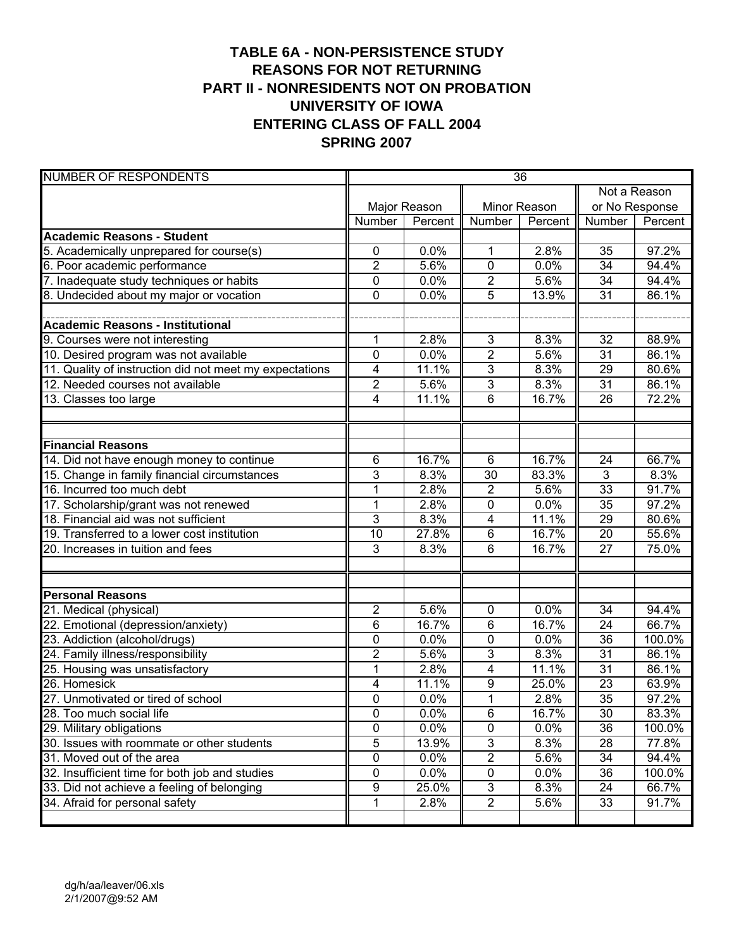# **TABLE 6A - NON-PERSISTENCE STUDY REASONS FOR NOT RETURNING PART II - NONRESIDENTS NOT ON PROBATION UNIVERSITY OF IOWA ENTERING CLASS OF FALL 2004 SPRING 2007**

| <b>NUMBER OF RESPONDENTS</b>                            | 36             |              |                         |         |                       |                |
|---------------------------------------------------------|----------------|--------------|-------------------------|---------|-----------------------|----------------|
|                                                         |                |              |                         |         | Not a Reason          |                |
|                                                         |                | Major Reason | Minor Reason            |         |                       | or No Response |
|                                                         | Number         | Percent      | Number                  | Percent | Number                | Percent        |
| <b>Academic Reasons - Student</b>                       |                |              |                         |         |                       |                |
| 5. Academically unprepared for course(s)                | 0              | 0.0%         | 1                       | 2.8%    | 35                    | 97.2%          |
| 6. Poor academic performance                            | $\overline{2}$ | 5.6%         | $\mathbf 0$             | 0.0%    | 34                    | 94.4%          |
| 7. Inadequate study techniques or habits                | 0              | 0.0%         | $\overline{\mathbf{c}}$ | 5.6%    | 34                    | 94.4%          |
| 8. Undecided about my major or vocation                 | $\mathbf 0$    | 0.0%         | $\overline{5}$          | 13.9%   | $\overline{31}$       | 86.1%          |
|                                                         |                |              |                         |         |                       |                |
| <b>Academic Reasons - Institutional</b>                 |                |              |                         |         |                       |                |
| 9. Courses were not interesting                         | 1              | 2.8%         | 3                       | 8.3%    | 32                    | 88.9%          |
| 10. Desired program was not available                   | $\mathbf 0$    | 0.0%         | $\overline{2}$          | 5.6%    | 31                    | 86.1%          |
| 11. Quality of instruction did not meet my expectations | 4              | 11.1%        | $\overline{3}$          | 8.3%    | 29                    | 80.6%          |
| 12. Needed courses not available                        | $\overline{2}$ | 5.6%         | 3                       | 8.3%    | 31                    | 86.1%          |
| 13. Classes too large                                   | 4              | 11.1%        | 6                       | 16.7%   | 26                    | 72.2%          |
|                                                         |                |              |                         |         |                       |                |
| <b>Financial Reasons</b>                                |                |              |                         |         |                       |                |
| 14. Did not have enough money to continue               | 6              | 16.7%        | $6\phantom{1}$          | 16.7%   | 24                    | 66.7%          |
| 15. Change in family financial circumstances            | 3              | 8.3%         | 30                      | 83.3%   | 3                     | 8.3%           |
| 16. Incurred too much debt                              | $\overline{1}$ | 2.8%         | $\overline{2}$          | 5.6%    | $\overline{33}$       | 91.7%          |
| 17. Scholarship/grant was not renewed                   | $\mathbf 1$    | 2.8%         | $\pmb{0}$               | 0.0%    | 35                    | 97.2%          |
| 18. Financial aid was not sufficient                    | 3              | 8.3%         | 4                       | 11.1%   | 29                    | 80.6%          |
| 19. Transferred to a lower cost institution             | 10             | 27.8%        | 6                       | 16.7%   | 20                    | 55.6%          |
| 20. Increases in tuition and fees                       | 3              | 8.3%         | 6                       | 16.7%   | 27                    | 75.0%          |
|                                                         |                |              |                         |         |                       |                |
|                                                         |                |              |                         |         |                       |                |
| <b>Personal Reasons</b>                                 |                |              |                         |         |                       |                |
| 21. Medical (physical)                                  | $\overline{2}$ | 5.6%         | $\mathbf 0$             | 0.0%    | 34                    | 94.4%          |
| 22. Emotional (depression/anxiety)                      | 6              | 16.7%        | 6                       | 16.7%   | 24                    | 66.7%          |
| 23. Addiction (alcohol/drugs)                           | 0              | 0.0%         | $\mathbf 0$             | 0.0%    | 36                    | 100.0%         |
| 24. Family illness/responsibility                       | $\overline{2}$ | 5.6%         | 3<br>$\overline{4}$     | 8.3%    | 31<br>$\overline{31}$ | 86.1%<br>86.1% |
| 25. Housing was unsatisfactory                          | $\mathbf 1$    | 2.8%         |                         | 11.1%   |                       |                |
| 26. Homesick                                            | 4              | 11.1%        | $\overline{9}$          | 25.0%   | 23                    | 63.9%          |
| 27. Unmotivated or tired of school                      | 0              | 0.0%         | 1                       | 2.8%    | $\overline{35}$       | 97.2%          |
| 28. Too much social life                                | $\overline{0}$ | 0.0%         | $\,6$                   | 16.7%   | $\overline{30}$       | 83.3%          |
| 29. Military obligations                                | $\pmb{0}$      | 0.0%         | 0                       | 0.0%    | 36                    | 100.0%         |
| 30. Issues with roommate or other students              | 5              | 13.9%        | $\sqrt{3}$              | 8.3%    | 28                    | 77.8%          |
| 31. Moved out of the area                               | 0              | 0.0%         | $\overline{2}$          | 5.6%    | 34                    | 94.4%          |
| 32. Insufficient time for both job and studies          | $\pmb{0}$      | 0.0%         | $\pmb{0}$               | 0.0%    | 36                    | 100.0%         |
| 33. Did not achieve a feeling of belonging              | 9              | 25.0%        | $\mathsf 3$             | 8.3%    | 24                    | 66.7%          |
| 34. Afraid for personal safety                          | $\mathbf 1$    | 2.8%         | $\overline{2}$          | 5.6%    | 33                    | 91.7%          |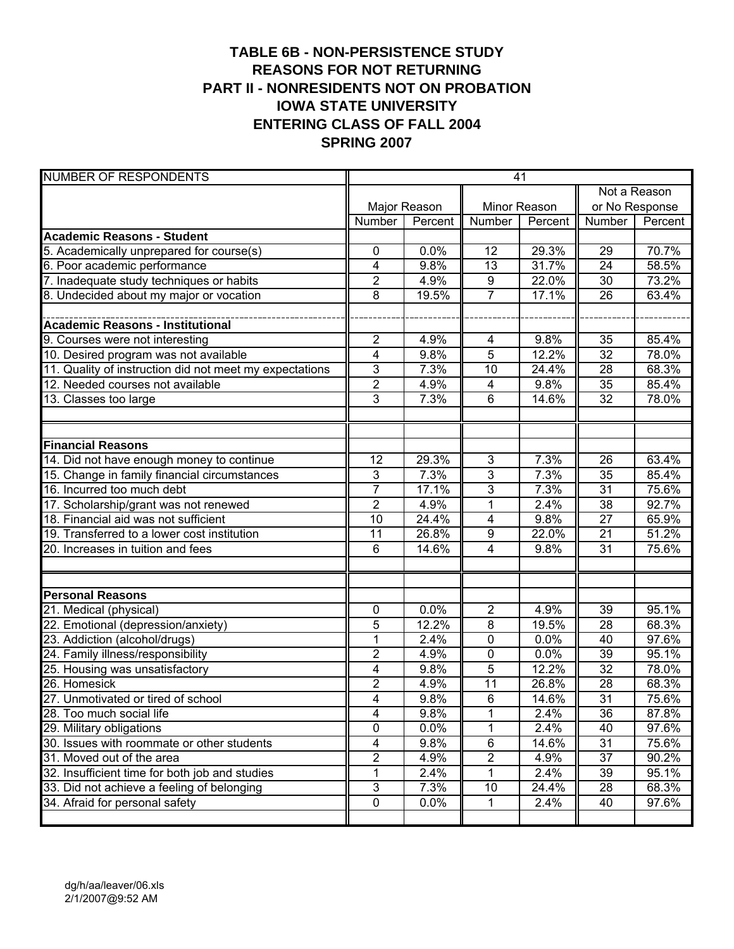# **TABLE 6B - NON-PERSISTENCE STUDY REASONS FOR NOT RETURNING PART II - NONRESIDENTS NOT ON PROBATION IOWA STATE UNIVERSITY ENTERING CLASS OF FALL 2004 SPRING 2007**

| <b>NUMBER OF RESPONDENTS</b>                            | 41                        |              |                 |              |                 |         |
|---------------------------------------------------------|---------------------------|--------------|-----------------|--------------|-----------------|---------|
|                                                         |                           |              |                 |              | Not a Reason    |         |
|                                                         |                           | Major Reason |                 | Minor Reason | or No Response  |         |
|                                                         | Number                    | Percent      | Number          | Percent      | Number          | Percent |
| <b>Academic Reasons - Student</b>                       |                           |              |                 |              |                 |         |
| 5. Academically unprepared for course(s)                | 0                         | 0.0%         | 12              | 29.3%        | 29              | 70.7%   |
| 6. Poor academic performance                            | 4                         | 9.8%         | $\overline{13}$ | 31.7%        | $\overline{24}$ | 58.5%   |
| 7. Inadequate study techniques or habits                | $\overline{2}$            | 4.9%         | 9               | 22.0%        | 30              | 73.2%   |
| 8. Undecided about my major or vocation                 | 8                         | 19.5%        | $\overline{7}$  | 17.1%        | 26              | 63.4%   |
|                                                         |                           |              |                 |              |                 |         |
| <b>Academic Reasons - Institutional</b>                 |                           |              |                 |              |                 |         |
| 9. Courses were not interesting                         | $\overline{c}$            | 4.9%         | 4               | 9.8%         | 35              | 85.4%   |
| 10. Desired program was not available                   | $\overline{4}$            | 9.8%         | 5               | 12.2%        | 32              | 78.0%   |
| 11. Quality of instruction did not meet my expectations | 3                         | 7.3%         | 10              | 24.4%        | 28              | 68.3%   |
| 12. Needed courses not available                        | $\overline{2}$            | 4.9%         | 4               | 9.8%         | 35              | 85.4%   |
| 13. Classes too large                                   | $\overline{3}$            | 7.3%         | 6               | 14.6%        | 32              | 78.0%   |
|                                                         |                           |              |                 |              |                 |         |
|                                                         |                           |              |                 |              |                 |         |
| <b>Financial Reasons</b>                                |                           |              |                 |              |                 |         |
| 14. Did not have enough money to continue               | 12                        | 29.3%        | 3               | 7.3%         | 26              | 63.4%   |
| 15. Change in family financial circumstances            | $\mathbf{3}$              | 7.3%         | 3               | 7.3%         | 35              | 85.4%   |
| 16. Incurred too much debt                              | $\overline{7}$            | 17.1%        | 3               | 7.3%         | $\overline{31}$ | 75.6%   |
| 17. Scholarship/grant was not renewed                   | $\overline{2}$            | 4.9%         | 1               | 2.4%         | $\overline{38}$ | 92.7%   |
| 18. Financial aid was not sufficient                    | $\overline{10}$           | 24.4%        | $\overline{4}$  | 9.8%         | $\overline{27}$ | 65.9%   |
| 19. Transferred to a lower cost institution             | 11                        | 26.8%        | $\overline{9}$  | 22.0%        | 21              | 51.2%   |
| 20. Increases in tuition and fees                       | 6                         | 14.6%        | 4               | 9.8%         | $\overline{31}$ | 75.6%   |
|                                                         |                           |              |                 |              |                 |         |
|                                                         |                           |              |                 |              |                 |         |
| <b>Personal Reasons</b>                                 |                           |              |                 |              |                 |         |
| 21. Medical (physical)                                  | 0                         | 0.0%         | $\overline{2}$  | 4.9%         | 39              | 95.1%   |
| 22. Emotional (depression/anxiety)                      | 5                         | 12.2%        | 8               | 19.5%        | 28              | 68.3%   |
| 23. Addiction (alcohol/drugs)                           | 1                         | 2.4%         | 0               | 0.0%         | 40              | 97.6%   |
| 24. Family illness/responsibility                       | $\overline{2}$            | 4.9%         | 0               | 0.0%         | 39              | 95.1%   |
| 25. Housing was unsatisfactory                          | 4                         | 9.8%         | 5               | 12.2%        | 32              | 78.0%   |
| 26. Homesick                                            | 2                         | 4.9%         | 11              | 26.8%        | 28              | 68.3%   |
| 27. Unmotivated or tired of school                      | $\overline{4}$            | 9.8%         | $\overline{6}$  | 14.6%        | $\overline{31}$ | 75.6%   |
| 28. Too much social life                                | $\overline{\mathbf{4}}$   | 9.8%         | 1               | 2.4%         | 36              | 87.8%   |
| 29. Military obligations                                | $\overline{0}$            | 0.0%         | 1               | 2.4%         | 40              | 97.6%   |
| 30. Issues with roommate or other students              | 4                         | 9.8%         | 6               | 14.6%        | 31              | 75.6%   |
| 31. Moved out of the area                               | $\overline{2}$            | 4.9%         | $\overline{2}$  | 4.9%         | $\overline{37}$ | 90.2%   |
| 32. Insufficient time for both job and studies          | 1                         | 2.4%         | 1               | 2.4%         | 39              | 95.1%   |
| 33. Did not achieve a feeling of belonging              | $\ensuremath{\mathsf{3}}$ | 7.3%         | 10              | 24.4%        | 28              | 68.3%   |
| 34. Afraid for personal safety                          | $\pmb{0}$                 | 0.0%         | 1               | 2.4%         | 40              | 97.6%   |
|                                                         |                           |              |                 |              |                 |         |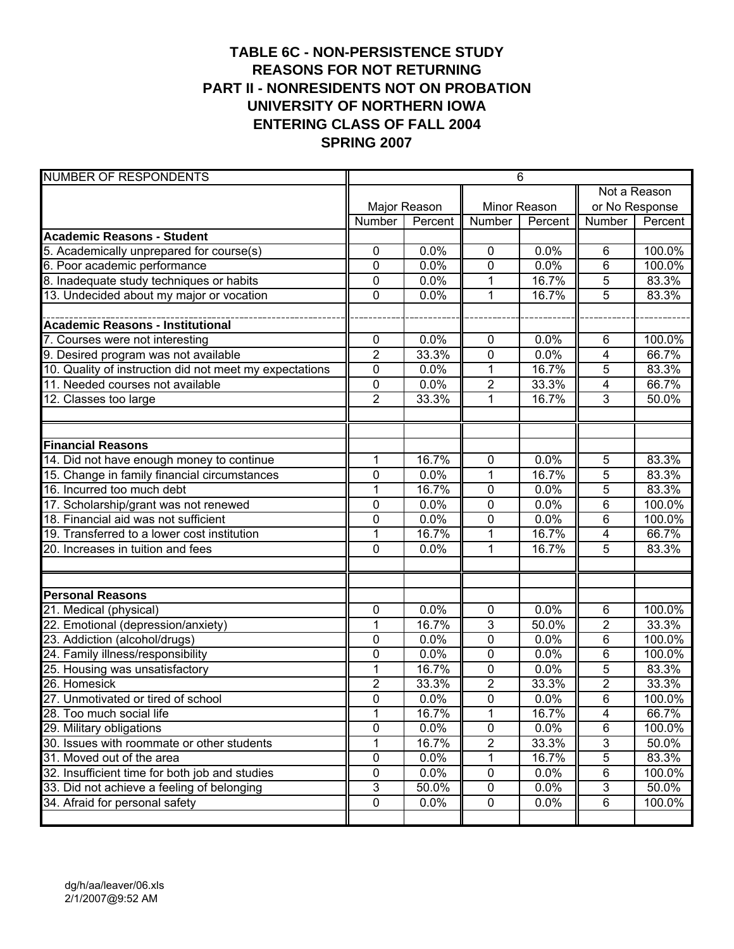# **TABLE 6C - NON-PERSISTENCE STUDY REASONS FOR NOT RETURNING PART II - NONRESIDENTS NOT ON PROBATION UNIVERSITY OF NORTHERN IOWA ENTERING CLASS OF FALL 2004 SPRING 2007**

| <b>NUMBER OF RESPONDENTS</b>                            | 6                |              |                         |              |                |                |
|---------------------------------------------------------|------------------|--------------|-------------------------|--------------|----------------|----------------|
|                                                         |                  |              |                         |              | Not a Reason   |                |
|                                                         |                  | Major Reason |                         | Minor Reason |                | or No Response |
|                                                         | Number           | Percent      | Number                  | Percent      | Number         | Percent        |
| <b>Academic Reasons - Student</b>                       |                  |              |                         |              |                |                |
| 5. Academically unprepared for course(s)                | 0                | 0.0%         | 0                       | 0.0%         | 6              | 100.0%         |
| 6. Poor academic performance                            | $\mathbf 0$      | 0.0%         | $\mathbf 0$             | 0.0%         | 6              | 100.0%         |
| 8. Inadequate study techniques or habits                | 0                | 0.0%         | 1                       | 16.7%        | 5              | 83.3%          |
| 13. Undecided about my major or vocation                | $\mathbf 0$      | 0.0%         | 1                       | 16.7%        | 5              | 83.3%          |
|                                                         |                  |              |                         |              |                |                |
| <b>Academic Reasons - Institutional</b>                 |                  |              |                         |              |                |                |
| 7. Courses were not interesting                         | 0                | 0.0%         | $\mathbf 0$             | 0.0%         | 6              | 100.0%         |
| 9. Desired program was not available                    | $\overline{2}$   | 33.3%        | $\mathbf 0$             | 0.0%         | $\overline{4}$ | 66.7%          |
| 10. Quality of instruction did not meet my expectations | $\mathbf 0$      | 0.0%         | 1                       | 16.7%        | 5              | 83.3%          |
| 11. Needed courses not available                        | $\mathbf 0$      | 0.0%         | $\overline{2}$          | 33.3%        | $\overline{4}$ | 66.7%          |
| 12. Classes too large                                   | $\overline{2}$   | 33.3%        | 1                       | 16.7%        | $\overline{3}$ | 50.0%          |
|                                                         |                  |              |                         |              |                |                |
|                                                         |                  |              |                         |              |                |                |
| <b>Financial Reasons</b>                                |                  |              |                         |              |                |                |
| 14. Did not have enough money to continue               | 1                | 16.7%        | 0                       | 0.0%         | 5              | 83.3%          |
| 15. Change in family financial circumstances            | $\mathbf 0$      | 0.0%         | 1                       | 16.7%        | 5              | 83.3%          |
| 16. Incurred too much debt                              | 1                | 16.7%        | 0                       | 0.0%         | 5              | 83.3%          |
| 17. Scholarship/grant was not renewed                   | $\mathbf 0$      | 0.0%         | $\mathbf 0$             | 0.0%         | 6              | 100.0%         |
| 18. Financial aid was not sufficient                    | $\overline{0}$   | 0.0%         | 0                       | 0.0%         | 6              | 100.0%         |
| 19. Transferred to a lower cost institution             | 1                | 16.7%        | 1                       | 16.7%        | $\overline{4}$ | 66.7%          |
| 20. Increases in tuition and fees                       | $\overline{0}$   | 0.0%         | 1                       | 16.7%        | 5              | 83.3%          |
|                                                         |                  |              |                         |              |                |                |
|                                                         |                  |              |                         |              |                |                |
| <b>Personal Reasons</b>                                 |                  |              |                         |              |                |                |
| 21. Medical (physical)                                  | 0                | 0.0%         | $\mathbf 0$             | 0.0%         | 6              | 100.0%         |
| 22. Emotional (depression/anxiety)                      | 1                | 16.7%        | 3                       | 50.0%        | $\overline{2}$ | 33.3%          |
| 23. Addiction (alcohol/drugs)                           | $\mathbf 0$      | 0.0%         | 0                       | 0.0%         | 6              | 100.0%         |
| 24. Family illness/responsibility                       | $\mathbf 0$      | 0.0%         | 0                       | 0.0%         | 6              | 100.0%         |
| 25. Housing was unsatisfactory                          | 1                | 16.7%        | 0                       | 0.0%         | 5              | 83.3%          |
| 26. Homesick                                            | $\boldsymbol{2}$ | 33.3%        | $\overline{\mathbf{c}}$ | 33.3%        | 2              | 33.3%          |
| 27. Unmotivated or tired of school                      | $\overline{0}$   | 0.0%         | $\overline{0}$          | 0.0%         | $\overline{6}$ | 100.0%         |
| 28. Too much social life                                | 1                | 16.7%        | 1                       | 16.7%        | $\overline{4}$ | 66.7%          |
| 29. Military obligations                                | $\overline{0}$   | 0.0%         | $\pmb{0}$               | 0.0%         | 6              | 100.0%         |
| 30. Issues with roommate or other students              | 1                | 16.7%        | $\overline{c}$          | 33.3%        | 3              | 50.0%          |
| 31. Moved out of the area                               | 0                | 0.0%         | 1                       | 16.7%        | $\overline{5}$ | 83.3%          |
| 32. Insufficient time for both job and studies          | 0                | 0.0%         | $\pmb{0}$               | 0.0%         | 6              | 100.0%         |
| 33. Did not achieve a feeling of belonging              | $\overline{3}$   | 50.0%        | 0                       | 0.0%         | $\mathfrak{S}$ | 50.0%          |
| 34. Afraid for personal safety                          | 0                | 0.0%         | $\pmb{0}$               | 0.0%         | 6              | 100.0%         |
|                                                         |                  |              |                         |              |                |                |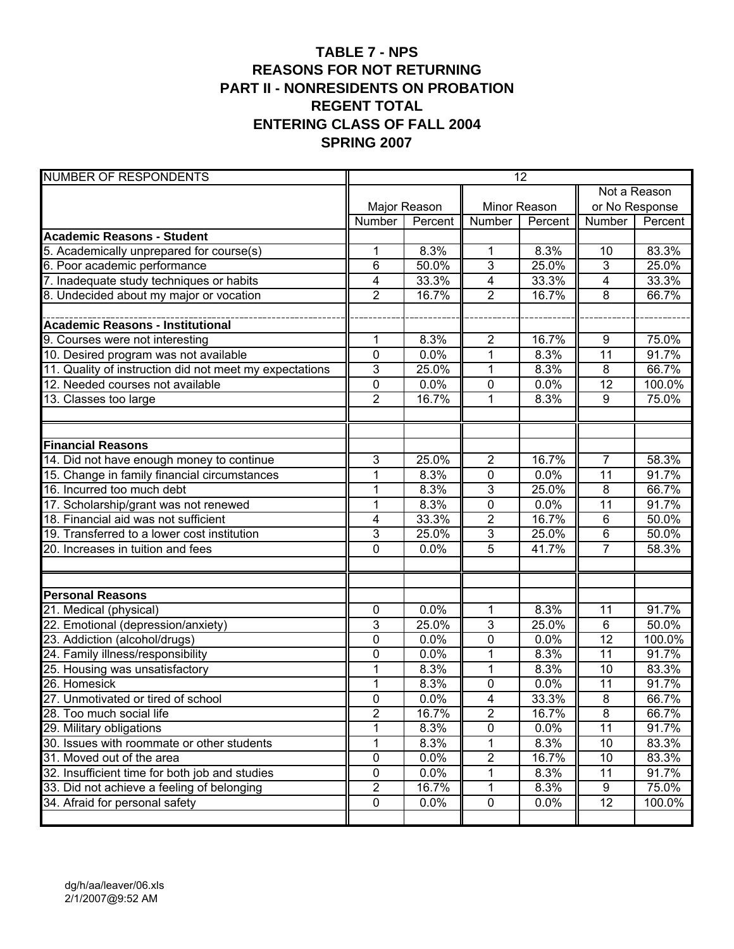#### **TABLE 7 - NPS REASONS FOR NOT RETURNING PART II - NONRESIDENTS ON PROBATION REGENT TOTAL ENTERING CLASS OF FALL 2004 SPRING 2007**

| <b>NUMBER OF RESPONDENTS</b>                            | $\overline{12}$ |              |                         |         |                 |                |  |
|---------------------------------------------------------|-----------------|--------------|-------------------------|---------|-----------------|----------------|--|
|                                                         |                 |              |                         |         | Not a Reason    |                |  |
|                                                         |                 | Major Reason | Minor Reason            |         |                 | or No Response |  |
|                                                         | Number          | Percent      | Number                  | Percent | Number          | Percent        |  |
| <b>Academic Reasons - Student</b>                       |                 |              |                         |         |                 |                |  |
| 5. Academically unprepared for course(s)                | 1               | 8.3%         | 1                       | 8.3%    | 10              | 83.3%          |  |
| 6. Poor academic performance                            | 6               | 50.0%        | 3                       | 25.0%   | $\overline{3}$  | 25.0%          |  |
| 7. Inadequate study techniques or habits                | 4               | 33.3%        | 4                       | 33.3%   | 4               | 33.3%          |  |
| 8. Undecided about my major or vocation                 | $\overline{2}$  | 16.7%        | $\overline{2}$          | 16.7%   | 8               | 66.7%          |  |
|                                                         |                 |              |                         |         |                 |                |  |
| <b>Academic Reasons - Institutional</b>                 |                 |              |                         |         |                 |                |  |
| 9. Courses were not interesting                         | 1               | 8.3%         | $\overline{2}$          | 16.7%   | 9               | 75.0%          |  |
| 10. Desired program was not available                   | 0               | 0.0%         | 1                       | 8.3%    | 11              | 91.7%          |  |
| 11. Quality of instruction did not meet my expectations | $\overline{3}$  | 25.0%        | 1                       | 8.3%    | 8               | 66.7%          |  |
| 12. Needed courses not available                        | 0               | 0.0%         | 0                       | 0.0%    | $\overline{12}$ | 100.0%         |  |
| 13. Classes too large                                   | $\overline{2}$  | 16.7%        | 1                       | 8.3%    | 9               | 75.0%          |  |
|                                                         |                 |              |                         |         |                 |                |  |
| <b>Financial Reasons</b>                                |                 |              |                         |         |                 |                |  |
| 14. Did not have enough money to continue               | $\mathbf{3}$    | 25.0%        | $\overline{2}$          | 16.7%   | $\overline{7}$  | 58.3%          |  |
| 15. Change in family financial circumstances            | 1               | 8.3%         | 0                       | 0.0%    | $\overline{11}$ | 91.7%          |  |
| 16. Incurred too much debt                              | 1               | 8.3%         | 3                       | 25.0%   | $\overline{8}$  | 66.7%          |  |
| 17. Scholarship/grant was not renewed                   | $\overline{1}$  | 8.3%         | $\overline{0}$          | 0.0%    | 11              | 91.7%          |  |
| 18. Financial aid was not sufficient                    | $\overline{4}$  | 33.3%        | $\overline{\mathbf{c}}$ | 16.7%   | $6\phantom{1}$  | 50.0%          |  |
| 19. Transferred to a lower cost institution             | 3               | 25.0%        | $\overline{3}$          | 25.0%   | $6\phantom{1}$  | 50.0%          |  |
| 20. Increases in tuition and fees                       | $\mathbf 0$     | 0.0%         | $\overline{5}$          | 41.7%   | 7               | 58.3%          |  |
|                                                         |                 |              |                         |         |                 |                |  |
|                                                         |                 |              |                         |         |                 |                |  |
| <b>Personal Reasons</b>                                 |                 |              |                         |         |                 |                |  |
| 21. Medical (physical)                                  | 0               | 0.0%         | 1                       | 8.3%    | 11              | 91.7%          |  |
| 22. Emotional (depression/anxiety)                      | 3               | 25.0%        | 3                       | 25.0%   | $\overline{6}$  | 50.0%          |  |
| 23. Addiction (alcohol/drugs)                           | 0               | 0.0%         | 0                       | 0.0%    | $\overline{12}$ | 100.0%         |  |
| 24. Family illness/responsibility                       | 0               | 0.0%         | 1                       | 8.3%    | $\overline{11}$ | 91.7%          |  |
| 25. Housing was unsatisfactory                          | 1               | 8.3%         | 1                       | 8.3%    | 10              | 83.3%          |  |
| 26. Homesick                                            | $\mathbf 1$     | 8.3%         | $\mathsf{O}\xspace$     | 0.0%    | $\overline{11}$ | 91.7%          |  |
| 27. Unmotivated or tired of school                      | $\mathbf 0$     | 0.0%         | $\overline{4}$          | 33.3%   | $\overline{8}$  | 66.7%          |  |
| 28. Too much social life                                | $\overline{2}$  | 16.7%        | $\overline{2}$          | 16.7%   | $\overline{8}$  | 66.7%          |  |
| 29. Military obligations                                | 1               | 8.3%         | 0                       | 0.0%    | $\overline{11}$ | 91.7%          |  |
| 30. Issues with roommate or other students              | 1               | 8.3%         | 1                       | 8.3%    | 10              | 83.3%          |  |
| 31. Moved out of the area                               | 0               | 0.0%         | $\overline{2}$          | 16.7%   | 10              | 83.3%          |  |
| 32. Insufficient time for both job and studies          | 0               | 0.0%         | 1                       | 8.3%    | 11              | 91.7%          |  |
| 33. Did not achieve a feeling of belonging              | $\overline{2}$  | 16.7%        | 1                       | 8.3%    | 9               | 75.0%          |  |
| 34. Afraid for personal safety                          | 0               | 0.0%         | $\pmb{0}$               | 0.0%    | 12              | 100.0%         |  |
|                                                         |                 |              |                         |         |                 |                |  |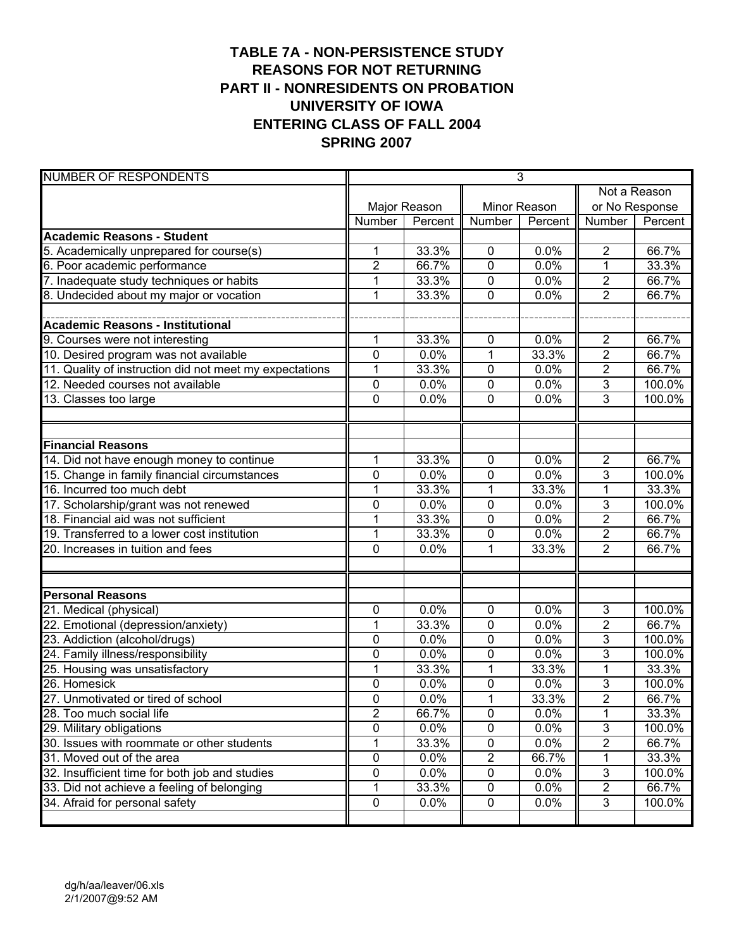# **TABLE 7A - NON-PERSISTENCE STUDY REASONS FOR NOT RETURNING PART II - NONRESIDENTS ON PROBATION UNIVERSITY OF IOWA ENTERING CLASS OF FALL 2004 SPRING 2007**

| <b>NUMBER OF RESPONDENTS</b>                            | 3              |              |                         |              |                |         |
|---------------------------------------------------------|----------------|--------------|-------------------------|--------------|----------------|---------|
|                                                         |                |              |                         |              | Not a Reason   |         |
|                                                         |                | Major Reason |                         | Minor Reason | or No Response |         |
|                                                         | Number         | Percent      | Number                  | Percent      | Number         | Percent |
| <b>Academic Reasons - Student</b>                       |                |              |                         |              |                |         |
| 5. Academically unprepared for course(s)                | 1              | 33.3%        | $\pmb{0}$               | 0.0%         | $\overline{2}$ | 66.7%   |
| 6. Poor academic performance                            | $\overline{2}$ | 66.7%        | 0                       | 0.0%         | $\mathbf{1}$   | 33.3%   |
| 7. Inadequate study techniques or habits                | 1              | 33.3%        | 0                       | 0.0%         | $\overline{2}$ | 66.7%   |
| 8. Undecided about my major or vocation                 | $\mathbf{1}$   | 33.3%        | 0                       | 0.0%         | $\overline{2}$ | 66.7%   |
|                                                         |                |              |                         |              |                |         |
| <b>Academic Reasons - Institutional</b>                 |                |              |                         |              |                |         |
| 9. Courses were not interesting                         | 1              | 33.3%        | 0                       | 0.0%         | $\overline{2}$ | 66.7%   |
| 10. Desired program was not available                   | $\overline{0}$ | 0.0%         | 1                       | 33.3%        | $\overline{2}$ | 66.7%   |
| 11. Quality of instruction did not meet my expectations | 1              | 33.3%        | $\pmb{0}$               | 0.0%         | $\overline{2}$ | 66.7%   |
| 12. Needed courses not available                        | 0              | 0.0%         | $\mathbf 0$             | 0.0%         | $\overline{3}$ | 100.0%  |
| 13. Classes too large                                   | $\mathbf 0$    | 0.0%         | 0                       | 0.0%         | $\overline{3}$ | 100.0%  |
|                                                         |                |              |                         |              |                |         |
|                                                         |                |              |                         |              |                |         |
| <b>Financial Reasons</b>                                |                |              |                         |              |                |         |
| 14. Did not have enough money to continue               | 1              | 33.3%        | $\mathbf 0$             | 0.0%         | $\overline{2}$ | 66.7%   |
| 15. Change in family financial circumstances            | 0              | 0.0%         | 0                       | 0.0%         | 3              | 100.0%  |
| 16. Incurred too much debt                              | $\mathbf 1$    | 33.3%        | 1                       | 33.3%        | $\overline{1}$ | 33.3%   |
| 17. Scholarship/grant was not renewed                   | $\mathbf 0$    | 0.0%         | 0                       | 0.0%         | $\overline{3}$ | 100.0%  |
| 18. Financial aid was not sufficient                    | 1              | 33.3%        | 0                       | 0.0%         | $\overline{2}$ | 66.7%   |
| 19. Transferred to a lower cost institution             | $\mathbf 1$    | 33.3%        | 0                       | 0.0%         | $\overline{2}$ | 66.7%   |
| 20. Increases in tuition and fees                       | $\mathbf 0$    | 0.0%         | 1                       | 33.3%        | $\overline{2}$ | 66.7%   |
|                                                         |                |              |                         |              |                |         |
|                                                         |                |              |                         |              |                |         |
| <b>Personal Reasons</b>                                 |                |              |                         |              |                |         |
| 21. Medical (physical)                                  | $\mathbf 0$    | 0.0%         | $\mathbf 0$             | 0.0%         | 3              | 100.0%  |
| 22. Emotional (depression/anxiety)                      | 1              | 33.3%        | $\pmb{0}$               | 0.0%         | $\overline{2}$ | 66.7%   |
| 23. Addiction (alcohol/drugs)                           | 0              | 0.0%         | 0                       | 0.0%         | 3              | 100.0%  |
| 24. Family illness/responsibility                       | 0              | 0.0%         | 0                       | 0.0%         | 3              | 100.0%  |
| 25. Housing was unsatisfactory                          | 1              | 33.3%        | 1                       | 33.3%        | $\mathbf{1}$   | 33.3%   |
| 26. Homesick                                            | 0              | 0.0%         | 0                       | 0.0%         | $\overline{3}$ | 100.0%  |
| 27. Unmotivated or tired of school                      | $\mathbf 0$    | 0.0%         | $\mathbf{1}$            | 33.3%        | $\overline{2}$ | 66.7%   |
| 28. Too much social life                                | $\overline{2}$ | 66.7%        | $\pmb{0}$               | 0.0%         | 1              | 33.3%   |
| 29. Military obligations                                | $\overline{0}$ | 0.0%         | 0                       | 0.0%         | $\overline{3}$ | 100.0%  |
| 30. Issues with roommate or other students              | 1              | 33.3%        | 0                       | 0.0%         | $\overline{2}$ | 66.7%   |
| 31. Moved out of the area                               | $\overline{0}$ | 0.0%         | $\overline{\mathbf{c}}$ | 66.7%        | 1              | 33.3%   |
| 32. Insufficient time for both job and studies          | 0              | 0.0%         | $\pmb{0}$               | 0.0%         | 3              | 100.0%  |
| 33. Did not achieve a feeling of belonging              | 1              | 33.3%        | 0                       | 0.0%         | $\overline{2}$ | 66.7%   |
| 34. Afraid for personal safety                          | 0              | 0.0%         | $\pmb{0}$               | 0.0%         | $\mathbf{3}$   | 100.0%  |
|                                                         |                |              |                         |              |                |         |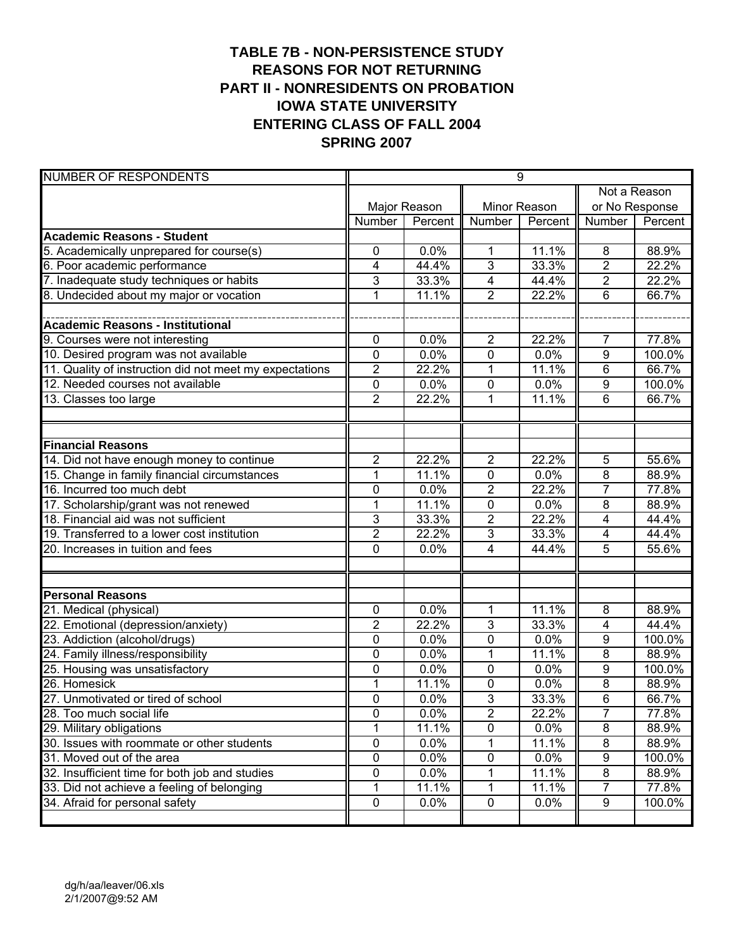# **TABLE 7B - NON-PERSISTENCE STUDY REASONS FOR NOT RETURNING PART II - NONRESIDENTS ON PROBATION IOWA STATE UNIVERSITY ENTERING CLASS OF FALL 2004 SPRING 2007**

| <b>NUMBER OF RESPONDENTS</b>                            | $\overline{9}$ |              |                |              |                         |                |  |
|---------------------------------------------------------|----------------|--------------|----------------|--------------|-------------------------|----------------|--|
|                                                         |                |              |                |              | Not a Reason            |                |  |
|                                                         |                | Major Reason |                | Minor Reason |                         | or No Response |  |
|                                                         | Number         | Percent      | <b>Number</b>  | Percent      | Number                  | Percent        |  |
| <b>Academic Reasons - Student</b>                       |                |              |                |              |                         |                |  |
| 5. Academically unprepared for course(s)                | 0              | 0.0%         | 1              | 11.1%        | 8                       | 88.9%          |  |
| 6. Poor academic performance                            | 4              | 44.4%        | 3              | 33.3%        | $\overline{2}$          | 22.2%          |  |
| 7. Inadequate study techniques or habits                | $\mathbf{3}$   | 33.3%        | $\overline{4}$ | 44.4%        | $\overline{2}$          | 22.2%          |  |
| 8. Undecided about my major or vocation                 | $\mathbf{1}$   | 11.1%        | $\overline{2}$ | 22.2%        | 6                       | 66.7%          |  |
|                                                         |                |              |                |              |                         |                |  |
| <b>Academic Reasons - Institutional</b>                 |                |              |                |              |                         |                |  |
| 9. Courses were not interesting                         | 0              | 0.0%         | $\overline{2}$ | 22.2%        | $\overline{7}$          | 77.8%          |  |
| 10. Desired program was not available                   | 0              | 0.0%         | 0              | 0.0%         | $\overline{9}$          | 100.0%         |  |
| 11. Quality of instruction did not meet my expectations | $\overline{2}$ | 22.2%        | 1              | 11.1%        | 6                       | 66.7%          |  |
| 12. Needed courses not available                        | 0              | 0.0%         | 0              | 0.0%         | 9                       | 100.0%         |  |
| 13. Classes too large                                   | $\overline{2}$ | 22.2%        | 1              | 11.1%        | 6                       | 66.7%          |  |
|                                                         |                |              |                |              |                         |                |  |
|                                                         |                |              |                |              |                         |                |  |
| <b>Financial Reasons</b>                                |                |              |                |              |                         |                |  |
| 14. Did not have enough money to continue               | $\overline{2}$ | 22.2%        | $\overline{2}$ | 22.2%        | 5                       | 55.6%          |  |
| 15. Change in family financial circumstances            | $\mathbf 1$    | 11.1%        | 0              | 0.0%         | $\overline{8}$          | 88.9%          |  |
| 16. Incurred too much debt                              | $\mathbf 0$    | 0.0%         | $\overline{2}$ | 22.2%        | $\overline{7}$          | 77.8%          |  |
| 17. Scholarship/grant was not renewed                   | 1              | 11.1%        | 0              | 0.0%         | $\overline{8}$          | 88.9%          |  |
| 18. Financial aid was not sufficient                    | 3              | 33.3%        | 2              | 22.2%        | 4                       | 44.4%          |  |
| 19. Transferred to a lower cost institution             | $\overline{2}$ | 22.2%        | $\overline{3}$ | 33.3%        | 4                       | 44.4%          |  |
| 20. Increases in tuition and fees                       | $\mathbf 0$    | 0.0%         | 4              | 44.4%        | 5                       | 55.6%          |  |
|                                                         |                |              |                |              |                         |                |  |
|                                                         |                |              |                |              |                         |                |  |
| <b>Personal Reasons</b>                                 |                |              |                |              |                         |                |  |
| 21. Medical (physical)                                  | 0              | 0.0%         | 1              | 11.1%        | 8                       | 88.9%          |  |
| 22. Emotional (depression/anxiety)                      | $\overline{2}$ | 22.2%        | 3              | 33.3%        | 4                       | 44.4%          |  |
| 23. Addiction (alcohol/drugs)                           | 0              | 0.0%         | 0              | 0.0%         | 9                       | 100.0%         |  |
| 24. Family illness/responsibility                       | $\mathbf 0$    | 0.0%         | 1              | 11.1%        | $\overline{8}$          | 88.9%          |  |
| 25. Housing was unsatisfactory                          | $\mathbf 0$    | 0.0%         | 0              | 0.0%         | 9                       | 100.0%         |  |
| 26. Homesick                                            | 1              | 11.1%        | 0              | 0.0%         | 8                       | 88.9%          |  |
| 27. Unmotivated or tired of school                      | 0              | 0.0%         | 3              | 33.3%        | 6                       | 66.7%          |  |
| 28. Too much social life                                | 0              | 0.0%         | $\overline{2}$ | 22.2%        | $\overline{7}$          | 77.8%          |  |
| 29. Military obligations                                | 1              | 11.1%        | 0              | 0.0%         | $\overline{8}$          | 88.9%          |  |
| 30. Issues with roommate or other students              | $\pmb{0}$      | 0.0%         | 1              | 11.1%        | $\overline{\mathbf{8}}$ | 88.9%          |  |
| 31. Moved out of the area                               | 0              | 0.0%         | 0              | $0.0\%$      | 9                       | 100.0%         |  |
| 32. Insufficient time for both job and studies          | 0              | 0.0%         | 1              | 11.1%        | 8                       | 88.9%          |  |
| 33. Did not achieve a feeling of belonging              | 1              | 11.1%        | 1              | 11.1%        | $\overline{7}$          | 77.8%          |  |
| 34. Afraid for personal safety                          | 0              | 0.0%         | $\pmb{0}$      | 0.0%         | 9                       | 100.0%         |  |
|                                                         |                |              |                |              |                         |                |  |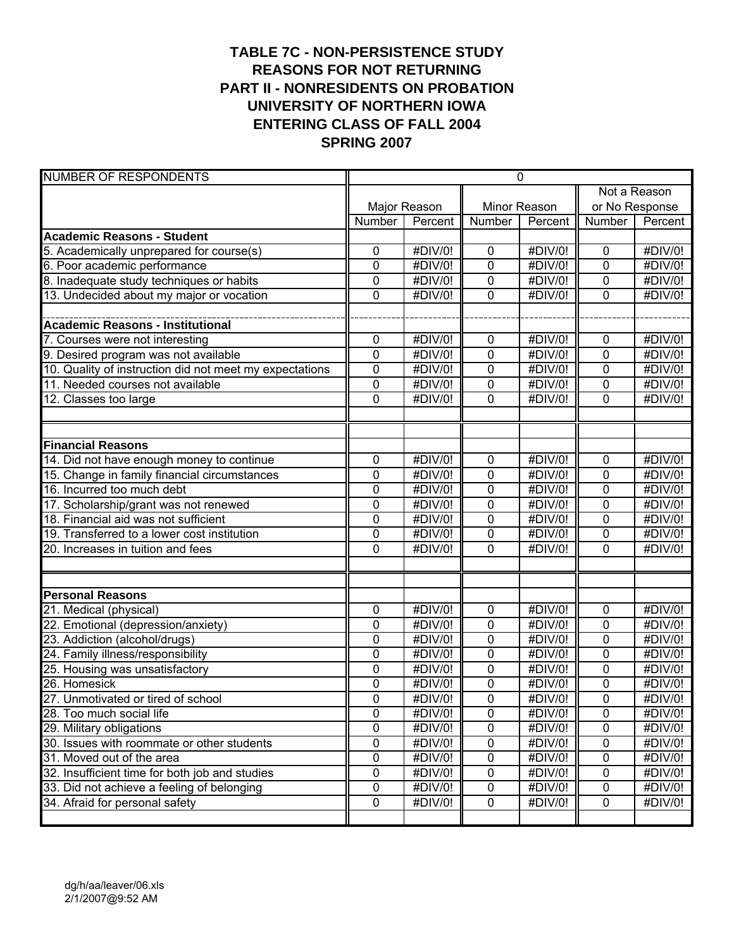# **TABLE 7C - NON-PERSISTENCE STUDY REASONS FOR NOT RETURNING PART II - NONRESIDENTS ON PROBATION UNIVERSITY OF NORTHERN IOWA ENTERING CLASS OF FALL 2004 SPRING 2007**

| <b>NUMBER OF RESPONDENTS</b>                            | $\mathbf 0$    |                              |              |         |                |                              |
|---------------------------------------------------------|----------------|------------------------------|--------------|---------|----------------|------------------------------|
|                                                         |                |                              |              |         | Not a Reason   |                              |
|                                                         |                | Major Reason                 | Minor Reason |         | or No Response |                              |
|                                                         | Number         | Percent                      | Number       | Percent | Number         | Percent                      |
| <b>Academic Reasons - Student</b>                       |                |                              |              |         |                |                              |
| 5. Academically unprepared for course(s)                | 0              | #DIV/0!                      | 0            | #DIV/0! | $\mathbf 0$    | #DIV/0!                      |
| 6. Poor academic performance                            | 0              | #DIV/0!                      | 0            | #DIV/0! | 0              | #DIV/0!                      |
| 8. Inadequate study techniques or habits                | 0              | $\overline{\text{HDIV}}$ /0! | 0            | #DIV/0! | 0              | #DIV/0!                      |
| 13. Undecided about my major or vocation                | $\mathbf 0$    | #DIV/0!                      | 0            | #DIV/0! | $\overline{0}$ | #DIV/0!                      |
|                                                         |                |                              |              |         |                |                              |
| <b>Academic Reasons - Institutional</b>                 |                |                              |              |         |                |                              |
| 7. Courses were not interesting                         | 0              | #DIV/0!                      | 0            | #DIV/0! | $\mathbf 0$    | #DIV/0!                      |
| 9. Desired program was not available                    | $\mathbf 0$    | #DIV/0!                      | 0            | #DIV/0! | $\mathbf 0$    | #DIV/0!                      |
| 10. Quality of instruction did not meet my expectations | 0              | #DIV/0!                      | 0            | #DIV/0! | $\mathbf 0$    | #DIV/0!                      |
| 11. Needed courses not available                        | 0              | #DIV/0!                      | 0            | #DIV/0! | $\mathbf 0$    | #DIV/0!                      |
| 12. Classes too large                                   | $\mathbf 0$    | #DIV/0!                      | 0            | #DIV/0! | 0              | #DIV/0!                      |
|                                                         |                |                              |              |         |                |                              |
|                                                         |                |                              |              |         |                |                              |
| <b>Financial Reasons</b>                                |                |                              |              |         |                |                              |
| 14. Did not have enough money to continue               | 0              | #DIV/0!                      | 0            | #DIV/0! | $\mathbf 0$    | #DIV/0!                      |
| 15. Change in family financial circumstances            | 0              | #DIV/0!                      | 0            | #DIV/0! | $\mathbf 0$    | #DIV/0!                      |
| 16. Incurred too much debt                              | $\mathbf 0$    | #DIV/0!                      | 0            | #DIV/0! | $\overline{0}$ | #DIV/0!                      |
| 17. Scholarship/grant was not renewed                   | $\mathbf 0$    | $#$ DIV/0!                   | 0            | #DIV/0! | $\mathbf 0$    | #DIV/0!                      |
| 18. Financial aid was not sufficient                    | 0              | #DIV/0!                      | 0            | #DIV/0! | $\mathbf 0$    | #DIV/0!                      |
| 19. Transferred to a lower cost institution             | 0              | #DIV/0!                      | 0            | #DIV/0! | $\mathbf 0$    | #DIV/0!                      |
| 20. Increases in tuition and fees                       | $\Omega$       | #DIV/0!                      | 0            | #DIV/0! | $\overline{0}$ | #DIV/0!                      |
|                                                         |                |                              |              |         |                |                              |
|                                                         |                |                              |              |         |                |                              |
| <b>Personal Reasons</b>                                 |                |                              |              |         |                |                              |
| 21. Medical (physical)                                  | 0              | #DIV/0!                      | 0            | #DIV/0! | $\mathbf 0$    | #DIV/0!                      |
| 22. Emotional (depression/anxiety)                      | 0              | #DIV/0!                      | 0            | #DIV/0! | $\mathbf 0$    | #DIV/0!                      |
| 23. Addiction (alcohol/drugs)                           | 0              | #DIV/0!                      | 0            | #DIV/0! | 0              | #DIV/0!                      |
| 24. Family illness/responsibility                       | 0              | #DIV/0!                      | 0            | #DIV/0! | 0              | #DIV/0!                      |
| 25. Housing was unsatisfactory                          | $\mathbf 0$    | #DIV/0!                      | 0            | #DIV/0! | $\overline{0}$ | #DIV/0!                      |
| 26. Homesick                                            | $\mathbf 0$    | #DIV/0!                      | 0            | #DIV/0! | 0              | #DIV/0!                      |
| 27. Unmotivated or tired of school                      | 0              | #DIV/0!                      | 0            | #DIV/0! | 0              | $\overline{\text{HDIV}}$ /0! |
| 28. Too much social life                                | 0              | #DIV/0!                      | 0            | #DIV/0! | 0              | #DIV/0!                      |
| 29. Military obligations                                | $\overline{0}$ | #DIV/0!                      | 0            | #DIV/0! | $\overline{0}$ | #DIV/0!                      |
| 30. Issues with roommate or other students              | 0              | #DIV/0!                      | 0            | #DIV/0! | $\pmb{0}$      | #DIV/0!                      |
| 31. Moved out of the area                               | 0              | #DIV/0!                      | 0            | #DIV/0! | $\pmb{0}$      | #DIV/0!                      |
| 32. Insufficient time for both job and studies          | 0              | #DIV/0!                      | 0            | #DIV/0! | $\pmb{0}$      | #DIV/0!                      |
| 33. Did not achieve a feeling of belonging              | 0              | #DIV/0!                      | 0            | #DIV/0! | $\mathbf 0$    | #DIV/0!                      |
| 34. Afraid for personal safety                          | 0              | #DIV/0!                      | $\pmb{0}$    | #DIV/0! | $\mathbf 0$    | #DIV/0!                      |
|                                                         |                |                              |              |         |                |                              |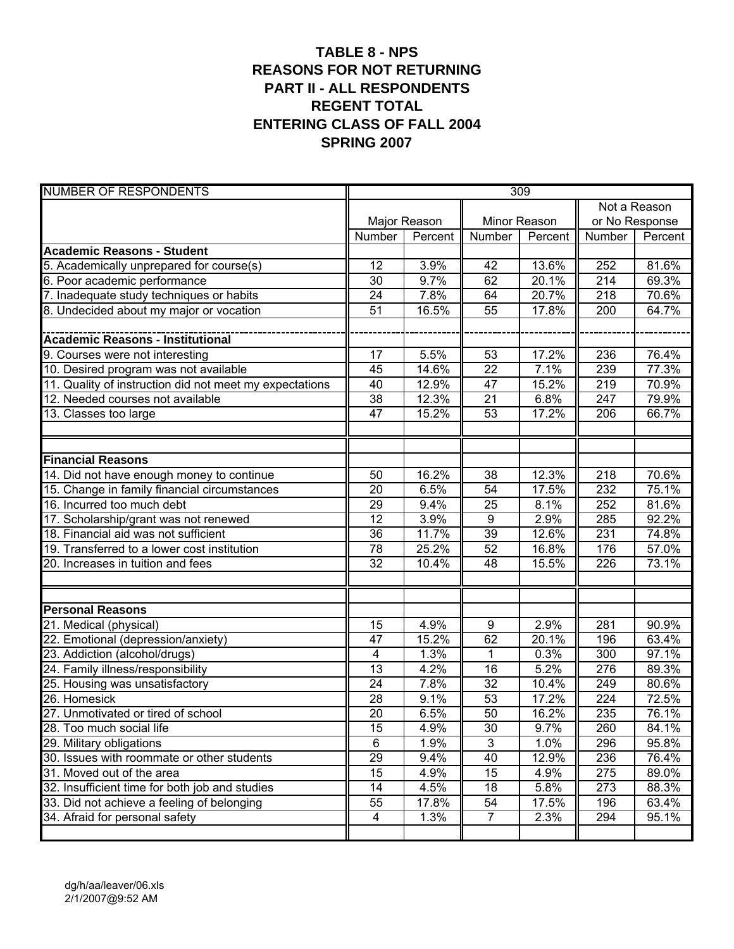# **TABLE 8 - NPS REASONS FOR NOT RETURNING PART II - ALL RESPONDENTS REGENT TOTAL ENTERING CLASS OF FALL 2004 SPRING 2007**

| <b>NUMBER OF RESPONDENTS</b>                            | 309                     |                    |                 |         |                  |                |  |
|---------------------------------------------------------|-------------------------|--------------------|-----------------|---------|------------------|----------------|--|
|                                                         |                         |                    |                 |         | Not a Reason     |                |  |
|                                                         |                         | Major Reason       | Minor Reason    |         |                  | or No Response |  |
|                                                         | Number                  | Percent            | Number          | Percent | Number           | Percent        |  |
| <b>Academic Reasons - Student</b>                       |                         |                    |                 |         |                  |                |  |
| 5. Academically unprepared for course(s)                | 12                      | 3.9%               | 42              | 13.6%   | 252              | 81.6%          |  |
| 6. Poor academic performance                            | 30                      | 9.7%               | 62              | 20.1%   | 214              | 69.3%          |  |
| 7. Inadequate study techniques or habits                | 24                      | 7.8%               | 64              | 20.7%   | 218              | 70.6%          |  |
| 8. Undecided about my major or vocation                 | 51                      | 16.5%              | 55              | 17.8%   | $\overline{200}$ | 64.7%          |  |
|                                                         |                         |                    |                 |         |                  |                |  |
|                                                         |                         |                    |                 |         |                  |                |  |
| 9. Courses were not interesting                         | 17                      | 5.5%               | 53              | 17.2%   | 236              | 76.4%          |  |
| 10. Desired program was not available                   | 45                      | 14.6%              | $\overline{22}$ | 7.1%    | 239              | 77.3%          |  |
| 11. Quality of instruction did not meet my expectations | 40                      | 12.9%              | 47              | 15.2%   | 219              | 70.9%          |  |
| 12. Needed courses not available                        | 38                      | 12.3%              | 21              | 6.8%    | 247              | 79.9%          |  |
| 13. Classes too large                                   | 47                      | 15.2%              | 53              | 17.2%   | 206              | 66.7%          |  |
|                                                         |                         |                    |                 |         |                  |                |  |
|                                                         |                         |                    |                 |         |                  |                |  |
| <b>Financial Reasons</b>                                |                         |                    |                 |         |                  |                |  |
| 14. Did not have enough money to continue               | 50                      | 16.2%              | 38              | 12.3%   | 218              | 70.6%          |  |
| 15. Change in family financial circumstances            | 20                      | 6.5%               | 54              | 17.5%   | 232              | 75.1%          |  |
| 16. Incurred too much debt                              | 29                      | 9.4%               | 25              | 8.1%    | 252              | 81.6%          |  |
| 17. Scholarship/grant was not renewed                   | 12                      | 3.9%               | $\overline{9}$  | 2.9%    | 285              | 92.2%          |  |
| 18. Financial aid was not sufficient                    | 36                      | 11.7%              | 39              | 12.6%   | 231              | 74.8%          |  |
| 19. Transferred to a lower cost institution             | 78                      | 25.2%              | 52              | 16.8%   | 176              | 57.0%          |  |
| 20. Increases in tuition and fees                       | 32                      | 10.4%              | 48              | 15.5%   | 226              | 73.1%          |  |
|                                                         |                         |                    |                 |         |                  |                |  |
|                                                         |                         |                    |                 |         |                  |                |  |
| <b>Personal Reasons</b>                                 |                         |                    |                 |         |                  |                |  |
| 21. Medical (physical)                                  | 15                      | 4.9%               | 9               | 2.9%    | 281              | 90.9%          |  |
| 22. Emotional (depression/anxiety)                      | 47                      | 15.2%              | 62              | 20.1%   | 196              | 63.4%          |  |
| 23. Addiction (alcohol/drugs)                           | $\overline{\mathbf{4}}$ | 1.3%               | $\mathbf 1$     | 0.3%    | 300              | 97.1%          |  |
| 24. Family illness/responsibility                       | 13                      | 4.2%               | 16              | 5.2%    | 276              | 89.3%          |  |
| 25. Housing was unsatisfactory                          | 24                      | 7.8%               | $\overline{32}$ | 10.4%   | 249              | 80.6%          |  |
| 26. Homesick                                            | 28                      | 9.1%               | 53              | 17.2%   | 224              | 72.5%          |  |
| 27. Unmotivated or tired of school                      | $\overline{20}$         | 6.5%               | 50              | 16.2%   | 235              | 76.1%          |  |
| 28. Too much social life                                | 15                      | 4.9%               | 30              | 9.7%    | 260              | 84.1%          |  |
| 29. Military obligations                                | $\overline{6}$          | 1.9%               | $\overline{3}$  | 1.0%    | 296              | 95.8%          |  |
| 30. Issues with roommate or other students              | 29                      | 9.4%               | 40              | 12.9%   | 236              | 76.4%          |  |
| 31. Moved out of the area                               | 15                      | 4.9%               | 15              | 4.9%    | 275              | 89.0%          |  |
| 32. Insufficient time for both job and studies          | 14                      | 4.5%               | 18              | 5.8%    | 273              | 88.3%          |  |
| 33. Did not achieve a feeling of belonging              | 55                      | 17.8%              | 54              | 17.5%   | 196              | 63.4%          |  |
| 34. Afraid for personal safety                          | 4                       | $\overline{1.3\%}$ | $\overline{7}$  | 2.3%    | 294              | 95.1%          |  |
|                                                         |                         |                    |                 |         |                  |                |  |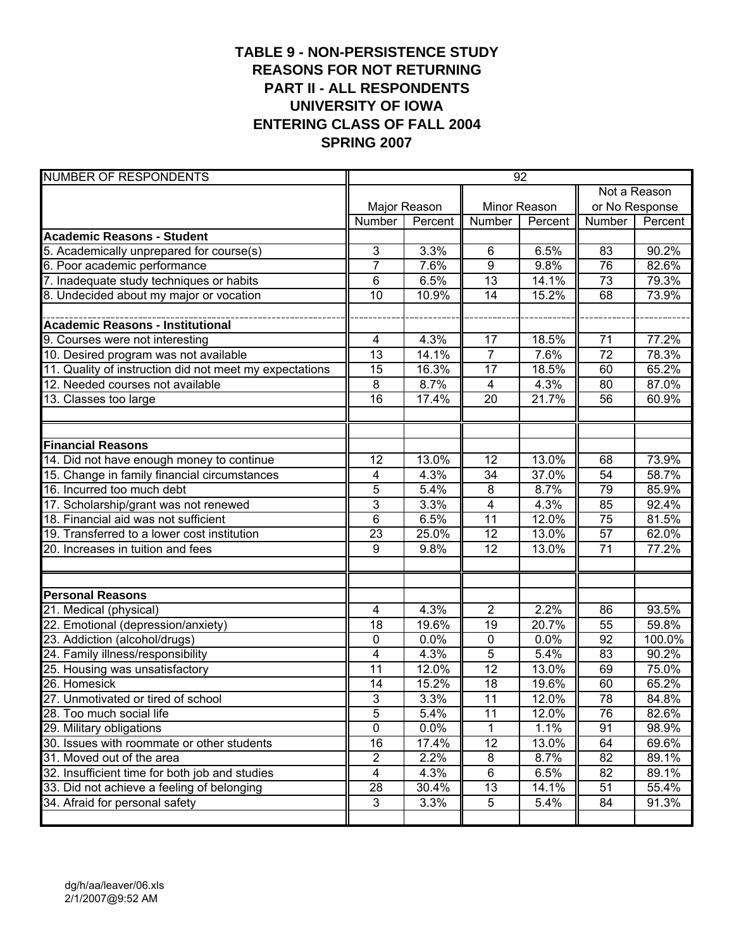# **TABLE 9 - NON-PERSISTENCE STUDY REASONS FOR NOT RETURNING PART II - ALL RESPONDENTS UNIVERSITY OF IOWA ENTERING CLASS OF FALL 2004 SPRING 2007**

| <b>NUMBER OF RESPONDENTS</b>                            | 92                      |              |                 |         |                 |                |
|---------------------------------------------------------|-------------------------|--------------|-----------------|---------|-----------------|----------------|
|                                                         |                         |              |                 |         | Not a Reason    |                |
|                                                         |                         | Major Reason | Minor Reason    |         |                 | or No Response |
|                                                         | Number                  | Percent      | Number          | Percent | Number          | Percent        |
| <b>Academic Reasons - Student</b>                       |                         |              |                 |         |                 |                |
| 5. Academically unprepared for course(s)                | 3                       | 3.3%         | 6               | 6.5%    | 83              | 90.2%          |
| 6. Poor academic performance                            | $\overline{7}$          | 7.6%         | $\overline{9}$  | 9.8%    | 76              | 82.6%          |
| 7. Inadequate study techniques or habits                | 6                       | 6.5%         | 13              | 14.1%   | 73              | 79.3%          |
| 8. Undecided about my major or vocation                 | 10                      | 10.9%        | $\overline{14}$ | 15.2%   | 68              | 73.9%          |
|                                                         |                         |              |                 |         |                 |                |
| <b>Academic Reasons - Institutional</b>                 |                         |              |                 |         |                 |                |
| 9. Courses were not interesting                         | 4                       | 4.3%         | 17              | 18.5%   | 71              | 77.2%          |
| 10. Desired program was not available                   | $\overline{13}$         | 14.1%        | $\overline{7}$  | 7.6%    | $\overline{72}$ | 78.3%          |
| 11. Quality of instruction did not meet my expectations | 15                      | 16.3%        | 17              | 18.5%   | 60              | 65.2%          |
| 12. Needed courses not available                        | 8                       | 8.7%         | 4               | 4.3%    | 80              | 87.0%          |
| 13. Classes too large                                   | 16                      | 17.4%        | 20              | 21.7%   | 56              | 60.9%          |
|                                                         |                         |              |                 |         |                 |                |
|                                                         |                         |              |                 |         |                 |                |
| <b>Financial Reasons</b>                                |                         |              |                 |         |                 |                |
| 14. Did not have enough money to continue               | 12                      | 13.0%        | 12              | 13.0%   | 68              | 73.9%          |
| 15. Change in family financial circumstances            | 4                       | 4.3%         | 34              | 37.0%   | 54              | 58.7%          |
| 16. Incurred too much debt                              | 5                       | 5.4%         | 8               | 8.7%    | 79              | 85.9%          |
| 17. Scholarship/grant was not renewed                   | 3                       | 3.3%         | 4               | 4.3%    | 85              | 92.4%          |
| 18. Financial aid was not sufficient                    | 6                       | 6.5%         | $\overline{11}$ | 12.0%   | $\overline{75}$ | 81.5%          |
| 19. Transferred to a lower cost institution             | 23                      | 25.0%        | $\overline{12}$ | 13.0%   | $\overline{57}$ | 62.0%          |
| 20. Increases in tuition and fees                       | 9                       | 9.8%         | $\overline{12}$ | 13.0%   | $\overline{71}$ | 77.2%          |
|                                                         |                         |              |                 |         |                 |                |
|                                                         |                         |              |                 |         |                 |                |
| <b>Personal Reasons</b>                                 |                         |              |                 |         |                 |                |
| 21. Medical (physical)                                  | $\overline{\mathbf{4}}$ | 4.3%         | 2               | 2.2%    | 86              | 93.5%          |
| 22. Emotional (depression/anxiety)                      | 18                      | 19.6%        | 19              | 20.7%   | 55              | 59.8%          |
| 23. Addiction (alcohol/drugs)                           | $\mathbf 0$             | 0.0%         | 0               | 0.0%    | 92              | 100.0%         |
| 24. Family illness/responsibility                       | 4                       | 4.3%         | 5               | 5.4%    | 83              | 90.2%          |
| 25. Housing was unsatisfactory                          | 11                      | 12.0%        | $\overline{12}$ | 13.0%   | 69              | 75.0%          |
| 26. Homesick                                            | 14                      | 15.2%        | 18              | 19.6%   | 60              | 65.2%          |
| 27. Unmotivated or tired of school                      | $\overline{3}$          | 3.3%         | $\overline{11}$ | 12.0%   | $\overline{78}$ | 84.8%          |
| 28. Too much social life                                | 5                       | 5.4%         | 11              | 12.0%   | 76              | 82.6%          |
| 29. Military obligations                                | $\overline{0}$          | 0.0%         | 1               | 1.1%    | 91              | 98.9%          |
| 30. Issues with roommate or other students              | 16                      | 17.4%        | $\overline{12}$ | 13.0%   | 64              | 69.6%          |
| 31. Moved out of the area                               | $\overline{2}$          | 2.2%         | 8               | 8.7%    | 82              | $89.1\%$       |
| 32. Insufficient time for both job and studies          | $\overline{\mathbf{4}}$ | 4.3%         | 6               | 6.5%    | 82              | 89.1%          |
| 33. Did not achieve a feeling of belonging              | 28                      | 30.4%        | 13              | 14.1%   | 51              | 55.4%          |
| 34. Afraid for personal safety                          | $\mathfrak{B}$          | 3.3%         | 5               | 5.4%    | 84              | 91.3%          |
|                                                         |                         |              |                 |         |                 |                |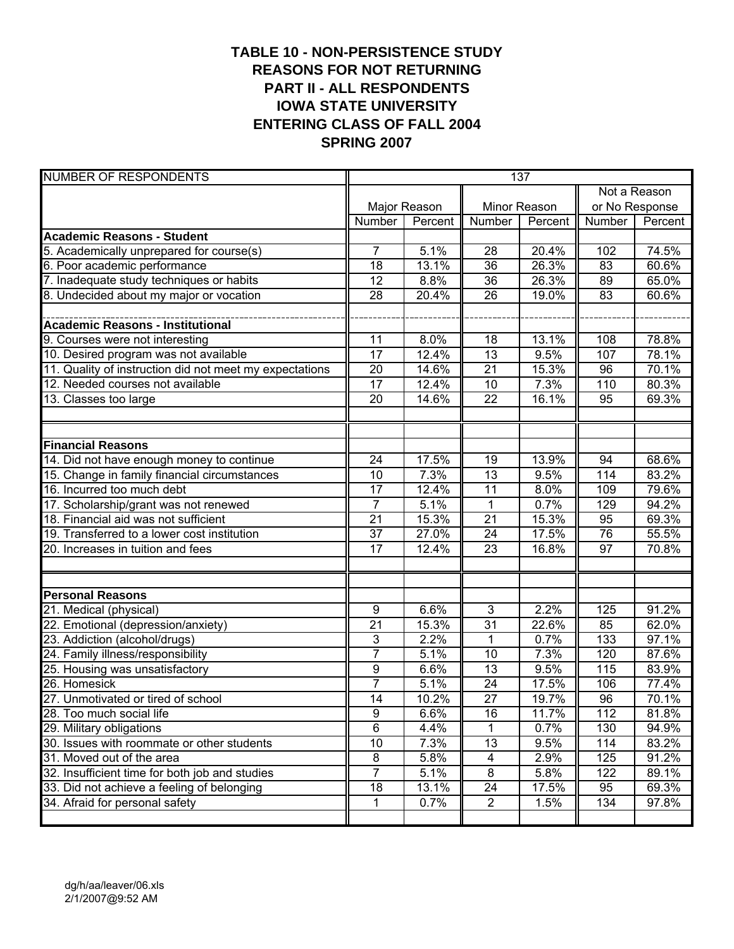# **TABLE 10 - NON-PERSISTENCE STUDY REASONS FOR NOT RETURNING PART II - ALL RESPONDENTS IOWA STATE UNIVERSITY ENTERING CLASS OF FALL 2004 SPRING 2007**

| <b>NUMBER OF RESPONDENTS</b>                            | 137             |              |                 |         |                 |                |  |
|---------------------------------------------------------|-----------------|--------------|-----------------|---------|-----------------|----------------|--|
|                                                         |                 |              |                 |         | Not a Reason    |                |  |
|                                                         |                 | Major Reason | Minor Reason    |         |                 | or No Response |  |
|                                                         | Number          | Percent      | Number          | Percent | Number          | Percent        |  |
| <b>Academic Reasons - Student</b>                       |                 |              |                 |         |                 |                |  |
| 5. Academically unprepared for course(s)                | $\overline{7}$  | 5.1%         | 28              | 20.4%   | 102             | 74.5%          |  |
| 6. Poor academic performance                            | 18              | 13.1%        | 36              | 26.3%   | 83              | 60.6%          |  |
| 7. Inadequate study techniques or habits                | 12              | 8.8%         | 36              | 26.3%   | 89              | 65.0%          |  |
| 8. Undecided about my major or vocation                 | 28              | 20.4%        | $\overline{26}$ | 19.0%   | 83              | 60.6%          |  |
|                                                         |                 |              |                 |         |                 |                |  |
| Academic Reasons - Institutional                        |                 |              |                 |         |                 |                |  |
| 9. Courses were not interesting                         | 11              | 8.0%         | 18              | 13.1%   | 108             | 78.8%          |  |
| 10. Desired program was not available                   | $\overline{17}$ | 12.4%        | $\overline{13}$ | 9.5%    | 107             | 78.1%          |  |
| 11. Quality of instruction did not meet my expectations | 20              | 14.6%        | $\overline{21}$ | 15.3%   | 96              | 70.1%          |  |
| 12. Needed courses not available                        | 17              | 12.4%        | 10              | 7.3%    | 110             | 80.3%          |  |
| 13. Classes too large                                   | 20              | 14.6%        | 22              | 16.1%   | 95              | 69.3%          |  |
|                                                         |                 |              |                 |         |                 |                |  |
|                                                         |                 |              |                 |         |                 |                |  |
| <b>Financial Reasons</b>                                |                 |              |                 |         |                 |                |  |
| 14. Did not have enough money to continue               | 24              | 17.5%        | 19              | 13.9%   | 94              | 68.6%          |  |
| 15. Change in family financial circumstances            | 10              | 7.3%         | 13              | 9.5%    | 114             | 83.2%          |  |
| 16. Incurred too much debt                              | 17              | 12.4%        | $\overline{11}$ | 8.0%    | 109             | 79.6%          |  |
| 17. Scholarship/grant was not renewed                   | $\overline{7}$  | 5.1%         | 1               | 0.7%    | 129             | 94.2%          |  |
| 18. Financial aid was not sufficient                    | $\overline{21}$ | 15.3%        | $\overline{21}$ | 15.3%   | 95              | 69.3%          |  |
| 19. Transferred to a lower cost institution             | 37              | 27.0%        | 24              | 17.5%   | $\overline{76}$ | 55.5%          |  |
| 20. Increases in tuition and fees                       | $\overline{17}$ | 12.4%        | $\overline{23}$ | 16.8%   | $\overline{97}$ | 70.8%          |  |
|                                                         |                 |              |                 |         |                 |                |  |
|                                                         |                 |              |                 |         |                 |                |  |
| <b>Personal Reasons</b>                                 |                 |              |                 |         |                 |                |  |
| 21. Medical (physical)                                  | 9               | 6.6%         | 3               | 2.2%    | $\frac{1}{25}$  | 91.2%          |  |
| 22. Emotional (depression/anxiety)                      | 21              | 15.3%        | 31              | 22.6%   | 85              | 62.0%          |  |
| 23. Addiction (alcohol/drugs)                           | 3               | 2.2%         | $\mathbf 1$     | 0.7%    | 133             | 97.1%          |  |
| 24. Family illness/responsibility                       | $\overline{7}$  | 5.1%         | 10              | 7.3%    | 120             | 87.6%          |  |
| 25. Housing was unsatisfactory                          | 9               | 6.6%         | $\overline{13}$ | 9.5%    | 115             | 83.9%          |  |
| 26. Homesick                                            | $\overline{7}$  | 5.1%         | 24              | 17.5%   | 106             | 77.4%          |  |
| 27. Unmotivated or tired of school                      | $\overline{14}$ | 10.2%        | $\overline{27}$ | 19.7%   | 96              | 70.1%          |  |
| 28. Too much social life                                | 9               | 6.6%         | 16              | 11.7%   | 112             | 81.8%          |  |
| 29. Military obligations                                | $\overline{6}$  | 4.4%         | 1               | 0.7%    | 130             | 94.9%          |  |
| 30. Issues with roommate or other students              | 10              | 7.3%         | 13              | 9.5%    | 114             | 83.2%          |  |
| 31. Moved out of the area                               | 8               | 5.8%         | $\overline{4}$  | 2.9%    | 125             | 91.2%          |  |
| 32. Insufficient time for both job and studies          | $\overline{7}$  | 5.1%         | $\bf 8$         | 5.8%    | 122             | 89.1%          |  |
| 33. Did not achieve a feeling of belonging              | 18              | 13.1%        | 24              | 17.5%   | 95              | 69.3%          |  |
| 34. Afraid for personal safety                          | 1               | 0.7%         | 2               | 1.5%    | 134             | 97.8%          |  |
|                                                         |                 |              |                 |         |                 |                |  |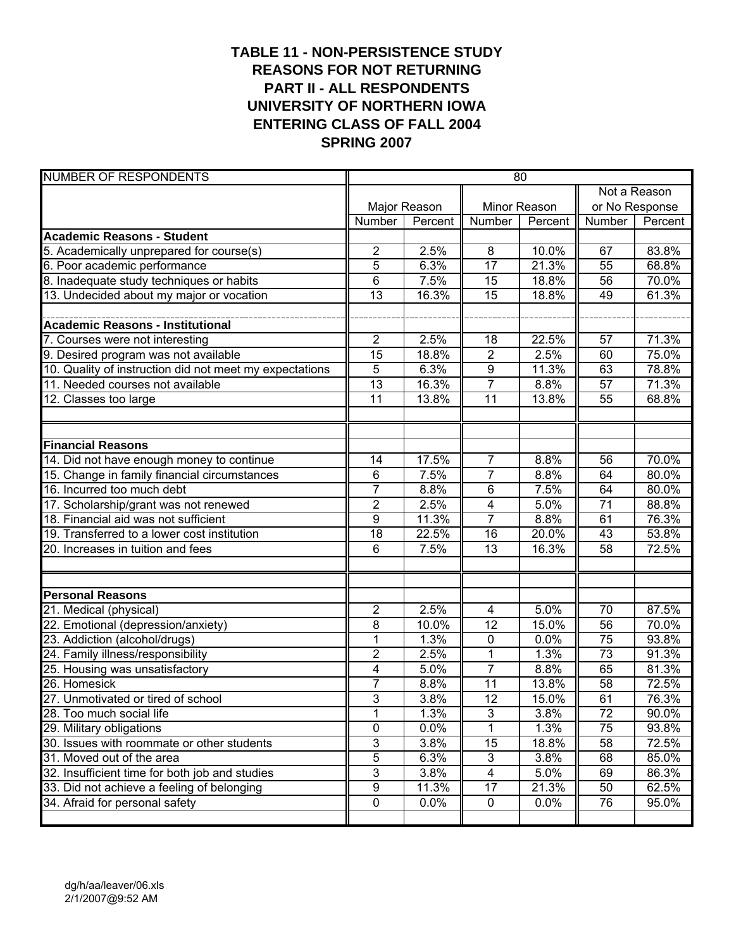# **TABLE 11 - NON-PERSISTENCE STUDY REASONS FOR NOT RETURNING PART II - ALL RESPONDENTS UNIVERSITY OF NORTHERN IOWA ENTERING CLASS OF FALL 2004 SPRING 2007**

| <b>NUMBER OF RESPONDENTS</b>                            | 80              |                   |                           |              |                 |                |  |
|---------------------------------------------------------|-----------------|-------------------|---------------------------|--------------|-----------------|----------------|--|
|                                                         |                 |                   |                           |              | Not a Reason    |                |  |
|                                                         |                 | Major Reason      |                           | Minor Reason |                 | or No Response |  |
|                                                         | Number          | Percent           | Number                    | Percent      | Number          | Percent        |  |
| <b>Academic Reasons - Student</b>                       |                 |                   |                           |              |                 |                |  |
| 5. Academically unprepared for course(s)                | $\overline{c}$  | 2.5%              | 8                         | 10.0%        | 67              | 83.8%          |  |
| 6. Poor academic performance                            | 5               | 6.3%              | $\overline{17}$           | 21.3%        | 55              | 68.8%          |  |
| 8. Inadequate study techniques or habits                | 6               | $\overline{7}.5%$ | 15                        | 18.8%        | 56              | 70.0%          |  |
| 13. Undecided about my major or vocation                | 13              | 16.3%             | $\overline{15}$           | 18.8%        | 49              | 61.3%          |  |
|                                                         |                 |                   |                           |              |                 |                |  |
| <b>Academic Reasons - Institutional</b>                 |                 |                   |                           |              |                 |                |  |
| 7. Courses were not interesting                         | $\overline{2}$  | 2.5%              | 18                        | 22.5%        | 57              | 71.3%          |  |
| 9. Desired program was not available                    | $\overline{15}$ | 18.8%             | $\overline{2}$            | 2.5%         | 60              | 75.0%          |  |
| 10. Quality of instruction did not meet my expectations | $\overline{5}$  | 6.3%              | $\overline{9}$            | 11.3%        | 63              | 78.8%          |  |
| 11. Needed courses not available                        | 13              | 16.3%             | $\overline{7}$            | 8.8%         | 57              | 71.3%          |  |
| 12. Classes too large                                   | 11              | 13.8%             | $\overline{11}$           | 13.8%        | 55              | 68.8%          |  |
|                                                         |                 |                   |                           |              |                 |                |  |
|                                                         |                 |                   |                           |              |                 |                |  |
| <b>Financial Reasons</b>                                |                 |                   |                           |              |                 |                |  |
| 14. Did not have enough money to continue               | 14              | 17.5%             | $\overline{7}$            | 8.8%         | 56              | 70.0%          |  |
| 15. Change in family financial circumstances            | 6               | 7.5%              | $\overline{7}$            | 8.8%         | 64              | 80.0%          |  |
| 16. Incurred too much debt                              | $\overline{7}$  | 8.8%              | 6                         | 7.5%         | 64              | 80.0%          |  |
| 17. Scholarship/grant was not renewed                   | $\overline{2}$  | 2.5%              | 4                         | 5.0%         | $\overline{71}$ | 88.8%          |  |
| 18. Financial aid was not sufficient                    | 9               | 11.3%             | $\overline{7}$            | 8.8%         | 61              | 76.3%          |  |
| 19. Transferred to a lower cost institution             | 18              | 22.5%             | $\overline{16}$           | 20.0%        | 43              | 53.8%          |  |
| 20. Increases in tuition and fees                       | 6               | 7.5%              | $\overline{13}$           | 16.3%        | 58              | 72.5%          |  |
|                                                         |                 |                   |                           |              |                 |                |  |
|                                                         |                 |                   |                           |              |                 |                |  |
| <b>Personal Reasons</b>                                 |                 |                   |                           |              |                 |                |  |
| 21. Medical (physical)                                  | $\overline{2}$  | 2.5%              | $\overline{\mathbf{4}}$   | 5.0%         | 70              | 87.5%          |  |
| 22. Emotional (depression/anxiety)                      | 8               | 10.0%             | $\overline{12}$           | 15.0%        | 56              | 70.0%          |  |
| 23. Addiction (alcohol/drugs)                           | 1               | 1.3%              | $\mathbf 0$               | 0.0%         | 75              | 93.8%          |  |
| 24. Family illness/responsibility                       | $\overline{2}$  | 2.5%              | 1                         | 1.3%         | $\overline{73}$ | 91.3%          |  |
| 25. Housing was unsatisfactory                          | 4               | 5.0%              | $\overline{7}$            | 8.8%         | 65              | 81.3%          |  |
| 26. Homesick                                            | $\overline{7}$  | 8.8%              | $\overline{11}$           | 13.8%        | 58              | 72.5%          |  |
| 27. Unmotivated or tired of school                      | $\overline{3}$  | 3.8%              | $\overline{12}$           | 15.0%        | 61              | 76.3%          |  |
| 28. Too much social life                                | 1               | 1.3%              | $\sqrt{3}$                | 3.8%         | 72              | 90.0%          |  |
| 29. Military obligations                                | $\overline{0}$  | 0.0%              | 1                         | 1.3%         | $\overline{75}$ | 93.8%          |  |
| 30. Issues with roommate or other students              | 3               | 3.8%              | 15                        | 18.8%        | 58              | 72.5%          |  |
| 31. Moved out of the area                               | $\overline{5}$  | 6.3%              | $\ensuremath{\mathsf{3}}$ | 3.8%         | 68              | 85.0%          |  |
| 32. Insufficient time for both job and studies          | $\overline{3}$  | 3.8%              | $\overline{\mathbf{4}}$   | 5.0%         | 69              | 86.3%          |  |
| 33. Did not achieve a feeling of belonging              | 9               | 11.3%             | 17                        | 21.3%        | 50              | 62.5%          |  |
| 34. Afraid for personal safety                          | $\pmb{0}$       | 0.0%              | $\pmb{0}$                 | 0.0%         | 76              | 95.0%          |  |
|                                                         |                 |                   |                           |              |                 |                |  |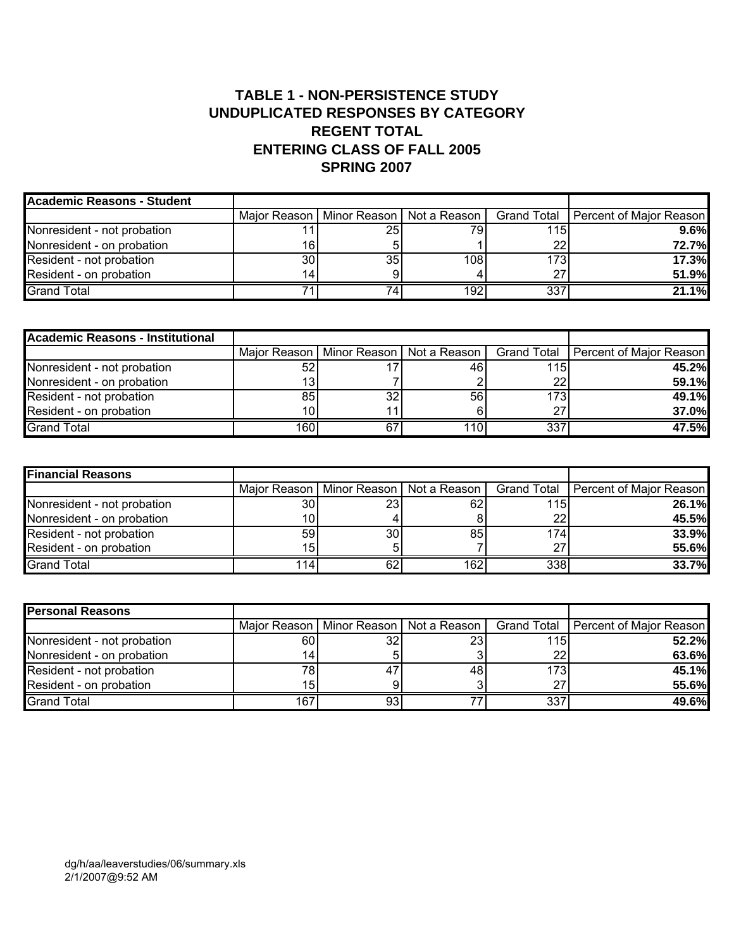# **TABLE 1 - NON-PERSISTENCE STUDY UNDUPLICATED RESPONSES BY CATEGORY REGENT TOTAL ENTERING CLASS OF FALL 2005 SPRING 2007**

| Academic Reasons - Student  |                 |     |                                            |                  |                                       |
|-----------------------------|-----------------|-----|--------------------------------------------|------------------|---------------------------------------|
|                             |                 |     | Major Reason   Minor Reason   Not a Reason |                  | Grand Total   Percent of Major Reason |
| Nonresident - not probation |                 | 25I | 79I                                        | 115              | 9.6%                                  |
| Nonresident - on probation  | 16I             |     |                                            | 22               | 72.7%                                 |
| Resident - not probation    | 30 <sup>1</sup> | 35  | 108                                        | 173 <sub>l</sub> | 17.3%                                 |
| Resident - on probation     | 141             |     |                                            | 27               | 51.9%                                 |
| <b>Grand Total</b>          |                 | 74. | 192                                        | 337              | 21.1%                                 |

| Academic Reasons - Institutional |      |    |                                            |      |                                       |
|----------------------------------|------|----|--------------------------------------------|------|---------------------------------------|
|                                  |      |    | Major Reason   Minor Reason   Not a Reason |      | Grand Total   Percent of Major Reason |
| Nonresident - not probation      | 52   |    | 46                                         | 115  | 45.2%                                 |
| Nonresident - on probation       |      |    |                                            | 22   | 59.1%                                 |
| Resident - not probation         | 85   | 32 | 56                                         | 1731 | 49.1%                                 |
| Resident - on probation          | 10I  |    |                                            | 27   | <b>37.0%</b>                          |
| <b>Grand Total</b>               | 160l | 67 | 110                                        | 337  | 47.5%                                 |

| <b>Financial Reasons</b>    |      |                 |                                            |         |                                       |
|-----------------------------|------|-----------------|--------------------------------------------|---------|---------------------------------------|
|                             |      |                 | Major Reason   Minor Reason   Not a Reason |         | Grand Total   Percent of Major Reason |
| Nonresident - not probation | 30 I | 23I             | 62                                         | 115     | 26.1%                                 |
| Nonresident - on probation  | 101  |                 |                                            | $22 \,$ | 45.5%                                 |
| Resident - not probation    | 59   | 30 <sub>l</sub> | 85                                         | 174I    | 33.9%                                 |
| Resident - on probation     | 15   |                 |                                            | 27      | 55.6%                                 |
| <b>Grand Total</b>          | 114  | 62              | 162                                        | 338     | 33.7%                                 |

| <b>Personal Reasons</b>     |      |                 |                                            |                 |                                       |
|-----------------------------|------|-----------------|--------------------------------------------|-----------------|---------------------------------------|
|                             |      |                 | Major Reason   Minor Reason   Not a Reason |                 | Grand Total   Percent of Major Reason |
| Nonresident - not probation | 60 I | 32 <sub>2</sub> | 23                                         | 115             | 52.2%                                 |
| Nonresident - on probation  | 14   |                 |                                            | 22 <sub>1</sub> | 63.6%                                 |
| Resident - not probation    | 781  | 47              | 481                                        | 173             | 45.1%                                 |
| Resident - on probation     | 151  |                 |                                            | 27              | 55.6%                                 |
| <b>Grand Total</b>          | 167  | 931             |                                            | 337             | 49.6%                                 |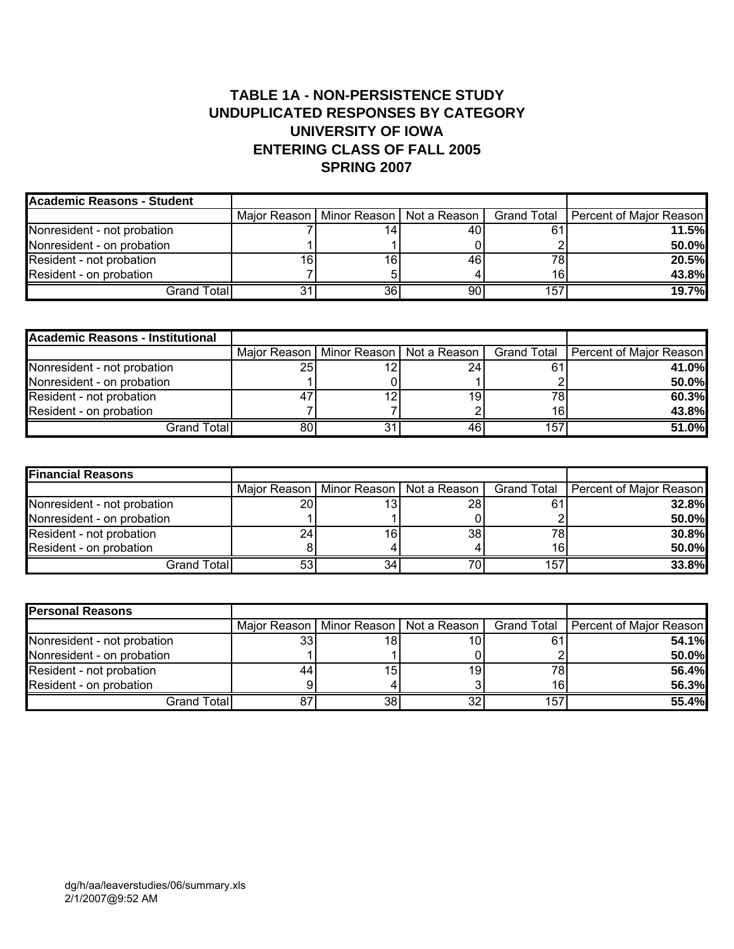# **TABLE 1A - NON-PERSISTENCE STUDY UNDUPLICATED RESPONSES BY CATEGORY UNIVERSITY OF IOWA ENTERING CLASS OF FALL 2005 SPRING 2007**

| <b>Academic Reasons - Student</b> |    |    |                                            |     |                                       |
|-----------------------------------|----|----|--------------------------------------------|-----|---------------------------------------|
|                                   |    |    | Major Reason   Minor Reason   Not a Reason |     | Grand Total   Percent of Major Reason |
| Nonresident - not probation       |    |    | 40                                         | 61  | 11.5%l                                |
| Nonresident - on probation        |    |    |                                            |     | 50.0%                                 |
| Resident - not probation          | 16 | 16 | 46                                         | 78  | 20.5%                                 |
| Resident - on probation           |    |    |                                            | 16  | 43.8%                                 |
| Grand Total                       |    | 36 | 90                                         | 157 | 19.7%                                 |

| <b>Academic Reasons - Institutional</b> |    |                                            |    |     |                                       |
|-----------------------------------------|----|--------------------------------------------|----|-----|---------------------------------------|
|                                         |    | Major Reason   Minor Reason   Not a Reason |    |     | Grand Total   Percent of Major Reason |
| Nonresident - not probation             | 25 |                                            | 24 | 61  | 41.0%                                 |
| Nonresident - on probation              |    |                                            |    |     | 50.0%                                 |
| Resident - not probation                |    | 12                                         | 19 | 78  | 60.3%                                 |
| Resident - on probation                 |    |                                            |    | 16  | 43.8%                                 |
| Grand Total <b>l</b>                    | 80 |                                            | 46 | 157 | 51.0%                                 |

| <b>Financial Reasons</b>    |    |    |                                            |     |                                       |
|-----------------------------|----|----|--------------------------------------------|-----|---------------------------------------|
|                             |    |    | Major Reason   Minor Reason   Not a Reason |     | Grand Total   Percent of Major Reason |
| Nonresident - not probation | 20 | 13 | ا 28                                       | 61  | 32.8%                                 |
| Nonresident - on probation  |    |    |                                            |     | 50.0%                                 |
| Resident - not probation    | 24 | 16 | 38                                         | 78  | 30.8%                                 |
| Resident - on probation     |    |    |                                            | 16  | 50.0%                                 |
| Grand Total                 | 53 | 34 |                                            | 157 | 33.8%                                 |

| <b>Personal Reasons</b>     |    |                 |                                            |                 |                                       |
|-----------------------------|----|-----------------|--------------------------------------------|-----------------|---------------------------------------|
|                             |    |                 | Major Reason   Minor Reason   Not a Reason |                 | Grand Total   Percent of Major Reason |
| Nonresident - not probation | 33 | 181             | 10                                         | 61              | 54.1%                                 |
| Nonresident - on probation  |    |                 |                                            |                 | 50.0%                                 |
| Resident - not probation    | 44 | 15              | 19.                                        | 78              | 56.4%                                 |
| Resident - on probation     |    |                 |                                            | 16 <sub>l</sub> | 56.3%                                 |
| Grand Total                 | 87 | 38 <sup>l</sup> | 32                                         | 157             | 55.4%                                 |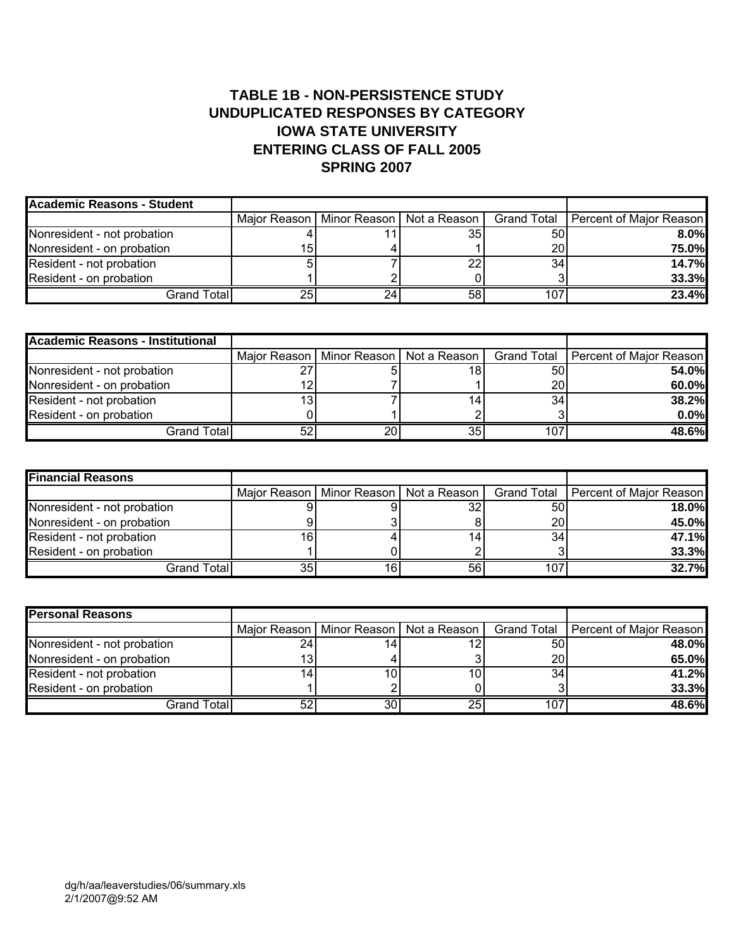# **TABLE 1B - NON-PERSISTENCE STUDY UNDUPLICATED RESPONSES BY CATEGORY IOWA STATE UNIVERSITY ENTERING CLASS OF FALL 2005 SPRING 2007**

| <b>Academic Reasons - Student</b> |    |    |                                            |     |                                       |
|-----------------------------------|----|----|--------------------------------------------|-----|---------------------------------------|
|                                   |    |    | Major Reason   Minor Reason   Not a Reason |     | Grand Total   Percent of Major Reason |
| Nonresident - not probation       |    |    | 35                                         | 50  | $8.0\%$                               |
| Nonresident - on probation        | 15 |    |                                            | 20  | 75.0%                                 |
| Resident - not probation          |    |    | 22                                         | 34  | 14.7%                                 |
| Resident - on probation           |    |    |                                            |     | 33.3%                                 |
| Grand Total                       | 25 | 24 | 58                                         | 107 | 23.4%                                 |

| <b>Academic Reasons - Institutional</b> |    |                 |                                            |     |                                       |
|-----------------------------------------|----|-----------------|--------------------------------------------|-----|---------------------------------------|
|                                         |    |                 | Major Reason   Minor Reason   Not a Reason |     | Grand Total   Percent of Major Reason |
| Nonresident - not probation             | דר |                 | 18                                         | 50  | 54.0%                                 |
| Nonresident - on probation              |    |                 |                                            | 20  | 60.0%                                 |
| Resident - not probation                |    |                 | 14                                         | 34  | 38.2%                                 |
| Resident - on probation                 |    |                 |                                            |     | 0.0%                                  |
| Grand Total                             | 52 | 20 <sub>l</sub> | 35                                         | 107 | 48.6%                                 |

| <b>Financial Reasons</b>    |    |    |                                            |     |                                       |
|-----------------------------|----|----|--------------------------------------------|-----|---------------------------------------|
|                             |    |    | Major Reason   Minor Reason   Not a Reason |     | Grand Total   Percent of Major Reason |
| Nonresident - not probation |    |    |                                            | 50  | 18.0%                                 |
| Nonresident - on probation  |    |    |                                            | 20  | 45.0%                                 |
| Resident - not probation    | 16 |    |                                            | 34  | 47.1%                                 |
| Resident - on probation     |    |    |                                            |     | 33.3%                                 |
| Grand Total                 | 35 | 16 | 56                                         | 107 | 32.7%                                 |

| <b>Personal Reasons</b>     |    |    |                                              |     |                                       |
|-----------------------------|----|----|----------------------------------------------|-----|---------------------------------------|
|                             |    |    | Maior Reason I Minor Reason I Not a Reason I |     | Grand Total   Percent of Major Reason |
| Nonresident - not probation | 24 |    |                                              | 50  | 48.0%                                 |
| Nonresident - on probation  |    |    |                                              | 20  | 65.0%                                 |
| Resident - not probation    |    | 10 | 10                                           | 34  | 41.2%                                 |
| Resident - on probation     |    |    |                                              |     | 33.3%                                 |
| Grand Total                 | 52 | 30 | 25                                           | 107 | 48.6%                                 |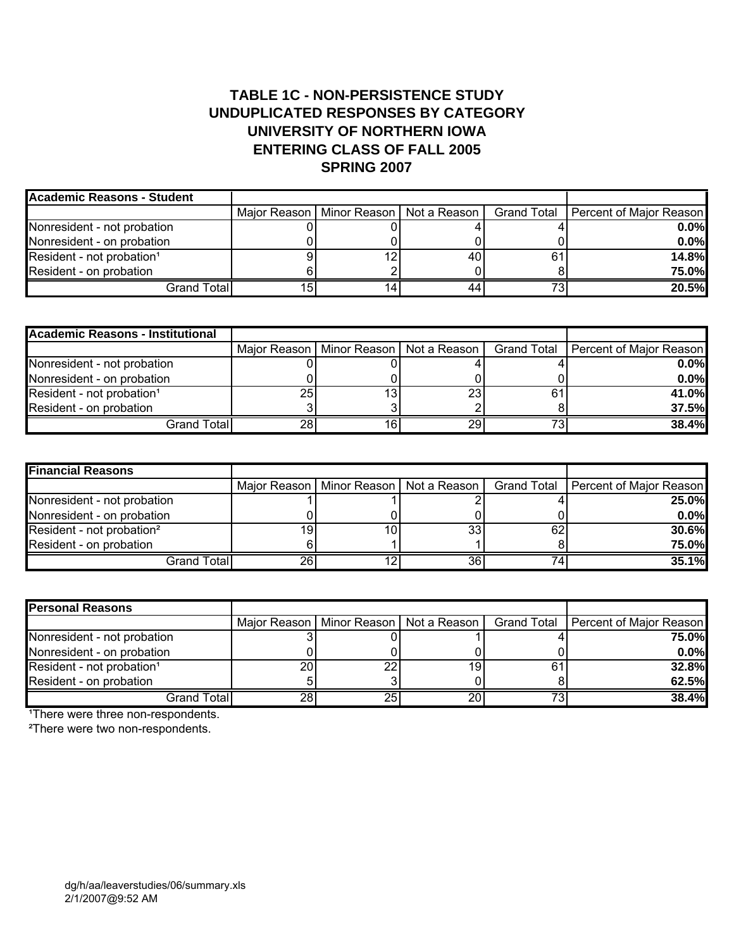# **TABLE 1C - NON-PERSISTENCE STUDY UNDUPLICATED RESPONSES BY CATEGORY UNIVERSITY OF NORTHERN IOWA ENTERING CLASS OF FALL 2005 SPRING 2007**

| Academic Reasons - Student            |    |                                            |    |                                       |
|---------------------------------------|----|--------------------------------------------|----|---------------------------------------|
|                                       |    | Major Reason   Minor Reason   Not a Reason |    | Grand Total   Percent of Major Reason |
| Nonresident - not probation           |    |                                            |    | $0.0\%$                               |
| Nonresident - on probation            |    |                                            |    | $0.0\%$                               |
| Resident - not probation <sup>1</sup> | 12 |                                            | 61 | 14.8%                                 |
| Resident - on probation               |    |                                            |    | <b>75.0%</b>                          |
| Grand Total                           |    |                                            |    | 20.5%                                 |

| <b>Academic Reasons - Institutional</b> |    |    |                                            |    |                                       |
|-----------------------------------------|----|----|--------------------------------------------|----|---------------------------------------|
|                                         |    |    | Major Reason   Minor Reason   Not a Reason |    | Grand Total   Percent of Major Reason |
| Nonresident - not probation             |    |    |                                            |    | $0.0\%$                               |
| Nonresident - on probation              |    |    |                                            |    | $0.0\%$                               |
| Resident - not probation <sup>1</sup>   | 25 | 13 | 23                                         | 61 | 41.0%                                 |
| Resident - on probation                 |    |    |                                            |    | 37.5%                                 |
| Grand Total                             | 28 |    | 29                                         |    | 38.4%                                 |

| <b>Financial Reasons</b>              |    |    |                                            |    |                                       |
|---------------------------------------|----|----|--------------------------------------------|----|---------------------------------------|
|                                       |    |    | Major Reason   Minor Reason   Not a Reason |    | Grand Total   Percent of Major Reason |
| Nonresident - not probation           |    |    |                                            |    | 25.0%                                 |
| Nonresident - on probation            |    |    |                                            |    | $0.0\%$                               |
| Resident - not probation <sup>2</sup> |    | 10 | 33                                         | 62 | 30.6%                                 |
| Resident - on probation               |    |    |                                            |    | <b>75.0%</b>                          |
| Grand Total                           | 26 |    | 36                                         |    | 35.1%                                 |

| <b>Personal Reasons</b>               |    |    |                                            |    |                                       |
|---------------------------------------|----|----|--------------------------------------------|----|---------------------------------------|
|                                       |    |    | Major Reason   Minor Reason   Not a Reason |    | Grand Total   Percent of Major Reason |
| Nonresident - not probation           |    |    |                                            |    | 75.0%                                 |
| Nonresident - on probation            |    |    |                                            |    | $0.0\%$                               |
| Resident - not probation <sup>1</sup> | 20 | 22 |                                            | 61 | <b>32.8%</b>                          |
| Resident - on probation               |    |    |                                            |    | 62.5%                                 |
| Grand Total                           | 28 | 25 |                                            | 72 | 38.4%                                 |

<sup>1</sup>There were three non-respondents.

²There were two non-respondents.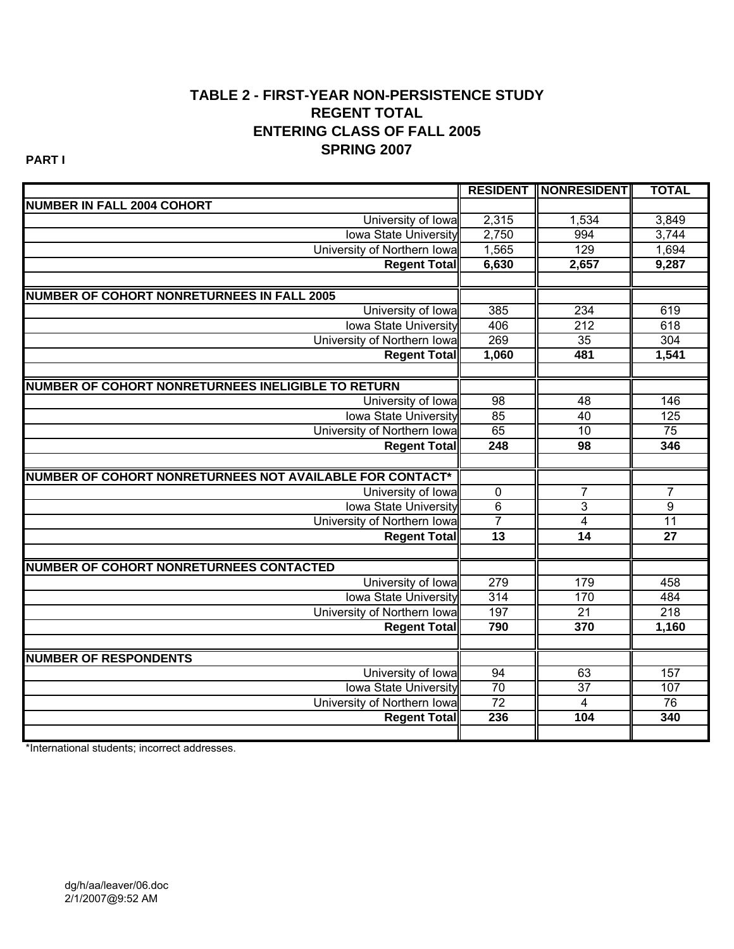# **TABLE 2 - FIRST-YEAR NON-PERSISTENCE STUDY REGENT TOTAL ENTERING CLASS OF FALL 2005 SPRING 2007**

**PART I**

|                                                          |                 | <b>RESIDENT    NONRESIDENT </b> | <b>TOTAL</b>    |
|----------------------------------------------------------|-----------------|---------------------------------|-----------------|
| <b>NUMBER IN FALL 2004 COHORT</b>                        |                 |                                 |                 |
| University of Iowa                                       | 2,315           | 1,534                           | 3,849           |
| <b>Iowa State University</b>                             | 2,750           | 994                             | 3,744           |
| University of Northern Iowal                             | 1,565           | 129                             | 1,694           |
| <b>Regent Total</b>                                      | 6,630           | 2,657                           | 9,287           |
|                                                          |                 |                                 |                 |
| <b>NUMBER OF COHORT NONRETURNEES IN FALL 2005</b>        |                 |                                 |                 |
| University of Iowa                                       | 385             | 234                             | 619             |
| <b>Iowa State University</b>                             | 406             | $\overline{212}$                | 618             |
| University of Northern Iowa                              | 269             | 35                              | 304             |
| <b>Regent Total</b>                                      | 1,060           | 481                             | 1,541           |
|                                                          |                 |                                 |                 |
| NUMBER OF COHORT NONRETURNEES INELIGIBLE TO RETURN       |                 |                                 |                 |
| University of Iowa                                       | $\overline{98}$ | 48                              | 146             |
| <b>Iowa State University</b>                             | 85              | 40                              | 125             |
| University of Northern Iowa                              | 65              | 10                              | 75              |
| <b>Regent Total</b>                                      | 248             | $\overline{98}$                 | 346             |
|                                                          |                 |                                 |                 |
| NUMBER OF COHORT NONRETURNEES NOT AVAILABLE FOR CONTACT* |                 |                                 |                 |
| University of Iowa                                       | $\overline{0}$  | $\overline{7}$                  | $\overline{7}$  |
| <b>Iowa State University</b>                             | $\overline{6}$  | $\overline{3}$                  | $\overline{9}$  |
| University of Northern Iowa                              | $\overline{7}$  | $\overline{4}$                  | $\overline{11}$ |
| <b>Regent Total</b>                                      | $\overline{13}$ | $\overline{14}$                 | $\overline{27}$ |
|                                                          |                 |                                 |                 |
| <b>NUMBER OF COHORT NONRETURNEES CONTACTED</b>           |                 |                                 |                 |
| University of Iowa                                       | 279             | 179                             | 458             |
| <b>Iowa State University</b>                             | 314             | 170                             | 484             |
| University of Northern Iowa                              | 197             | 21                              | 218             |
| <b>Regent Total</b>                                      | 790             | 370                             | 1,160           |
|                                                          |                 |                                 |                 |
| <b>NUMBER OF RESPONDENTS</b>                             |                 |                                 |                 |
| University of Iowa                                       | 94              | 63                              | 157             |
| <b>Iowa State University</b>                             | 70              | $\overline{37}$                 | 107             |
| University of Northern Iowa                              | 72              | $\overline{4}$                  | 76              |
| <b>Regent Total</b>                                      | 236             | 104                             | 340             |
|                                                          |                 |                                 |                 |

\*International students; incorrect addresses.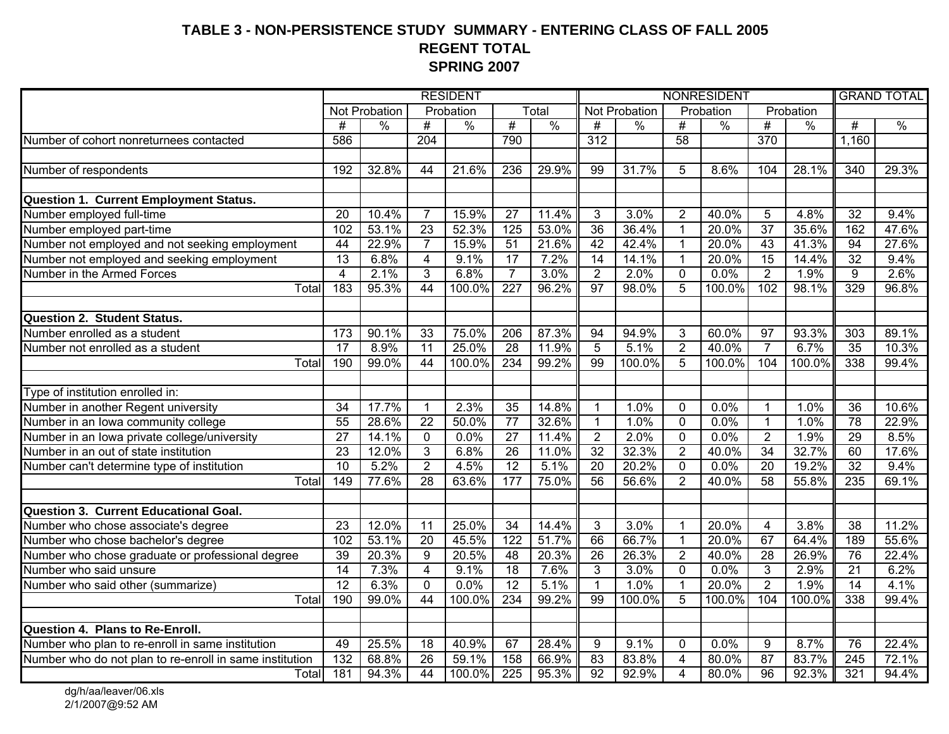#### **TABLE 3 - NON-PERSISTENCE STUDY SUMMARY - ENTERING CLASS OF FALL 2005 REGENT TOTAL SPRING 2007**

|                                                         | <b>RESIDENT</b> |                      |                  |               |                  | NONRESIDENT   |                  |               |                 |               | <b>GRAND TOTAL</b> |           |                  |               |
|---------------------------------------------------------|-----------------|----------------------|------------------|---------------|------------------|---------------|------------------|---------------|-----------------|---------------|--------------------|-----------|------------------|---------------|
|                                                         |                 | <b>Not Probation</b> |                  | Probation     |                  | Total         |                  | Not Probation |                 | Probation     |                    | Probation |                  |               |
|                                                         | $\overline{\#}$ | $\frac{0}{0}$        | #                | $\frac{0}{0}$ | #                | $\frac{0}{0}$ | $\overline{\#}$  | $\%$          | #               | $\frac{0}{6}$ | $\overline{\#}$    | $\%$      | #                | $\frac{0}{0}$ |
| Number of cohort nonreturnees contacted                 | 586             |                      | $\overline{204}$ |               | 790              |               | $\overline{312}$ |               | $\overline{58}$ |               | $\overline{370}$   |           | 1,160            |               |
|                                                         |                 |                      |                  |               |                  |               |                  |               |                 |               |                    |           |                  |               |
| Number of respondents                                   | 192             | 32.8%                | 44               | 21.6%         | 236              | 29.9%         | 99               | 31.7%         | 5               | 8.6%          | 104                | 28.1%     | $\overline{340}$ | 29.3%         |
|                                                         |                 |                      |                  |               |                  |               |                  |               |                 |               |                    |           |                  |               |
| Question 1. Current Employment Status.                  |                 |                      |                  |               |                  |               |                  |               |                 |               |                    |           |                  |               |
| Number employed full-time                               | 20              | 10.4%                | $\overline{7}$   | 15.9%         | 27               | 11.4%         | 3                | 3.0%          | $\overline{2}$  | 40.0%         | 5                  | 4.8%      | $\overline{32}$  | 9.4%          |
| Number employed part-time                               | 102             | 53.1%                | $\overline{23}$  | 52.3%         | $\frac{1}{25}$   | 53.0%         | $\overline{36}$  | 36.4%         | $\mathbf{1}$    | 20.0%         | $\overline{37}$    | 35.6%     | 162              | 47.6%         |
| Number not employed and not seeking employment          | $\overline{44}$ | 22.9%                | $\overline{7}$   | 15.9%         | 51               | 21.6%         | 42               | 42.4%         | $\mathbf 1$     | 20.0%         | 43                 | 41.3%     | 94               | 27.6%         |
| Number not employed and seeking employment              | $\overline{13}$ | 6.8%                 | $\overline{4}$   | 9.1%          | $\overline{17}$  | 7.2%          | 14               | 14.1%         | $\overline{1}$  | 20.0%         | 15                 | 14.4%     | $\overline{32}$  | 9.4%          |
| Number in the Armed Forces                              | $\overline{4}$  | 2.1%                 | $\overline{3}$   | 6.8%          | $\overline{7}$   | 3.0%          | $\overline{2}$   | 2.0%          | $\overline{0}$  | 0.0%          | $\overline{2}$     | 1.9%      | 9                | 2.6%          |
| Total                                                   | 183             | 95.3%                | $\overline{44}$  | 100.0%        | $\overline{227}$ | 96.2%         | $\overline{97}$  | 98.0%         | $\overline{5}$  | 100.0%        | 102                | 98.1%     | 329              | 96.8%         |
|                                                         |                 |                      |                  |               |                  |               |                  |               |                 |               |                    |           |                  |               |
| <b>Question 2. Student Status.</b>                      |                 |                      |                  |               |                  |               |                  |               |                 |               |                    |           |                  |               |
| Number enrolled as a student                            | 173             | 90.1%                | 33               | 75.0%         | 206              | 87.3%         | 94               | 94.9%         | 3               | 60.0%         | 97                 | 93.3%     | 303              | 89.1%         |
| Number not enrolled as a student                        | 17              | 8.9%                 | $\overline{11}$  | 25.0%         | 28               | 11.9%         | $\overline{5}$   | 5.1%          | $\overline{2}$  | 40.0%         | $\overline{7}$     | 6.7%      | 35               | 10.3%         |
| Total                                                   | 190             | 99.0%                | $\overline{44}$  | 100.0%        | 234              | 99.2%         | 99               | 100.0%        | $\overline{5}$  | 100.0%        | 104                | 100.0%    | 338              | 99.4%         |
|                                                         |                 |                      |                  |               |                  |               |                  |               |                 |               |                    |           |                  |               |
| Type of institution enrolled in:                        |                 |                      |                  |               |                  |               |                  |               |                 |               |                    |           |                  |               |
| Number in another Regent university                     | 34              | 17.7%                | $\mathbf{1}$     | 2.3%          | 35               | 14.8%         | 1                | 1.0%          | $\mathbf 0$     | 0.0%          | $\mathbf{1}$       | 1.0%      | 36               | 10.6%         |
| Number in an Iowa community college                     | 55              | 28.6%                | $\overline{22}$  | 50.0%         | $\overline{77}$  | 32.6%         | $\mathbf{1}$     | 1.0%          | $\overline{0}$  | 0.0%          | $\overline{1}$     | 1.0%      | 78               | 22.9%         |
| Number in an Iowa private college/university            | $\overline{27}$ | 14.1%                | $\overline{0}$   | 0.0%          | $\overline{27}$  | 11.4%         | $\overline{2}$   | 2.0%          | $\overline{0}$  | 0.0%          | $\overline{2}$     | 1.9%      | 29               | 8.5%          |
| Number in an out of state institution                   | $\overline{23}$ | 12.0%                | $\overline{3}$   | 6.8%          | 26               | 11.0%         | $\overline{32}$  | 32.3%         | $\overline{2}$  | 40.0%         | $\overline{34}$    | 32.7%     | 60               | 17.6%         |
| Number can't determine type of institution              | 10              | 5.2%                 | $\overline{2}$   | 4.5%          | $\overline{12}$  | 5.1%          | $\overline{20}$  | 20.2%         | $\mathbf 0$     | 0.0%          | $\overline{20}$    | 19.2%     | $\overline{32}$  | 9.4%          |
| Total                                                   | 149             | 77.6%                | 28               | 63.6%         | 177              | 75.0%         | 56               | 56.6%         | $\overline{2}$  | 40.0%         | 58                 | 55.8%     | 235              | 69.1%         |
|                                                         |                 |                      |                  |               |                  |               |                  |               |                 |               |                    |           |                  |               |
| Question 3. Current Educational Goal.                   |                 |                      |                  |               |                  |               |                  |               |                 |               |                    |           |                  |               |
| Number who chose associate's degree                     | $\overline{23}$ | 12.0%                | 11               | 25.0%         | $\overline{34}$  | 14.4%         | 3                | 3.0%          | $\mathbf{1}$    | 20.0%         | 4                  | 3.8%      | 38               | 11.2%         |
| Number who chose bachelor's degree                      | 102             | 53.1%                | $\overline{20}$  | 45.5%         | 122              | 51.7%         | 66               | 66.7%         | $\mathbf{1}$    | 20.0%         | 67                 | 64.4%     | 189              | 55.6%         |
| Number who chose graduate or professional degree        | $\overline{39}$ | 20.3%                | 9                | 20.5%         | $\overline{48}$  | 20.3%         | $\overline{26}$  | 26.3%         | $\overline{2}$  | 40.0%         | 28                 | 26.9%     | 76               | 22.4%         |
| Number who said unsure                                  | $\overline{14}$ | 7.3%                 | $\overline{4}$   | 9.1%          | $\overline{18}$  | 7.6%          | 3                | 3.0%          | $\mathbf 0$     | 0.0%          | 3                  | 2.9%      | $\overline{21}$  | 6.2%          |
| Number who said other (summarize)                       | 12              | 6.3%                 | $\mathbf{0}$     | 0.0%          | $\overline{12}$  | 5.1%          | $\mathbf 1$      | 1.0%          | $\mathbf{1}$    | 20.0%         | $\overline{2}$     | 1.9%      | $\overline{14}$  | 4.1%          |
| Total                                                   | 190             | 99.0%                | $\overline{44}$  | 100.0%        | 234              | 99.2%         | 99               | 100.0%        | $\overline{5}$  | $100.0\%$     | 104                | 100.0%    | 338              | 99.4%         |
|                                                         |                 |                      |                  |               |                  |               |                  |               |                 |               |                    |           |                  |               |
| Question 4. Plans to Re-Enroll.                         |                 |                      |                  |               |                  |               |                  |               |                 |               |                    |           |                  |               |
| Number who plan to re-enroll in same institution        | 49              | 25.5%                | 18               | 40.9%         | 67               | 28.4%         | 9                | 9.1%          | $\mathbf 0$     | 0.0%          | 9                  | 8.7%      | 76               | 22.4%         |
| Number who do not plan to re-enroll in same institution | 132             | 68.8%                | $\overline{26}$  | 59.1%         | 158              | 66.9%         | $\overline{83}$  | 83.8%         | $\overline{4}$  | 80.0%         | $\overline{87}$    | 83.7%     | 245              | 72.1%         |
| Total                                                   | 181             | 94.3%                | $\overline{44}$  | 100.0%        | 225              | 95.3%         | 92               | 92.9%         | $\overline{4}$  | 80.0%         | 96                 | 92.3%     | 321              | 94.4%         |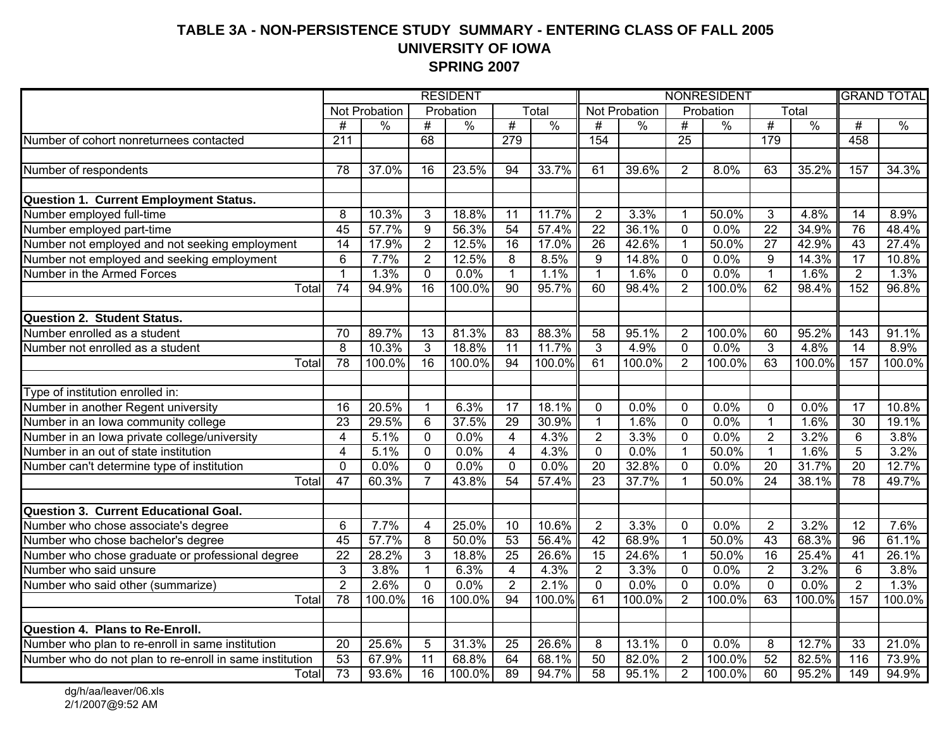#### **TABLE 3A - NON-PERSISTENCE STUDY SUMMARY - ENTERING CLASS OF FALL 2005 UNIVERSITY OF IOWA SPRING 2007**

|                                                                            | <b>RESIDENT</b> |               |                  |               |                         | <b>NONRESIDENT</b>  |                 |               |                 |               | <b>GRAND TOTAL</b> |               |                  |               |
|----------------------------------------------------------------------------|-----------------|---------------|------------------|---------------|-------------------------|---------------------|-----------------|---------------|-----------------|---------------|--------------------|---------------|------------------|---------------|
|                                                                            |                 | Not Probation |                  | Probation     |                         | Total               |                 | Not Probation |                 | Probation     |                    | Total         |                  |               |
|                                                                            | #               | $\%$          | #                | $\frac{0}{0}$ | #                       | $\frac{0}{0}$       | $\overline{\#}$ | $\frac{0}{0}$ | $\overline{\#}$ | $\frac{0}{0}$ | #                  | $\frac{0}{0}$ | $\overline{\#}$  | $\frac{0}{0}$ |
| Number of cohort nonreturnees contacted                                    | 211             |               | 68               |               | 279                     |                     | 154             |               | $\overline{25}$ |               | 179                |               | 458              |               |
|                                                                            |                 |               |                  |               |                         |                     |                 |               |                 |               |                    |               |                  |               |
| Number of respondents                                                      | 78              | 37.0%         | 16               | 23.5%         | 94                      | 33.7%               | 61              | 39.6%         | $\overline{2}$  | 8.0%          | 63                 | 35.2%         | 157              | 34.3%         |
|                                                                            |                 |               |                  |               |                         |                     |                 |               |                 |               |                    |               |                  |               |
| <b>Question 1. Current Employment Status.</b>                              |                 |               |                  |               |                         |                     |                 |               |                 |               |                    |               |                  |               |
| Number employed full-time                                                  | 8               | 10.3%         | 3                | 18.8%         | 11                      | 11.7%               | $\overline{2}$  | 3.3%          | $\overline{1}$  | 50.0%         | 3                  | 4.8%          | $\overline{14}$  | 8.9%          |
| Number employed part-time                                                  | 45              | 57.7%         | $\boldsymbol{9}$ | 56.3%         | 54                      | 57.4%               | $\overline{22}$ | 36.1%         | $\mathbf 0$     | 0.0%          | $\overline{22}$    | 34.9%         | 76               | 48.4%         |
| Number not employed and not seeking employment                             | $\overline{14}$ | 17.9%         | $\overline{2}$   | 12.5%         | $\overline{16}$         | 17.0%               | $\overline{26}$ | 42.6%         | $\overline{1}$  | 50.0%         | $\overline{27}$    | 42.9%         | 43               | 27.4%         |
| Number not employed and seeking employment                                 | $\overline{6}$  | 7.7%          | $\overline{2}$   | 12.5%         | $\overline{8}$          | 8.5%                | $\overline{9}$  | 14.8%         | $\mathbf 0$     | 0.0%          | $\overline{9}$     | 14.3%         | $\overline{17}$  | 10.8%         |
| Number in the Armed Forces                                                 | $\overline{1}$  | 1.3%          | $\mathbf 0$      | 0.0%          | $\overline{1}$          | 1.1%                | $\overline{1}$  | 1.6%          | $\mathbf{0}$    | 0.0%          | $\mathbf{1}$       | 1.6%          | $\overline{2}$   | 1.3%          |
| Total                                                                      | $\overline{74}$ | 94.9%         | $\overline{16}$  | 100.0%        | $\overline{90}$         | 95.7%               | 60              | 98.4%         | 2               | 100.0%        | 62                 | 98.4%         | 152              | 96.8%         |
|                                                                            |                 |               |                  |               |                         |                     |                 |               |                 |               |                    |               |                  |               |
| <b>Question 2. Student Status.</b>                                         |                 |               |                  |               |                         |                     |                 |               |                 |               |                    |               |                  |               |
| Number enrolled as a student                                               | $\overline{70}$ | 89.7%         | 13               | 81.3%         | $\overline{83}$         | 88.3%               | $\overline{58}$ | 95.1%         | $\overline{2}$  | 100.0%        | 60                 | 95.2%         | 143              | 91.1%         |
| Number not enrolled as a student                                           | $\overline{8}$  | 10.3%         | 3                | 18.8%         | $\overline{11}$         | 11.7%               | $\overline{3}$  | 4.9%          | $\mathbf 0$     | 0.0%          | $\overline{3}$     | 4.8%          | $\overline{14}$  | 8.9%          |
| Total                                                                      | 78              | 100.0%        | $\overline{16}$  | 100.0%        | $\overline{94}$         | 100.0%              | 61              | 100.0%        | $\overline{2}$  | 100.0%        | 63                 | 100.0%        | 157              | 100.0%        |
|                                                                            |                 |               |                  |               |                         |                     |                 |               |                 |               |                    |               |                  |               |
| Type of institution enrolled in:                                           |                 |               |                  |               |                         |                     |                 |               |                 |               |                    |               |                  |               |
| Number in another Regent university<br>Number in an Iowa community college | 16              | 20.5%         | $\mathbf{1}$     | 6.3%          | 17                      | $\overline{18.1\%}$ | $\mathbf 0$     | 0.0%          | $\mathbf{0}$    | 0.0%          | $\mathbf 0$        | 0.0%          | 17               | 10.8%         |
|                                                                            | 23              | 29.5%         | $\overline{6}$   | 37.5%         | 29                      | 30.9%               | $\overline{1}$  | 1.6%          | $\overline{0}$  | 0.0%          | 1                  | 1.6%          | $\overline{30}$  | 19.1%         |
| Number in an Iowa private college/university                               | $\overline{4}$  | 5.1%          | $\mathbf 0$      | 0.0%          | $\overline{4}$          | 4.3%                | $\overline{2}$  | 3.3%          | $\overline{0}$  | 0.0%          | $\overline{2}$     | 3.2%          | 6                | 3.8%          |
| Number in an out of state institution                                      | $\overline{4}$  | 5.1%          | $\overline{0}$   | 0.0%          | $\overline{4}$          | 4.3%                | $\overline{0}$  | 0.0%          | $\overline{1}$  | 50.0%         | $\overline{1}$     | 1.6%          | $\overline{5}$   | 3.2%          |
| Number can't determine type of institution                                 | $\mathbf 0$     | 0.0%          | $\mathbf 0$      | 0.0%          | $\mathbf 0$             | 0.0%                | $\overline{20}$ | 32.8%         | $\Omega$        | 0.0%          | $\overline{20}$    | 31.7%         | $\overline{20}$  | 12.7%         |
| Total                                                                      | 47              | 60.3%         | $\overline{7}$   | 43.8%         | 54                      | 57.4%               | 23              | 37.7%         |                 | 50.0%         | $\overline{24}$    | 38.1%         | $\overline{78}$  | 49.7%         |
|                                                                            |                 |               |                  |               |                         |                     |                 |               |                 |               |                    |               |                  |               |
| <b>Question 3. Current Educational Goal.</b>                               |                 |               |                  |               |                         |                     |                 |               |                 |               |                    |               |                  |               |
| Number who chose associate's degree                                        | 6               | 7.7%          | 4                | 25.0%         | 10                      | 10.6%               | $\overline{2}$  | 3.3%          | $\mathbf 0$     | 0.0%          | $\overline{2}$     | 3.2%          | 12               | 7.6%          |
| Number who chose bachelor's degree                                         | 45              | 57.7%         | 8                | 50.0%         | 53                      | 56.4%               | 42              | 68.9%         | $\mathbf{1}$    | 50.0%         | 43                 | 68.3%         | $\overline{96}$  | 61.1%         |
| Number who chose graduate or professional degree                           | $\overline{22}$ | 28.2%         | 3                | 18.8%         | $\overline{25}$         | 26.6%               | 15              | 24.6%         | $\overline{1}$  | 50.0%         | 16                 | 25.4%         | 41               | 26.1%         |
| Number who said unsure                                                     | $\overline{3}$  | 3.8%          | $\mathbf{1}$     | 6.3%          | $\overline{\mathbf{4}}$ | 4.3%                | $\overline{2}$  | 3.3%          | $\mathbf 0$     | 0.0%          | $\overline{2}$     | 3.2%          | 6                | 3.8%          |
| Number who said other (summarize)                                          | $\overline{2}$  | 2.6%          | $\mathbf{0}$     | 0.0%          | $\overline{2}$          | 2.1%                | $\mathbf{0}$    | 0.0%          | $\mathbf{0}$    | 0.0%          | $\Omega$           | 0.0%          | $\overline{2}$   | 1.3%          |
| Total                                                                      | $\overline{78}$ | 100.0%        | 16               | 100.0%        | $\overline{94}$         | 100.0%              | 61              | 100.0%        | $\overline{2}$  | 100.0%        | 63                 | 100.0%        | 157              | 100.0%        |
|                                                                            |                 |               |                  |               |                         |                     |                 |               |                 |               |                    |               |                  |               |
| Question 4. Plans to Re-Enroll.                                            |                 |               |                  |               |                         |                     |                 |               |                 |               |                    |               |                  |               |
| Number who plan to re-enroll in same institution                           | 20              | 25.6%         | 5                | 31.3%         | 25                      | 26.6%               | 8               | 13.1%         | $\mathbf 0$     | 0.0%          | 8                  | 12.7%         | 33               | 21.0%         |
| Number who do not plan to re-enroll in same institution                    | 53              | 67.9%         | 11               | 68.8%         | 64                      | 68.1%               | 50              | 82.0%         | $\overline{2}$  | 100.0%        | 52                 | 82.5%         | 116              | 73.9%         |
| Total                                                                      | 73              | 93.6%         | $\overline{16}$  | 100.0%        | 89                      | 94.7%               | 58              | 95.1%         | $\overline{2}$  | 100.0%        | 60                 | 95.2%         | $\overline{149}$ | 94.9%         |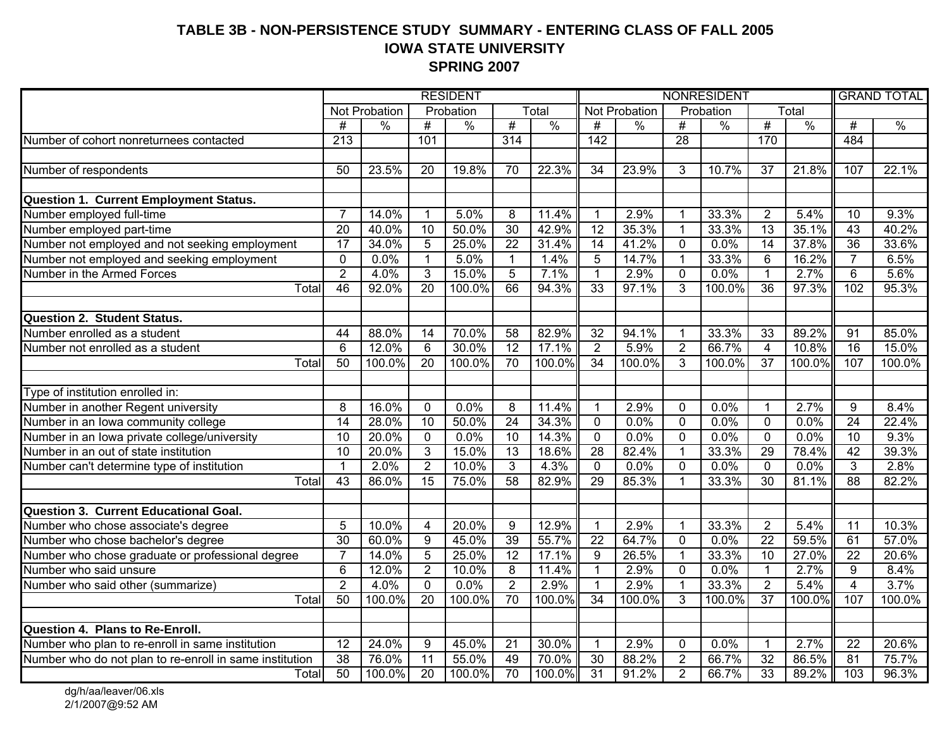#### **TABLE 3B - NON-PERSISTENCE STUDY SUMMARY - ENTERING CLASS OF FALL 2005 IOWA STATE UNIVERSITY SPRING 2007**

|                                                         | <b>RESIDENT</b>  |                      |                         |               |                  |               | NONRESIDENT      |                      |                 |               |                 | <b>GRAND TOTAL</b> |                 |               |
|---------------------------------------------------------|------------------|----------------------|-------------------------|---------------|------------------|---------------|------------------|----------------------|-----------------|---------------|-----------------|--------------------|-----------------|---------------|
|                                                         |                  | <b>Not Probation</b> |                         | Probation     |                  | Total         |                  | <b>Not Probation</b> |                 | Probation     |                 | Total              |                 |               |
|                                                         | #                | $\frac{0}{0}$        | $\overline{\#}$         | $\frac{0}{0}$ | #                | $\frac{0}{0}$ | #                | $\frac{0}{0}$        | #               | $\frac{0}{0}$ | #               | $\frac{0}{0}$      | $\overline{\#}$ | $\frac{0}{0}$ |
| Number of cohort nonreturnees contacted                 | $\overline{213}$ |                      | 101                     |               | $\overline{314}$ |               | $\overline{142}$ |                      | $\overline{28}$ |               | 170             |                    | 484             |               |
|                                                         |                  |                      |                         |               |                  |               |                  |                      |                 |               |                 |                    |                 |               |
| Number of respondents                                   | $\overline{50}$  | 23.5%                | 20                      | 19.8%         | $\overline{70}$  | 22.3%         | $\overline{34}$  | 23.9%                | 3               | 10.7%         | $\overline{37}$ | 21.8%              | 107             | 22.1%         |
|                                                         |                  |                      |                         |               |                  |               |                  |                      |                 |               |                 |                    |                 |               |
| <b>Question 1. Current Employment Status.</b>           |                  |                      |                         |               |                  |               |                  |                      |                 |               |                 |                    |                 |               |
| Number employed full-time                               | $\overline{7}$   | 14.0%                | $\mathbf{1}$            | 5.0%          | 8                | 11.4%         | $\mathbf 1$      | 2.9%                 | 1               | 33.3%         | $\overline{2}$  | 5.4%               | 10              | 9.3%          |
| Number employed part-time                               | 20               | 40.0%                | $\overline{10}$         | 50.0%         | $\overline{30}$  | 42.9%         | $\overline{12}$  | 35.3%                | $\mathbf{1}$    | 33.3%         | $\overline{13}$ | 35.1%              | $\overline{43}$ | 40.2%         |
| Number not employed and not seeking employment          | 17               | 34.0%                | 5                       | 25.0%         | $\overline{22}$  | 31.4%         | 14               | 41.2%                | $\overline{0}$  | 0.0%          | $\overline{14}$ | 37.8%              | 36              | 33.6%         |
| Number not employed and seeking employment              | $\mathbf 0$      | 0.0%                 | $\mathbf{1}$            | 5.0%          | $\mathbf{1}$     | 1.4%          | 5                | 14.7%                | $\mathbf{1}$    | 33.3%         | $6\phantom{1}6$ | 16.2%              | $\overline{7}$  | 6.5%          |
| Number in the Armed Forces                              | $\overline{2}$   | 4.0%                 | $\overline{3}$          | 15.0%         | $\overline{5}$   | 7.1%          | $\mathbf{1}$     | 2.9%                 | $\overline{0}$  | 0.0%          | $\mathbf{1}$    | 2.7%               | $\overline{6}$  | 5.6%          |
| Total                                                   | 46               | 92.0%                | $\overline{20}$         | 100.0%        | 66               | 94.3%         | $\overline{33}$  | 97.1%                | 3               | 100.0%        | $\overline{36}$ | 97.3%              | 102             | 95.3%         |
|                                                         |                  |                      |                         |               |                  |               |                  |                      |                 |               |                 |                    |                 |               |
| <b>Question 2. Student Status.</b>                      |                  |                      |                         |               |                  |               |                  |                      |                 |               |                 |                    |                 |               |
| Number enrolled as a student                            | 44               | 88.0%                | 14                      | 70.0%         | $\overline{58}$  | 82.9%         | 32               | 94.1%                | $\mathbf 1$     | 33.3%         | 33              | 89.2%              | 91              | 85.0%         |
| Number not enrolled as a student                        | $\overline{6}$   | 12.0%                | $\overline{6}$          | 30.0%         | $\overline{12}$  | 17.1%         | $\overline{2}$   | 5.9%                 | $\overline{2}$  | 66.7%         | $\overline{4}$  | 10.8%              | $\overline{16}$ | 15.0%         |
| Total                                                   | 50               | 100.0%               | $\overline{20}$         | 100.0%        | $\overline{70}$  | 100.0%        | $\overline{34}$  | 100.0%               | 3               | 100.0%        | $\overline{37}$ | 100.0%             | 107             | 100.0%        |
|                                                         |                  |                      |                         |               |                  |               |                  |                      |                 |               |                 |                    |                 |               |
| Type of institution enrolled in:                        |                  |                      |                         |               |                  |               |                  |                      |                 |               |                 |                    |                 |               |
| Number in another Regent university                     | 8                | 16.0%                | $\mathbf 0$             | 0.0%          | 8                | 11.4%         | $\mathbf 1$      | 2.9%                 | 0               | 0.0%          | $\mathbf{1}$    | 2.7%               | 9               | 8.4%          |
| Number in an Iowa community college                     | $\overline{14}$  | 28.0%                | 10                      | 50.0%         | $\overline{24}$  | 34.3%         | $\overline{0}$   | 0.0%                 | $\overline{0}$  | 0.0%          | $\overline{0}$  | 0.0%               | $\overline{24}$ | 22.4%         |
| Number in an Iowa private college/university            | 10               | 20.0%                | $\overline{0}$          | 0.0%          | 10               | 14.3%         | $\overline{0}$   | 0.0%                 | $\mathbf 0$     | 0.0%          | $\overline{0}$  | 0.0%               | 10              | 9.3%          |
| Number in an out of state institution                   | $\overline{10}$  | 20.0%                | $\overline{3}$          | 15.0%         | $\overline{13}$  | 18.6%         | 28               | 82.4%                | $\mathbf{1}$    | 33.3%         | 29              | 78.4%              | 42              | 39.3%         |
| Number can't determine type of institution              | $\mathbf{1}$     | 2.0%                 | $\overline{2}$          | 10.0%         | 3                | 4.3%          | $\Omega$         | 0.0%                 | $\Omega$        | 0.0%          | $\mathbf 0$     | 0.0%               | 3               | 2.8%          |
| Total                                                   | 43               | 86.0%                | 15                      | 75.0%         | 58               | 82.9%         | 29               | 85.3%                |                 | 33.3%         | $\overline{30}$ | 81.1%              | 88              | 82.2%         |
|                                                         |                  |                      |                         |               |                  |               |                  |                      |                 |               |                 |                    |                 |               |
| Question 3. Current Educational Goal.                   |                  |                      |                         |               |                  |               |                  |                      |                 |               |                 |                    |                 |               |
| Number who chose associate's degree                     | 5                | 10.0%                | $\overline{\mathbf{4}}$ | 20.0%         | 9                | 12.9%         | $\mathbf{1}$     | 2.9%                 | 1               | 33.3%         | $\overline{2}$  | 5.4%               | $\overline{11}$ | 10.3%         |
| Number who chose bachelor's degree                      | 30               | 60.0%                | $\overline{9}$          | 45.0%         | 39               | 55.7%         | $\overline{22}$  | 64.7%                | $\overline{0}$  | 0.0%          | $\overline{22}$ | 59.5%              | 61              | 57.0%         |
| Number who chose graduate or professional degree        | $\overline{7}$   | 14.0%                | $\overline{5}$          | 25.0%         | 12               | 17.1%         | 9                | 26.5%                | $\mathbf{1}$    | 33.3%         | $\overline{10}$ | 27.0%              | $\overline{22}$ | 20.6%         |
| Number who said unsure                                  | $6\phantom{1}6$  | $12.0\%$             | $\overline{2}$          | 10.0%         | 8                | 11.4%         | $\mathbf{1}$     | 2.9%                 | $\mathbf 0$     | 0.0%          | $\mathbf{1}$    | 2.7%               | 9               | 8.4%          |
| Number who said other (summarize)                       | $\overline{2}$   | 4.0%                 | $\mathbf 0$             | 0.0%          | $\overline{2}$   | 2.9%          | $\mathbf{1}$     | 2.9%                 | $\mathbf 1$     | 33.3%         | $\overline{2}$  | 5.4%               | $\overline{4}$  | 3.7%          |
| Total                                                   | 50               | 100.0%               | $\overline{20}$         | 100.0%        | $\overline{70}$  | 100.0%        | $\overline{34}$  | 100.0%               | $\overline{3}$  | 100.0%        | $\overline{37}$ | 100.0%             | 107             | 100.0%        |
|                                                         |                  |                      |                         |               |                  |               |                  |                      |                 |               |                 |                    |                 |               |
| Question 4. Plans to Re-Enroll.                         |                  |                      |                         |               |                  |               |                  |                      |                 |               |                 |                    |                 |               |
| Number who plan to re-enroll in same institution        | $\overline{12}$  | 24.0%                | 9                       | 45.0%         | 21               | 30.0%         | $\mathbf{1}$     | 2.9%                 | 0               | 0.0%          | $\mathbf{1}$    | 2.7%               | 22              | 20.6%         |
| Number who do not plan to re-enroll in same institution | $\overline{38}$  | 76.0%                | $\overline{11}$         | 55.0%         | 49               | 70.0%         | $\overline{30}$  | 88.2%                | $\overline{2}$  | 66.7%         | $\overline{32}$ | 86.5%              | $\overline{81}$ | 75.7%         |
| Total                                                   | 50               | 100.0%               | 20                      | 100.0%        | 70               | 100.0%        | $\overline{31}$  | 91.2%                | $\overline{2}$  | 66.7%         | 33              | 89.2%              | 103             | 96.3%         |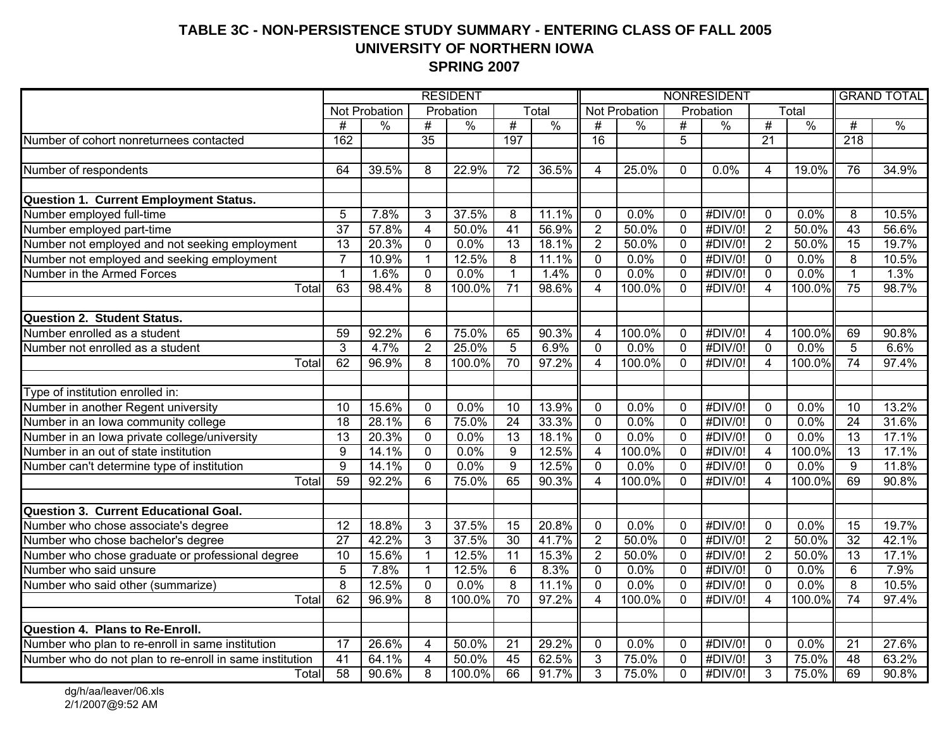#### **TABLE 3C - NON-PERSISTENCE STUDY SUMMARY - ENTERING CLASS OF FALL 2005 UNIVERSITY OF NORTHERN IOWA SPRING 2007**

|                                                         | <b>RESIDENT</b> |               |                 |               |                 | NONRESIDENT   |                  |               |                |               | <b>GRAND TOTAL</b> |               |                  |               |
|---------------------------------------------------------|-----------------|---------------|-----------------|---------------|-----------------|---------------|------------------|---------------|----------------|---------------|--------------------|---------------|------------------|---------------|
|                                                         |                 | Not Probation |                 | Probation     |                 | Total         |                  | Not Probation |                | Probation     |                    | Total         |                  |               |
|                                                         | #               | $\frac{0}{0}$ | #               | $\frac{0}{0}$ | #               | $\frac{0}{0}$ | #                | $\frac{0}{0}$ | #              | $\frac{0}{0}$ | #                  | $\frac{0}{0}$ | #                | $\frac{0}{0}$ |
| Number of cohort nonreturnees contacted                 | 162             |               | $\overline{35}$ |               | 197             |               | 16               |               | 5              |               | $\overline{21}$    |               | $\overline{218}$ |               |
|                                                         |                 |               |                 |               |                 |               |                  |               |                |               |                    |               |                  |               |
| Number of respondents                                   | 64              | 39.5%         | 8               | 22.9%         | $\overline{72}$ | 36.5%         | 4                | 25.0%         | 0              | 0.0%          | 4                  | 19.0%         | 76               | 34.9%         |
|                                                         |                 |               |                 |               |                 |               |                  |               |                |               |                    |               |                  |               |
| Question 1. Current Employment Status.                  |                 |               |                 |               |                 |               |                  |               |                |               |                    |               |                  |               |
| Number employed full-time                               | 5               | 7.8%          | 3               | 37.5%         | 8               | 11.1%         | $\mathbf 0$      | 0.0%          | $\mathbf 0$    | #DIV/0!       | 0                  | 0.0%          | 8                | 10.5%         |
| Number employed part-time                               | $\overline{37}$ | 57.8%         | $\overline{4}$  | 50.0%         | $\overline{41}$ | 56.9%         | $\overline{2}$   | 50.0%         | $\mathbf 0$    | #DIV/0!       | $\overline{2}$     | 50.0%         | $\overline{43}$  | 56.6%         |
| Number not employed and not seeking employment          | $\overline{13}$ | 20.3%         | $\mathbf 0$     | 0.0%          | 13              | 18.1%         | $\overline{2}$   | 50.0%         | $\mathbf 0$    | #DIV/0!       | $\overline{2}$     | 50.0%         | 15               | 19.7%         |
| Number not employed and seeking employment              | $\overline{7}$  | 10.9%         | $\mathbf{1}$    | 12.5%         | $\overline{8}$  | 11.1%         | $\mathbf 0$      | 0.0%          | $\mathbf 0$    | #DIV/0!       | $\mathbf 0$        | 0.0%          | 8                | 10.5%         |
| Number in the Armed Forces                              | $\mathbf{1}$    | 1.6%          | $\mathbf 0$     | 0.0%          | $\mathbf{1}$    | 1.4%          | $\overline{0}$   | 0.0%          | $\overline{0}$ | #DIV/0!       | $\mathbf 0$        | 0.0%          | $\mathbf{1}$     | 1.3%          |
| Total                                                   | 63              | 98.4%         | 8               | 100.0%        | $\overline{71}$ | 98.6%         | $\overline{4}$   | 100.0%        | $\Omega$       | #DIV/0!       | $\overline{4}$     | 100.0%        | 75               | 98.7%         |
|                                                         |                 |               |                 |               |                 |               |                  |               |                |               |                    |               |                  |               |
| <b>Question 2. Student Status.</b>                      |                 |               |                 |               |                 |               |                  |               |                |               |                    |               |                  |               |
| Number enrolled as a student                            | 59              | 92.2%         | 6               | 75.0%         | 65              | 90.3%         | 4                | 100.0%        | $\mathbf 0$    | #DIV/0!       | $\overline{4}$     | 100.0%        | 69               | 90.8%         |
| Number not enrolled as a student                        | $\overline{3}$  | 4.7%          | $\overline{2}$  | 25.0%         | $\overline{5}$  | 6.9%          | $\mathbf 0$      | 0.0%          | $\mathbf 0$    | #DIV/0!       | $\mathbf 0$        | 0.0%          | $\overline{5}$   | 6.6%          |
| Total                                                   | 62              | 96.9%         | $\overline{8}$  | 100.0%        | 70              | 97.2%         | $\overline{4}$   | 100.0%        | $\Omega$       | #DIV/0!       | 4                  | 100.0%        | $\overline{74}$  | 97.4%         |
|                                                         |                 |               |                 |               |                 |               |                  |               |                |               |                    |               |                  |               |
| Type of institution enrolled in:                        |                 |               |                 |               |                 |               |                  |               |                |               |                    |               |                  |               |
| Number in another Regent university                     | 10              | 15.6%         | 0               | 0.0%          | 10              | 13.9%         | $\mathbf 0$      | 0.0%          | $\mathbf 0$    | #DIV/0!       | $\mathbf 0$        | 0.0%          | 10               | 13.2%         |
| Number in an Iowa community college                     | $\overline{18}$ | 28.1%         | $\overline{6}$  | 75.0%         | $\overline{24}$ | 33.3%         | $\overline{0}$   | 0.0%          | $\overline{0}$ | #DIV/0!       | $\overline{0}$     | 0.0%          | $\overline{24}$  | 31.6%         |
| Number in an Iowa private college/university            | 13              | 20.3%         | $\overline{0}$  | 0.0%          | 13              | 18.1%         | $\overline{0}$   | 0.0%          | $\overline{0}$ | #DIV/0!       | $\overline{0}$     | 0.0%          | $\overline{13}$  | 17.1%         |
| Number in an out of state institution                   | $\overline{9}$  | 14.1%         | $\overline{0}$  | 0.0%          | $\overline{9}$  | 12.5%         | $\overline{4}$   | 100.0%        | $\overline{0}$ | #DIV/0!       | $\overline{4}$     | 100.0%        | $\overline{13}$  | 17.1%         |
| Number can't determine type of institution              | $\overline{9}$  | 14.1%         | 0               | 0.0%          | $\overline{9}$  | 12.5%         | $\mathbf 0$      | 0.0%          | $\mathbf 0$    | #DIV/0!       | $\mathbf{0}$       | $0.0\%$       | 9                | 11.8%         |
| Total                                                   | 59              | 92.2%         | 6               | 75.0%         | 65              | 90.3%         | $\boldsymbol{4}$ | 100.0%        | $\Omega$       | #DIV/0!       | 4                  | 100.0%        | 69               | 90.8%         |
|                                                         |                 |               |                 |               |                 |               |                  |               |                |               |                    |               |                  |               |
| Question 3. Current Educational Goal.                   |                 |               |                 |               |                 |               |                  |               |                |               |                    |               |                  |               |
| Number who chose associate's degree                     | 12              | 18.8%         | 3               | 37.5%         | 15              | 20.8%         | $\mathbf 0$      | 0.0%          | $\mathbf 0$    | #DIV/0!       | $\mathbf 0$        | 0.0%          | 15               | 19.7%         |
| Number who chose bachelor's degree                      | $\overline{27}$ | 42.2%         | $\overline{3}$  | 37.5%         | 30              | 41.7%         | $\overline{2}$   | 50.0%         | $\mathbf 0$    | #DIV/0!       | $\overline{2}$     | 50.0%         | $\overline{32}$  | 42.1%         |
| Number who chose graduate or professional degree        | $\overline{10}$ | 15.6%         | $\mathbf{1}$    | 12.5%         | $\overline{11}$ | 15.3%         | $\overline{2}$   | 50.0%         | $\mathbf 0$    | #DIV/0!       | $\overline{2}$     | 50.0%         | $\overline{13}$  | 17.1%         |
| Number who said unsure                                  | 5               | 7.8%          | $\mathbf{1}$    | 12.5%         | 6               | 8.3%          | $\mathbf 0$      | 0.0%          | $\mathbf 0$    | #DIV/0!       | $\mathbf 0$        | 0.0%          | 6                | 7.9%          |
| Number who said other (summarize)                       | $\overline{8}$  | 12.5%         | $\Omega$        | 0.0%          | 8               | 11.1%         | $\mathbf{0}$     | 0.0%          | $\Omega$       | #DIV/0!       | $\mathbf{0}$       | 0.0%          | 8                | 10.5%         |
| Total                                                   | 62              | 96.9%         | 8               | 100.0%        | 70              | 97.2%         | $\overline{4}$   | 100.0%        | $\mathbf 0$    | #DIV/0!       | $\overline{4}$     | 100.0%        | $\overline{74}$  | 97.4%         |
|                                                         |                 |               |                 |               |                 |               |                  |               |                |               |                    |               |                  |               |
| Question 4. Plans to Re-Enroll.                         |                 |               |                 |               |                 |               |                  |               |                |               |                    |               |                  |               |
| Number who plan to re-enroll in same institution        | 17              | 26.6%         | 4               | 50.0%         | 21              | 29.2%         | $\mathbf 0$      | 0.0%          | $\mathbf 0$    | #DIV/0!       | $\mathbf 0$        | 0.0%          | 21               | 27.6%         |
| Number who do not plan to re-enroll in same institution | $\overline{41}$ | 64.1%         | $\overline{4}$  | 50.0%         | 45              | 62.5%         | $\overline{3}$   | 75.0%         | $\mathbf 0$    | #DIV/0!       | 3                  | 75.0%         | 48               | 63.2%         |
| Total                                                   | 58              | 90.6%         | $\overline{8}$  | 100.0%        | 66              | 91.7%         | 3                | 75.0%         | $\Omega$       | #DIV/0!       | 3                  | 75.0%         | 69               | 90.8%         |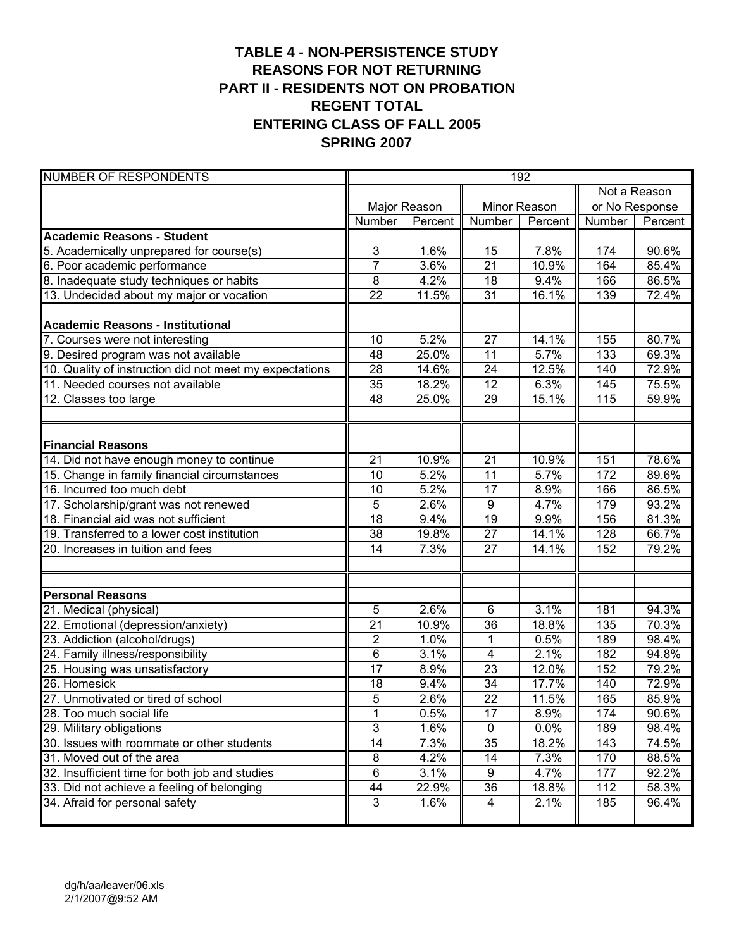#### **TABLE 4 - NON-PERSISTENCE STUDY REASONS FOR NOT RETURNING PART II - RESIDENTS NOT ON PROBATION REGENT TOTAL ENTERING CLASS OF FALL 2005 SPRING 2007**

| <b>NUMBER OF RESPONDENTS</b>                            | 192             |              |                  |              |        |                |  |  |  |
|---------------------------------------------------------|-----------------|--------------|------------------|--------------|--------|----------------|--|--|--|
|                                                         |                 |              |                  |              |        | Not a Reason   |  |  |  |
|                                                         |                 | Major Reason |                  | Minor Reason |        | or No Response |  |  |  |
|                                                         | Number          | Percent      | Number           | Percent      | Number | Percent        |  |  |  |
| <b>Academic Reasons - Student</b>                       |                 |              |                  |              |        |                |  |  |  |
| 5. Academically unprepared for course(s)                | 3               | 1.6%         | 15               | 7.8%         | 174    | 90.6%          |  |  |  |
| 6. Poor academic performance                            | $\overline{7}$  | 3.6%         | $\overline{21}$  | 10.9%        | 164    | 85.4%          |  |  |  |
| 8. Inadequate study techniques or habits                | 8               | 4.2%         | 18               | 9.4%         | 166    | 86.5%          |  |  |  |
| 13. Undecided about my major or vocation                | 22              | 11.5%        | $\overline{31}$  | 16.1%        | 139    | 72.4%          |  |  |  |
|                                                         |                 |              |                  |              |        |                |  |  |  |
| <b>Academic Reasons - Institutional</b>                 |                 |              |                  |              |        |                |  |  |  |
| 7. Courses were not interesting                         | 10              | 5.2%         | 27               | 14.1%        | 155    | 80.7%          |  |  |  |
| 9. Desired program was not available                    | 48              | 25.0%        | $\overline{11}$  | 5.7%         | 133    | 69.3%          |  |  |  |
| 10. Quality of instruction did not meet my expectations | 28              | 14.6%        | 24               | 12.5%        | 140    | 72.9%          |  |  |  |
| 11. Needed courses not available                        | 35              | 18.2%        | $\overline{12}$  | 6.3%         | 145    | 75.5%          |  |  |  |
| 12. Classes too large                                   | 48              | 25.0%        | 29               | 15.1%        | 115    | 59.9%          |  |  |  |
|                                                         |                 |              |                  |              |        |                |  |  |  |
|                                                         |                 |              |                  |              |        |                |  |  |  |
| <b>Financial Reasons</b>                                |                 |              |                  |              |        |                |  |  |  |
| 14. Did not have enough money to continue               | 21              | 10.9%        | 21               | 10.9%        | 151    | 78.6%          |  |  |  |
| 15. Change in family financial circumstances            | 10              | 5.2%         | $\overline{11}$  | 5.7%         | 172    | 89.6%          |  |  |  |
| 16. Incurred too much debt                              | 10              | 5.2%         | $\overline{17}$  | 8.9%         | 166    | 86.5%          |  |  |  |
| 17. Scholarship/grant was not renewed                   | 5               | 2.6%         | $\boldsymbol{9}$ | 4.7%         | 179    | 93.2%          |  |  |  |
| 18. Financial aid was not sufficient                    | $\overline{18}$ | 9.4%         | 19               | 9.9%         | 156    | 81.3%          |  |  |  |
| 19. Transferred to a lower cost institution             | 38              | 19.8%        | $\overline{27}$  | 14.1%        | 128    | 66.7%          |  |  |  |
| 20. Increases in tuition and fees                       | 14              | 7.3%         | 27               | 14.1%        | 152    | 79.2%          |  |  |  |
|                                                         |                 |              |                  |              |        |                |  |  |  |
|                                                         |                 |              |                  |              |        |                |  |  |  |
| <b>Personal Reasons</b>                                 |                 |              |                  |              |        |                |  |  |  |
| 21. Medical (physical)                                  | 5               | 2.6%         | 6                | 3.1%         | 181    | 94.3%          |  |  |  |
| 22. Emotional (depression/anxiety)                      | 21              | 10.9%        | 36               | 18.8%        | 135    | 70.3%          |  |  |  |
| 23. Addiction (alcohol/drugs)                           | $\overline{2}$  | 1.0%         | 1                | 0.5%         | 189    | 98.4%          |  |  |  |
| 24. Family illness/responsibility                       | 6               | 3.1%         | 4                | 2.1%         | 182    | 94.8%          |  |  |  |
| 25. Housing was unsatisfactory                          | 17              | 8.9%         | 23               | 12.0%        | 152    | 79.2%          |  |  |  |
| 26. Homesick                                            | 18              | 9.4%         | 34               | 17.7%        | 140    | 72.9%          |  |  |  |
| 27. Unmotivated or tired of school                      | $\overline{5}$  | 2.6%         | $\overline{22}$  | 11.5%        | 165    | 85.9%          |  |  |  |
| 28. Too much social life                                | $\mathbf 1$     | 0.5%         | 17               | 8.9%         | 174    | 90.6%          |  |  |  |
| 29. Military obligations                                | $\overline{3}$  | 1.6%         | 0                | 0.0%         | 189    | 98.4%          |  |  |  |
| 30. Issues with roommate or other students              | $\overline{14}$ | 7.3%         | 35               | 18.2%        | 143    | 74.5%          |  |  |  |
| 31. Moved out of the area                               | 8               | 4.2%         | 14               | 7.3%         | 170    | 88.5%          |  |  |  |
| 32. Insufficient time for both job and studies          | $\,6\,$         | 3.1%         | 9                | 4.7%         | 177    | 92.2%          |  |  |  |
| 33. Did not achieve a feeling of belonging              | 44              | 22.9%        | 36               | 18.8%        | 112    | 58.3%          |  |  |  |
| 34. Afraid for personal safety                          | 3               | 1.6%         | 4                | 2.1%         | 185    | 96.4%          |  |  |  |
|                                                         |                 |              |                  |              |        |                |  |  |  |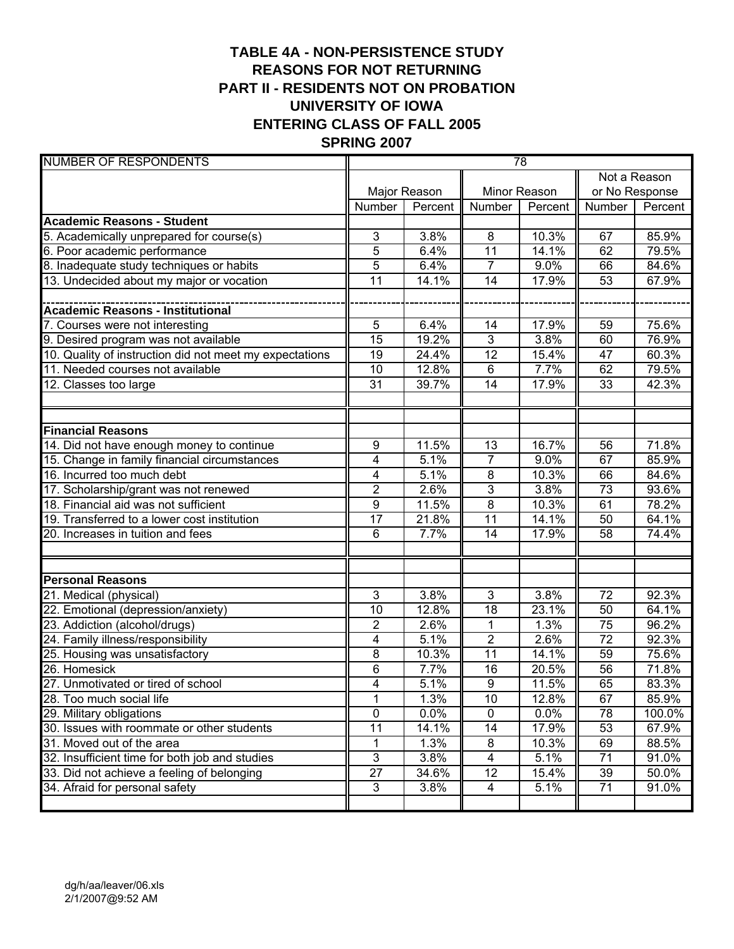# **TABLE 4A - NON-PERSISTENCE STUDY REASONS FOR NOT RETURNING PART II - RESIDENTS NOT ON PROBATION UNIVERSITY OF IOWA ENTERING CLASS OF FALL 2005 SPRING 2007**

| <b>NUMBER OF RESPONDENTS</b>                            | 78              |              |                         |              |                 |              |  |  |
|---------------------------------------------------------|-----------------|--------------|-------------------------|--------------|-----------------|--------------|--|--|
|                                                         |                 |              |                         |              |                 | Not a Reason |  |  |
|                                                         |                 | Major Reason |                         | Minor Reason | or No Response  |              |  |  |
|                                                         | Number          | Percent      | <b>Number</b>           | Percent      | Number          | Percent      |  |  |
| <b>Academic Reasons - Student</b>                       |                 |              |                         |              |                 |              |  |  |
| 5. Academically unprepared for course(s)                | 3               | 3.8%         | 8                       | 10.3%        | 67              | 85.9%        |  |  |
| 6. Poor academic performance                            | 5               | 6.4%         | 11                      | 14.1%        | 62              | 79.5%        |  |  |
| 8. Inadequate study techniques or habits                | 5               | 6.4%         | $\overline{7}$          | 9.0%         | 66              | 84.6%        |  |  |
| 13. Undecided about my major or vocation                | 11              | 14.1%        | 14                      | 17.9%        | 53              | 67.9%        |  |  |
|                                                         |                 |              |                         |              |                 |              |  |  |
| <b>Academic Reasons - Institutional</b>                 |                 |              |                         |              |                 |              |  |  |
| 7. Courses were not interesting                         | 5               | 6.4%         | 14                      | 17.9%        | 59              | 75.6%        |  |  |
| 9. Desired program was not available                    | 15              | 19.2%        | 3                       | 3.8%         | 60              | 76.9%        |  |  |
| 10. Quality of instruction did not meet my expectations | 19              | 24.4%        | $\overline{12}$         | 15.4%        | 47              | 60.3%        |  |  |
| 11. Needed courses not available                        | 10              | 12.8%        | 6                       | 7.7%         | 62              | 79.5%        |  |  |
| 12. Classes too large                                   | 31              | 39.7%        | 14                      | 17.9%        | 33              | 42.3%        |  |  |
|                                                         |                 |              |                         |              |                 |              |  |  |
|                                                         |                 |              |                         |              |                 |              |  |  |
| <b>Financial Reasons</b>                                |                 |              |                         |              |                 |              |  |  |
| 14. Did not have enough money to continue               | 9               | 11.5%        | $\overline{13}$         | 16.7%        | 56              | 71.8%        |  |  |
| 15. Change in family financial circumstances            | 4               | 5.1%         | $\overline{7}$          | 9.0%         | 67              | 85.9%        |  |  |
| 16. Incurred too much debt                              | 4               | 5.1%         | $\bf 8$                 | 10.3%        | 66              | 84.6%        |  |  |
| 17. Scholarship/grant was not renewed                   | $\overline{2}$  | 2.6%         | $\overline{3}$          | 3.8%         | $\overline{73}$ | 93.6%        |  |  |
| 18. Financial aid was not sufficient                    | 9               | 11.5%        | $\overline{8}$          | 10.3%        | 61              | 78.2%        |  |  |
| 19. Transferred to a lower cost institution             | $\overline{17}$ | 21.8%        | $\overline{11}$         | 14.1%        | 50              | 64.1%        |  |  |
| 20. Increases in tuition and fees                       | 6               | 7.7%         | 14                      | 17.9%        | 58              | 74.4%        |  |  |
|                                                         |                 |              |                         |              |                 |              |  |  |
|                                                         |                 |              |                         |              |                 |              |  |  |
| <b>Personal Reasons</b>                                 |                 |              |                         |              |                 |              |  |  |
| 21. Medical (physical)                                  | 3               | 3.8%         | 3                       | 3.8%         | 72              | 92.3%        |  |  |
| 22. Emotional (depression/anxiety)                      | 10              | 12.8%        | $\overline{18}$         | 23.1%        | 50              | 64.1%        |  |  |
| 23. Addiction (alcohol/drugs)                           | $\overline{2}$  | 2.6%         | $\mathbf{1}$            | 1.3%         | 75              | 96.2%        |  |  |
| 24. Family illness/responsibility                       | 4               | 5.1%         | $\overline{2}$          | 2.6%         | 72              | 92.3%        |  |  |
| 25. Housing was unsatisfactory                          | 8               | 10.3%        | 11                      | 14.1%        | 59              | 75.6%        |  |  |
| 26. Homesick                                            | $\overline{6}$  | 7.7%         | 16                      | 20.5%        | 56              | 71.8%        |  |  |
| 27. Unmotivated or tired of school                      | $\overline{4}$  | 5.1%         | 9                       | 11.5%        | 65              | 83.3%        |  |  |
| 28. Too much social life                                | 1               | 1.3%         | 10                      | 12.8%        | 67              | 85.9%        |  |  |
| 29. Military obligations                                | $\overline{0}$  | 0.0%         | $\pmb{0}$               | 0.0%         | 78              | 100.0%       |  |  |
| 30. Issues with roommate or other students              | 11              | 14.1%        | 14                      | 17.9%        | 53              | 67.9%        |  |  |
| 31. Moved out of the area                               | 1               | 1.3%         | 8                       | 10.3%        | 69              | 88.5%        |  |  |
| 32. Insufficient time for both job and studies          | 3               | 3.8%         | $\overline{\mathbf{4}}$ | 5.1%         | $\overline{71}$ | 91.0%        |  |  |
| 33. Did not achieve a feeling of belonging              | 27              | 34.6%        | 12                      | 15.4%        | 39              | 50.0%        |  |  |
| 34. Afraid for personal safety                          | 3               | 3.8%         | 4                       | 5.1%         | 71              | 91.0%        |  |  |
|                                                         |                 |              |                         |              |                 |              |  |  |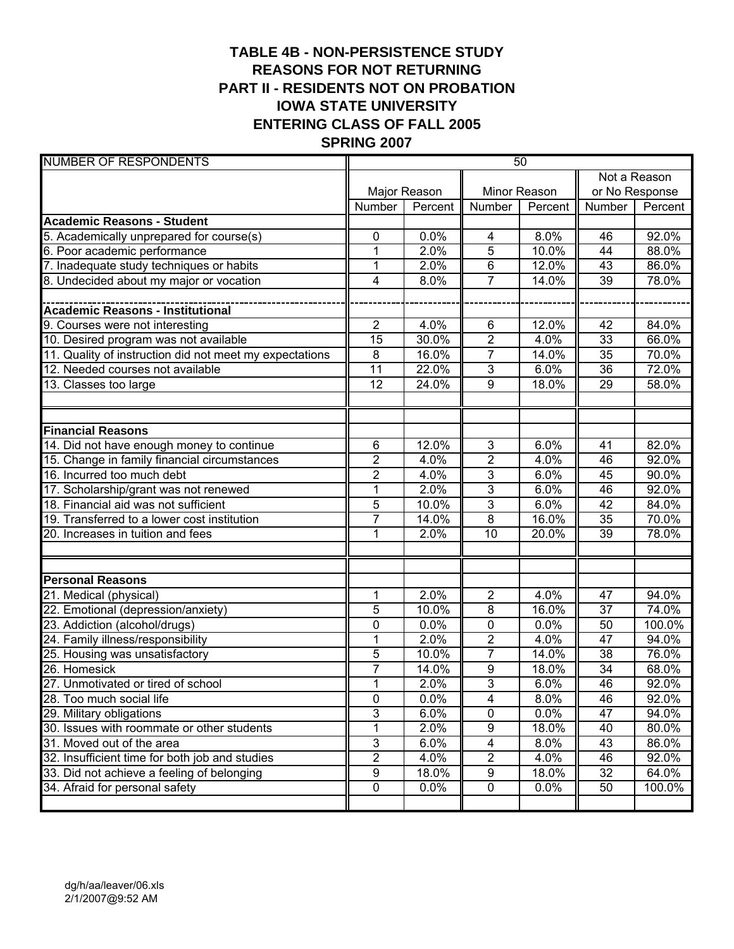# **TABLE 4B - NON-PERSISTENCE STUDY REASONS FOR NOT RETURNING PART II - RESIDENTS NOT ON PROBATION IOWA STATE UNIVERSITY ENTERING CLASS OF FALL 2005 SPRING 2007**

| <b>NUMBER OF RESPONDENTS</b>                            | 50              |              |                         |              |                 |              |  |  |  |
|---------------------------------------------------------|-----------------|--------------|-------------------------|--------------|-----------------|--------------|--|--|--|
|                                                         |                 |              |                         |              |                 | Not a Reason |  |  |  |
|                                                         |                 | Major Reason |                         | Minor Reason | or No Response  |              |  |  |  |
|                                                         | Number          | Percent      | <b>Number</b>           | Percent      | Number          | Percent      |  |  |  |
| <b>Academic Reasons - Student</b>                       |                 |              |                         |              |                 |              |  |  |  |
| 5. Academically unprepared for course(s)                | 0               | 0.0%         | 4                       | 8.0%         | 46              | 92.0%        |  |  |  |
| 6. Poor academic performance                            | $\mathbf{1}$    | 2.0%         | 5                       | 10.0%        | 44              | 88.0%        |  |  |  |
| 7. Inadequate study techniques or habits                | $\mathbf{1}$    | 2.0%         | 6                       | 12.0%        | 43              | 86.0%        |  |  |  |
| 8. Undecided about my major or vocation                 | 4               | 8.0%         | $\overline{7}$          | 14.0%        | 39              | 78.0%        |  |  |  |
|                                                         |                 |              |                         |              |                 |              |  |  |  |
| <b>Academic Reasons - Institutional</b>                 |                 |              |                         |              |                 |              |  |  |  |
| 9. Courses were not interesting                         | $\overline{2}$  | 4.0%         | 6                       | 12.0%        | 42              | 84.0%        |  |  |  |
| 10. Desired program was not available                   | 15              | 30.0%        | $\overline{\mathbf{c}}$ | 4.0%         | 33              | 66.0%        |  |  |  |
| 11. Quality of instruction did not meet my expectations | 8               | 16.0%        | $\overline{7}$          | 14.0%        | 35              | 70.0%        |  |  |  |
| 12. Needed courses not available                        | $\overline{11}$ | 22.0%        | 3                       | 6.0%         | 36              | 72.0%        |  |  |  |
| 13. Classes too large                                   | 12              | 24.0%        | 9                       | 18.0%        | 29              | 58.0%        |  |  |  |
|                                                         |                 |              |                         |              |                 |              |  |  |  |
|                                                         |                 |              |                         |              |                 |              |  |  |  |
| <b>Financial Reasons</b>                                |                 |              |                         |              |                 |              |  |  |  |
| 14. Did not have enough money to continue               | $\overline{6}$  | 12.0%        | 3                       | 6.0%         | 41              | 82.0%        |  |  |  |
| 15. Change in family financial circumstances            | $\overline{2}$  | 4.0%         | $\overline{\mathbf{c}}$ | 4.0%         | 46              | 92.0%        |  |  |  |
| 16. Incurred too much debt                              | $\overline{c}$  | 4.0%         | 3                       | 6.0%         | 45              | 90.0%        |  |  |  |
| 17. Scholarship/grant was not renewed                   | $\overline{1}$  | 2.0%         | $\overline{3}$          | 6.0%         | 46              | 92.0%        |  |  |  |
| 18. Financial aid was not sufficient                    | 5               | 10.0%        | 3                       | 6.0%         | 42              | 84.0%        |  |  |  |
| 19. Transferred to a lower cost institution             | $\overline{7}$  | 14.0%        | $\overline{8}$          | 16.0%        | 35              | 70.0%        |  |  |  |
| 20. Increases in tuition and fees                       | 1               | 2.0%         | 10                      | 20.0%        | 39              | 78.0%        |  |  |  |
|                                                         |                 |              |                         |              |                 |              |  |  |  |
|                                                         |                 |              |                         |              |                 |              |  |  |  |
| <b>Personal Reasons</b>                                 |                 |              |                         |              |                 |              |  |  |  |
| 21. Medical (physical)                                  | 1               | 2.0%         | $\overline{2}$          | 4.0%         | 47              | 94.0%        |  |  |  |
| 22. Emotional (depression/anxiety)                      | 5               | 10.0%        | 8                       | 16.0%        | 37              | 74.0%        |  |  |  |
| 23. Addiction (alcohol/drugs)                           | 0               | 0.0%         | 0                       | 0.0%         | 50              | 100.0%       |  |  |  |
| 24. Family illness/responsibility                       | $\mathbf{1}$    | 2.0%         | $\overline{2}$          | 4.0%         | 47              | 94.0%        |  |  |  |
| 25. Housing was unsatisfactory                          | 5               | 10.0%        | $\overline{7}$          | 14.0%        | 38              | 76.0%        |  |  |  |
| 26. Homesick                                            | $\overline{7}$  | 14.0%        | $\overline{9}$          | 18.0%        | 34              | 68.0%        |  |  |  |
| 27. Unmotivated or tired of school                      | 1               | 2.0%         | $\overline{3}$          | 6.0%         | $\overline{46}$ | 92.0%        |  |  |  |
| 28. Too much social life                                | 0               | 0.0%         | 4                       | 8.0%         | 46              | 92.0%        |  |  |  |
| 29. Military obligations                                | 3               | 6.0%         | $\pmb{0}$               | 0.0%         | 47              | 94.0%        |  |  |  |
| 30. Issues with roommate or other students              | 1               | 2.0%         | 9                       | 18.0%        | 40              | 80.0%        |  |  |  |
| 31. Moved out of the area                               | 3               | 6.0%         | 4                       | 8.0%         | 43              | 86.0%        |  |  |  |
| 32. Insufficient time for both job and studies          | $\overline{2}$  | 4.0%         | $\overline{2}$          | 4.0%         | 46              | 92.0%        |  |  |  |
| 33. Did not achieve a feeling of belonging              | 9               | 18.0%        | $\boldsymbol{9}$        | 18.0%        | 32              | 64.0%        |  |  |  |
| 34. Afraid for personal safety                          | $\pmb{0}$       | 0.0%         | $\pmb{0}$               | 0.0%         | 50              | 100.0%       |  |  |  |
|                                                         |                 |              |                         |              |                 |              |  |  |  |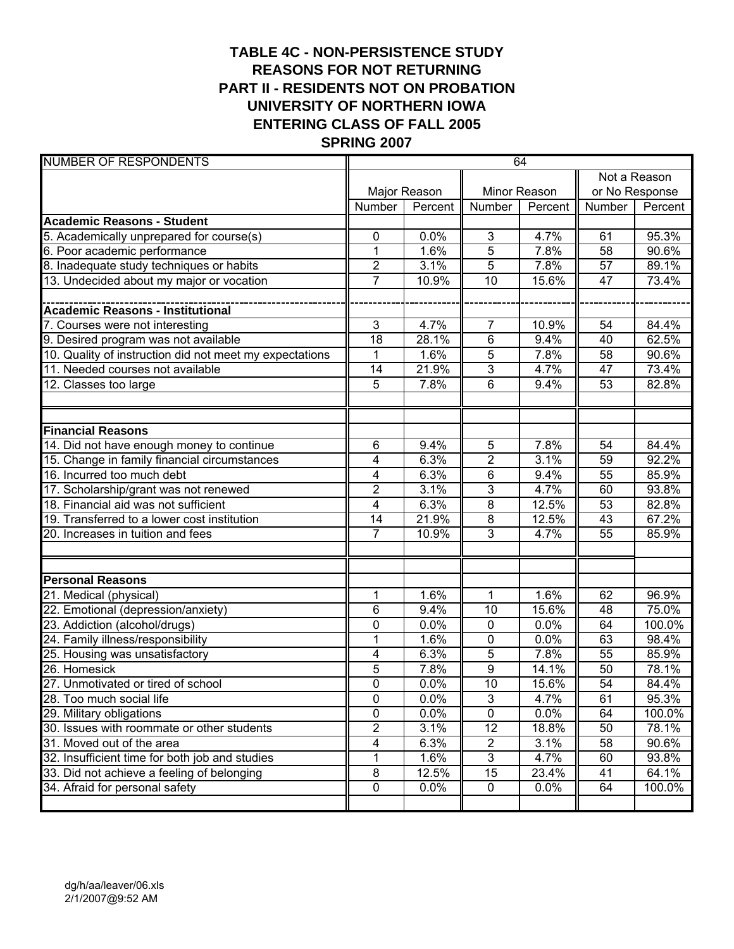# **TABLE 4C - NON-PERSISTENCE STUDY REASONS FOR NOT RETURNING PART II - RESIDENTS NOT ON PROBATION UNIVERSITY OF NORTHERN IOWA ENTERING CLASS OF FALL 2005 SPRING 2007**

| <b>NUMBER OF RESPONDENTS</b>                            |                |              |                 | 64      |                 |                |
|---------------------------------------------------------|----------------|--------------|-----------------|---------|-----------------|----------------|
|                                                         |                |              |                 |         |                 | Not a Reason   |
|                                                         |                | Major Reason | Minor Reason    |         |                 | or No Response |
|                                                         | Number         | Percent      | <b>Number</b>   | Percent | Number          | Percent        |
| <b>Academic Reasons - Student</b>                       |                |              |                 |         |                 |                |
| 5. Academically unprepared for course(s)                | 0              | 0.0%         | 3               | 4.7%    | 61              | 95.3%          |
| 6. Poor academic performance                            | 1              | 1.6%         | $\overline{5}$  | 7.8%    | 58              | 90.6%          |
| 8. Inadequate study techniques or habits                | $\overline{2}$ | 3.1%         | $\overline{5}$  | 7.8%    | $\overline{57}$ | 89.1%          |
| 13. Undecided about my major or vocation                | $\overline{7}$ | 10.9%        | $\overline{10}$ | 15.6%   | 47              | 73.4%          |
|                                                         |                |              |                 |         |                 |                |
| <b>Academic Reasons - Institutional</b>                 |                |              |                 |         |                 |                |
| 7. Courses were not interesting                         | 3              | 4.7%         | $\overline{7}$  | 10.9%   | 54              | 84.4%          |
| 9. Desired program was not available                    | 18             | 28.1%        | $\,6$           | 9.4%    | 40              | 62.5%          |
| 10. Quality of instruction did not meet my expectations | 1              | 1.6%         | 5               | 7.8%    | 58              | 90.6%          |
| 11. Needed courses not available                        | 14             | 21.9%        | 3               | 4.7%    | 47              | 73.4%          |
| 12. Classes too large                                   | 5              | 7.8%         | $\overline{6}$  | 9.4%    | 53              | 82.8%          |
|                                                         |                |              |                 |         |                 |                |
| <b>Financial Reasons</b>                                |                |              |                 |         |                 |                |
| 14. Did not have enough money to continue               | 6              | 9.4%         | $\overline{5}$  | 7.8%    | 54              | 84.4%          |
| 15. Change in family financial circumstances            | 4              | 6.3%         | $\overline{2}$  | 3.1%    | 59              | 92.2%          |
| 16. Incurred too much debt                              | 4              | 6.3%         | $\overline{6}$  | 9.4%    | 55              | 85.9%          |
| 17. Scholarship/grant was not renewed                   | $\overline{2}$ | 3.1%         | 3               | 4.7%    | 60              | 93.8%          |
| 18. Financial aid was not sufficient                    | 4              | 6.3%         | $\overline{8}$  | 12.5%   | 53              | 82.8%          |
| 19. Transferred to a lower cost institution             | 14             | 21.9%        | $\overline{8}$  | 12.5%   | 43              | 67.2%          |
| 20. Increases in tuition and fees                       | 7              | 10.9%        | 3               | 4.7%    | 55              | 85.9%          |
|                                                         |                |              |                 |         |                 |                |
| <b>Personal Reasons</b>                                 |                |              |                 |         |                 |                |
| 21. Medical (physical)                                  | 1              | 1.6%         | $\mathbf{1}$    | 1.6%    | 62              | 96.9%          |
| 22. Emotional (depression/anxiety)                      | 6              | 9.4%         | 10              | 15.6%   | 48              | 75.0%          |
| 23. Addiction (alcohol/drugs)                           | 0              | 0.0%         | $\mathbf 0$     | 0.0%    | 64              | 100.0%         |
| 24. Family illness/responsibility                       | $\overline{1}$ | 1.6%         | $\overline{0}$  | 0.0%    | 63              | 98.4%          |
| 25. Housing was unsatisfactory                          | 4              | 6.3%         | $\overline{5}$  | 7.8%    | 55              | 85.9%          |
| 26. Homesick                                            | 5              | 7.8%         | $\overline{9}$  | 14.1%   | 50              | 78.1%          |
| 27. Unmotivated or tired of school                      | $\overline{0}$ | 0.0%         | $\overline{10}$ | 15.6%   | $\overline{54}$ | 84.4%          |
| 28. Too much social life                                | 0              | 0.0%         | $\overline{3}$  | 4.7%    | 61              | 95.3%          |
| 29. Military obligations                                | 0              | 0.0%         | $\pmb{0}$       | 0.0%    | 64              | 100.0%         |
| 30. Issues with roommate or other students              | 2              | 3.1%         | $\overline{12}$ | 18.8%   | 50              | 78.1%          |
| 31. Moved out of the area                               | 4              | 6.3%         | $\overline{c}$  | 3.1%    | 58              | 90.6%          |
| 32. Insufficient time for both job and studies          | 1              | 1.6%         | $\overline{3}$  | 4.7%    | 60              | 93.8%          |
| 33. Did not achieve a feeling of belonging              | 8              | 12.5%        | 15              | 23.4%   | 41              | 64.1%          |
| 34. Afraid for personal safety                          | $\pmb{0}$      | 0.0%         | $\mathbf 0$     | 0.0%    | 64              | 100.0%         |
|                                                         |                |              |                 |         |                 |                |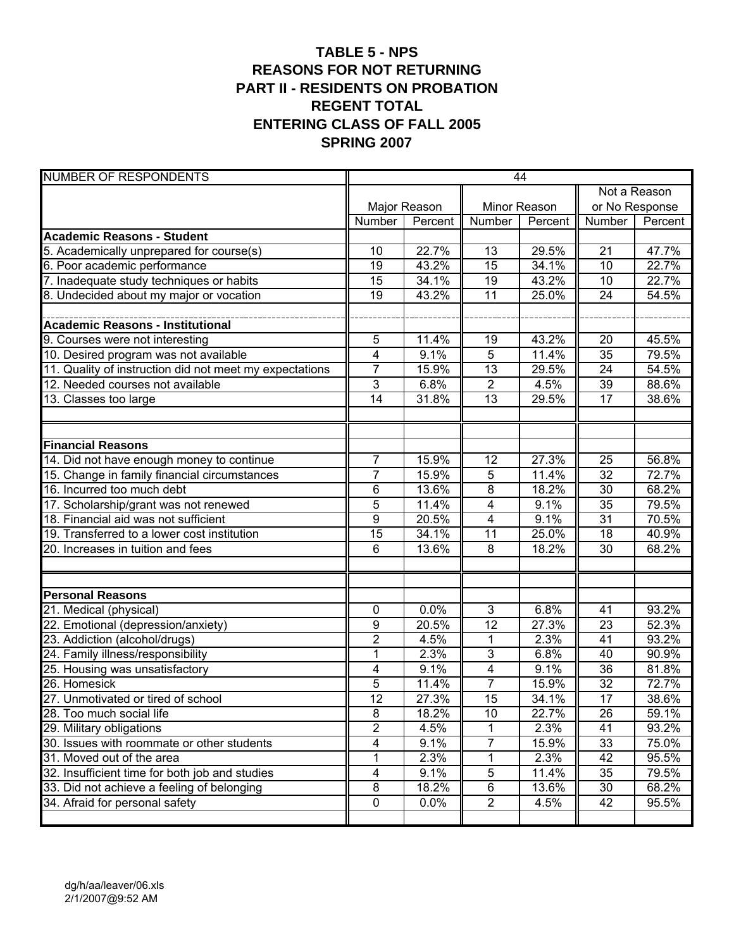### **TABLE 5 - NPS REASONS FOR NOT RETURNING PART II - RESIDENTS ON PROBATION REGENT TOTAL ENTERING CLASS OF FALL 2005 SPRING 2007**

| <b>NUMBER OF RESPONDENTS</b>                            | 44             |              |                 |         |                 |         |
|---------------------------------------------------------|----------------|--------------|-----------------|---------|-----------------|---------|
|                                                         |                |              |                 |         | Not a Reason    |         |
|                                                         |                | Major Reason | Minor Reason    |         | or No Response  |         |
|                                                         | Number         | Percent      | Number          | Percent | Number          | Percent |
| <b>Academic Reasons - Student</b>                       |                |              |                 |         |                 |         |
| 5. Academically unprepared for course(s)                | 10             | 22.7%        | 13              | 29.5%   | 21              | 47.7%   |
| 6. Poor academic performance                            | 19             | 43.2%        | $\overline{15}$ | 34.1%   | $\overline{10}$ | 22.7%   |
| 7. Inadequate study techniques or habits                | 15             | 34.1%        | 19              | 43.2%   | 10              | 22.7%   |
| 8. Undecided about my major or vocation                 | 19             | 43.2%        | $\overline{11}$ | 25.0%   | 24              | 54.5%   |
|                                                         |                |              |                 |         |                 |         |
| <b>Academic Reasons - Institutional</b>                 |                |              |                 |         |                 |         |
| 9. Courses were not interesting                         | 5              | 11.4%        | 19              | 43.2%   | 20              | 45.5%   |
| 10. Desired program was not available                   | $\overline{4}$ | 9.1%         | 5               | 11.4%   | 35              | 79.5%   |
| 11. Quality of instruction did not meet my expectations | $\overline{7}$ | 15.9%        | 13              | 29.5%   | 24              | 54.5%   |
| 12. Needed courses not available                        | $\overline{3}$ | 6.8%         | $\overline{2}$  | 4.5%    | 39              | 88.6%   |
| 13. Classes too large                                   | 14             | 31.8%        | 13              | 29.5%   | 17              | 38.6%   |
|                                                         |                |              |                 |         |                 |         |
|                                                         |                |              |                 |         |                 |         |
| <b>Financial Reasons</b>                                |                |              |                 |         |                 |         |
| 14. Did not have enough money to continue               | $\overline{7}$ | 15.9%        | 12              | 27.3%   | 25              | 56.8%   |
| 15. Change in family financial circumstances            | $\overline{7}$ | 15.9%        | 5               | 11.4%   | $\overline{32}$ | 72.7%   |
| 16. Incurred too much debt                              | 6              | 13.6%        | 8               | 18.2%   | $\overline{30}$ | 68.2%   |
| 17. Scholarship/grant was not renewed                   | 5              | 11.4%        | 4               | 9.1%    | $\overline{35}$ | 79.5%   |
| 18. Financial aid was not sufficient                    | $\overline{9}$ | 20.5%        | $\overline{4}$  | 9.1%    | $\overline{31}$ | 70.5%   |
| 19. Transferred to a lower cost institution             | 15             | 34.1%        | 11              | 25.0%   | $\overline{18}$ | 40.9%   |
| 20. Increases in tuition and fees                       | 6              | 13.6%        | 8               | 18.2%   | 30              | 68.2%   |
|                                                         |                |              |                 |         |                 |         |
|                                                         |                |              |                 |         |                 |         |
| <b>Personal Reasons</b>                                 |                |              |                 |         |                 |         |
| 21. Medical (physical)                                  | 0              | 0.0%         | 3               | 6.8%    | 41              | 93.2%   |
| 22. Emotional (depression/anxiety)                      | 9              | 20.5%        | $\overline{12}$ | 27.3%   | 23              | 52.3%   |
| 23. Addiction (alcohol/drugs)                           | $\overline{2}$ | 4.5%         | $\mathbf{1}$    | 2.3%    | $\overline{41}$ | 93.2%   |
| 24. Family illness/responsibility                       | 1              | 2.3%         | 3               | 6.8%    | 40              | 90.9%   |
| 25. Housing was unsatisfactory                          | 4              | 9.1%         | 4               | 9.1%    | 36              | 81.8%   |
| 26. Homesick                                            | 5              | 11.4%        | $\overline{7}$  | 15.9%   | 32              | 72.7%   |
| 27. Unmotivated or tired of school                      | 12             | 27.3%        | 15              | 34.1%   | 17              | 38.6%   |
| 28. Too much social life                                | 8              | 18.2%        | 10              | 22.7%   | 26              | 59.1%   |
| 29. Military obligations                                | $\overline{2}$ | 4.5%         | 1               | 2.3%    | 41              | 93.2%   |
| 30. Issues with roommate or other students              | 4              | 9.1%         | $\overline{7}$  | 15.9%   | 33              | 75.0%   |
| 31. Moved out of the area                               | 1              | 2.3%         | 1               | 2.3%    | 42              | 95.5%   |
| 32. Insufficient time for both job and studies          | 4              | 9.1%         | 5               | 11.4%   | 35              | 79.5%   |
| 33. Did not achieve a feeling of belonging              | 8              | 18.2%        | 6               | 13.6%   | 30              | 68.2%   |
| 34. Afraid for personal safety                          | $\pmb{0}$      | 0.0%         | $\overline{2}$  | 4.5%    | 42              | 95.5%   |
|                                                         |                |              |                 |         |                 |         |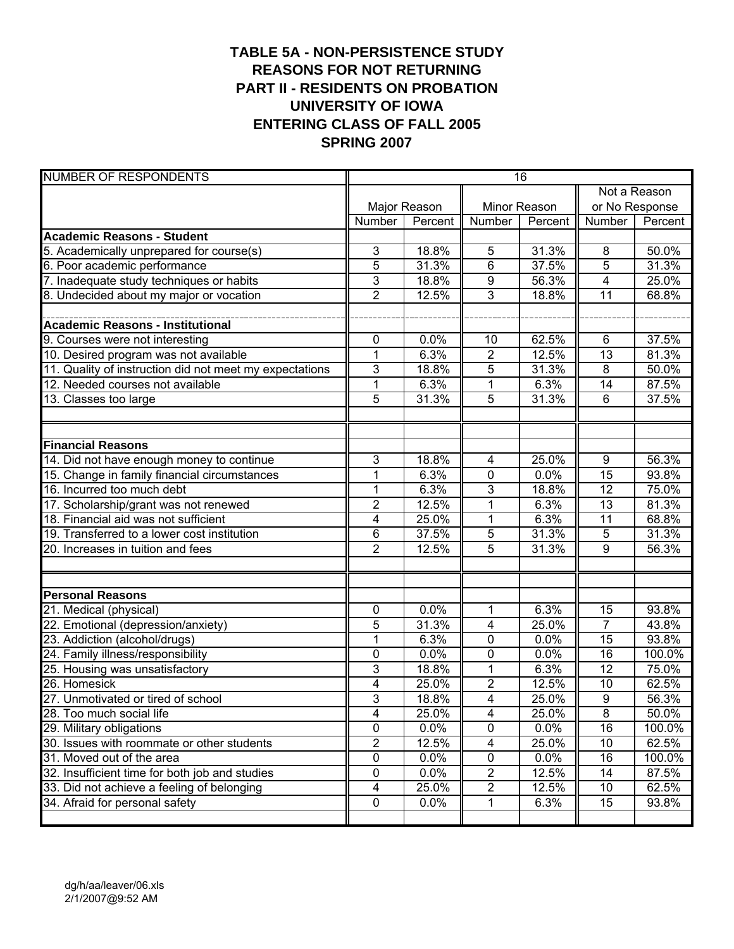# **TABLE 5A - NON-PERSISTENCE STUDY REASONS FOR NOT RETURNING PART II - RESIDENTS ON PROBATION UNIVERSITY OF IOWA ENTERING CLASS OF FALL 2005 SPRING 2007**

| <b>NUMBER OF RESPONDENTS</b>                            | 16                      |              |                         |         |                 |                |  |
|---------------------------------------------------------|-------------------------|--------------|-------------------------|---------|-----------------|----------------|--|
|                                                         |                         |              |                         |         | Not a Reason    |                |  |
|                                                         |                         | Major Reason | Minor Reason            |         |                 | or No Response |  |
|                                                         | Number                  | Percent      | Number                  | Percent | Number          | Percent        |  |
| <b>Academic Reasons - Student</b>                       |                         |              |                         |         |                 |                |  |
| 5. Academically unprepared for course(s)                | 3                       | 18.8%        | 5                       | 31.3%   | 8               | 50.0%          |  |
| 6. Poor academic performance                            | 5                       | 31.3%        | 6                       | 37.5%   | 5               | 31.3%          |  |
| 7. Inadequate study techniques or habits                | $\overline{3}$          | 18.8%        | 9                       | 56.3%   | $\overline{4}$  | 25.0%          |  |
| 8. Undecided about my major or vocation                 | $\overline{2}$          | 12.5%        | 3                       | 18.8%   | $\overline{11}$ | 68.8%          |  |
|                                                         |                         |              |                         |         |                 |                |  |
| <b>Academic Reasons - Institutional</b>                 |                         |              |                         |         |                 |                |  |
| 9. Courses were not interesting                         | 0                       | 0.0%         | 10                      | 62.5%   | 6               | 37.5%          |  |
| 10. Desired program was not available                   | $\mathbf{1}$            | 6.3%         | $\overline{\mathbf{c}}$ | 12.5%   | $\overline{13}$ | 81.3%          |  |
| 11. Quality of instruction did not meet my expectations | $\overline{3}$          | 18.8%        | 5                       | 31.3%   | 8               | 50.0%          |  |
| 12. Needed courses not available                        | $\mathbf 1$             | 6.3%         | 1                       | 6.3%    | 14              | 87.5%          |  |
| 13. Classes too large                                   | 5                       | 31.3%        | 5                       | 31.3%   | 6               | 37.5%          |  |
|                                                         |                         |              |                         |         |                 |                |  |
|                                                         |                         |              |                         |         |                 |                |  |
| <b>Financial Reasons</b>                                |                         |              |                         |         |                 |                |  |
| 14. Did not have enough money to continue               | 3                       | 18.8%        | $\overline{\mathbf{4}}$ | 25.0%   | 9               | 56.3%          |  |
| 15. Change in family financial circumstances            | $\mathbf{1}$            | 6.3%         | 0                       | 0.0%    | $\overline{15}$ | 93.8%          |  |
| 16. Incurred too much debt                              | $\mathbf{1}$            | 6.3%         | 3                       | 18.8%   | $\overline{12}$ | 75.0%          |  |
| 17. Scholarship/grant was not renewed                   | $\overline{2}$          | 12.5%        | 1                       | 6.3%    | $\overline{13}$ | 81.3%          |  |
| 18. Financial aid was not sufficient                    | 4                       | 25.0%        | 1                       | 6.3%    | $\overline{11}$ | 68.8%          |  |
| 19. Transferred to a lower cost institution             | $\overline{6}$          | 37.5%        | 5                       | 31.3%   | 5               | 31.3%          |  |
| 20. Increases in tuition and fees                       | $\overline{2}$          | 12.5%        | $\overline{5}$          | 31.3%   | 9               | 56.3%          |  |
|                                                         |                         |              |                         |         |                 |                |  |
|                                                         |                         |              |                         |         |                 |                |  |
| <b>Personal Reasons</b>                                 |                         |              |                         |         |                 |                |  |
| 21. Medical (physical)                                  | 0                       | 0.0%         | 1                       | 6.3%    | 15              | 93.8%          |  |
| 22. Emotional (depression/anxiety)                      | 5                       | 31.3%        | 4                       | 25.0%   | $\overline{7}$  | 43.8%          |  |
| 23. Addiction (alcohol/drugs)                           | 1                       | 6.3%         | 0                       | 0.0%    | 15              | 93.8%          |  |
| 24. Family illness/responsibility                       | 0                       | 0.0%         | 0                       | 0.0%    | 16              | 100.0%         |  |
| 25. Housing was unsatisfactory                          | 3                       | 18.8%        | 1                       | 6.3%    | $\overline{12}$ | 75.0%          |  |
| 26. Homesick                                            | 4                       | 25.0%        | $\overline{2}$          | 12.5%   | 10              | 62.5%          |  |
| 27. Unmotivated or tired of school                      | 3                       | 18.8%        | 4                       | 25.0%   | 9               | 56.3%          |  |
| 28. Too much social life                                | $\overline{\mathbf{4}}$ | 25.0%        | $\overline{\mathbf{4}}$ | 25.0%   | $\overline{8}$  | 50.0%          |  |
| 29. Military obligations                                | $\overline{0}$          | 0.0%         | 0                       | 0.0%    | 16              | 100.0%         |  |
| 30. Issues with roommate or other students              | $\overline{2}$          | 12.5%        | 4                       | 25.0%   | 10              | 62.5%          |  |
| 31. Moved out of the area                               | $\pmb{0}$               | 0.0%         | 0                       | 0.0%    | 16              | 100.0%         |  |
| 32. Insufficient time for both job and studies          | 0                       | 0.0%         | $\overline{\mathbf{c}}$ | 12.5%   | 14              | 87.5%          |  |
| 33. Did not achieve a feeling of belonging              | 4                       | 25.0%        | $\overline{2}$          | 12.5%   | 10              | 62.5%          |  |
| 34. Afraid for personal safety                          | 0                       | 0.0%         | 1                       | 6.3%    | 15              | 93.8%          |  |
|                                                         |                         |              |                         |         |                 |                |  |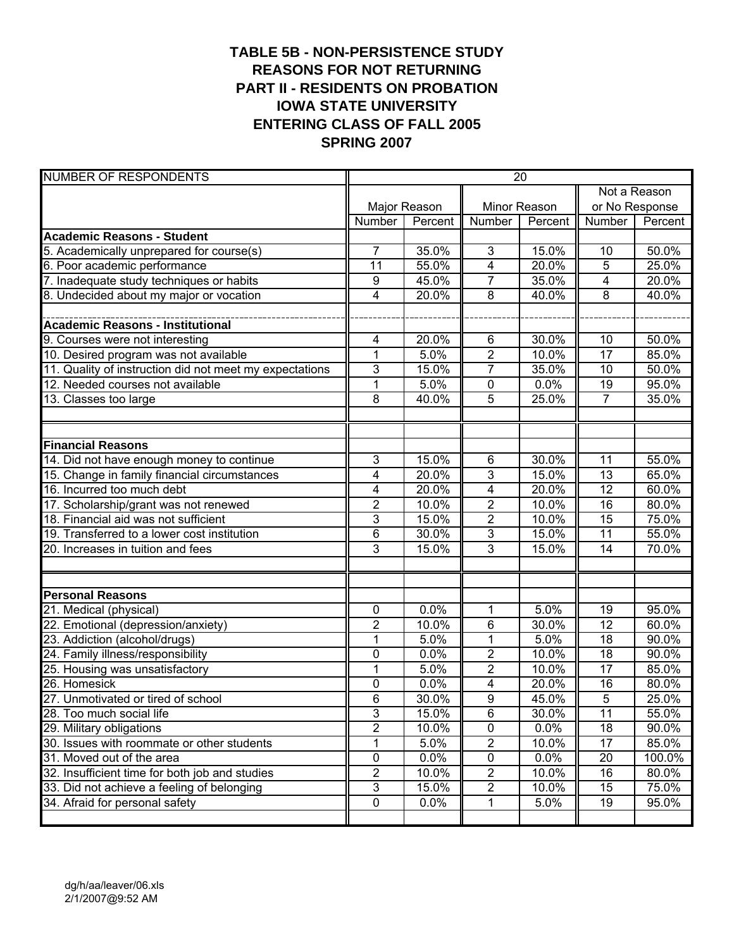# **TABLE 5B - NON-PERSISTENCE STUDY REASONS FOR NOT RETURNING PART II - RESIDENTS ON PROBATION IOWA STATE UNIVERSITY ENTERING CLASS OF FALL 2005 SPRING 2007**

| <b>NUMBER OF RESPONDENTS</b>                            | $\overline{20}$ |              |                         |         |                 |                |  |
|---------------------------------------------------------|-----------------|--------------|-------------------------|---------|-----------------|----------------|--|
|                                                         |                 |              |                         |         | Not a Reason    |                |  |
|                                                         |                 | Major Reason | Minor Reason            |         |                 | or No Response |  |
|                                                         | Number          | Percent      | Number                  | Percent | Number          | Percent        |  |
| <b>Academic Reasons - Student</b>                       |                 |              |                         |         |                 |                |  |
| 5. Academically unprepared for course(s)                | $\overline{7}$  | 35.0%        | 3                       | 15.0%   | 10              | 50.0%          |  |
| 6. Poor academic performance                            | 11              | 55.0%        | $\overline{4}$          | 20.0%   | 5               | 25.0%          |  |
| 7. Inadequate study techniques or habits                | 9               | 45.0%        | $\overline{7}$          | 35.0%   | 4               | 20.0%          |  |
| 8. Undecided about my major or vocation                 | 4               | 20.0%        | $\overline{8}$          | 40.0%   | $\overline{8}$  | 40.0%          |  |
|                                                         |                 |              |                         |         |                 |                |  |
| <b>Academic Reasons - Institutional</b>                 |                 |              |                         |         |                 |                |  |
| 9. Courses were not interesting                         | 4               | 20.0%        | 6                       | 30.0%   | 10              | 50.0%          |  |
| 10. Desired program was not available                   | $\mathbf 1$     | 5.0%         | $\mathbf{2}$            | 10.0%   | 17              | 85.0%          |  |
| 11. Quality of instruction did not meet my expectations | 3               | 15.0%        | $\overline{7}$          | 35.0%   | 10              | 50.0%          |  |
| 12. Needed courses not available                        | $\overline{1}$  | 5.0%         | $\pmb{0}$               | 0.0%    | 19              | 95.0%          |  |
| 13. Classes too large                                   | 8               | 40.0%        | 5                       | 25.0%   | $\overline{7}$  | 35.0%          |  |
|                                                         |                 |              |                         |         |                 |                |  |
|                                                         |                 |              |                         |         |                 |                |  |
| <b>Financial Reasons</b>                                |                 |              |                         |         |                 |                |  |
| 14. Did not have enough money to continue               | 3               | 15.0%        | 6                       | 30.0%   | 11              | 55.0%          |  |
| 15. Change in family financial circumstances            | 4               | 20.0%        | 3                       | 15.0%   | $\overline{13}$ | 65.0%          |  |
| 16. Incurred too much debt                              | 4               | 20.0%        | $\overline{4}$          | 20.0%   | $\overline{12}$ | 60.0%          |  |
| 17. Scholarship/grant was not renewed                   | $\overline{2}$  | 10.0%        | $\overline{2}$          | 10.0%   | $\overline{16}$ | 80.0%          |  |
| 18. Financial aid was not sufficient                    | 3               | 15.0%        | $\overline{2}$          | 10.0%   | 15              | 75.0%          |  |
| 19. Transferred to a lower cost institution             | 6               | 30.0%        | 3                       | 15.0%   | $\overline{11}$ | 55.0%          |  |
| 20. Increases in tuition and fees                       | $\overline{3}$  | 15.0%        | 3                       | 15.0%   | 14              | 70.0%          |  |
|                                                         |                 |              |                         |         |                 |                |  |
|                                                         |                 |              |                         |         |                 |                |  |
| <b>Personal Reasons</b>                                 |                 |              |                         |         |                 |                |  |
| 21. Medical (physical)                                  | 0               | 0.0%         | 1                       | 5.0%    | 19              | 95.0%          |  |
| 22. Emotional (depression/anxiety)                      | 2               | 10.0%        | 6                       | 30.0%   | 12              | 60.0%          |  |
| 23. Addiction (alcohol/drugs)                           | $\mathbf{1}$    | 5.0%         | 1                       | 5.0%    | 18              | 90.0%          |  |
| 24. Family illness/responsibility                       | 0               | 0.0%         | $\overline{2}$          | 10.0%   | 18              | 90.0%          |  |
| 25. Housing was unsatisfactory                          | 1               | 5.0%         | $\overline{2}$          | 10.0%   | 17              | 85.0%          |  |
| 26. Homesick                                            | 0               | 0.0%         | 4                       | 20.0%   | 16              | 80.0%          |  |
| 27. Unmotivated or tired of school                      | $\overline{6}$  | 30.0%        | $\overline{9}$          | 45.0%   | $\overline{5}$  | 25.0%          |  |
| 28. Too much social life                                | 3               | 15.0%        | 6                       | 30.0%   | 11              | 55.0%          |  |
| 29. Military obligations                                | $\overline{2}$  | 10.0%        | $\pmb{0}$               | 0.0%    | $\overline{18}$ | 90.0%          |  |
| 30. Issues with roommate or other students              | 1               | 5.0%         | $\overline{c}$          | 10.0%   | $\overline{17}$ | 85.0%          |  |
| 31. Moved out of the area                               | $\pmb{0}$       | 0.0%         | $\pmb{0}$               | 0.0%    | 20              | 100.0%         |  |
| 32. Insufficient time for both job and studies          | 2               | 10.0%        | $\sqrt{2}$              | 10.0%   | 16              | 80.0%          |  |
| 33. Did not achieve a feeling of belonging              | 3               | 15.0%        | $\overline{\mathbf{c}}$ | 10.0%   | 15              | 75.0%          |  |
| 34. Afraid for personal safety                          | 0               | 0.0%         | 1                       | 5.0%    | 19              | 95.0%          |  |
|                                                         |                 |              |                         |         |                 |                |  |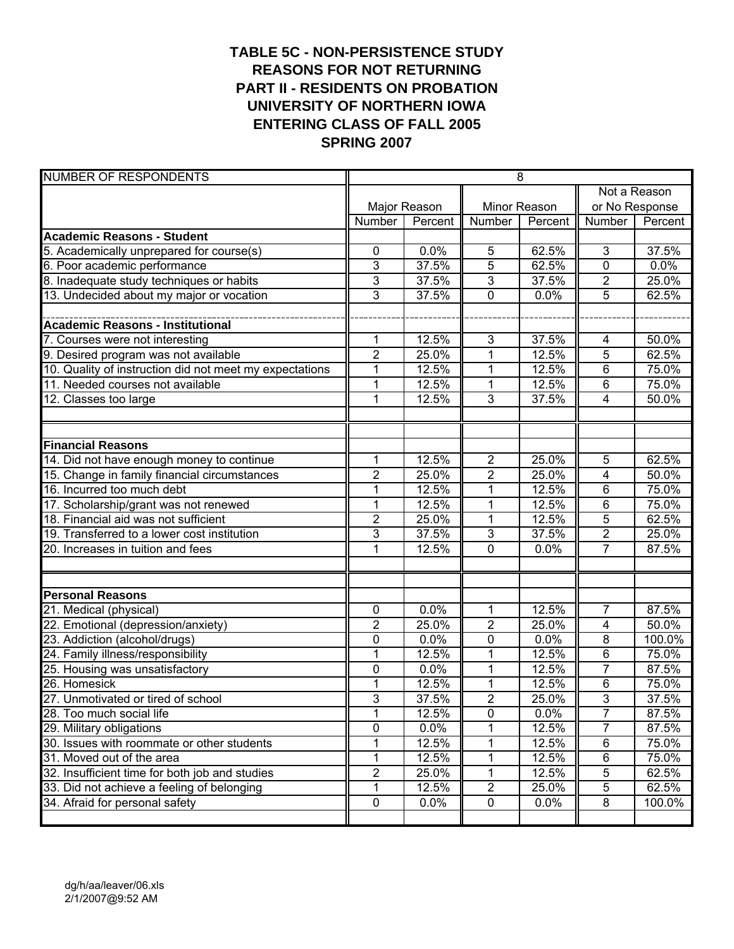# **TABLE 5C - NON-PERSISTENCE STUDY REASONS FOR NOT RETURNING PART II - RESIDENTS ON PROBATION UNIVERSITY OF NORTHERN IOWA ENTERING CLASS OF FALL 2005 SPRING 2007**

| <b>NUMBER OF RESPONDENTS</b>                            | $\overline{8}$   |              |                |         |                         |                |
|---------------------------------------------------------|------------------|--------------|----------------|---------|-------------------------|----------------|
|                                                         |                  |              |                |         | Not a Reason            |                |
|                                                         |                  | Major Reason | Minor Reason   |         |                         | or No Response |
|                                                         | Number           | Percent      | Number         | Percent | Number                  | Percent        |
| <b>Academic Reasons - Student</b>                       |                  |              |                |         |                         |                |
| 5. Academically unprepared for course(s)                | $\pmb{0}$        | 0.0%         | 5              | 62.5%   | $\mathbf{3}$            | 37.5%          |
| 6. Poor academic performance                            | 3                | 37.5%        | 5              | 62.5%   | 0                       | 0.0%           |
| 8. Inadequate study techniques or habits                | 3                | 37.5%        | 3              | 37.5%   | $\overline{2}$          | 25.0%          |
| 13. Undecided about my major or vocation                | 3                | 37.5%        | 0              | 0.0%    | $\overline{5}$          | 62.5%          |
|                                                         |                  |              |                |         |                         |                |
| <b>Academic Reasons - Institutional</b>                 |                  |              |                |         |                         |                |
| 7. Courses were not interesting                         | $\mathbf 1$      | 12.5%        | 3              | 37.5%   | 4                       | 50.0%          |
| 9. Desired program was not available                    | $\overline{2}$   | 25.0%        | $\overline{1}$ | 12.5%   | 5                       | 62.5%          |
| 10. Quality of instruction did not meet my expectations | $\mathbf 1$      | 12.5%        | 1              | 12.5%   | 6                       | 75.0%          |
| 11. Needed courses not available                        | $\mathbf 1$      | 12.5%        | 1              | 12.5%   | 6                       | 75.0%          |
| 12. Classes too large                                   | $\mathbf{1}$     | 12.5%        | 3              | 37.5%   | $\overline{\mathbf{4}}$ | 50.0%          |
|                                                         |                  |              |                |         |                         |                |
|                                                         |                  |              |                |         |                         |                |
| <b>Financial Reasons</b>                                |                  |              |                |         |                         |                |
| 14. Did not have enough money to continue               | $\mathbf{1}$     | 12.5%        | $\overline{2}$ | 25.0%   | 5                       | 62.5%          |
| 15. Change in family financial circumstances            | $\boldsymbol{2}$ | 25.0%        | 2              | 25.0%   | 4                       | 50.0%          |
| 16. Incurred too much debt                              | $\mathbf 1$      | 12.5%        | 1              | 12.5%   | $\overline{6}$          | 75.0%          |
| 17. Scholarship/grant was not renewed                   | $\mathbf{1}$     | 12.5%        | 1              | 12.5%   | 6                       | 75.0%          |
| 18. Financial aid was not sufficient                    | $\overline{2}$   | 25.0%        | 1              | 12.5%   | 5                       | 62.5%          |
| 19. Transferred to a lower cost institution             | 3                | 37.5%        | 3              | 37.5%   | $\overline{2}$          | 25.0%          |
| 20. Increases in tuition and fees                       | $\overline{1}$   | 12.5%        | $\overline{0}$ | 0.0%    | $\overline{7}$          | 87.5%          |
|                                                         |                  |              |                |         |                         |                |
|                                                         |                  |              |                |         |                         |                |
| <b>Personal Reasons</b>                                 |                  |              |                |         |                         |                |
| 21. Medical (physical)                                  | $\mathbf 0$      | 0.0%         | 1              | 12.5%   | $\overline{7}$          | 87.5%          |
| 22. Emotional (depression/anxiety)                      | $\overline{2}$   | 25.0%        | $\overline{2}$ | 25.0%   | 4                       | 50.0%          |
| 23. Addiction (alcohol/drugs)                           | 0                | 0.0%         | 0              | 0.0%    | 8                       | 100.0%         |
| 24. Family illness/responsibility                       | 1                | 12.5%        | 1              | 12.5%   | 6                       | 75.0%          |
| 25. Housing was unsatisfactory                          | 0                | 0.0%         | 1              | 12.5%   | $\overline{7}$          | 87.5%          |
| 26. Homesick                                            | 1                | 12.5%        | 1              | 12.5%   | 6                       | 75.0%          |
| 27. Unmotivated or tired of school                      | 3                | 37.5%        | $\overline{2}$ | 25.0%   | $\overline{3}$          | 37.5%          |
| 28. Too much social life                                | 1                | 12.5%        | 0              | 0.0%    | 7                       | 87.5%          |
| 29. Military obligations                                | $\overline{0}$   | 0.0%         |                | 12.5%   | 7                       | 87.5%          |
| 30. Issues with roommate or other students              | 1                | 12.5%        | 1              | 12.5%   | $\,6$                   | 75.0%          |
| 31. Moved out of the area                               | 1                | 12.5%        | 1              | 12.5%   | $\,6$                   | 75.0%          |
| 32. Insufficient time for both job and studies          | $\overline{2}$   | 25.0%        | 1              | 12.5%   | 5                       | 62.5%          |
| 33. Did not achieve a feeling of belonging              | 1                | 12.5%        | $\overline{c}$ | 25.0%   | 5                       | 62.5%          |
| 34. Afraid for personal safety                          | $\pmb{0}$        | 0.0%         | 0              | 0.0%    | 8                       | 100.0%         |
|                                                         |                  |              |                |         |                         |                |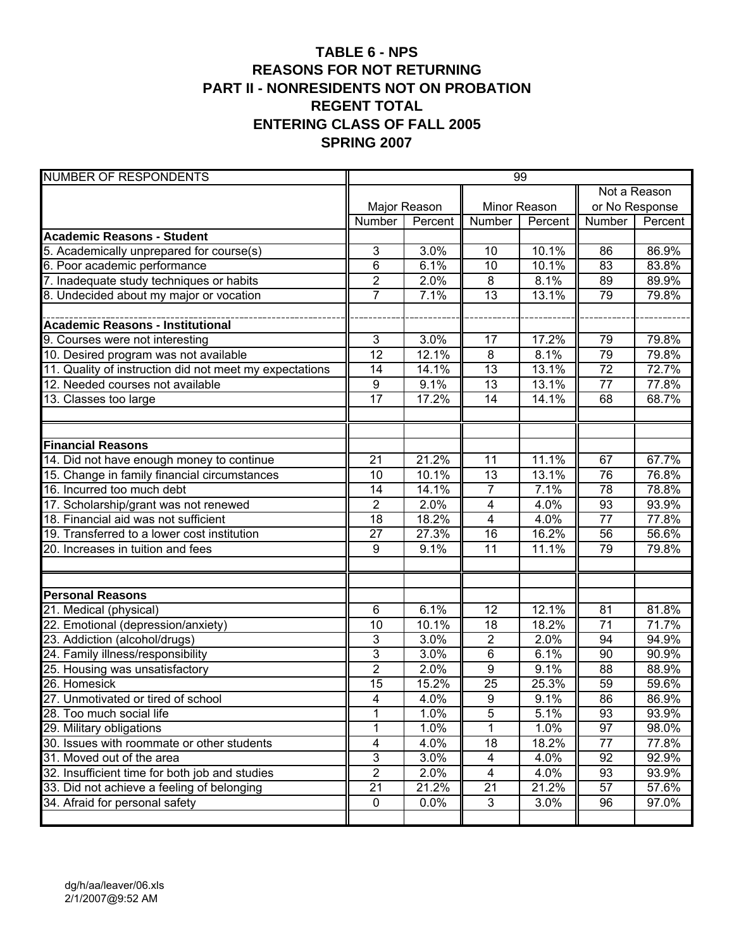### **TABLE 6 - NPS REASONS FOR NOT RETURNING PART II - NONRESIDENTS NOT ON PROBATION REGENT TOTAL ENTERING CLASS OF FALL 2005 SPRING 2007**

| <b>NUMBER OF RESPONDENTS</b>                            | 99               |              |                         |         |                 |         |  |
|---------------------------------------------------------|------------------|--------------|-------------------------|---------|-----------------|---------|--|
|                                                         |                  |              |                         |         | Not a Reason    |         |  |
|                                                         |                  | Major Reason | Minor Reason            |         | or No Response  |         |  |
|                                                         | Number           | Percent      | Number                  | Percent | Number          | Percent |  |
| <b>Academic Reasons - Student</b>                       |                  |              |                         |         |                 |         |  |
| 5. Academically unprepared for course(s)                | 3                | 3.0%         | 10                      | 10.1%   | 86              | 86.9%   |  |
| 6. Poor academic performance                            | 6                | 6.1%         | $\overline{10}$         | 10.1%   | 83              | 83.8%   |  |
| 7. Inadequate study techniques or habits                | $\overline{2}$   | 2.0%         | $\bf 8$                 | 8.1%    | 89              | 89.9%   |  |
| 8. Undecided about my major or vocation                 | $\overline{7}$   | 7.1%         | $\overline{13}$         | 13.1%   | 79              | 79.8%   |  |
|                                                         |                  |              |                         |         |                 |         |  |
| Academic Reasons - Institutional                        |                  |              |                         |         |                 |         |  |
| 9. Courses were not interesting                         | 3                | 3.0%         | 17                      | 17.2%   | 79              | 79.8%   |  |
| 10. Desired program was not available                   | 12               | 12.1%        | 8                       | 8.1%    | 79              | 79.8%   |  |
| 11. Quality of instruction did not meet my expectations | 14               | 14.1%        | 13                      | 13.1%   | 72              | 72.7%   |  |
| 12. Needed courses not available                        | $\boldsymbol{9}$ | 9.1%         | 13                      | 13.1%   | 77              | 77.8%   |  |
| 13. Classes too large                                   | $\overline{17}$  | 17.2%        | 14                      | 14.1%   | 68              | 68.7%   |  |
|                                                         |                  |              |                         |         |                 |         |  |
|                                                         |                  |              |                         |         |                 |         |  |
| <b>Financial Reasons</b>                                |                  |              |                         |         |                 |         |  |
| 14. Did not have enough money to continue               | 21               | 21.2%        | 11                      | 11.1%   | 67              | 67.7%   |  |
| 15. Change in family financial circumstances            | 10               | 10.1%        | 13                      | 13.1%   | 76              | 76.8%   |  |
| 16. Incurred too much debt                              | 14               | 14.1%        | $\overline{7}$          | 7.1%    | $\overline{78}$ | 78.8%   |  |
| 17. Scholarship/grant was not renewed                   | $\overline{2}$   | 2.0%         | 4                       | 4.0%    | $\overline{93}$ | 93.9%   |  |
| 18. Financial aid was not sufficient                    | $\overline{18}$  | 18.2%        | $\overline{4}$          | 4.0%    | $\overline{77}$ | 77.8%   |  |
| 19. Transferred to a lower cost institution             | 27               | 27.3%        | $\overline{16}$         | 16.2%   | 56              | 56.6%   |  |
| 20. Increases in tuition and fees                       | 9                | 9.1%         | 11                      | 11.1%   | 79              | 79.8%   |  |
|                                                         |                  |              |                         |         |                 |         |  |
|                                                         |                  |              |                         |         |                 |         |  |
| <b>Personal Reasons</b>                                 |                  |              |                         |         |                 |         |  |
| 21. Medical (physical)                                  | 6                | 6.1%         | 12                      | 12.1%   | 81              | 81.8%   |  |
| 22. Emotional (depression/anxiety)                      | 10               | 10.1%        | 18                      | 18.2%   | $\overline{71}$ | 71.7%   |  |
| 23. Addiction (alcohol/drugs)                           | $\mathbf{3}$     | 3.0%         | $\overline{2}$          | 2.0%    | 94              | 94.9%   |  |
| 24. Family illness/responsibility                       | 3                | 3.0%         | 6                       | 6.1%    | 90              | 90.9%   |  |
| 25. Housing was unsatisfactory                          | $\overline{2}$   | 2.0%         | 9                       | 9.1%    | 88              | 88.9%   |  |
| 26. Homesick                                            | 15               | 15.2%        | 25                      | 25.3%   | 59              | 59.6%   |  |
| 27. Unmotivated or tired of school                      | $\overline{4}$   | 4.0%         | $\overline{9}$          | 9.1%    | $\overline{86}$ | 86.9%   |  |
| 28. Too much social life                                | 1                | 1.0%         | $\overline{5}$          | 5.1%    | 93              | 93.9%   |  |
| 29. Military obligations                                |                  | 1.0%         | 1                       | 1.0%    | 97              | 98.0%   |  |
| 30. Issues with roommate or other students              | 4                | 4.0%         | 18                      | 18.2%   | 77              | 77.8%   |  |
| 31. Moved out of the area                               | 3                | 3.0%         | 4                       | 4.0%    | 92              | 92.9%   |  |
| 32. Insufficient time for both job and studies          | $\overline{2}$   | 2.0%         | $\overline{\mathbf{4}}$ | 4.0%    | 93              | 93.9%   |  |
| 33. Did not achieve a feeling of belonging              | 21               | 21.2%        | 21                      | 21.2%   | 57              | 57.6%   |  |
| 34. Afraid for personal safety                          | 0                | 0.0%         | 3                       | 3.0%    | 96              | 97.0%   |  |
|                                                         |                  |              |                         |         |                 |         |  |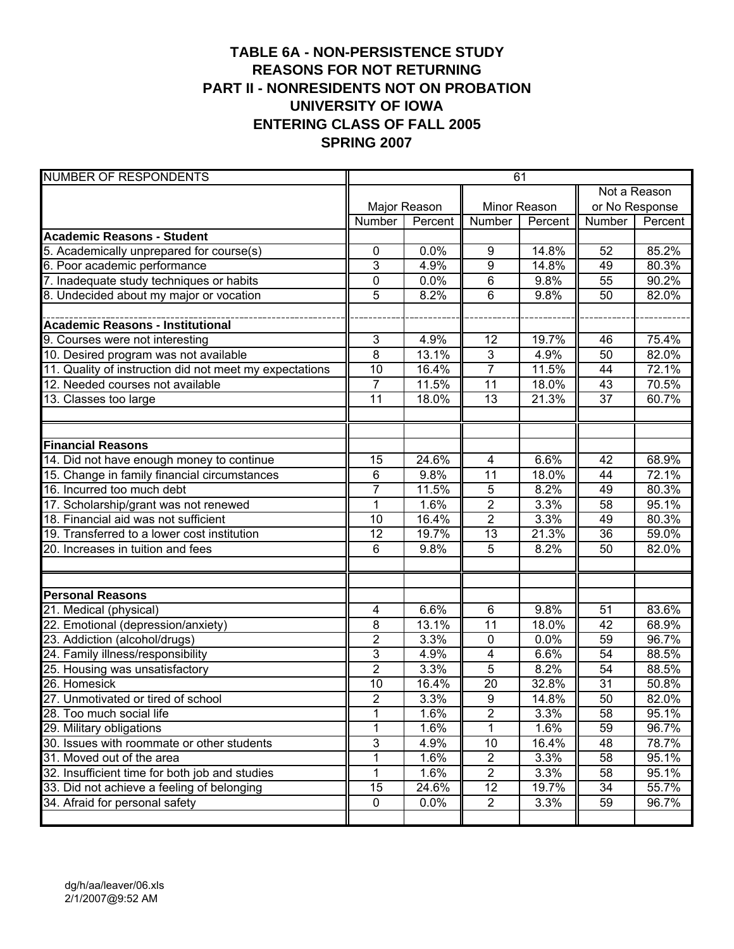# **TABLE 6A - NON-PERSISTENCE STUDY REASONS FOR NOT RETURNING PART II - NONRESIDENTS NOT ON PROBATION UNIVERSITY OF IOWA ENTERING CLASS OF FALL 2005 SPRING 2007**

| <b>NUMBER OF RESPONDENTS</b>                            | 61             |              |                |         |                 |                |  |
|---------------------------------------------------------|----------------|--------------|----------------|---------|-----------------|----------------|--|
|                                                         |                |              |                |         | Not a Reason    |                |  |
|                                                         |                | Major Reason | Minor Reason   |         |                 | or No Response |  |
|                                                         | Number         | Percent      | <b>Number</b>  | Percent | Number          | Percent        |  |
| <b>Academic Reasons - Student</b>                       |                |              |                |         |                 |                |  |
| 5. Academically unprepared for course(s)                | 0              | 0.0%         | 9              | 14.8%   | 52              | 85.2%          |  |
| 6. Poor academic performance                            | 3              | 4.9%         | $\overline{9}$ | 14.8%   | 49              | 80.3%          |  |
| 7. Inadequate study techniques or habits                | 0              | 0.0%         | $\,6$          | 9.8%    | 55              | 90.2%          |  |
| 8. Undecided about my major or vocation                 | $\overline{5}$ | 8.2%         | 6              | 9.8%    | 50              | 82.0%          |  |
|                                                         |                |              |                |         |                 |                |  |
| <b>Academic Reasons - Institutional</b>                 |                |              |                |         |                 |                |  |
| 9. Courses were not interesting                         | 3              | 4.9%         | 12             | 19.7%   | 46              | 75.4%          |  |
| 10. Desired program was not available                   | $\overline{8}$ | 13.1%        | $\mathbf{3}$   | 4.9%    | 50              | 82.0%          |  |
| 11. Quality of instruction did not meet my expectations | 10             | 16.4%        | $\overline{7}$ | 11.5%   | 44              | 72.1%          |  |
| 12. Needed courses not available                        | $\overline{7}$ | 11.5%        | 11             | 18.0%   | 43              | 70.5%          |  |
| 13. Classes too large                                   | 11             | 18.0%        | 13             | 21.3%   | 37              | 60.7%          |  |
|                                                         |                |              |                |         |                 |                |  |
| <b>Financial Reasons</b>                                |                |              |                |         |                 |                |  |
| 14. Did not have enough money to continue               | 15             | 24.6%        | $\overline{4}$ | 6.6%    | 42              | 68.9%          |  |
| 15. Change in family financial circumstances            | 6              | 9.8%         | 11             | 18.0%   | 44              | 72.1%          |  |
| 16. Incurred too much debt                              | $\overline{7}$ | 11.5%        | 5              | 8.2%    | 49              | 80.3%          |  |
| 17. Scholarship/grant was not renewed                   | $\mathbf 1$    | 1.6%         | $\overline{2}$ | 3.3%    | 58              | 95.1%          |  |
| 18. Financial aid was not sufficient                    | 10             | 16.4%        | $\overline{2}$ | 3.3%    | 49              | 80.3%          |  |
| 19. Transferred to a lower cost institution             | 12             | 19.7%        | 13             | 21.3%   | 36              | 59.0%          |  |
| 20. Increases in tuition and fees                       | 6              | 9.8%         | 5              | 8.2%    | 50              | 82.0%          |  |
|                                                         |                |              |                |         |                 |                |  |
| <b>Personal Reasons</b>                                 |                |              |                |         |                 |                |  |
| 21. Medical (physical)                                  | 4              | 6.6%         | 6              | 9.8%    | 51              | 83.6%          |  |
| 22. Emotional (depression/anxiety)                      | 8              | 13.1%        | 11             | 18.0%   | 42              | 68.9%          |  |
| 23. Addiction (alcohol/drugs)                           | $\overline{2}$ | 3.3%         | $\mathbf 0$    | 0.0%    | 59              | 96.7%          |  |
| 24. Family illness/responsibility                       | 3              | 4.9%         | 4              | 6.6%    | 54              | 88.5%          |  |
| 25. Housing was unsatisfactory                          | $\overline{2}$ | 3.3%         | $\overline{5}$ | 8.2%    | 54              | 88.5%          |  |
| 26. Homesick                                            | 10             | 16.4%        | 20             | 32.8%   | 31              | 50.8%          |  |
| 27. Unmotivated or tired of school                      | $\overline{2}$ | 3.3%         | $\overline{9}$ | 14.8%   | $\overline{50}$ | 82.0%          |  |
| 28. Too much social life                                | 1              | 1.6%         | $\overline{2}$ | 3.3%    | 58              | 95.1%          |  |
| 29. Military obligations                                | 1              | 1.6%         | 1              | 1.6%    | 59              | 96.7%          |  |
| 30. Issues with roommate or other students              | 3              | 4.9%         | 10             | 16.4%   | 48              | 78.7%          |  |
| 31. Moved out of the area                               | 1              | 1.6%         | $\overline{c}$ | 3.3%    | 58              | 95.1%          |  |
| 32. Insufficient time for both job and studies          | 1              | 1.6%         | $\overline{2}$ | 3.3%    | 58              | 95.1%          |  |
| 33. Did not achieve a feeling of belonging              | 15             | 24.6%        | 12             | 19.7%   | 34              | 55.7%          |  |
| 34. Afraid for personal safety                          | $\pmb{0}$      | 0.0%         | $\overline{2}$ | 3.3%    | 59              | 96.7%          |  |
|                                                         |                |              |                |         |                 |                |  |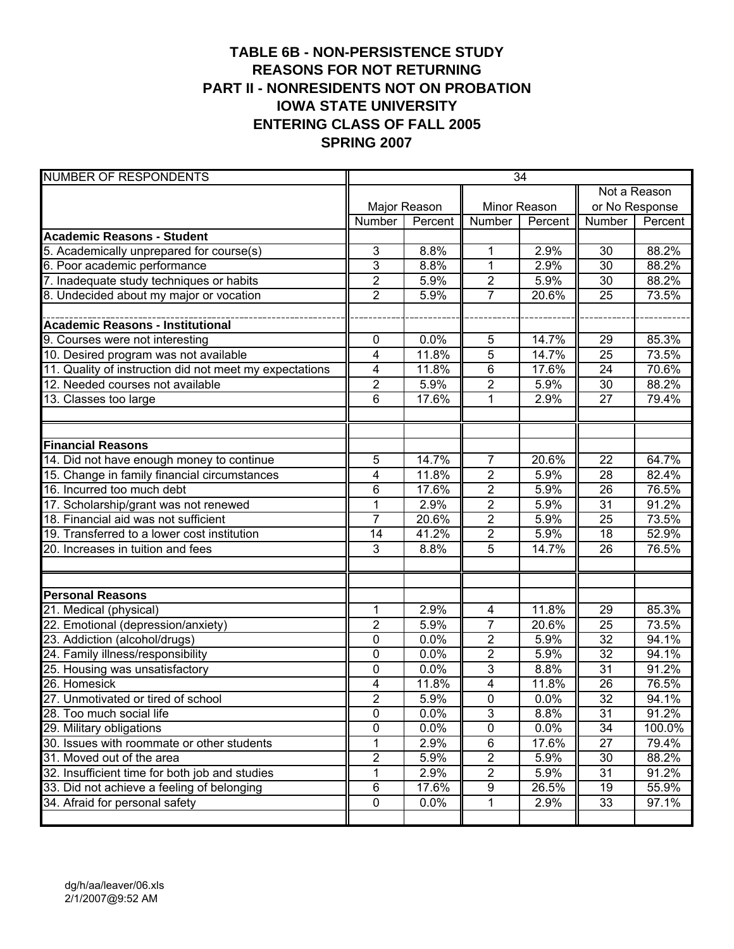# **TABLE 6B - NON-PERSISTENCE STUDY REASONS FOR NOT RETURNING PART II - NONRESIDENTS NOT ON PROBATION IOWA STATE UNIVERSITY ENTERING CLASS OF FALL 2005 SPRING 2007**

| <b>NUMBER OF RESPONDENTS</b>                            | 34             |              |                         |              |                 |         |
|---------------------------------------------------------|----------------|--------------|-------------------------|--------------|-----------------|---------|
|                                                         |                |              |                         |              | Not a Reason    |         |
|                                                         |                | Major Reason |                         | Minor Reason | or No Response  |         |
|                                                         | Number         | Percent      | Number                  | Percent      | Number          | Percent |
| <b>Academic Reasons - Student</b>                       |                |              |                         |              |                 |         |
| 5. Academically unprepared for course(s)                | 3              | 8.8%         | 1                       | 2.9%         | 30              | 88.2%   |
| 6. Poor academic performance                            | $\overline{3}$ | 8.8%         | $\mathbf{1}$            | 2.9%         | 30              | 88.2%   |
| 7. Inadequate study techniques or habits                | $\overline{2}$ | 5.9%         | $\overline{2}$          | 5.9%         | 30              | 88.2%   |
| 8. Undecided about my major or vocation                 | $\overline{2}$ | 5.9%         | $\overline{7}$          | 20.6%        | 25              | 73.5%   |
|                                                         |                |              |                         |              |                 |         |
| <b>Academic Reasons - Institutional</b>                 |                |              |                         |              |                 |         |
| 9. Courses were not interesting                         | 0              | 0.0%         | 5                       | 14.7%        | 29              | 85.3%   |
| 10. Desired program was not available                   | 4              | 11.8%        | 5                       | 14.7%        | 25              | 73.5%   |
| 11. Quality of instruction did not meet my expectations | 4              | 11.8%        | 6                       | 17.6%        | 24              | 70.6%   |
| 12. Needed courses not available                        | $\overline{2}$ | 5.9%         | $\overline{2}$          | 5.9%         | 30              | 88.2%   |
| 13. Classes too large                                   | 6              | 17.6%        | 1                       | 2.9%         | 27              | 79.4%   |
|                                                         |                |              |                         |              |                 |         |
|                                                         |                |              |                         |              |                 |         |
| <b>Financial Reasons</b>                                |                |              |                         |              |                 |         |
| 14. Did not have enough money to continue               | 5              | 14.7%        | $\overline{7}$          | 20.6%        | 22              | 64.7%   |
| 15. Change in family financial circumstances            | 4              | 11.8%        | $\overline{2}$          | 5.9%         | 28              | 82.4%   |
| 16. Incurred too much debt                              | 6              | 17.6%        | $\overline{2}$          | 5.9%         | 26              | 76.5%   |
| 17. Scholarship/grant was not renewed                   | 1              | 2.9%         | 2                       | 5.9%         | 31              | 91.2%   |
| 18. Financial aid was not sufficient                    | $\overline{7}$ | 20.6%        | $\overline{2}$          | 5.9%         | $\overline{25}$ | 73.5%   |
| 19. Transferred to a lower cost institution             | 14             | 41.2%        | $\overline{\mathbf{c}}$ | 5.9%         | 18              | 52.9%   |
| 20. Increases in tuition and fees                       | 3              | 8.8%         | 5                       | 14.7%        | 26              | 76.5%   |
|                                                         |                |              |                         |              |                 |         |
|                                                         |                |              |                         |              |                 |         |
| <b>Personal Reasons</b>                                 |                |              |                         |              |                 |         |
| 21. Medical (physical)                                  | 1              | 2.9%         | $\overline{\mathbf{4}}$ | 11.8%        | 29              | 85.3%   |
| 22. Emotional (depression/anxiety)                      | $\overline{2}$ | 5.9%         | $\overline{7}$          | 20.6%        | 25              | 73.5%   |
| 23. Addiction (alcohol/drugs)                           | $\mathbf 0$    | 0.0%         | $\overline{2}$          | 5.9%         | $\overline{32}$ | 94.1%   |
| 24. Family illness/responsibility                       | $\mathbf 0$    | 0.0%         | $\overline{2}$          | 5.9%         | $\overline{32}$ | 94.1%   |
| 25. Housing was unsatisfactory                          | $\mathbf 0$    | 0.0%         | 3                       | 8.8%         | 31              | 91.2%   |
| 26. Homesick                                            | 4              | 11.8%        | 4                       | 11.8%        | 26              | 76.5%   |
| 27. Unmotivated or tired of school                      | $\overline{2}$ | 5.9%         | $\overline{0}$          | 0.0%         | $\overline{32}$ | 94.1%   |
| 28. Too much social life                                | $\pmb{0}$      | 0.0%         | $\overline{3}$          | 8.8%         | $\overline{31}$ | 91.2%   |
| 29. Military obligations                                | 0              | 0.0%         | $\pmb{0}$               | 0.0%         | $\overline{34}$ | 100.0%  |
| 30. Issues with roommate or other students              | 1              | 2.9%         | 6                       | 17.6%        | $\overline{27}$ | 79.4%   |
| 31. Moved out of the area                               | $\overline{2}$ | 5.9%         | $\overline{2}$          | 5.9%         | 30              | 88.2%   |
| 32. Insufficient time for both job and studies          | 1              | 2.9%         | $\overline{2}$          | 5.9%         | 31              | 91.2%   |
| 33. Did not achieve a feeling of belonging              | 6              | 17.6%        | 9                       | 26.5%        | 19              | 55.9%   |
| 34. Afraid for personal safety                          | 0              | 0.0%         | 1                       | 2.9%         | 33              | 97.1%   |
|                                                         |                |              |                         |              |                 |         |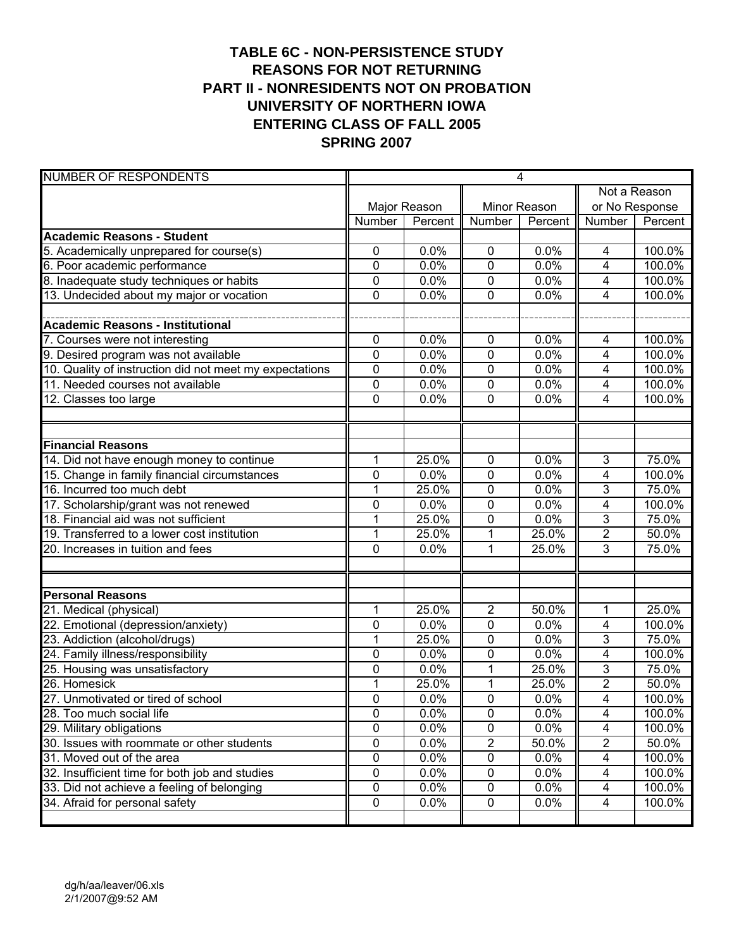# **TABLE 6C - NON-PERSISTENCE STUDY REASONS FOR NOT RETURNING PART II - NONRESIDENTS NOT ON PROBATION UNIVERSITY OF NORTHERN IOWA ENTERING CLASS OF FALL 2005 SPRING 2007**

| <b>NUMBER OF RESPONDENTS</b>                            | $\overline{4}$ |              |                |              |                         |         |
|---------------------------------------------------------|----------------|--------------|----------------|--------------|-------------------------|---------|
|                                                         |                |              |                |              | Not a Reason            |         |
|                                                         |                | Major Reason |                | Minor Reason | or No Response          |         |
|                                                         | Number         | Percent      | Number         | Percent      | Number                  | Percent |
| <b>Academic Reasons - Student</b>                       |                |              |                |              |                         |         |
| 5. Academically unprepared for course(s)                | 0              | 0.0%         | 0              | 0.0%         | 4                       | 100.0%  |
| 6. Poor academic performance                            | $\mathbf 0$    | 0.0%         | 0              | 0.0%         | $\overline{4}$          | 100.0%  |
| 8. Inadequate study techniques or habits                | 0              | 0.0%         | 0              | 0.0%         | 4                       | 100.0%  |
| 13. Undecided about my major or vocation                | $\mathbf 0$    | 0.0%         | 0              | 0.0%         | 4                       | 100.0%  |
|                                                         |                |              |                |              |                         |         |
| <b>Academic Reasons - Institutional</b>                 |                |              |                |              |                         |         |
| 7. Courses were not interesting                         | 0              | 0.0%         | 0              | 0.0%         | 4                       | 100.0%  |
| 9. Desired program was not available                    | 0              | 0.0%         | $\mathbf 0$    | 0.0%         | 4                       | 100.0%  |
| 10. Quality of instruction did not meet my expectations | 0              | 0.0%         | $\pmb{0}$      | 0.0%         | 4                       | 100.0%  |
| 11. Needed courses not available                        | $\mathbf 0$    | 0.0%         | 0              | 0.0%         | $\overline{4}$          | 100.0%  |
| 12. Classes too large                                   | $\mathbf 0$    | 0.0%         | 0              | 0.0%         | 4                       | 100.0%  |
|                                                         |                |              |                |              |                         |         |
|                                                         |                |              |                |              |                         |         |
| <b>Financial Reasons</b>                                |                |              |                |              |                         |         |
| 14. Did not have enough money to continue               | 1              | 25.0%        | 0              | 0.0%         | $\overline{3}$          | 75.0%   |
| 15. Change in family financial circumstances            | $\mathbf 0$    | 0.0%         | 0              | 0.0%         | 4                       | 100.0%  |
| 16. Incurred too much debt                              | 1              | 25.0%        | 0              | 0.0%         | 3                       | 75.0%   |
| 17. Scholarship/grant was not renewed                   | 0              | 0.0%         | 0              | 0.0%         | 4                       | 100.0%  |
| 18. Financial aid was not sufficient                    | $\overline{1}$ | 25.0%        | 0              | 0.0%         | 3                       | 75.0%   |
| 19. Transferred to a lower cost institution             | $\mathbf 1$    | 25.0%        | 1              | 25.0%        | $\overline{2}$          | 50.0%   |
| 20. Increases in tuition and fees                       | 0              | 0.0%         | 1              | 25.0%        | 3                       | 75.0%   |
|                                                         |                |              |                |              |                         |         |
|                                                         |                |              |                |              |                         |         |
| <b>Personal Reasons</b>                                 |                |              |                |              |                         |         |
| 21. Medical (physical)                                  | 1              | 25.0%        | $\overline{2}$ | 50.0%        | $\mathbf 1$             | 25.0%   |
| 22. Emotional (depression/anxiety)                      | 0              | 0.0%         | 0              | 0.0%         | 4                       | 100.0%  |
| 23. Addiction (alcohol/drugs)                           | 1              | 25.0%        | 0              | 0.0%         | $\overline{3}$          | 75.0%   |
| 24. Family illness/responsibility                       | $\mathbf 0$    | 0.0%         | 0              | 0.0%         | 4                       | 100.0%  |
| 25. Housing was unsatisfactory                          | $\mathbf 0$    | 0.0%         | 1              | 25.0%        | 3                       | 75.0%   |
| 26. Homesick                                            | 1              | 25.0%        | 1              | 25.0%        | 2                       | 50.0%   |
| 27. Unmotivated or tired of school                      | $\overline{0}$ | 0.0%         | $\overline{0}$ | 0.0%         | $\overline{4}$          | 100.0%  |
| 28. Too much social life                                | 0              | 0.0%         | $\pmb{0}$      | 0.0%         | $\overline{\mathbf{4}}$ | 100.0%  |
| 29. Military obligations                                | 0              | 0.0%         | $\pmb{0}$      | 0.0%         | $\overline{\mathbf{4}}$ | 100.0%  |
| 30. Issues with roommate or other students              | $\pmb{0}$      | 0.0%         | $\overline{c}$ | 50.0%        | $\overline{c}$          | 50.0%   |
| 31. Moved out of the area                               | $\pmb{0}$      | 0.0%         | $\pmb{0}$      | 0.0%         | $\overline{\mathbf{4}}$ | 100.0%  |
| 32. Insufficient time for both job and studies          | 0              | 0.0%         | $\pmb{0}$      | 0.0%         | $\overline{4}$          | 100.0%  |
| 33. Did not achieve a feeling of belonging              | 0              | 0.0%         | 0              | 0.0%         | 4                       | 100.0%  |
| 34. Afraid for personal safety                          | 0              | 0.0%         | 0              | 0.0%         | $\overline{4}$          | 100.0%  |
|                                                         |                |              |                |              |                         |         |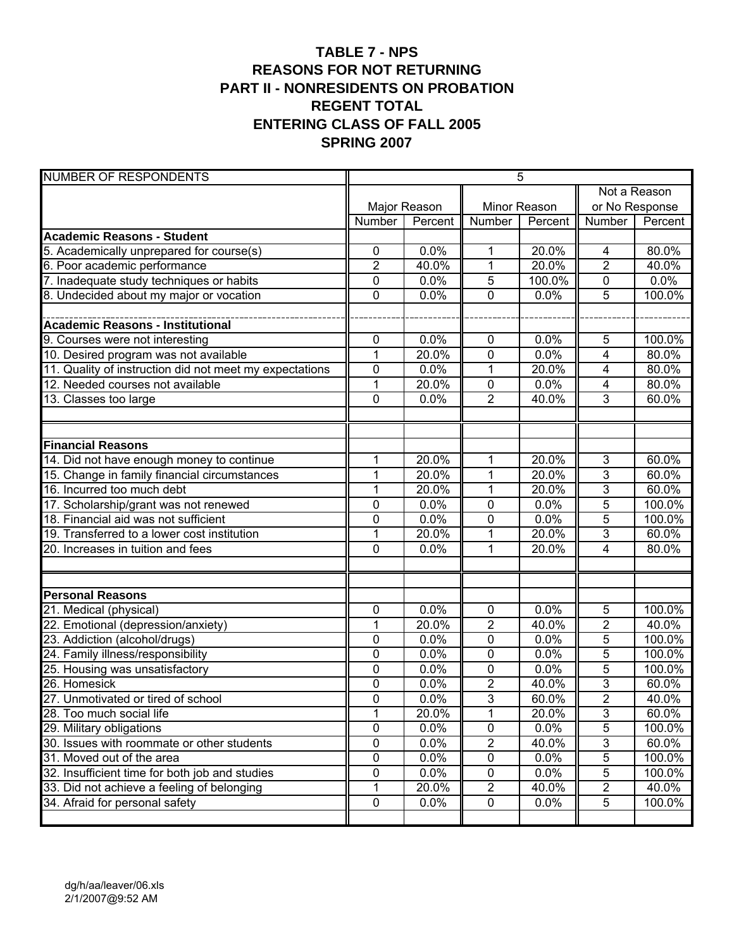### **TABLE 7 - NPS REASONS FOR NOT RETURNING PART II - NONRESIDENTS ON PROBATION REGENT TOTAL ENTERING CLASS OF FALL 2005 SPRING 2007**

| <b>NUMBER OF RESPONDENTS</b>                            | 5              |              |                |              |                |         |
|---------------------------------------------------------|----------------|--------------|----------------|--------------|----------------|---------|
|                                                         |                |              |                |              | Not a Reason   |         |
|                                                         |                | Major Reason |                | Minor Reason | or No Response |         |
|                                                         | Number         | Percent      | <b>Number</b>  | Percent      | Number         | Percent |
| <b>Academic Reasons - Student</b>                       |                |              |                |              |                |         |
| 5. Academically unprepared for course(s)                | 0              | 0.0%         | 1              | 20.0%        | 4              | 80.0%   |
| 6. Poor academic performance                            | $\overline{2}$ | 40.0%        | 1              | 20.0%        | $\overline{2}$ | 40.0%   |
| 7. Inadequate study techniques or habits                | 0              | 0.0%         | 5              | 100.0%       | $\overline{0}$ | 0.0%    |
| 8. Undecided about my major or vocation                 | $\mathbf 0$    | 0.0%         | 0              | 0.0%         | $\overline{5}$ | 100.0%  |
|                                                         |                |              |                |              |                |         |
| <b>Academic Reasons - Institutional</b>                 |                |              |                |              |                |         |
| 9. Courses were not interesting                         | 0              | 0.0%         | $\mathbf 0$    | 0.0%         | 5              | 100.0%  |
| 10. Desired program was not available                   | 1              | 20.0%        | 0              | 0.0%         | 4              | 80.0%   |
| 11. Quality of instruction did not meet my expectations | $\mathbf 0$    | 0.0%         | 1              | 20.0%        | 4              | 80.0%   |
| 12. Needed courses not available                        | 1              | 20.0%        | 0              | 0.0%         | $\overline{4}$ | 80.0%   |
| 13. Classes too large                                   | $\overline{0}$ | 0.0%         | $\overline{2}$ | 40.0%        | $\overline{3}$ | 60.0%   |
|                                                         |                |              |                |              |                |         |
|                                                         |                |              |                |              |                |         |
| <b>Financial Reasons</b>                                |                |              |                |              |                |         |
| 14. Did not have enough money to continue               | 1              | 20.0%        | 1              | 20.0%        | $\mathbf{3}$   | 60.0%   |
| 15. Change in family financial circumstances            | $\mathbf 1$    | 20.0%        | 1              | 20.0%        | $\overline{3}$ | 60.0%   |
| 16. Incurred too much debt                              | 1              | 20.0%        | 1              | 20.0%        | $\overline{3}$ | 60.0%   |
| 17. Scholarship/grant was not renewed                   | 0              | 0.0%         | 0              | 0.0%         | $\overline{5}$ | 100.0%  |
| 18. Financial aid was not sufficient                    | $\mathbf 0$    | 0.0%         | 0              | 0.0%         | 5              | 100.0%  |
| 19. Transferred to a lower cost institution             | $\overline{1}$ | 20.0%        | 1              | 20.0%        | 3              | 60.0%   |
| 20. Increases in tuition and fees                       | $\overline{0}$ | 0.0%         | 1              | 20.0%        | 4              | 80.0%   |
|                                                         |                |              |                |              |                |         |
|                                                         |                |              |                |              |                |         |
| <b>Personal Reasons</b>                                 |                |              |                |              |                |         |
| 21. Medical (physical)                                  | 0              | 0.0%         | $\pmb{0}$      | 0.0%         | 5              | 100.0%  |
| 22. Emotional (depression/anxiety)                      | 1              | 20.0%        | $\overline{2}$ | 40.0%        | $\overline{2}$ | 40.0%   |
| 23. Addiction (alcohol/drugs)                           | 0              | 0.0%         | 0              | 0.0%         | 5              | 100.0%  |
| 24. Family illness/responsibility                       | $\mathbf 0$    | 0.0%         | 0              | 0.0%         | $\overline{5}$ | 100.0%  |
| 25. Housing was unsatisfactory                          | $\mathbf 0$    | 0.0%         | 0              | 0.0%         | 5              | 100.0%  |
| 26. Homesick                                            | $\mathbf 0$    | 0.0%         | $\overline{2}$ | 40.0%        | $\overline{3}$ | 60.0%   |
| 27. Unmotivated or tired of school                      | $\mathbf 0$    | 0.0%         | 3              | 60.0%        | $\overline{2}$ | 40.0%   |
| 28. Too much social life                                | $\mathbf{1}$   | 20.0%        | 1              | 20.0%        | 3              | 60.0%   |
| 29. Military obligations                                | $\overline{0}$ | 0.0%         | 0              | 0.0%         | $\overline{5}$ | 100.0%  |
| 30. Issues with roommate or other students              | $\pmb{0}$      | 0.0%         | $\overline{c}$ | 40.0%        | $\overline{3}$ | 60.0%   |
| 31. Moved out of the area                               | 0              | 0.0%         | 0              | 0.0%         | $\sqrt{5}$     | 100.0%  |
| 32. Insufficient time for both job and studies          | 0              | 0.0%         | $\pmb{0}$      | 0.0%         | $\sqrt{5}$     | 100.0%  |
| 33. Did not achieve a feeling of belonging              | 1              | 20.0%        | $\overline{2}$ | 40.0%        | $\overline{2}$ | 40.0%   |
| 34. Afraid for personal safety                          | 0              | 0.0%         | 0              | 0.0%         | 5              | 100.0%  |
|                                                         |                |              |                |              |                |         |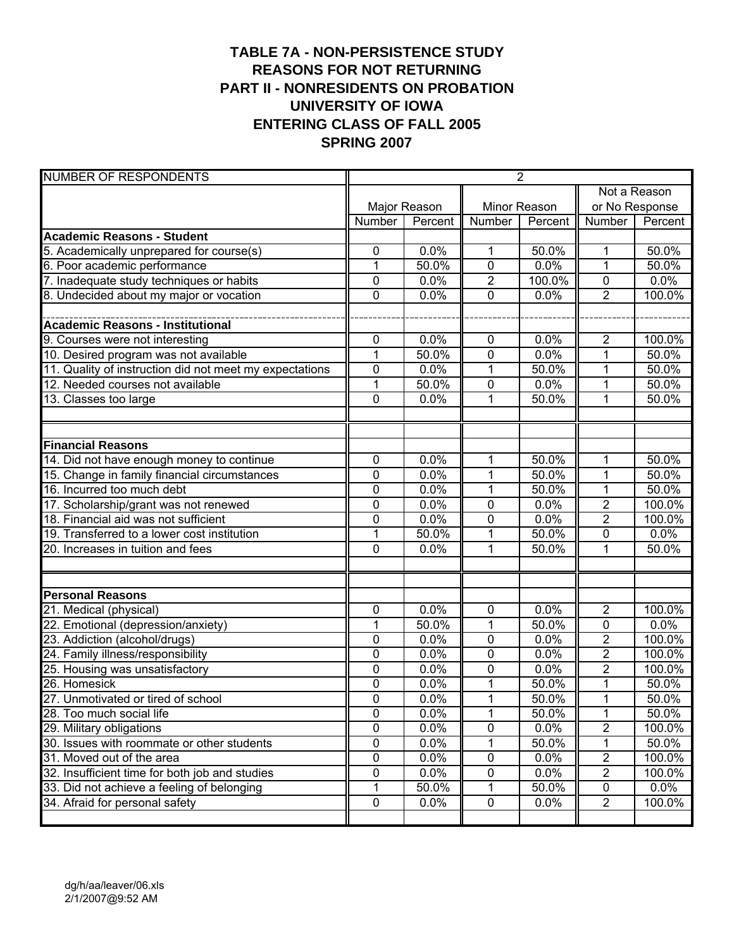# **TABLE 7A - NON-PERSISTENCE STUDY REASONS FOR NOT RETURNING PART II - NONRESIDENTS ON PROBATION UNIVERSITY OF IOWA ENTERING CLASS OF FALL 2005 SPRING 2007**

| <b>NUMBER OF RESPONDENTS</b>                            | $\overline{2}$ |              |                |              |                |                |
|---------------------------------------------------------|----------------|--------------|----------------|--------------|----------------|----------------|
|                                                         |                |              |                |              | Not a Reason   |                |
|                                                         |                | Major Reason |                | Minor Reason |                | or No Response |
|                                                         | Number         | Percent      | Number         | Percent      | Number         | Percent        |
| <b>Academic Reasons - Student</b>                       |                |              |                |              |                |                |
| 5. Academically unprepared for course(s)                | 0              | 0.0%         | 1              | 50.0%        | 1              | 50.0%          |
| 6. Poor academic performance                            | $\mathbf{1}$   | 50.0%        | 0              | 0.0%         | 1              | 50.0%          |
| 7. Inadequate study techniques or habits                | 0              | 0.0%         | $\overline{2}$ | 100.0%       | $\mathbf 0$    | 0.0%           |
| 8. Undecided about my major or vocation                 | $\mathbf 0$    | 0.0%         | $\overline{0}$ | 0.0%         | $\overline{2}$ | 100.0%         |
|                                                         |                |              |                |              |                |                |
| <b>Academic Reasons - Institutional</b>                 |                |              |                |              |                |                |
| 9. Courses were not interesting                         | 0              | 0.0%         | 0              | 0.0%         | $\overline{2}$ | 100.0%         |
| 10. Desired program was not available                   | $\overline{1}$ | 50.0%        | 0              | 0.0%         | $\overline{1}$ | 50.0%          |
| 11. Quality of instruction did not meet my expectations | 0              | 0.0%         | 1              | 50.0%        | 1              | 50.0%          |
| 12. Needed courses not available                        | 1              | $50.0\%$     | 0              | 0.0%         | 1              | 50.0%          |
| 13. Classes too large                                   | $\mathbf 0$    | 0.0%         | 1              | 50.0%        | 1              | 50.0%          |
|                                                         |                |              |                |              |                |                |
|                                                         |                |              |                |              |                |                |
| <b>Financial Reasons</b>                                |                |              |                |              |                |                |
| 14. Did not have enough money to continue               | 0              | 0.0%         | 1              | 50.0%        | $\mathbf{1}$   | 50.0%          |
| 15. Change in family financial circumstances            | 0              | 0.0%         | 1              | 50.0%        | $\mathbf{1}$   | 50.0%          |
| 16. Incurred too much debt                              | $\mathbf 0$    | 0.0%         | 1              | 50.0%        | $\overline{1}$ | 50.0%          |
| 17. Scholarship/grant was not renewed                   | $\mathbf 0$    | 0.0%         | 0              | 0.0%         | $\overline{2}$ | 100.0%         |
| 18. Financial aid was not sufficient                    | $\mathbf 0$    | 0.0%         | 0              | 0.0%         | $\overline{2}$ | 100.0%         |
| 19. Transferred to a lower cost institution             | 1              | 50.0%        | 1              | 50.0%        | $\mathbf 0$    | 0.0%           |
| 20. Increases in tuition and fees                       | $\mathbf 0$    | 0.0%         | $\overline{1}$ | 50.0%        | 1              | 50.0%          |
|                                                         |                |              |                |              |                |                |
|                                                         |                |              |                |              |                |                |
| <b>Personal Reasons</b>                                 |                |              |                |              |                |                |
| 21. Medical (physical)                                  | 0              | 0.0%         | $\pmb{0}$      | 0.0%         | $\overline{2}$ | 100.0%         |
| 22. Emotional (depression/anxiety)                      | 1              | 50.0%        | 1              | 50.0%        | $\mathbf 0$    | 0.0%           |
| 23. Addiction (alcohol/drugs)                           | 0              | 0.0%         | 0              | 0.0%         | $\overline{2}$ | 100.0%         |
| 24. Family illness/responsibility                       | 0              | 0.0%         | 0              | 0.0%         | $\overline{2}$ | 100.0%         |
| 25. Housing was unsatisfactory                          | $\mathbf 0$    | 0.0%         | 0              | 0.0%         | $\overline{2}$ | 100.0%         |
| 26. Homesick                                            | $\mathbf 0$    | 0.0%         | 1              | 50.0%        | $\mathbf{1}$   | 50.0%          |
| 27. Unmotivated or tired of school                      | $\mathbf 0$    | 0.0%         | $\mathbf{1}$   | 50.0%        | $\mathbf{1}$   | 50.0%          |
| 28. Too much social life                                | 0              | 0.0%         | 1              | 50.0%        | 1              | 50.0%          |
| 29. Military obligations                                | $\overline{0}$ | 0.0%         | 0              | 0.0%         | $\overline{2}$ | 100.0%         |
| 30. Issues with roommate or other students              | 0              | 0.0%         | 1              | 50.0%        | 1              | 50.0%          |
| 31. Moved out of the area                               | 0              | 0.0%         | $\pmb{0}$      | 0.0%         | $\overline{2}$ | 100.0%         |
| 32. Insufficient time for both job and studies          | 0              | 0.0%         | 0              | 0.0%         | $\overline{2}$ | 100.0%         |
| 33. Did not achieve a feeling of belonging              | 1              | 50.0%        | 1              | 50.0%        | 0              | 0.0%           |
| 34. Afraid for personal safety                          | 0              | 0.0%         | $\pmb{0}$      | 0.0%         | $\overline{2}$ | 100.0%         |
|                                                         |                |              |                |              |                |                |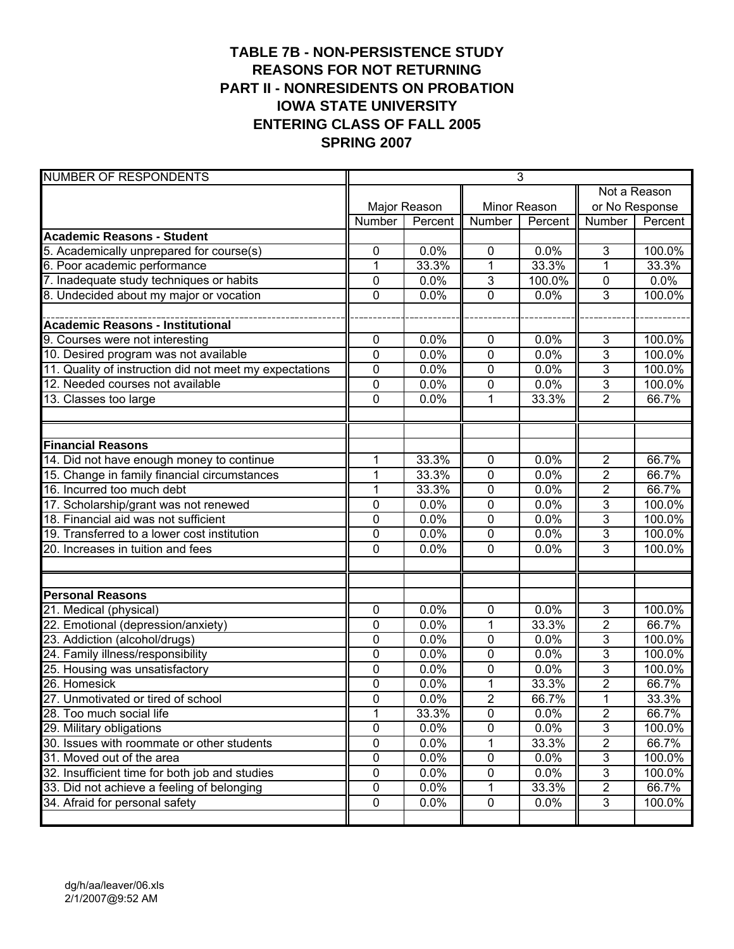# **TABLE 7B - NON-PERSISTENCE STUDY REASONS FOR NOT RETURNING PART II - NONRESIDENTS ON PROBATION IOWA STATE UNIVERSITY ENTERING CLASS OF FALL 2005 SPRING 2007**

| <b>NUMBER OF RESPONDENTS</b>                            | $\overline{3}$ |              |                |              |                |                |  |
|---------------------------------------------------------|----------------|--------------|----------------|--------------|----------------|----------------|--|
|                                                         |                |              |                |              | Not a Reason   |                |  |
|                                                         |                | Major Reason |                | Minor Reason |                | or No Response |  |
|                                                         | Number         | Percent      | <b>Number</b>  | Percent      | Number         | Percent        |  |
| <b>Academic Reasons - Student</b>                       |                |              |                |              |                |                |  |
| 5. Academically unprepared for course(s)                | 0              | 0.0%         | $\mathbf 0$    | 0.0%         | 3              | 100.0%         |  |
| 6. Poor academic performance                            | 1              | 33.3%        | $\mathbf{1}$   | 33.3%        | 1              | 33.3%          |  |
| 7. Inadequate study techniques or habits                | $\mathbf 0$    | 0.0%         | 3              | 100.0%       | $\mathbf 0$    | 0.0%           |  |
| 8. Undecided about my major or vocation                 | $\mathbf 0$    | 0.0%         | 0              | 0.0%         | $\overline{3}$ | 100.0%         |  |
|                                                         |                |              |                |              |                |                |  |
| <b>Academic Reasons - Institutional</b>                 |                |              |                |              |                |                |  |
| 9. Courses were not interesting                         | 0              | 0.0%         | $\pmb{0}$      | 0.0%         | 3              | 100.0%         |  |
| 10. Desired program was not available                   | 0              | 0.0%         | $\pmb{0}$      | 0.0%         | 3              | 100.0%         |  |
| 11. Quality of instruction did not meet my expectations | $\mathbf 0$    | 0.0%         | 0              | 0.0%         | 3              | 100.0%         |  |
| 12. Needed courses not available                        | 0              | 0.0%         | 0              | 0.0%         | 3              | 100.0%         |  |
| 13. Classes too large                                   | $\overline{0}$ | 0.0%         | 1              | 33.3%        | $\overline{2}$ | 66.7%          |  |
|                                                         |                |              |                |              |                |                |  |
|                                                         |                |              |                |              |                |                |  |
| <b>Financial Reasons</b>                                |                |              |                |              |                |                |  |
| 14. Did not have enough money to continue               | 1              | 33.3%        | $\mathbf 0$    | 0.0%         | $\overline{2}$ | 66.7%          |  |
| 15. Change in family financial circumstances            | $\mathbf 1$    | 33.3%        | 0              | 0.0%         | $\overline{2}$ | 66.7%          |  |
| 16. Incurred too much debt                              | 1              | 33.3%        | 0              | 0.0%         | $\overline{2}$ | 66.7%          |  |
| 17. Scholarship/grant was not renewed                   | 0              | 0.0%         | 0              | 0.0%         | 3              | 100.0%         |  |
| 18. Financial aid was not sufficient                    | $\mathbf 0$    | 0.0%         | 0              | 0.0%         | 3              | 100.0%         |  |
| 19. Transferred to a lower cost institution             | $\mathbf 0$    | 0.0%         | 0              | 0.0%         | 3              | 100.0%         |  |
| 20. Increases in tuition and fees                       | $\mathbf 0$    | 0.0%         | 0              | 0.0%         | 3              | 100.0%         |  |
|                                                         |                |              |                |              |                |                |  |
|                                                         |                |              |                |              |                |                |  |
| <b>Personal Reasons</b>                                 |                |              |                |              |                |                |  |
| 21. Medical (physical)                                  | 0              | 0.0%         | $\pmb{0}$      | 0.0%         | $\mathbf{3}$   | 100.0%         |  |
| 22. Emotional (depression/anxiety)                      | 0              | 0.0%         | 1              | 33.3%        | $\overline{2}$ | 66.7%          |  |
| 23. Addiction (alcohol/drugs)                           | 0              | 0.0%         | 0              | 0.0%         | 3              | 100.0%         |  |
| 24. Family illness/responsibility                       | $\mathbf 0$    | 0.0%         | 0              | 0.0%         | $\overline{3}$ | 100.0%         |  |
| 25. Housing was unsatisfactory                          | $\mathbf 0$    | 0.0%         | 0              | 0.0%         | 3              | 100.0%         |  |
| 26. Homesick                                            | $\mathbf 0$    | 0.0%         | 1              | 33.3%        | $\overline{2}$ | 66.7%          |  |
| 27. Unmotivated or tired of school                      | $\overline{0}$ | 0.0%         | $\overline{2}$ | 66.7%        | $\mathbf{1}$   | 33.3%          |  |
| 28. Too much social life                                | $\mathbf{1}$   | 33.3%        | $\pmb{0}$      | 0.0%         | $\overline{2}$ | 66.7%          |  |
| 29. Military obligations                                | $\overline{0}$ | 0.0%         | 0              | 0.0%         | $\overline{3}$ | 100.0%         |  |
| 30. Issues with roommate or other students              | $\pmb{0}$      | 0.0%         | 1              | 33.3%        | $\overline{2}$ | 66.7%          |  |
| 31. Moved out of the area                               | 0              | 0.0%         | 0              | 0.0%         | $\mathbf{3}$   | 100.0%         |  |
| 32. Insufficient time for both job and studies          | 0              | 0.0%         | 0              | 0.0%         | $\mathbf{3}$   | 100.0%         |  |
| 33. Did not achieve a feeling of belonging              | 0              | 0.0%         | 1              | 33.3%        | $\overline{2}$ | 66.7%          |  |
| 34. Afraid for personal safety                          | 0              | 0.0%         | 0              | 0.0%         | $\mathbf{3}$   | 100.0%         |  |
|                                                         |                |              |                |              |                |                |  |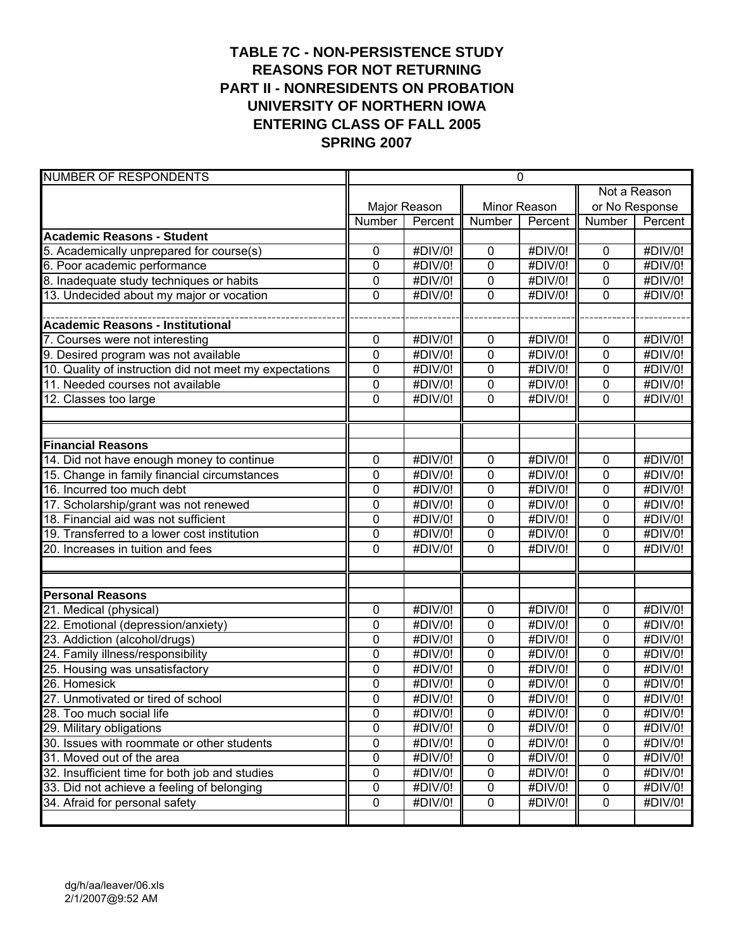# **TABLE 7C - NON-PERSISTENCE STUDY REASONS FOR NOT RETURNING PART II - NONRESIDENTS ON PROBATION UNIVERSITY OF NORTHERN IOWA ENTERING CLASS OF FALL 2005 SPRING 2007**

| <b>NUMBER OF RESPONDENTS</b>                            | $\mathbf 0$    |                              |              |              |                |                              |
|---------------------------------------------------------|----------------|------------------------------|--------------|--------------|----------------|------------------------------|
|                                                         |                |                              |              | Not a Reason |                |                              |
|                                                         | Major Reason   |                              | Minor Reason |              | or No Response |                              |
|                                                         | Number         | Percent                      | Number       | Percent      | Number         | Percent                      |
| <b>Academic Reasons - Student</b>                       |                |                              |              |              |                |                              |
| 5. Academically unprepared for course(s)                | 0              | #DIV/0!                      | 0            | #DIV/0!      | $\mathbf 0$    | #DIV/0!                      |
| 6. Poor academic performance                            | 0              | #DIV/0!                      | 0            | #DIV/0!      | 0              | #DIV/0!                      |
| 8. Inadequate study techniques or habits                | 0              | $\overline{\text{HDIV}}$ /0! | 0            | #DIV/0!      | 0              | #DIV/0!                      |
| 13. Undecided about my major or vocation                | $\mathbf 0$    | #DIV/0!                      | 0            | #DIV/0!      | $\overline{0}$ | #DIV/0!                      |
|                                                         |                |                              |              |              |                |                              |
| <b>Academic Reasons - Institutional</b>                 |                |                              |              |              |                |                              |
| 7. Courses were not interesting                         | 0              | #DIV/0!                      | 0            | #DIV/0!      | $\mathbf 0$    | #DIV/0!                      |
| 9. Desired program was not available                    | $\mathbf 0$    | #DIV/0!                      | 0            | #DIV/0!      | $\mathbf 0$    | #DIV/0!                      |
| 10. Quality of instruction did not meet my expectations | 0              | #DIV/0!                      | 0            | #DIV/0!      | $\mathbf 0$    | #DIV/0!                      |
| 11. Needed courses not available                        | 0              | #DIV/0!                      | 0            | #DIV/0!      | $\mathbf 0$    | #DIV/0!                      |
| 12. Classes too large                                   | $\mathbf 0$    | #DIV/0!                      | 0            | #DIV/0!      | 0              | #DIV/0!                      |
|                                                         |                |                              |              |              |                |                              |
|                                                         |                |                              |              |              |                |                              |
| <b>Financial Reasons</b>                                |                |                              |              |              |                |                              |
| 14. Did not have enough money to continue               | 0              | #DIV/0!                      | 0            | #DIV/0!      | $\mathbf 0$    | #DIV/0!                      |
| 15. Change in family financial circumstances            | 0              | #DIV/0!                      | 0            | #DIV/0!      | $\mathbf 0$    | #DIV/0!                      |
| 16. Incurred too much debt                              | $\mathbf 0$    | #DIV/0!                      | 0            | #DIV/0!      | $\overline{0}$ | #DIV/0!                      |
| 17. Scholarship/grant was not renewed                   | $\mathbf 0$    | $#$ DIV/0!                   | 0            | #DIV/0!      | $\mathbf 0$    | #DIV/0!                      |
| 18. Financial aid was not sufficient                    | 0              | #DIV/0!                      | 0            | #DIV/0!      | $\mathbf 0$    | #DIV/0!                      |
| 19. Transferred to a lower cost institution             | 0              | #DIV/0!                      | 0            | #DIV/0!      | $\mathbf 0$    | #DIV/0!                      |
| 20. Increases in tuition and fees                       | $\Omega$       | #DIV/0!                      | 0            | #DIV/0!      | $\overline{0}$ | #DIV/0!                      |
|                                                         |                |                              |              |              |                |                              |
|                                                         |                |                              |              |              |                |                              |
| <b>Personal Reasons</b>                                 |                |                              |              |              |                |                              |
| 21. Medical (physical)                                  | 0              | #DIV/0!                      | 0            | #DIV/0!      | $\mathbf 0$    | #DIV/0!                      |
| 22. Emotional (depression/anxiety)                      | 0              | #DIV/0!                      | 0            | #DIV/0!      | $\mathbf 0$    | #DIV/0!                      |
| 23. Addiction (alcohol/drugs)                           | 0              | #DIV/0!                      | 0            | #DIV/0!      | 0              | #DIV/0!                      |
| 24. Family illness/responsibility                       | 0              | #DIV/0!                      | 0            | #DIV/0!      | 0              | #DIV/0!                      |
| 25. Housing was unsatisfactory                          | $\mathbf 0$    | #DIV/0!                      | 0            | #DIV/0!      | $\overline{0}$ | #DIV/0!                      |
| 26. Homesick                                            | $\mathbf 0$    | #DIV/0!                      | 0            | #DIV/0!      | 0              | #DIV/0!                      |
| 27. Unmotivated or tired of school                      | 0              | #DIV/0!                      | 0            | #DIV/0!      | 0              | $\overline{\text{HDIV}}$ /0! |
| 28. Too much social life                                | 0              | #DIV/0!                      | 0            | #DIV/0!      | 0              | #DIV/0!                      |
| 29. Military obligations                                | $\overline{0}$ | #DIV/0!                      | 0            | #DIV/0!      | $\overline{0}$ | #DIV/0!                      |
| 30. Issues with roommate or other students              | 0              | #DIV/0!                      | 0            | #DIV/0!      | $\pmb{0}$      | #DIV/0!                      |
| 31. Moved out of the area                               | 0              | #DIV/0!                      | 0            | #DIV/0!      | $\pmb{0}$      | #DIV/0!                      |
| 32. Insufficient time for both job and studies          | 0              | #DIV/0!                      | 0            | #DIV/0!      | $\pmb{0}$      | #DIV/0!                      |
| 33. Did not achieve a feeling of belonging              | 0              | #DIV/0!                      | 0            | #DIV/0!      | $\mathbf 0$    | #DIV/0!                      |
| 34. Afraid for personal safety                          | 0              | #DIV/0!                      | $\pmb{0}$    | #DIV/0!      | $\mathbf 0$    | #DIV/0!                      |
|                                                         |                |                              |              |              |                |                              |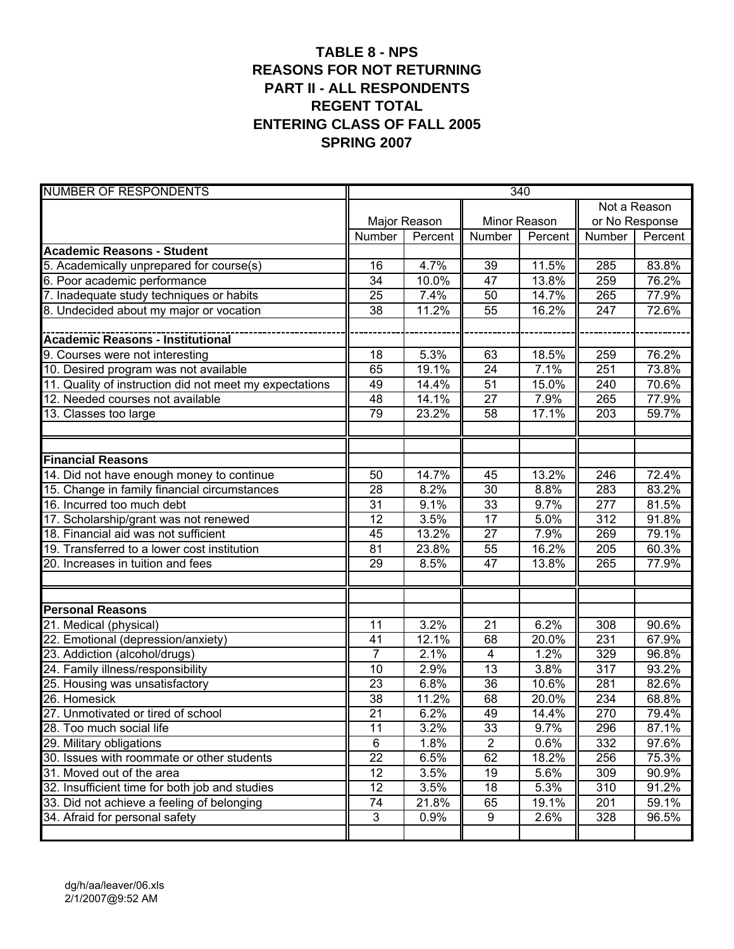# **TABLE 8 - NPS REASONS FOR NOT RETURNING PART II - ALL RESPONDENTS REGENT TOTAL ENTERING CLASS OF FALL 2005 SPRING 2007**

| <b>NUMBER OF RESPONDENTS</b>                            | 340             |         |                         |         |                  |         |  |
|---------------------------------------------------------|-----------------|---------|-------------------------|---------|------------------|---------|--|
|                                                         |                 |         |                         |         | Not a Reason     |         |  |
|                                                         | Major Reason    |         | Minor Reason            |         | or No Response   |         |  |
|                                                         | Number          | Percent | Number                  | Percent | Number           | Percent |  |
| <b>Academic Reasons - Student</b>                       |                 |         |                         |         |                  |         |  |
| 5. Academically unprepared for course(s)                | 16              | 4.7%    | 39                      | 11.5%   | 285              | 83.8%   |  |
| 6. Poor academic performance                            | 34              | 10.0%   | 47                      | 13.8%   | 259              | 76.2%   |  |
| 7. Inadequate study techniques or habits                | 25              | 7.4%    | 50                      | 14.7%   | 265              | 77.9%   |  |
| 8. Undecided about my major or vocation                 | 38              | 11.2%   | 55                      | 16.2%   | $\overline{247}$ | 72.6%   |  |
|                                                         |                 |         |                         |         |                  |         |  |
|                                                         |                 |         |                         |         |                  |         |  |
| 9. Courses were not interesting                         | 18              | 5.3%    | 63                      | 18.5%   | 259              | 76.2%   |  |
| 10. Desired program was not available                   | 65              | 19.1%   | $\overline{24}$         | 7.1%    | 251              | 73.8%   |  |
| 11. Quality of instruction did not meet my expectations | 49              | 14.4%   | 51                      | 15.0%   | 240              | 70.6%   |  |
| 12. Needed courses not available                        | 48              | 14.1%   | $\overline{27}$         | 7.9%    | 265              | 77.9%   |  |
| 13. Classes too large                                   | 79              | 23.2%   | 58                      | 17.1%   | 203              | 59.7%   |  |
|                                                         |                 |         |                         |         |                  |         |  |
|                                                         |                 |         |                         |         |                  |         |  |
| <b>Financial Reasons</b>                                |                 |         |                         |         |                  |         |  |
| 14. Did not have enough money to continue               | 50              | 14.7%   | 45                      | 13.2%   | 246              | 72.4%   |  |
| 15. Change in family financial circumstances            | 28              | 8.2%    | 30                      | 8.8%    | 283              | 83.2%   |  |
| 16. Incurred too much debt                              | $\overline{31}$ | 9.1%    | $\overline{33}$         | 9.7%    | 277              | 81.5%   |  |
| 17. Scholarship/grant was not renewed                   | 12              | 3.5%    | $\overline{17}$         | 5.0%    | 312              | 91.8%   |  |
| 18. Financial aid was not sufficient                    | 45              | 13.2%   | $\overline{27}$         | 7.9%    | 269              | 79.1%   |  |
| 19. Transferred to a lower cost institution             | 81              | 23.8%   | 55                      | 16.2%   | 205              | 60.3%   |  |
| 20. Increases in tuition and fees                       | 29              | 8.5%    | $\overline{47}$         | 13.8%   | 265              | 77.9%   |  |
|                                                         |                 |         |                         |         |                  |         |  |
|                                                         |                 |         |                         |         |                  |         |  |
| <b>Personal Reasons</b>                                 |                 |         |                         |         |                  |         |  |
| 21. Medical (physical)                                  | 11              | 3.2%    | 21                      | 6.2%    | 308              | 90.6%   |  |
| 22. Emotional (depression/anxiety)                      | 41              | 12.1%   | 68                      | 20.0%   | 231              | 67.9%   |  |
| 23. Addiction (alcohol/drugs)                           | $\overline{7}$  | 2.1%    | $\overline{\mathbf{4}}$ | 1.2%    | 329              | 96.8%   |  |
| 24. Family illness/responsibility                       | 10              | 2.9%    | 13                      | 3.8%    | 317              | 93.2%   |  |
| 25. Housing was unsatisfactory                          | 23              | 6.8%    | $\overline{36}$         | 10.6%   | 281              | 82.6%   |  |
| 26. Homesick                                            | 38              | 11.2%   | 68                      | 20.0%   | 234              | 68.8%   |  |
| 27. Unmotivated or tired of school                      | 21              | 6.2%    | 49                      | 14.4%   | 270              | 79.4%   |  |
| 28. Too much social life                                | 11              | 3.2%    | 33                      | 9.7%    | 296              | 87.1%   |  |
| 29. Military obligations                                | $\overline{6}$  | 1.8%    | $\overline{2}$          | 0.6%    | 332              | 97.6%   |  |
| 30. Issues with roommate or other students              | $\overline{22}$ | 6.5%    | 62                      | 18.2%   | 256              | 75.3%   |  |
| 31. Moved out of the area                               | 12              | 3.5%    | 19                      | 5.6%    | 309              | 90.9%   |  |
| 32. Insufficient time for both job and studies          | 12              | 3.5%    | 18                      | 5.3%    | 310              | 91.2%   |  |
| 33. Did not achieve a feeling of belonging              | 74              | 21.8%   | 65                      | 19.1%   | 201              | 59.1%   |  |
| 34. Afraid for personal safety                          | $\mathfrak{Z}$  | 0.9%    | 9                       | 2.6%    | 328              | 96.5%   |  |
|                                                         |                 |         |                         |         |                  |         |  |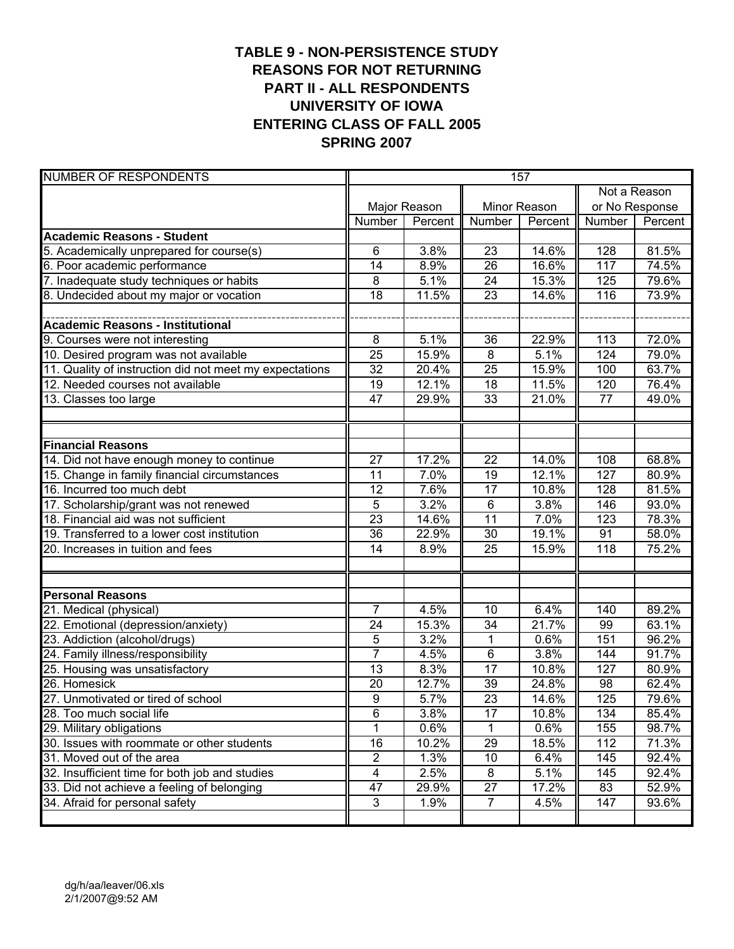# **TABLE 9 - NON-PERSISTENCE STUDY REASONS FOR NOT RETURNING PART II - ALL RESPONDENTS UNIVERSITY OF IOWA ENTERING CLASS OF FALL 2005 SPRING 2007**

| <b>NUMBER OF RESPONDENTS</b>                            | 157                     |         |                 |              |                  |          |
|---------------------------------------------------------|-------------------------|---------|-----------------|--------------|------------------|----------|
|                                                         |                         |         |                 | Not a Reason |                  |          |
|                                                         | Major Reason            |         | Minor Reason    |              | or No Response   |          |
|                                                         | Number                  | Percent | Number          | Percent      | Number           | Percent  |
| <b>Academic Reasons - Student</b>                       |                         |         |                 |              |                  |          |
| 5. Academically unprepared for course(s)                | 6                       | 3.8%    | 23              | 14.6%        | 128              | 81.5%    |
| 6. Poor academic performance                            | 14                      | 8.9%    | $\overline{26}$ | 16.6%        | 117              | 74.5%    |
| 7. Inadequate study techniques or habits                | 8                       | 5.1%    | 24              | 15.3%        | 125              | 79.6%    |
| 8. Undecided about my major or vocation                 | $\overline{18}$         | 11.5%   | $\overline{23}$ | 14.6%        | 116              | 73.9%    |
|                                                         |                         |         |                 |              |                  |          |
| <b>Academic Reasons - Institutional</b>                 |                         |         |                 |              |                  |          |
| 9. Courses were not interesting                         | 8                       | 5.1%    | 36              | 22.9%        | 113              | 72.0%    |
| 10. Desired program was not available                   | $\overline{25}$         | 15.9%   | $\overline{8}$  | 5.1%         | 124              | 79.0%    |
| 11. Quality of instruction did not meet my expectations | 32                      | 20.4%   | 25              | 15.9%        | 100              | 63.7%    |
| 12. Needed courses not available                        | 19                      | 12.1%   | 18              | 11.5%        | 120              | 76.4%    |
| 13. Classes too large                                   | 47                      | 29.9%   | 33              | 21.0%        | 77               | 49.0%    |
|                                                         |                         |         |                 |              |                  |          |
|                                                         |                         |         |                 |              |                  |          |
| <b>Financial Reasons</b>                                |                         |         |                 |              |                  |          |
| 14. Did not have enough money to continue               | 27                      | 17.2%   | 22              | 14.0%        | 108              | 68.8%    |
| 15. Change in family financial circumstances            | 11                      | 7.0%    | 19              | 12.1%        | 127              | 80.9%    |
| 16. Incurred too much debt                              | 12                      | 7.6%    | $\overline{17}$ | 10.8%        | 128              | 81.5%    |
| 17. Scholarship/grant was not renewed                   | $\overline{5}$          | 3.2%    | 6               | 3.8%         | 146              | 93.0%    |
| 18. Financial aid was not sufficient                    | $\overline{23}$         | 14.6%   | $\overline{11}$ | 7.0%         | 123              | 78.3%    |
| 19. Transferred to a lower cost institution             | 36                      | 22.9%   | 30              | 19.1%        | 91               | 58.0%    |
| 20. Increases in tuition and fees                       | 14                      | 8.9%    | 25              | 15.9%        | $\overline{118}$ | 75.2%    |
|                                                         |                         |         |                 |              |                  |          |
|                                                         |                         |         |                 |              |                  |          |
| <b>Personal Reasons</b>                                 |                         |         |                 |              |                  |          |
| 21. Medical (physical)                                  | $\overline{7}$          | 4.5%    | 10              | 6.4%         | 140              | 89.2%    |
| 22. Emotional (depression/anxiety)                      | 24                      | 15.3%   | 34              | 21.7%        | 99               | 63.1%    |
| 23. Addiction (alcohol/drugs)                           | 5                       | 3.2%    | $\mathbf 1$     | 0.6%         | 151              | 96.2%    |
| 24. Family illness/responsibility                       | $\overline{7}$          | 4.5%    | 6               | 3.8%         | 144              | 91.7%    |
| 25. Housing was unsatisfactory                          | 13                      | 8.3%    | $\overline{17}$ | 10.8%        | 127              | 80.9%    |
| 26. Homesick                                            | 20                      | 12.7%   | 39              | 24.8%        | 98               | 62.4%    |
| 27. Unmotivated or tired of school                      | 9                       | 5.7%    | $\overline{23}$ | 14.6%        | 125              | 79.6%    |
| 28. Too much social life                                | 6                       | 3.8%    | 17              | 10.8%        | 134              | 85.4%    |
| 29. Military obligations                                | $\overline{1}$          | 0.6%    | 1               | 0.6%         | 155              | 98.7%    |
| 30. Issues with roommate or other students              | 16                      | 10.2%   | $\overline{29}$ | 18.5%        | 112              | 71.3%    |
| 31. Moved out of the area                               | $\overline{2}$          | 1.3%    | 10              | 6.4%         | 145              | $92.4\%$ |
| 32. Insufficient time for both job and studies          | $\overline{\mathbf{4}}$ | 2.5%    | 8               | 5.1%         | 145              | 92.4%    |
| 33. Did not achieve a feeling of belonging              | 47                      | 29.9%   | 27              | 17.2%        | 83               | 52.9%    |
| 34. Afraid for personal safety                          | $\mathfrak{B}$          | 1.9%    | $\overline{7}$  | 4.5%         | 147              | 93.6%    |
|                                                         |                         |         |                 |              |                  |          |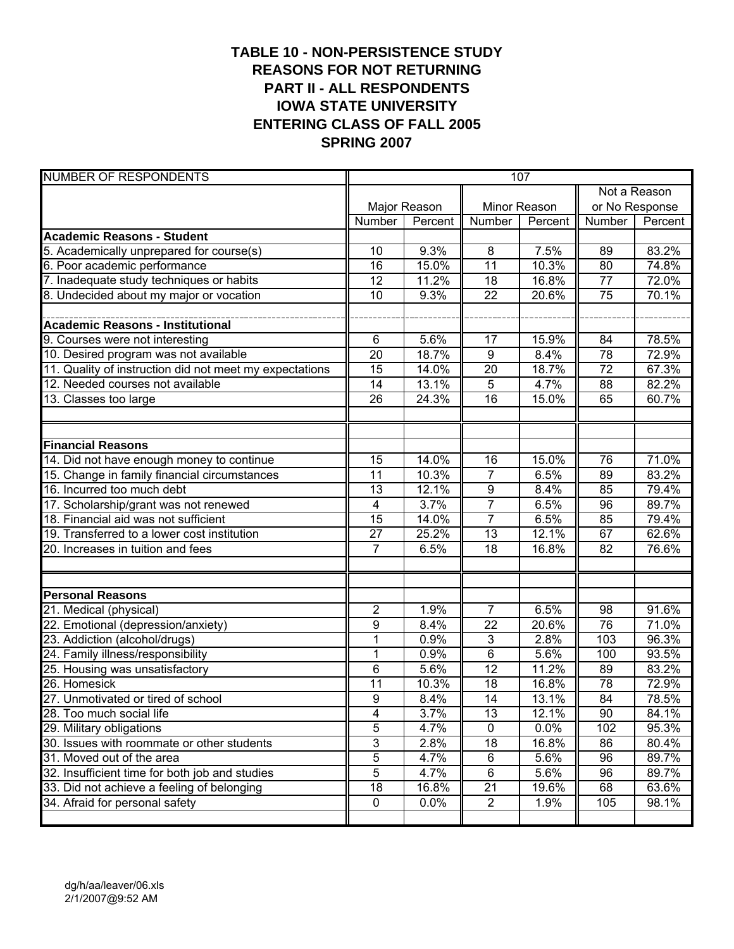# **TABLE 10 - NON-PERSISTENCE STUDY REASONS FOR NOT RETURNING PART II - ALL RESPONDENTS IOWA STATE UNIVERSITY ENTERING CLASS OF FALL 2005 SPRING 2007**

| <b>NUMBER OF RESPONDENTS</b>                            | 107             |         |                 |         |                |         |  |
|---------------------------------------------------------|-----------------|---------|-----------------|---------|----------------|---------|--|
|                                                         |                 |         |                 |         | Not a Reason   |         |  |
|                                                         | Major Reason    |         | Minor Reason    |         | or No Response |         |  |
|                                                         | Number          | Percent | Number          | Percent | Number         | Percent |  |
| <b>Academic Reasons - Student</b>                       |                 |         |                 |         |                |         |  |
| 5. Academically unprepared for course(s)                | 10              | 9.3%    | 8               | 7.5%    | 89             | 83.2%   |  |
| 6. Poor academic performance                            | 16              | 15.0%   | $\overline{11}$ | 10.3%   | 80             | 74.8%   |  |
| 7. Inadequate study techniques or habits                | 12              | 11.2%   | 18              | 16.8%   | 77             | 72.0%   |  |
| 8. Undecided about my major or vocation                 | 10              | 9.3%    | $\overline{22}$ | 20.6%   | 75             | 70.1%   |  |
|                                                         |                 |         |                 |         |                |         |  |
|                                                         |                 |         |                 |         |                |         |  |
| 9. Courses were not interesting                         | 6               | 5.6%    | 17              | 15.9%   | 84             | 78.5%   |  |
| 10. Desired program was not available                   | 20              | 18.7%   | $\overline{9}$  | 8.4%    | 78             | 72.9%   |  |
| 11. Quality of instruction did not meet my expectations | 15              | 14.0%   | 20              | 18.7%   | 72             | 67.3%   |  |
| 12. Needed courses not available                        | 14              | 13.1%   | 5               | 4.7%    | 88             | 82.2%   |  |
| 13. Classes too large                                   | 26              | 24.3%   | 16              | 15.0%   | 65             | 60.7%   |  |
|                                                         |                 |         |                 |         |                |         |  |
|                                                         |                 |         |                 |         |                |         |  |
| <b>Financial Reasons</b>                                |                 |         |                 |         |                |         |  |
| 14. Did not have enough money to continue               | 15              | 14.0%   | 16              | 15.0%   | 76             | 71.0%   |  |
| 15. Change in family financial circumstances            | 11              | 10.3%   | $\overline{7}$  | 6.5%    | 89             | 83.2%   |  |
| 16. Incurred too much debt                              | 13              | 12.1%   | 9               | 8.4%    | 85             | 79.4%   |  |
| 17. Scholarship/grant was not renewed                   | 4               | 3.7%    | $\overline{7}$  | 6.5%    | 96             | 89.7%   |  |
| 18. Financial aid was not sufficient                    | $\overline{15}$ | 14.0%   | $\overline{7}$  | 6.5%    | 85             | 79.4%   |  |
| 19. Transferred to a lower cost institution             | 27              | 25.2%   | $\overline{13}$ | 12.1%   | 67             | 62.6%   |  |
| 20. Increases in tuition and fees                       | $\overline{7}$  | 6.5%    | $\overline{18}$ | 16.8%   | 82             | 76.6%   |  |
|                                                         |                 |         |                 |         |                |         |  |
|                                                         |                 |         |                 |         |                |         |  |
| <b>Personal Reasons</b>                                 |                 |         |                 |         |                |         |  |
| 21. Medical (physical)                                  | $\overline{2}$  | 1.9%    | $\overline{7}$  | 6.5%    | 98             | 91.6%   |  |
| 22. Emotional (depression/anxiety)                      | 9               | 8.4%    | 22              | 20.6%   | 76             | 71.0%   |  |
| 23. Addiction (alcohol/drugs)                           | 1               | 0.9%    | $\mathbf{3}$    | 2.8%    | 103            | 96.3%   |  |
| 24. Family illness/responsibility                       | 1               | 0.9%    | 6               | 5.6%    | 100            | 93.5%   |  |
| 25. Housing was unsatisfactory                          | 6               | 5.6%    | 12              | 11.2%   | 89             | 83.2%   |  |
| 26. Homesick                                            | 11              | 10.3%   | 18              | 16.8%   | 78             | 72.9%   |  |
| 27. Unmotivated or tired of school                      | $\overline{9}$  | 8.4%    | 14              | 13.1%   | 84             | 78.5%   |  |
| 28. Too much social life                                | 4               | 3.7%    | 13              | 12.1%   | 90             | 84.1%   |  |
| 29. Military obligations                                | $\overline{5}$  | 4.7%    | $\overline{0}$  | 0.0%    | 102            | 95.3%   |  |
| 30. Issues with roommate or other students              | 3               | 2.8%    | 18              | 16.8%   | 86             | 80.4%   |  |
| 31. Moved out of the area                               | $\overline{5}$  | 4.7%    | 6               | 5.6%    | 96             | 89.7%   |  |
| 32. Insufficient time for both job and studies          | $\overline{5}$  | 4.7%    | $\,6$           | 5.6%    | 96             | 89.7%   |  |
| 33. Did not achieve a feeling of belonging              | 18              | 16.8%   | 21              | 19.6%   | 68             | 63.6%   |  |
| 34. Afraid for personal safety                          | $\pmb{0}$       | 0.0%    | $\overline{2}$  | 1.9%    | 105            | 98.1%   |  |
|                                                         |                 |         |                 |         |                |         |  |